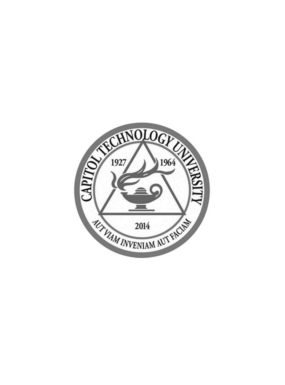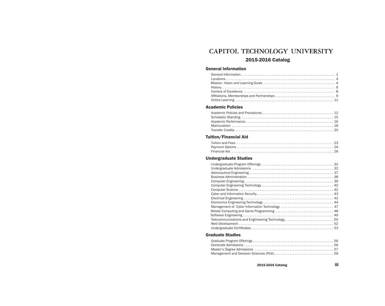## CAPITOL TECHNOLOGY UNIVERSITY 2015-2016 Catalog

## General Information

## Academic Policies

## Tuition/Financial Aid

## Undergraduate Studies

## Graduate Studies

2015-2016 Catalog iii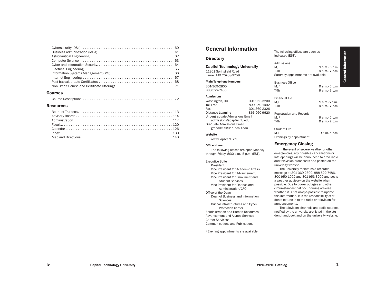#### Courses

|--|--|--|

#### **Resources**

## General Information

#### **Directory**

Capitol Technology University 11301 Springfield Road Laurel, MD 20708-9758

Main Telephone Numbers 301-369-2800 888-522-7486

#### Admissions

Washington, DC 301-953-3200 Toll Free 800-950-1992 Fax 301-369-2326<br>Distance Learning 366-960-9620 Distance Learning Undergraduate Admissions Email admissions@CapTechU.edu Graduate Admissions Email gradadmit@CapTechU.edu

## Website

www.CapTechU.edu

#### Office Hours

The following offices are open Monday through Friday, 8:30 a.m.- 5 p.m. (EST).

Executive Suite

President Vice President for Academic Affairs

Vice President for Advancement Vice President for Enrollment and Student Services Vice President for Finance and Administration/CFO Office of the Dean

Dean of Business and Information Sciences

Critical Infrastructures and Cyber Protection Center

Administration and Human Resources Advancement and Alumni Services Career Services\* Communications and Publications

\*Evening appointments are available.

General Information General Information M, F 9 a.m.- 5 p.m.<br>T-Th 9 a.m.- 7 p.m. 9 a.m.- 7 p.m.

M, F 9 a.m.- 5 p.m.<br>T-Th 9 a.m.- 7 p.m. 9 a.m.- 7 p.m.

M,F 9 a.m.-5 p.m.<br>T-Th 9 a.m.- 7 p.m. 9 a.m.- 7 p.m.

M, F<br>T-Th 9 a.m.- 7 p.m.<br>9 a.m.- 7 p.m. 9 a.m.- 7 p.m.

9 a.m.-5 p.m.

#### Emergency Closing

Registration and Records<br>M. F

Evenings by appointment.

The following offices are open as

Saturday appointments are available.

indicated (EST).

Business Office<br>M. F

Financial Aid

Student Life<br>M-F

Admissions<br>M. F

In the event of severe weather or other emergencies, any possible cancellations or late openings will be announced to area radio and television broadcasts and posted on the university website.

The university maintains a recorded message at 301-369-2800, 888-522-7486, 800-950-1992 and 301-953-3200 and posts a weather advisory on the website when possible. Due to power outages and other circumstances that occur during adverse weather, it is not always possible to update this information. It is the responsibility of students to tune in to the radio or television for announcements.

The television channels and radio stations notified by the university are listed in the student handbook and on the university website.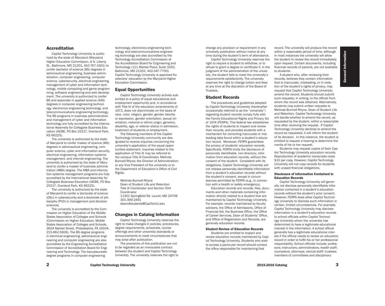#### Accreditation

Capitol Technology University is authorized by the state of Maryland (Maryland Higher Education Commission, 6 N. Liberty St., Baltimore, MD 21201, 410-767-3301) to confer bachelor of science (BS) degrees in astronautical engineering, business administration, computer engineering, computer science, cybersecurity, electrical engineering, management of cyber and information technology, mobile computing and game programming, software engineering and web development. The university is authorized to confer BS and associate in applied science (AAS) degrees in computer engineering technology, electronics engineering technology, and telecommunications engineering technology. The BS programs in business administration and management of cyber and information technology are fully accredited by the International Assembly for Collegiate Business Education (IACBE, PO Box 25217, Overland Park, KS 66225).

The university is authorized by the state of Maryland to confer master of science (MS) degrees in astronautical engineering, computer science, cyber and information security, electrical engineering, information systems management, and internet engineering. The university is authorized by the state of Maryland to confer a master of business administration (MBA) degree. The MBA and information systems management programs are fully accredited by the International Assembly for Collegiate Business Education (IACBE, PO Box 25217, Overland Park, KS 66225).

The university is authorized by the state of Maryland to confer a doctorate of science (DSc) in cybersecurity and a doctorate of philosophy (PhD) in management and decision sciences.

The university is accredited by the Commission on Higher Education of the Middle States Association of Colleges and Schools (Commission on Higher Education, Middle States Association of Colleges and Schools, 3624 Market Street, Philadelphia, PA 19104, 215-662-5606). The BS degree programs in electrical engineering, astronautical engineering and computer engineering are also accredited by the Engineering Accreditation Commission of Accreditation Board for Engineering and Technology. The baccalaureate degree programs in computer engineering

technology, electronics engineering technology and telecommunications engineering technology are also accredited by the Technology Accreditation Commission of the Accreditation Board for Engineering and Technology (111 Market Place, Suite 1050, Baltimore, MD 21202, 410-347-7700). Capitol Technology University is approved for veterans' education by the Maryland Higher Education Commission.

#### Equal Opportunities

Capitol Technology University actively subscribes to a policy of equal educational and employment opportunity and, in accordance with Title IX of the education amendments of 1972, does not discriminate on the basis of race, color, religion, gender, gender identity or expression, gender orientation, sexual orientation, national or ethnic origin, genetics, disability, age, or veteran status in admission, treatment of students or employment.

The following members of the Capitol Technology University community are designated to receive inquiries concerning the university's application of the equal opportunities statement. Inquiries related to the application of Title IX may be referred to the campus Title IX Coordinator, Melinda Bunnell-Rhyne; the Director of Administration; or any Vice President of the university or to the Department of Education's Office of Civil Rights.

Melinda Bunnell-Rhyne Dean of Student Life and Retention Title IX Coordinator and Section 504 Coordinator 11301 Springfield Rd. Laurel, MD 20708 301-369-2491 deanofstudents@CapTechU.edu

#### Changes in Catalog Information

Capitol Technology University reserves the right to make changes in policies, procedures, degree requirements, schedules, course offerings and other university standards or announcements to meet circumstances that may arise after publication.

The provisions of this publication are not to be regarded as an irrevocable contract between the student and Capitol Technology University. The university reserves the right to change any provision or requirement in any university publication without notice at any time during the student's term of attendance.

Capitol Technology University reserves the right to require a student to withdraw, or to refuse to grant a degree or certificate if, in the judgment of the administration of the university, the student fails to meet the university's requirements satisfactorily. The university reserves the right to change tuition and fees at any time at the discretion of the Board of Trustees.

#### Student Records

The procedures and guidelines adopted by Capitol Technology University (hereinafter occasionally referred to as the "university") regarding student records comply fully with the Family Educational Rights and Privacy Act of 1974 (FERPA). This federal law establishes the rights of students to inspect and review their records, and provides students with a mechanism for correcting inaccurate or misleading data found within a student's education record. Moreover, FERPA guarantees the privacy of students' education records. Specifically, FERPA limits the disclosure of personally identifiable, non-directory, information from education records, without the consent of the student. Consistent with its obligations, Capitol Technology University will not release personally identifiable information from a student's education records without the student's consent, except in circumstances permitted by FERPA (e.g., in connection with a health or safety emergency).

Education records are records, files, documents and other materials containing information directly related to a student that are maintained by Capitol Technology University. For example, records maintained by faculty advisors, the Office of Admissions, Office of Financial Aid, the Business Office, the Office of Career Services, Dean of Students' Office, and Office of Registration and Records, are generally education records.

#### Student Review of Education Records

Students are entitled to inspect and review education records maintained by Capitol Technology University. Students who wish to access a particular record should contact the office responsible for maintaining that

record. The university will produce the record within a reasonable period of time, although in most instances the university will allow the student to review the record immediately upon request. Certain documents, including financial records of parents, are not available to students.

A student who, after reviewing their records, believes they contain information that is inaccurate, misleading, or in violation of the student's rights of privacy, may request that Capitol Technology University amend the record. Students should submit such requests, in writing, to the official from whom the record was obtained. Alternatively, students may submit written requests to Melinda Bunnell-Rhyne, Dean of Student Life and Retention. Capitol Technology University will decide whether to amend the record, as requested by the student, within a reasonable time after receiving the request. If Capitol Technology University declines to amend the record as requested, it will inform the student of its decision. In this instance, the student is entitled to request a hearing to determine the merits of his or her request.

Students may request copies of their Capitol Technology University education records. Reproduction of academic transcripts costs \$10 per copy. However, Capitol Technology University will not copy records for students with unpaid financial obligations.

#### Disclosure of Information Contained in Education Records

Capitol Technology University will generally not disclose personally identifiable information contained in a student's education records without the student's prior consent. However, FERPA does allow Capitol Technology University to disclose such information in certain, limited circumstances. For example, Capitol Technology University may disclose information in a student's education records to school officials within Capitol Technology University whom the university has determined to have a legitimate educational interest in the information. A school official generally has a legitimate educational interest if the official needs to review an education record in order to fulfill his or her professional responsibility. School officials include: professors; instructors; administrators; health staff; counselors; attorneys; clerical staff; trustees; members of committees and disciplinary

Information General Information General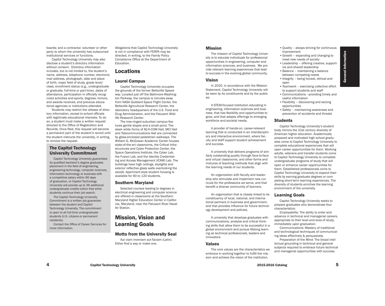boards; and a contractor, volunteer or other party to whom the university has outsourced institutional services or functions.

Capitol Technology University may also disclose a student's directory information without consent. Directory information includes, but is not limited to, the student's name, address, telephone number, electronic mail address, photograph, date and place of birth, major field of study, grade level/ class, enrollment status (e.g., undergraduate or graduate, full-time or part-time), dates of attendance, participation in officially recognized activities and sports, degrees, honors, and awards received, and previous educational agencies or institutions attended.

Students may restrict the release of directory information, except to school officials with legitimate educational interests. To do so, a student must make a written request directed to the Office of Registration and Records. Once filed, this request will become a permanent part of the student's record until the student instructs the university, in writing, to remove the request.

## . The Capitol Technology University Commitment

 Capitol Technology University guarantees its qualified bachelor's degree graduates placement in the field of engineering, engineering technology, computer sciences, information technology or business with a competitive salary within 90 days of graduation, or Capitol Technology University will provide up to 36 additional undergraduate credits tuition free while students continue their job search.

 The Capitol Technology University Commitment is a written job guarantee between the student and Capitol Technology University. The commitment is open to all full-time undergraduate students (U.S. citizens or permanent residents).

 Contact the Office of Career Services for more information.

Allegations that Capitol Technology University is not in compliance with FERPA may be directed, in writing, to the Family Policy Compliance Office at the Department of Education.

## Locations

#### Laurel Campus

Capitol Technology University occupies the grounds of the former Beltsville Speedway. Located just off the Baltimore-Washington Parkway, the campus is minutes away from NASA Goddard Space Flight Center, the Beltsville Agricultural Research Center, the laboratory headquarters of the U.S. Food and Drug Administration, and the Patuxent Wildlife Research Center.

The tree-ringed suburban campus features gentle slopes and a small pond. The sleek white forms of M/A-COM Hall, MCI Hall and Telecommunications Hall are connected by glass-enclosed pedestrian walkways. The William G. McGowan Academic Center houses state-of-the-art classrooms, the Critical Infrastructures and Cyber Protection Center, the Space Operations Institute, the Cyber Lab, the Fusion Lab, and the Identity Credentialing and Access Management (ICAM) Lab. The buildings have high ceilings, skylights and exterior reflective glass walls overlooking the woods. Apartment-style student housing is available for 90 to 120 students.

#### Southern Maryland

Selected courses leading to degrees in electrical engineering and computer science are offered in classrooms at the Southern Maryland Higher Education Center in California, Maryland, near the Patuxent River Naval Air Station.

## Mission, Vision and Learning Goals

#### Motto from the University Seal

Aut viam inveniam aut faciam (Latin). Either find a way or make one.

#### Mission

The mission of Capitol Technology University is to educate individuals for professional opportunities in engineering, computer and information sciences, and business. We provide relevant learning experiences that lead to success in the evolving global community.

#### Vision

In 2020, in accordance with the Mission Statement, Capitol Technology University will be seen by its constituents and by the public as:

A STEM-focused institution educating in engineering, information sciences and business, that has flexibility and opportunities to grow, and that adapts offerings to emerging workforce and societal needs.

A provider of hands-on, career-relevant learning that is conducted in an interdisciplinary and interactive environment, where faculty and staff support student achievement and success.

A university that delivers programs of similarly outstanding quality through face-to-face and virtual classrooms, and other forms and mixtures of teaching methods that align with the learning needs of our students.

An organization with faculty and leadership who stimulate and implement new curricula for the professions we serve, and that benefit a diverse community of learners.

An organization that is closely linked to its constituency of local, national, and international partners in business and government, and that provides influence for future technology development and policies.

A university that develops graduates with communications, analysis and critical thinking skills that allow them to be successful in a global environment and pursue lifelong learning as technical professionals, leaders and innovators.

#### Values

The core values are the characteristics we embrace in working together to fulfill the mission and achieve the vision of the institution.

- •Quality always striving for continuous improvement
- •Growth expanding and changing to meet new needs of society
- •Leadership offering creative, supportive and shared leadership
- •Balance maintaining a balance between competing needs
- •Integrity being honest, ethical and open
- •Teamwork exercising collective effort to support students and staff
- •Communications –providing timely and useful information
- •Flexibility discovering and seizing opportunities
- •Safety maintaining awareness and prevention of accidents and threats

#### **Students**

Capitol Technology University's student body mirrors the 21st century diversity of American higher education. Academically prepared and motivated high school graduates come to Capitol Technology University to complete educational experiences that will open career opportunities for them. Working adults, veterans and transfer students come to Capitol Technology University to complete undergraduate programs of study that will open or enhance career opportunities for them. Established professionals come to Capitol Technology University to expand their skills by earning graduate degrees or completing short-term learning experiences. The diversity of students enriches the learning environment of the university.

#### Learning Goals

Capitol Technology University seeks to prepare graduates who demonstrate four characteristics:

Employability: The ability to enter and advance in technical and managerial careers, appropriate to their level and area of study, immediately upon graduation.

Communications: Mastery of traditional and technological techniques of communicating ideas effectively & persuasively.

Preparation of the Mind: The broad intellectual grounding in technical and general subjects required to embrace future technical and managerial opportunities with success.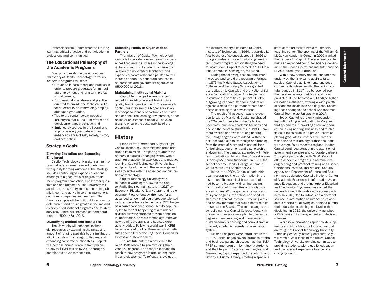Professionalism: Commitment to life long learning, ethical practice and participation in professions and communities.

## The Educational Philosophy of the Academic Programs

Four principles define the educational philosophy of Capitol Technology University. Academic programs must be:

- •Grounded in both theory and practice in order to prepare graduates for immediate employment and long-term professional careers,
- •Fundamentally hands-on and practice oriented to provide the technical skills for students to be immediately employable upon graduation,
- •Tied to the contemporary needs of industry so that curriculum reform and development are pragmatic, and •Enriched by courses in the liberal arts to provide every graduate with an enhanced sense of self, society, history and aesthetics.

#### Strategic Goals

#### Elevating Education and Expanding Enrollment

Capitol Technology University is an institution that offers career relevant curriculum with quality learning outcomes. The strategy includes continuing to expand educational offerings at higher levels of degree attainment, program completion, and learner qualifications and outcomes. The university will accelerate the strategy to become more globally known and active in serving international countries, companies and learners. The 52-acre campus will be built out to accommodate current and future growth in volume and diversity of educational programs and student services. Capitol will increase student enrollment to 1500 by Fall 2018.

#### Diversifying Institutional Resources

The University will enhance its financial resources by expanding the range and amount of funding available to the institution, aligning costs with strategic initiatives, and expanding corporate relationships. Capitol will increase annual revenue from philanthropy to \$1.34 million by 2018 through a coordinated advancement plan.

#### Extending Family of Organizational Partners

The mission of Capitol Technology University is to provide relevant learning experiences that lead to success in the evolving global community. In order to achieve the mission the university will enhance and expand corporate relationships. Capitol will increase annual revenue from services to corporations and government agencies to \$500,000 by 2018.

#### Maintaining Institutional Viability

Capitol Technology University is committed to providing relevant learning in a quality learning environment. The university continuously reviews the higher education landscape to identify opportunities to revise and enhance the learning environment, either online or on campus. Capitol will develop plans to ensure the sustainability of the organization.

## **History**

Since its start more than 80 years ago, Capitol Technology University has remained true to its mission – preparing students for careers in a quickly changing world. With a tradition of academic excellence and practical learning, Capitol Technology University has equipped its alumni with the knowledge and skills to evolve with the advanced sophistication of technology.

Capitol Technology University was founded in Washington, DC, as the Capitol Radio Engineering Institute in 1927 by Eugene H. Rietzke. A Navy veteran and radio operator, Rietzke foresaw the need for an advanced school that could produce talented radio and electronics technicians. CREI began as a correspondence school, but its popularity led to the 1932 opening of a residence division allowing students to work hands on in laboratories. As radio technology improved, new training programs and courses were quickly added. Following World War II, CREI became one of the first three technical institutes accredited by the Engineers' Council for Professional Development.

The institute entered a new era in the mid-1950s when it began awarding threeyear AAS degrees. The school expanded its reach to new programs in applied engineering and electronics. To reflect this evolution, the institute changed its name to Capitol Institute of Technology in 1964. It awarded its first bachelor of science degrees in 1966 to four graduates of its electronics engineering technology program. Anticipating the need for more room, Capitol relocated in 1969 to a leased space in Kensington, Maryland.

During the following decade, enrollment increased and so did the program offerings. In 1976 the Middle States Association of Colleges and Secondary Schools granted accreditation to Capitol, and the National Science Foundation provided funding for new instructional scientific equipment. Quickly outgrowing its space, Capitol's leaders recognized a need for a permanent home and began searching for a new campus.

The result of that search was a relocation to Laurel, Maryland. Capitol purchased the 52-acre former site of the Beltsville Speedway, built new academic facilities and opened the doors to students in 1983. Enrollment swelled and two more engineering technology degrees were added. Within the next decade a capital campaign and funding from the state of Maryland raised millions for buildings, equipment and a scholarship endowment. The campus expanded with Telecommunications Hall and the 340-seat Avrum Gudelsky Memorial Auditorium. In 1987, the school became Capitol College, a name it would retain until September 2014.

In the late 1980s, Capitol's leadership again recognized the transformation in the institution. The technical-based curriculum had become broader, with an increasing incorporation of humanities and social science courses. With a spacious campus and four-year degrees, the school had shed its skin as a technical institute. Preferring a title and an environment that would better suit its presence, the Board of Trustees changed the school's name to Capitol College. Along with the name change came a plan to offer more degrees in engineering and management, build on-campus housing and convert from a quarterly academic calendar to a semester system.

Master's degrees were introduced in the 1990s. Capitol began several outreach efforts and business partnerships, such as the NASA PREP summer program for minority students and the Maryland Distance Learning Network. Meanwhile, Capitol expanded the John G. and Beverly A. Puente Library, creating a spacious

state-of-the-art facility with a multimedia teaching center. The opening of the William G. McGowan Academic Center in 2005 marked the next era for Capitol. The academic center hosts an expanded computer science department, the Space Operations Institute, and the BRAC-funded Cyber Battle Lab.

General Information

General

Information

With a new century and millennium now under way, the time came again to take stock of Capitol's achievements and set a course for its future growth. The radio institute founded in 1927 had burgeoned over the decades in ways that few could have predicted. It had become a full-fledged higher education institution, offering a wide palette of academic disciplines and degrees. Reflecting these changes, the school was renamed Capitol Technology University in 2014.

Today, Capitol is the only independent institution of higher education in Maryland that specializes in providing a relevant education in engineering, business and related fields. It takes pride in its proven record of placing graduates in competitive careers with salaries that are higher than the industry average. As a respected regional leader, Capitol continues attracting the attention of government agencies and corporate partners. Through a partnership with NASA, Capitol offers academic programs in astronautical engineering and practical training at its Space Operations Institute. The National Security Agency and Department of Homeland Security have designated Capitol a National Center of Academic Excellence in Information Assurance Education, and the Institute of Electrical and Electronics Engineers has named the university one of its twelve educational partners. In 2010, Capitol introduced a doctor of science in information assurance to its academic repertoire, allowing students to pursue their education to the highest level in the discipline. In 2015, the university launched a PhD program in management and decision sciences.

While new innovations spur new developments and industries, the foundations that are taught at Capitol Technology University – thinking critically, actively and creatively – will remain. As it looks to the future, Capitol Technology University remains committed to providing students with a quality education and the relevant experience to excel in a changing world.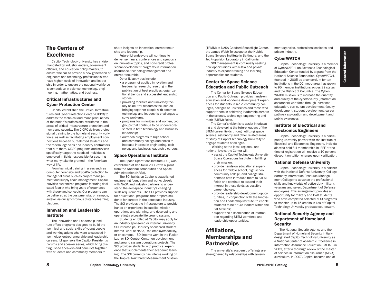## The Centers of Excellence

Capitol Technology University has a vision, mandated by industry leaders, government officials, and education policy makers, to answer the call to provide a new generation of engineers and technology professionals who have higher levels of innovation and leadership in order to ensure the national workforce is competitive in science, technology, engineering, mathematics, and business.

#### Critical Infrastructures and Cyber Protection Center

Capitol established the Critical Infrastructures and Cyber Protection Center (CICPC) to address the technical and managerial needs of the nation's professional workforce in the areas of critical infrastructure protection and homeland security. The CICPC delivers professional training to the homeland security workforce, as well as facilitating employment connections between our talented students and the federal agencies and industry contractors that hire them. CICPC programs and services specifically target the needs of individuals employed in fields responsible for securing what many take for granted – the American way of life.

From technical training in areas such as Computer Forensics and SCADA protection to managerial areas such as project management and supply chain management, Capitol provides customized programs featuring dedicated faculty who bring years of experience with theory and concepts. Our programs can be delivered at the customer site, on campus, and/or via our synchronous distance-learning platform.

#### Innovation and Leadership Institute

The Innovation and Leadership Institute offers programs designed to build the technical and social skills of young people and working adults who want to succeed in technology entrepreneurship and leadership careers. ILI sponsors the Capitol President's Forums and speaker series, which bring distinguished speakers and panelists together with students and community members to

share insights on innovation, entrepreneurship and leadership.

Future ILI endeavors will continue to deliver seminars, conferences and symposia on innovative topics, and non-credit professional development programs in information assurance, technology management and entrepreneurship

- Other ILI activities include: •a program of applied innovation and leadership research, resulting in the publication of best practices, organizational trends and successful leadership stories;
- •providing facilities and university faculty as neutral resources focused on bringing together people with common technology and leadership challenges to solve problems;
- •programs for minorities and women, two groups that continue to be under-represented in both technology and business leadership;
- •outreach programs to high school and community college audiences to increase interest in engineering, technology and business leadership careers.

#### Space Operations Institute

The Space Operations Institute (SOI) was established at Capitol in 2003 with a grant from the National Aeronautics and Space Administration (NASA).

The SOI builds on Capitol's established engineering foundation and works closely with NASA and industry partners to understand the aerospace industry's changing skills requirements. The SOI provides support for educational programs that prepare students for careers in the aerospace industry. The SOI provides the infrastructure to provide hands-on experience in satellite mission operations and planning, and developing and operating a picosatellite ground system.

Students enrolled at Capitol may apply for an industry sponsored or internal university SOI internships. Industry sponsored student interns work at NASA, the employers facility, or on campus. SOI interns work in the Fusion Lab or SOI Control Center on development and ground system operations projects. The SOI provides students with practical experience that supplements their academic learning. The SOI currently has interns working on the Tropical Rainforest Measurement Mission

(TRMM) at NASA Goddard Spaceflight Center, the James Webb Telescope at the Hubble Space Science Institute in Baltimore, and the Jet Propulsion Laboratory in California.

SOI management is continually seeking new opportunities with NASA and private industry to expand training and learning opportunities for students.

#### Center for Space Science Education and Public Outreach

The Center for Space Science Education and Public Outreach provides hands-on education and workforce development experiences for students in K-12, community colleges, colleges or universities and those who support them in achieving leadership careers in the science, technology, engineering and math (STEM) fields.

The Center's vision is to assist in educating and developing the future leaders of the STEM career fields through utilizing space science, astronomy and other related areas of study at Capitol Technology University to engage students of all ages.

 Working at the local, regional, and national levels, the Center will:

- •assist the Capitol Technology University Space Operations Institute in fulfilling their mission;
- •provide hands-on educational experiences for middle school, high school, community college, and college students to both introduce them to STEM fields and continue to expand their interest in these fields as possible career choices;
- •provide leadership development opportunities, in conjunction with the Innovation and Leadership Institute, to enable students to be future leaders within the STEM fields;
- •support the dissemination of information regarding STEM workforce and leadership opportunities.

## Affiliations, Memberships and **Partnerships**

The university's academic offerings are strengthened by relationships with government agencies, professional societies and private industry.

#### **CyberWATCH**

Capitol Technology University is a member of CyberWATCH, an Advanced Technological Education Center funded by a grant from the National Science Foundation. CyberWATCH, founded in 2005 as a consortium for ten institutions in the DC metro area, has grown to 95 member institutions across 29 states and the District of Columbia. The Cyber-WATCH mission is to increase the quantity and quality of the cybersecurity (information assurance) workforce through increased education, curriculum development, faculty development, student development, career pathway exploration and development and public awareness.

## Institute of Electrical and Electronics Engineers

Capitol Technology University is a participating university partner with the Institute of Electrical and Electronics Engineers. Individuals who hold full membership in IEEE at the time of registration will receive a 10 percent discount on tuition charges upon verification.

#### National Defense University

Capitol Technology University is a partner with the National Defense University iCollege (formerly Information Resource Management College) to advance the professional skills and knowledge of active-duty military, veterans and select Department of Defense employees. This arrangement provides an opportunity for military and DoD students who have completed selected NDU programs to transfer up to 15 credits in lieu of Capitol Technology University graduate coursework.

## National Security Agency and Department of Homeland **Security**

The National Security Agency and the Department of Homeland Security initially designated Capitol Technology University as a National Center of Academic Excellence in Information Assurance Education (CAEIAE) in 2003, after a thorough review of the master of science in information assurance (MSIA) curriculum. In 2007, Capitol became one of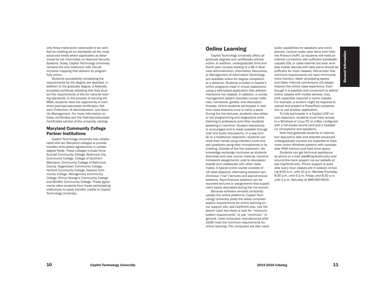only three institutions nationwide to be certi fied as meeting all six standards (at the most advanced levels where applicable) as deter mined by the Committee on National Security Systems. Today, Capitol Technology University remains the only institution with this allinclusive mapping that delivers its program fully online.

Students successfully completing the requirements for the degree are awarded, in addition to the graduate degree, a federally accepted certificate attesting that they stud ied the requirements of the six national train ing standards. In the process of earning the MSIA, students have the opportunity to earn three post-baccalaureate certificates; Net work Protection, IA Administration, and Secu rity Management. For more information on these certificates see the Post-baccalaureate Certificates section of the university catalog.

#### Maryland Community College Partner Institutions

Capitol Technology University has collabo rated with ten Maryland colleges to provide transfer/articulation agreements in certain degree fields. These colleges include Anne Arundel Community College, Baltimore City Community College, College of Southern Maryland, Community College of Baltimore County, Hagerstown Community College, Harford Community College, Howard Com munity College, Montgomery Community College, Prince George's Community College and WorWic Community College. These agree ments allow students from these participating institutions to easily transfer credits to Capitol Technology University.

## Online Learning

Capitol Technology University offers all graduate degrees and certificates entirely online. In addition, undergraduate third and fourth year courses leading to a BS in Busi ness Administration, Information Assurance, or Management of Information Technology are available online for degree completion at a distance. Students enrolled in Capitol's online programs meet in virtual classrooms using a web-based application that delivers interactive live classes. In addition, a course management system provides course mate rials, homework, grades, and discussion threads. Online students participate in realtime class sessions once or twice a week. During the live lectures, students view slides or live programming and diagnostics while listening to professors and other students speaking in real-time. Student interactivity is encouraged and is made possible through chat and audio discussions. In a way simi lar to a traditional classroom, students can raise their hands using interface icons and ask questions using their microphones or by chatting. Outside of the live classroom, the knowledge exchange continues as students download and view course material, transmit homework assignments, post to discussion boards and collaborate with other class mates. A typical online course consists of 16 class sessions, alternating between syn chronous ("live") lectures and asynchronous sessions. Asynchronous sessions can be recorded lectures or assignments that supple ment topics discussed during the live lecture.

Because software vendors constantly update the online platforms, Capitol Tech nology University posts the latest computer system requirements for online learning on our support site, ask.CapTechU.edu. Use the search input box there to look for "minimum system requirements" or just "minimum." In general, most computers manufactured after 2008 meet the minimum requirements for online learning. The computers will also need

audio capabilities for speakers and micro phones. Lecture audio uses Voice over Inter net Protocol (VoIP), so students will need an Internet connection with sufficient bandwidth (usually DSL or cable Internet but even wire less mobile devices with data plans should be sufficient for most classes). Remember that minimum requirements are bare minimums: more memory, faster processing speed, and faster Internet connections will always improve the online class experience. Even though it is possible and convenient to attend online classes with mobile devices, they limit capacities required in some classes. For example, a student might be required to upload and present a PowerPoint presenta tion or use another application.

To fully participate in a Capitol LIVE! virtual classroom, students must have access to a Windows or Linux PC or a Mac configured with a full-duplex sound card and a headset (or microphone and speakers).

Note that graduate students in Informa tion Assurance labs and selected advanced undergraduate courses are expected to have more recent Windows systems with considerable RAM memory and hard drive space.

Students can get technical assistance by phone or e-mail (ask@CapTechU.edu) and around-the-clock support via our website at ask.CapTechU.edu. Phone support is avail able every hour classes are in session includ ing 8:30 a.m. until 10 p.m. Monday-Thursday; 8:30 a.m. until 5 p.m. Friday; and 8:30 a.m. until 2 p.m. Saturday at 888-960-9620.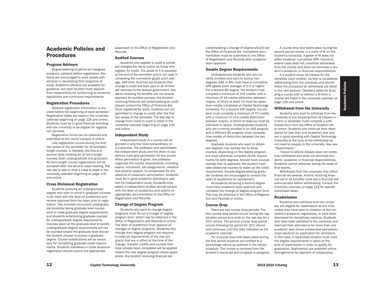## Academic Policies and Procedures

#### Program Advisors

Degree-seeking students are assigned academic advisors before registration. Students are encouraged to work closely with advisors in developing their programs of study. Academic advisors are available for guidance, but each student must assume final responsibility for conforming to university regulations and curriculum requirements.

#### Registration Procedures

Detailed registration information is provided before the beginning of each semester. Registration dates are listed in the university calendar beginning on page 126 and online. Students must be in good financial standing with the university to be eligible for registration services.

Registration forms can be obtained and submitted at the Laurel campus or online.

Late registration occurs during the first two weeks of the semester for all semesterlength courses, or between the first and second class meeting for all term-length courses (both undergraduate and graduate). No term-length course registrations will be accepted after the second class meeting. The last day to add or drop a class is listed in the university calendar beginning on page 126 and online.

#### Cross Divisional Registration

Students pursuing an undergraduate degree who wish to enroll in graduate courses must meet with the dean of academics and receive approval from the dean prior to registration. This includes concurrent undergraduate students taking graduate level coursework to meet graduate degree requirements and students substituting graduate courses for undergraduate degree requirements. Courses taken at the graduate level to satisfy undergraduate degree requirements will not be counted toward the graduate level should the student choose to pursue a graduate degree. Course substitutions will be necessary for completing graduate credit requirements. Students interested in cross divisional registration should submit the appropriate

paperwork to the Office of Registration and Records.

#### Audited Courses

Students who register to audit a course are charged the same tuition as those who register for credit. The grade of X is awarded at the end of the semester and is not used in computing the cumulative grade point average. Half-time, financial aid students that change to audit will have part or all of their aid returned to the federal government. Students receiving VA benefits will not receive payment for audited courses. Any student receiving financial aid contemplating an audit should contact the Office of Financial Aid. Once registered for audit, students are not permitted to change to credit after the first two weeks of the semester. The last day to change from credit to audit is listed in the university calendar beginning on page 126 and online.

#### Independent Study

Independent study in a course will be granted in only the most extraordinary circumstances. The professor who administers the independent study and the dean of academics must give permission for the course. When permission is given, the professor organizes the course requirements, including exams, homework, lab assignments, research and position papers, to compensate for the absence of classroom participation. Students must be in good academic standing to petition for independent study. Students interested in independent studies should consult with the dean of academics and submit all appropriate documentation to the Office of Registration and Records.

#### Change of Degree Program

Students who want to change degree programs must fill out a change of degree program form, which may be obtained in the Office of Registration and Records or online. The dean of academics must approve all changes of degree programs. Students who change their degree program are required to meet all requirements of the new programs that are in effect at the time of the change. Transfer credits and courses that have already been completed will be applied toward the new degree program where appropriate. Any student receiving financial aid

contemplating a change of degree should see the Office of Financial Aid. Completed documentation must be submitted to the Office of Registration and Records after academic dean approval.

#### Double Degree Requirements

Undergraduate students who are currently enrolled and want to pursue two degrees (AAS or BS) must have a cumulative GPA (grade point average) of 2.5 or higher. For a second BS degree, the student must complete a minimum of 150 credits, with a minimum of 18 credits distinction between majors, of which at least 12 must be upperlevel credits completed at Capitol Technology University. For a second AAS degree, the student must complete a minimum of 75 credits, with a minimum of nine credits distinction between majors, of which at least six must be 200-level or above. Undergraduate students who are currently enrolled in an AAS program and a different BS program must complete nine credits of distinction between the two degrees.

Graduate students who want to obtain two degrees may overlap two to three courses, depending on the degree program, but must otherwise complete all the requirements for both degrees. Should more courses overlap than is approved, the student must take additional courses to make up the credit requirement. Double-degree-seeking graduate students are encouraged to consult the dean of academics for advisement.

All students declaring a second degree must have academic dean approval and complete the change of degree program form. This may be obtained in the Office of Registration and Records or online.

#### Course Drop

There are two course drop periods. The first course drop period occurs during the registration period and ends on the last day for a 25% refund. The second course drop period occurs following the period for 25% refund and continues until the date indicated on the academic calendar.

For a course drop that takes place during the first period students are entitled to a percentage refund as outlined in the refund schedule. The course is removed from the student's transcript and no grade is assigned.

A course drop that takes place during the second period results in a mark of W on the student's transcript. A grade of W does not affect students' cumulative GPA. Failure to attend class does not constitute withdrawal from the course and does not eliminate a student's academic or financial responsibilities.

If a student drops all classes for the semester (zero credits), he/she is considered withdrawing from the university and should follow the procedure for withdrawal (as listed in the next section). Deadline dates for dropping a course with or without a W from a course are listed in the university calendar on page 126 and online.

#### Withdrawal from the University

Students who want to withdraw from the university or are dropping from all classes in a term or semester must complete a withdrawal form from the Office of Student Life or online. Students who interrupt their attendance for less than one academic year and are in good standing with Capitol Technology University at the time of the withdrawal do not need to reapply to the university. Also see "Readmission."

 Failure to attend classes does not constitute withdrawal and does not eliminate students' academic or financial responsibilities. Students cannot withdraw during the week of final exams.

Withdrawal from the university may affect financial aid awards. Anyone receiving financial aid or VA benefits must see a financial aid administrator before withdrawing. Consult the university calendar on page 126 for specific withdrawal dates.

#### Readmission

Students who withdraw from the university are eligible for readmission at any time, unless they have been in violation of the university's academic regulations, or have been dismissed for disciplinary reasons. Students who have been admitted to the university and interrupt their attendance for more than one academic year (three consecutive semesters) must resubmit an application for admission. In this case, a readmitted student must meet the degree requirements in place at the time of readmission in order to qualify for graduation. Applications are available online. Arrangements for payment of outstanding

Academic Policies Academic

Policies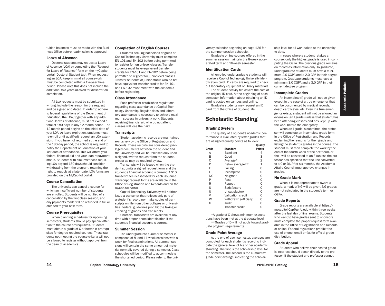tuition balances must be made with the Business Office before readmission is approved.

#### Leave of Absence

Doctoral students may request a Leave of Absence (LOA) by completing the "Request for Leave of Absence" form on the myCapitol portal (Doctoral Student tab). When requesting an LOA, keep in mind all coursework must be completed within a five-year time period. Please note this does not include the additional two years allowed for dissertation completion.

All LoA requests must be submitted in writing, include the reason for the request and be signed and dated. In order to adhere to federal regulations of the Department of Education, the LOA, together with any additional leaves of absence, must not exceed a total of 180 days in any 12-month period. The 12-month period begins on the initial date of your LOA. At leave expiration, students must re-enroll or (if qualified) request an LOA extension. If you have not returned at the end of the 180-day period, the school is required to notify the Department of Education of your last date of attendance. This will affect your federal financial aid and your loan repayment status. Students with circumstances requiring LOA beyond 180 days should consider withdrawing from the program, retaining the right to reapply at a later date. LOA forms are provided on the MyCapitol portal.

#### Course Cancellation

The university can cancel a course for which an insufficient number of students are enrolled. Students will be notified of a cancellation by the first class session, and any payments made will be refunded in full or credited to your next term.

#### Course Prerequisites

When planning schedules for upcoming semesters, students should pay special attention to the course prerequisites. Students must obtain a grade of C or better in prerequisites for degree required courses. Those students not meeting the course criteria will not be allowed to register without approval from the dean of academics.

#### Completion of English Courses

Students seeking bachelor's degrees at Capitol Technology University must complete EN-101 and EN-102 before being permitted to register for junior-level classes. Transfer students must have equivalent transfer credits for EN-101 and EN-102 before being permitted to register for junior-level classes. Transfer students of junior status who do not have equivalent transfer credits for EN-101 and EN-102 must meet with the academic before registering.

#### Class Attendance

Each professor establishes regulations regarding class attendance at Capitol Technology University. Regular class and laboratory attendance is necessary to achieve maximum success in university work. Students receiving financial aid who do not attend classes will lose their aid.

#### **Transcripts**

Student academic records are maintained exclusively by the Office of Registration and Records. These records are considered privileged documents between the student and the university and will be released only upon a signed, written request from the student, except as may be required by law.

Transcripts will be issued when the student submits a signed request form and the student's financial account is current. A \$10 transcript fee is assessed for each issuance. Transcript request forms are available in the Office of Registration and Records and on the myCapitol portal.

Capitol Technology University will neither issue a transcript that reflects only part of a student's record nor make copies of transcripts on file from other colleges or universities. Federal guidelines prohibit the faxing or emailing of grades and transcripts.

Unofficial transcripts are available at any time with proper photo identification if the student's financial account is current.

#### Summer Session

The undergraduate summer semester is composed of 8- and 11-week sessions with a week for final examinations. All summer sessions will contain the same amount of material normally covered during a semester. Class schedules will be modified to accommodate the shortened period. Please refer to the university calendar beginning on page 126 for the summer session schedule.

Graduate online courses offered in the summer session maintain the 8-week accelerated term and 16-week semester.

#### Identification Cards

All enrolled undergraduate students will receive a Capitol Technology University identification card. ID cards are required to check out laboratory equipment or library materials.

The student activity fee covers the cost of the original ID card. At the beginning of each semester, information about obtaining an ID card is posted on campus and online.

Graduate students may request an ID card from the Office of Student Life.

## Scholastic Standing

#### Grading System

The quality of a student's academic performance is evaluated by letter grades that are assigned quality points as follows: **Quality** 

| Grade | <b>Standard</b>          | <b>Points</b>  |
|-------|--------------------------|----------------|
| A     | Excellent                | 4              |
| B     | Good                     | 3              |
| C     | Average*                 | $\overline{2}$ |
| D     | Below average**          | 1              |
| F     | Failing                  | 0              |
|       | Incomplete               | O              |
| ΝG    | No grade                 | 0              |
| P     | Pass                     | 0              |
| R     | Repeat                   | 0              |
| S     | Satisfactory             | 0              |
| U     | Unsatisfactory           | O              |
| V     | <b>Validation credit</b> | 0              |
| W     | Withdrawn (officially)   | 0              |
| Χ     | Audit                    | 0              |
|       | <b>Transfer credit</b>   | ი              |

\*A grade of C shows minimum expectations have been met at the graduate level.

\*\*Grades of D will not apply toward graduate program requirements.

#### Grade Point Average

At the end of each semester, averages are computed for each student's record to indicate the general level of his or her academic standing. The first is the scholarship level for the semester. The second is the cumulative grade point average, indicating the scholar-

ship level for all work taken at the university to date.

In cases where a student retakes a course, only the highest grade is used in computing the CGPA. The previous grade remains on record as information only. To graduate, undergraduate students must have a minimum 2.0 CGPA and a 2.0 GPA in their degree program. Graduate students must have a minimum 3.0 CGPA and a 3.0 GPA in their current degree program.

#### Incomplete Grades

An incomplete (I) grade will not be given except in the case of a true emergency that can be documented by medical records, death certificates, etc. Even if a true emergency exists, a student will not be allowed an extension (an I grade) unless that student has been attending classes and has kept up with the work before the emergency.

When an I grade is submitted, the professor will complete an incomplete grade form in the Office of Registration and Records explaining the reasons for the I grade and listing the student's grades in the course. The student must then complete the work by the end of the fourth week of the next term, or the I will be converted to an F (unless the professor has specified that the I be converted to a C or D). After six months, the Academic Affairs Council must approve changes in grades.

#### No Grade Mark

When it is not appropriate to award a grade, a mark of NG will be given. NG grades are not calculated in the student's term or CGPA.

#### Grade Reports

Grade reports are available at https:// mycapitol.CapTechU.edu within three weeks after the last day of final exams. Students who want to have grades sent to sponsors must complete the proper request form available in the Office of Registration and Records or online. Federal regulations prohibit the use of phone, email or fax for official grade distribution.

#### Grade Appeal

Students who believe their posted grade is incorrect should speak directly to the professor. If the student and professor cannot

Academic Policies

**Academic Policies**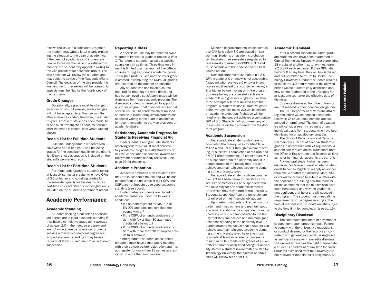resolve the issue in a satisfactory manner, the student may write a letter clearly explaining the situation to the dean of academics. If the dean of academics and student are unable to resolve the issue in a satisfactory manner, the student may appeal in writing to the vice president for academic affairs. The vice president will review the situation and may seek the advice of the Academic Affairs Council. The decision of the vice president is final and no further review will be granted. All appeals must be filed by the fourth week of the next term.

#### Grade Changes

Occasionally, a grade must be changed as errors do occur. However, grade changes will not be accepted later than six months after a term has ended; therefore, if a student truly feels that a mistake has been made, he or she must investigate as soon as possible after the grade is issued. (see Grade Appeal above)

#### Dean's List for Full-time Students

Full-time undergraduate students who have GPAs of 3.5 or higher, and no failing grades for the semester, qualify for the dean's list. Dean's list designation is included on the student's permanent record.

#### Dean's List for Part-time Students

Part-time undergraduate students taking at least six semester credits, who have GPAs of 3.5 or higher and no failing grades for the semester, qualify for the dean's list for part-time students. Dean's list designation is included on the student's permanent record.

## Academic Performance

#### Academic Standing

Students seeking a bachelor's or associate degree are in good academic standing if they have a cumulative grade point average of at least 2.0 in their degree program and are not on academic suspension. Students seeking a master's or doctoral degree are in good academic standing if they have a CGPA of at least 3.0 and are not on academic suspension.

#### Repeating a Class

A specific course may be repeated twice in order to improve a grade or replace a W or X. Therefore, a student may take a specific course only three times. Three-time enrollment is limited to a maximum of five different courses during a student's academic career. The higher grade is used and the lower grade is omitted in computing the CGPA. All grades are recorded on the student's transcript.

Any student who has taken a course required for their degree three times and has not achieved a satisfactory grade will be dismissed from that academic program. The dismissed student is permitted to apply for any other program that does not require that specific course. An academically dismissed student with extenuating circumstances can appeal in writing to the dean of academics for recommendation to the vice president of academic affairs.

#### Satisfactory Academic Progress for Students Receiving Financial Aid

Undergraduate and graduate students receiving federal aid must meet satisfactory academic progress (SAP) standards or risk the cancellation of financial awards and repayment of funds already received. See page 25 for the policy.

#### Academic Probation

Academic probation alerts students that they are in academic trouble and will be suspended from the university if their GPA and CGPA are not brought up to good academic standing (see above).

Undergraduate students are placed on academic probation under the following conditions:

- •If a student registers for MA-005 or EN-001 and does not complete the course with a P
- •If the CGPA of an undergraduate student with fewer than 30 attempted credits falls below 1.7
- If the CGPA of an undergraduate student with more than 30 attempted credits falls below 2.0.

Undergraduate students on academic probation must have a mandatory meeting with their advisor before registration and may not register for more than 12 semester credits, or no more than four courses.

Master's degree students whose cumulative GPA falls below 3.0 are placed on last warning. Students on academic probation will be given three semesters (registered for coursework) to raise their CGPA to 3.0 and must consult with their advisor on the best course options.

Doctoral students must maintain a 3.0 GPA. A grade of C or below is not acceptable. A student who receives a C or lower in any course must repeat that course, achieving a B or higher before moving on in the program. Students failing to successfully achieve a grade of B or higher in a single course after three attempts will be dismissed from the program. A student whose cumulative grade point average falls below 3.0 will be placed on academic probation. Probation will be lifted when the student achieves a cumulative GPA of 3.0. Students failing to meet any of these criteria will be dismissed from the doctoral program.

#### Academic Suspension

Undergraduate students who have not completed the prerequisites for MA-110 or MA-114 and EN-101 through placement testing, or successful completion of MA-005 and EN-001 after attempting 24 credit hours, will be suspended from the university until it is demonstrated to the faculty that they can achieve and maintain good academic standing at the university level.

Undergraduate students whose cumulative GPA has been below 2.0 for three consecutive semesters will be suspended from the university for one academic semester after which they may return to the university. Students suspended from the university are not relieved of their financial obligations.

Upon return, students will remain on probation and must achieve and maintain good academic standing or be suspended from the university until it is demonstrated to the faculty that they can achieve and maintain good academic standing at the university level. To demonstrate to the faculty that a student can achieve and maintain good academic standing at the university level, he or she must complete at least six academic courses (a minimum of 18 credits) with grades of a C or better at another accredited college or university. Before a student is readmitted to Capitol Technology University, the director of admissions will review his or her file.

#### Academic Dismissal

After a second suspension, undergraduate students who have been readmitted to Capitol Technology University after completing 18 credits at another institution must earn a 2.0 GPA each semester. If their GPA falls below 2.0 at any time, they will be dismissed and not permitted to return to Capitol Technology University. Graduate students who fail to reach the 3.0 requirement in the allowed period will be automatically dismissed and may not be readmitted to the university for at least one year after the effective date of dismissal.

Students dismissed from the university are not relieved of their financial obligations.

The U.S. Department of Veterans Affairs regional office will be notified if students receiving VA educational benefits are suspended or terminated. The dean of academics will consider re-entry requests on an individual basis from students who have been dismissed for unsatisfactory progress.

The Office of Registration and Records will maintain a record of each VA student's grades in accordance with VA regulations. A student can request official transcripts from the Office of Registration and Records as long as his or her financial accounts are current.

Any doctoral student who has been dismissed for failure to meet academic standards becomes eligible to reapply no sooner than one year after the dismissal date. Students will be required to submit a letter with the application, outlining how the reasons for the conditions that led to dismissal have been remediated and why the student is now confident that he or she will succeed in the program. The student must meet all the requirements of the degree existing at the time of readmission. Students are still subject to the time limit for completion (see pg. 19).

#### Disciplinary Dismissal

The continued enrollment of any student is dependent upon proper conduct. Failure to comply with the university's regulations, or conduct deemed by the faculty as inconsistent with general good order, is regarded as sufficient cause for irreversible dismissal. The university reserves the right to terminate a student's enrollment at any time for cause. Students dismissed from the university are not relieved of their financial obligations. Stu-

Academic Policies Academic

Policies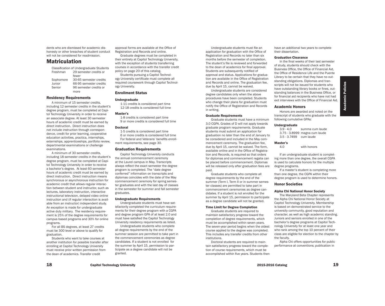dents who are dismissed for academic dishonesty or other breaches of student conduct will not be considered for readmission.

## **Matriculation**

Classification of Undergraduate Students Freshman 29 semester credits or fewer<br>Sophomore 30-65 30-65 semester credits Junior 66-95 semester credits<br>Senior 96 semester credits or 96 semester credits or more

#### Residency Requirements

A minimum of 15 semester credits, including 12 semester credits in the student's degree program, must be completed at Capitol Technology University in order to receive an associate degree. At least 30 semester hours of academic credit must be earned by direct instruction. Direct instruction does not include instruction through correspondence, credit for prior learning, cooperative education activities, practica, internships, externships, apprenticeships, portfolio review, departmental examinations or challenge examinations.

A minimum of 30 semester credits, including 18 semester credits in the student's degree program, must be completed at Capitol Technology University in order to receive a bachelor's degree. At least 60 semester hours of academic credit must be earned by direct instruction. Direct instruction means synchronous or asynchronous instruction for academic credit that allows regular interaction between student and instructor, such as lectures, laboratory instruction, interactive instructional television, delayed video online instruction and (if regular interaction is available from an instructor) independent study. An exception is made for undergraduate active duty military. The residency requirement is 25% of the degree requirements for campus based programs and 30% for online programs.

For all BS degrees, at least 27 credits must be 300 level or above to qualify for graduation.

Students who want to take courses at another institution for possible transfer after enrolling at Capitol Technology University must receive prior written permission from the dean of academics. Transfer credit

approval forms are available at the Office of Registration and Records and online.

Graduate degrees must be completed in their entirety at Capitol Technology University, with the exception of students transferring courses in accordance with the transfer credit policy on page 20 of this catalog.

Students pursuing a Capitol Technology University certificate must complete all required coursework through Capitol Technology University.

#### Enrollment Status

#### Undergraduate

1-11 credits is considered part time 12-18 credits is considered full time

#### Master's

1-8 credits is considered part time 9 or more credits is considered full time

#### Doctoral

1-5 credits is considered part time 6 or more credits is considered full time For federal and Veterans' benefits enrollment requirements, see page 30.

#### Graduation Requirements

Capitol Technology University conducts the annual commencement ceremony at the Laurel campus in May. Transcripts always reflect the exact semester the degree program is completed. The "date degree conferred" information on transcripts and diplomas coincides with the date of the May commencement ceremony for spring semester graduates and with the last day of classes in the semester for summer and fall semester graduates.

#### Undergraduate Requirements

Undergraduate students must have satisfactorily completed the curriculum requirements for their degree program with a CGPA and degree program GPA of at least 2.0 and must have satisfied the Capitol Technology University residency requirements as listed.

Undergraduate students who complete all degree requirements by the end of the summer session are permitted to take part in the commencement ceremonies as degree candidates. If a student is not enrolled for the summer by April 15, permission to participate as a degree candidate will not be granted.

Undergraduate students must file an application for graduation with the Office of Registration and Records no later than six months before the semester of completion. The student's file is reviewed and forwarded to the dean of academics for final approval. Students are subsequently notified of approval and status. Applications for graduation are available in the Office of Registration and Records and online. The graduation fee, due by April 15, cannot be waived.

Undergraduate students are considered degree candidates only when the above procedures have been completed. Students who change their plans for graduation must notify the Office of Registration and Records in writing.

#### Graduate Requirements

Graduate students must have a minimum 3.0 CGPA. Grades of D will not apply towards graduate program requirements. Graduate students must submit an application for graduation no later than the end of January to be considered and included in the May commencement ceremony. The graduation fee, due by April 15, cannot be waived. The form, available online and in the Office of Registration and Records, is required so that orders for diplomas and commencement regalia can be placed before commencement. Diplomas will be released only after graduation fees are paid.

Graduate students who complete all degree requirements by the end of the summer (Term I, Term II or in summer semester classes) are permitted to take part in commencement ceremonies as degree candidates. If a student is not enrolled for the summer by April 15, permission to participate as a degree candidate will not be granted.

#### Time Limit for Degree Completion

Graduate students are required to maintain satisfactory progress toward the completion of degree requirements, which must be accomplished within seven years. The seven-year period begins when the oldest course applied to the degree was completed. This includes any transfer credits from other institutions.

Doctoral students are required to maintain satisfactory progress toward the completion of course requirements, which must be accomplished within five years. Students then

have an additional two years to complete their dissertation.

#### Graduation Clearance

In the final weeks of their last semester of study, students should check with the Business Office, the Office of Financial Aid, the Office of Residence Life and the Puente Library to be certain that they have no outstanding obligations. Diplomas and transcripts will not be issued for students who have outstanding library books or fines, outstanding balances in the Business Office, or for financial aid recipients who have not had exit interviews with the Office of Financial Aid.

Academic Policies

**Academic** 

Policies

#### Academic Honors

Honors are awarded and noted on the transcript of students who graduate with the following cumulative GPAs:

## Undergraduate<br> $3.9 - 4.0$

summa cum laude 3.75 - 3.8999 magna cum laude 3.5 - 3.7499 cum laude

#### Master's

4.0 with honors

If an undergraduate student is completing more than one degree, the overall CGPA is used to calculate honors for the multiple degree programs.

If a master's student is completing more than one degree, the CGPA within their degree program is used to determine honors.

#### Honor Societies

#### Alpha Chi National Honor Society

The Maryland Beta Chapter represents the Alpha Chi National Honor Society at Capitol Technology University. Membership is based on demonstrated service to the university community, good reputation and character, as well as high academic standing. Juniors and seniors enrolled in one of the bachelor's degree programs at Capitol Technology University for at least one year and who rank among the top 10 percent of their class are eligible for election to the chapter by the faculty.

Alpha Chi offers opportunities for public performance at conventions; publication in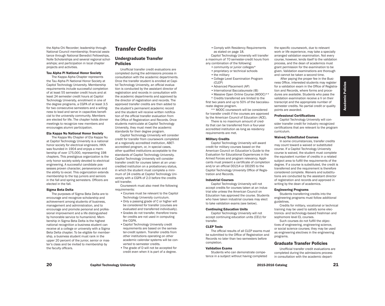the Alpha Chi Recorder; leadership through National Council membership; financial assistance through National Benedict Fellowships, Nolle Scholarships and several regional scholarships; and participation in local chapter projects and activities.

#### Tau Alpha Pi National Honor Society

The Kappa Alpha Chapter represents the Tau Alpha Pi National Honor Society at Capitol Technology University. Membership requirements include successful completion of at least 55 semester credit hours and at least 24 semester credit hours at Capitol Technology University, enrollment in one of the degree programs, a CGPA of at least 3.5 for two consecutive semesters and a willingness to lead and serve in capacities beneficial to the university community. Members are elected for life. The chapter holds dinner meetings to recognize new members and encourages alumni participation.

#### Eta Kappa Nu National Honor Society

The Kappa Mu Chapter of Eta Kappa Nu at Capitol Technology University is a national honor society for electrical engineers. HKN was founded in 1904 and enjoys a membership of over 175,000, representing 198 chapters. This prestigious organization is the only honor society solely devoted to electrical engineering. A successful candidate possesses proven character, perseverance and the ability to excel. This organization extends membership to the top juniors and seniors in the fall and spring semesters. Officers are elected in the fall.

#### Sigma Beta Delta

The purposes of Sigma Beta Delta are to encourage and recognize scholarship and achievement among students of business, management and administration, and to encourage and promote personal and professional improvement and a life distinguished by honorable service to humankind. Membership in Sigma Beta Delta is the highest national recognition a business student can receive at a college or university with a Sigma Beta Delta chapter. To be eligible for membership, a business student must rank in the upper 20 percent of the junior, senior or master's class and be invited to membership by the faculty officers.

## Transfer Credits

#### Undergraduate Transfer Policies

Unofficial transfer credit evaluations are completed during the admissions process in consultation with the academic departments. Once the transfer student is enrolled at Capitol Technology University, an official evaluation is conducted by the assistant director of registration and records in consultation with the academic departments and approved by the director of registration and records. The approved transfer credits are then added to the student's permanent academic record and the student will receive written notification of the official transfer evaluation from the Office of Registration and Records. Once students matriculate at Capitol Technology University, they must meet the academic standards for their degree program.

Capitol Technology University will consider credit for transfer from coursework completed at a regionally accredited institution, ABETaccredited program, or, in special cases, other qualified institutions acceptable to the standards of Capitol Technology University. Capitol Technology University will consider transfer credit for courses taken at an unaccredited institution on a probationary status, in which the student must complete a minimum of 24 credits at Capitol Technology University with a CGPA of 2.0 before the credits will transfer.

Coursework must also meet the following requirements:

- •Courses must be relevant to the Capitol Technology University curriculum.
- •Only a passing grade of C or higher will be considered for transfer (courses are evaluated and transferred individually).
- •Grades do not transfer, therefore transfer credits are not used in computing the CGPA.
- •Capitol Technology University credit requirements are based on the semester-credit system. Transfer credits from other institutions operating on other academic calendar systems will be converted to semester credits.
- •The grade of D will not be accepted for credit even when it is part of a degree.

•Comply with Residency Requirements as stated on page 18. Capitol Technology University will transfer a maximum of 70 semester-credit hours from any combination of the following:

- •community or junior colleges\*
- proprietary or technical schools
- the military
- •College Level Examination Program  $(C)$  FP)
- •Advanced Placement (AP)
- •International Baccalaureate (IB)
- Massive Open Online Course (MOOC)\*\* \* Credits transferred are limited to the

first two years and up to 50% of the baccalaureate degree program.

\*\* MOOC coursework will be considered for transfer credit if the courses are approved by the American Council of Education (ACE).

There is no maximum amount of credits that can be transferred from a four-year accredited institution as long as residency requirements are met.

#### Military Credits

Capitol Technology University will award credit for military courses based on the American Council on Education's Guide to the Evaluation for Educational Experiences in the Armed Forces and program relevancy. Applicants must present a certificate of completion and/or an official DD214 or DD295 to the Capitol Technology University Office of Registration and Records.

#### Industrial Courses

Capitol Technology University will not accept credits for courses taken at an industrial site unless the American Council on Education has approved the course. Students who have taken industrial courses may elect to take validation exams (see below).

#### Continuing Education Units

Capitol Technology University will not accept continuing education units (CEU) for transfer.

#### CLEP Tests

The official results of all CLEP exams must be submitted to the Office of Registration and Records no later than two semesters before completion.

#### Validation Exams

Students who can demonstrate competence in a subject without having completed the specific coursework, due to relevant work or life experience, may take a specially arranged validation examination. Not every course, however, lends itself to the validation process, and the dean of academics must grant permission for the examination to be given. Validation examinations are thorough and cannot be taken a second time.

 After paying the proper fee in the Business Office, interested students may register for a validation exam in the Office of Registration and Records, where forms and procedures are available. Students who pass the validation examination receive a V on their transcript and the appropriate number of semester credits. No partial credit or quality points are awarded.

#### Professional Certifications

Capitol Technology University will consider transfer credit for industry recognized certifications that are relevant to the program curriculum.

#### Waived/Substituted Courses

In some circumstances, transfer credits may count toward a waived or substituted course. If a Capitol Technology University course is waived, the student must complete the equivalent number of credits in a related subject area to fulfill the requirements of the degree. If a course is substituted, the credit is transferred and the requirement is therefore considered complete. Waivers and substitutions are conducted by the assistant director of registration and records and approved in writing by the dean of academics.

#### Engineering Programs

Students transferring credits into the engineering programs must follow additional guidelines.

Credits for military, vocational or technical training may be used to satisfy some electronics- and technology-based freshman and sophomore level EL courses.

Such courses do not fulfill the objectives of engineering, engineering science, or social science courses; they may be used as engineering electives in the engineering programs.

#### Graduate Transfer Policies

Unofficial transfer credit evaluations are completed during the admissions process in consultation with the academic depart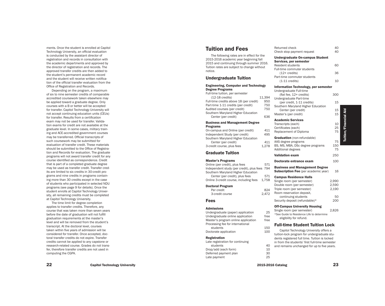ments. Once the student is enrolled at Capitol Technology University, an official evaluation is conducted by the assistant director of registration and records in consultation with the academic departments and approved by the director of registration and records. The approved transfer credits are then added to the student's permanent academic record and the student will receive written notifica tion of the official transfer evaluation from the Office of Registration and Records.

Depending on the program, a maximum of six to nine semester credits of comparable accredited coursework taken elsewhere may be applied toward a graduate degree. Only courses with a B or better will be accepted for transfer. Capitol Technology University will not accept continuing education units (CEUs) for transfer. Results from a certification exam may not be used for transfer. Valida tion exams for credit are not available at the graduate level. In some cases, military train ing and ACE-accredited government courses may be transferred. Official transcripts of such coursework may be submitted for evaluation of transfer credit. These materials should be submitted to the Office of Registra tion and Records for evaluation. The graduate programs will not award transfer credit for any course identified as correspondence. Credit that is part of a completed graduate degree may be used as transfer credit. Transfer cred its are limited to six credits in 30-credit pro grams and nine credits in programs contain ing more than 30 credits except in the case of students who participated in selected NDU programs (see page 9 for details). Once the student enrolls at Capitol Technology Univer sity, all remaining credits must be completed at Capitol Technology University.

The time limit for degree completion applies to transfer credits. Therefore, any course that was taken more than seven years before the date of graduation will not fulfill graduation requirements at the master's level and will be removed from the student's transcript. At the doctoral level, courses taken within five years of admission will be considered for transfer. Once accepted, doc toral transfer credits do not expire. Transfer credits cannot be applied to any capstone or research-related course. Grades do not trans fer, therefore transfer credits are not used in computing the CGPA.

## 2015-2016 academic year beginning fall

2015 and continuing through summer 2016. Tuition rates are subject to change without notice .

The following rates are in effect for the

## Undergraduate Tuition

Tuition and Fees

#### Engineering, Computer and Technology Degree Programs

Full-time tuition, per semester (12-18 credits) 11,394<br>I-time credits above 18 (per credit) 950 Full-time credits above 18 (per credit) 950<br>Part-time 1-11 credits (per credit) 750 Part-time 1-11 credits (per credit) Audited courses (per credit) 750 Southern Maryland Higher Education Center (per credit) 636

#### Business and Management Degree Programs

On-campus and Online (per credit) 411 Independent Study (per credit) 495 Southern Maryland Higher Education Center (per credit) 411<br>
redit course, plus fees 4.278 3-credit course, plus fees

## Graduate Tuition

#### Master's Programs

Online (per credit), plus fees 571 Independent study (per credit), plus fees 794 Southern Maryland Higher Education Center (per credit), plus fees 571 Online 3-credit course, including fees 1,758

#### Doctoral Program

Per credit 824<br>3-credit course 824 3-credit course

#### Fees

#### Admissions

Undergraduate (paper) application 25 Undergraduate online application free Master's program online application free Processing fee for international students 150<br>
storate application 100 Doctorate application

#### Registration

Late registration for continuing students 40<br>
op/add (each form) 10 Drop/add (each form) 10<br>Deferred payment plan 30 Deferred payment plan 30<br>
Late payment 25 Late payment

| Returned check                                                                                                                                                                                     | 40              |
|----------------------------------------------------------------------------------------------------------------------------------------------------------------------------------------------------|-----------------|
| Check stop payment request                                                                                                                                                                         | 40              |
| <b>Undergraduate On-campus Student</b><br>Services, per semester<br>Resident students<br>Full-time commuter students<br>$(12 + \text{credits})$<br>Part-time commuter students<br>$(1-11$ credits) | 60<br>36<br>10  |
| Information Technology, per semester                                                                                                                                                               |                 |
| Undergraduate Full-time<br>(flat fee, 12+ credits)                                                                                                                                                 | 300             |
| Undergraduate Part-time<br>(per credit, 1-11 credits)<br>Southern Maryland Higher Education                                                                                                        | 15              |
| Center (per credit)<br>Master's (per credit)                                                                                                                                                       | 15<br>15        |
| <b>Academic Services</b><br>Transcripts (each)<br>Certificates (each)<br>Replacement of Diploma                                                                                                    | 10<br>25<br>75  |
| <b>Graduation</b> (non-refundable)<br>AAS degree programs<br>BS, MS, MBA, DSc degree programs                                                                                                      | 75<br>150<br>75 |
| <b>Additional degrees</b>                                                                                                                                                                          |                 |
| <b>Validation exam</b>                                                                                                                                                                             | 250             |
| Doctorate entrance exam                                                                                                                                                                            | 100             |
| <b>Business and Management Degree</b>                                                                                                                                                              |                 |

## **Subscription Fee** (per academic year) 16

| <b>Campus Residence Halls</b>  |       |
|--------------------------------|-------|
| Single room (per semester)     | 2.990 |
| Double room (per semester)     | 2.590 |
| Triple room (per semester)     | 2.190 |
| Room reservation deposit.      |       |
| continuing students            | 50    |
| Security deposit (refundable)* |       |

#### Off-Campus University Housing

Single room (per semester) 2,826 \*See Guide to Residence Life to determine eligibility for refund.

#### Full-time Student Tuition Lock

Capitol Technology University offers a tuition-lock program for undergraduate stu dents registered full time. Tuition is locked in from the students' first full-time semester and remains unchanged for up to five years.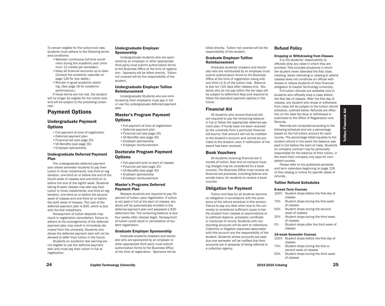To remain eligible for the tuition-lock rate, students must adhere to the following terms and conditions:

- •Maintain continuous full-time enrollment during the academic year (minimum 12 credits per semester).
- •Keep all financial accounts up to date. (Consult the academic calendar on page 126 for due dates.)
- •Remain in good academic standing. (See page 16 for academic performance.)

If these terms are not met, the student will no longer be eligible for the tuition lock and will be subject to the prevailing tuition rate.

## Payment Options

#### Undergraduate Payment **Options**

- •Full payment at time of registration
- •Deferred payment plan
- •Financial aid (see page 25)
- •VA Benefits (see page 30)
- •Employer sponsorship

with the first installment.

#### Undergraduate Deferred Payment Plan

The undergraduate deferred payment plan allows semester students to pay their tuition in three installments: one-third at registration, one-third on or before the end of the fourth week of classes and one-third on or before the end of the eighth week. Students taking 8-week classes may also pay their tuition in three installments: one-third at registration, one-third on or before the second week of classes and one-third on or before the sixth week of classes. The cost of the deferred payment plan is \$30, which is due

Nonpayment of tuition deposits may result in registration cancellation. Failure to adhere to the arrangements of the deferred payment plan may result in immediate dismissal from the university. Students who abuse the deferred payment plan will not be allowed to defer their tuition in the future. Students on academic last warning are not eligible to use the deferred payment plan and must pay their tuition in full at

•Full payment prior to start of classes •Financial aid (see page 25)

Undergraduate Employer

Undergraduate students who are sponsored by an employer or other appropriate third party must submit authorization forms to the Business Office at the time of registration. Sponsors will be billed directly. Tuition not covered will be the responsibility of the

Undergraduate Employer Tuition

Master's Program Payment

•Deferred payment plan •Financial aid (see page 25) •VA Benefits (see page 30) •Employer sponsorship •Employer reimbursement

•Full payment at time of registration

Doctorate Program Payment

Undergraduate Students who are reimbursed by their employers must pay in full or use the undergraduate deferred payment

Sponsorship

student.

plan.

**Options** 

**Options** 

Reimbursement

- •VA Benefits (see page 30)
- •Employer sponsorship
- •Employer reimbursement

#### Master's Programs Deferred Payment Plan

Masters students are required to pay 50 percent of tuition upon registration. If tuition is not paid in full at the start of classes, students will be automatically enrolled in the deferred payment plan and assessed a \$30 deferment fee. The remaining balance is due four weeks after classes begin. Nonpayment of tuition could result in cancellation of student registration.

#### Graduate Employer Sponsorship

Graduate students (masters and doctorate) who are sponsored by an employer or other appropriate third party must submit authorization forms to the Business Office at the time of registration. Sponsors will be

billed directly. Tuition not covered will be the responsibility of the student.

#### Graduate Employer Tuition Reimbursement

Graduate students (masters and doctorate) who are reimbursed by an employer must submit authorization forms to the Business Office at the time of registration along with one third (1/3) of the tuition cost. Balance is due ten (10) days after classes end. Students who do not pay within the ten days will be subject to deferment fees and required to follow the standard payment options in the future.

#### Financial Aid

All students who receive financial aid are required to pay the remaining balance in full or follow the appropriate deferred payment plan. If funds have not been received by the university from a particular financial aid source, that amount will not be credited to the student's account and cannot be provided to the student, even if notification of the award has been received.

#### Book Vouchers

All students receiving financial aid in excess of tuition, fees and on-campus housing charges may be considered for a book voucher. The Business Office must receive all financial aid proceeds, including federal and private loans, for students to receive a book voucher.

#### Obligation for Payment

Tuition and fees for all students become an obligation in accordance with the provisions of the refund schedule in this section. Failure to pay any debt when due to the university is considered sufficient cause to bar the student from classes or examinations or to withhold diploma, scholastic certificate or transcript of record. Students with outstanding accounts will be sent to collections. Collection or litigation expenses associated with this account are the responsibility of the student. Students whose accounts are past due one semester will be notified that their accounts are in jeopardy of being referred to a collection agency.

#### Refund Policy

#### Dropping or Withdrawing from Classes

It is the students' responsibility to officially drop any class in which they are enrolled. This includes situations in which the student never attended the first class meeting. Never attending or ceasing to attend classes does not constitute an official withdrawal or relieve students of their financial obligation to Capitol Technology University.

Full tuition refunds are available only to students who officially drop a class before the first day of classes. After the first day of classes, any student who drops or withdraws from class will be subject to the tuition refund schedule, outlined below. Refunds are effective on the date the drop or withdrawal is submitted to the Office of Registration and Records.

Refunds are computed according to the following schedule and are a percentage based on the full tuition amount for each course. The percentage listed equates to the student refund in the event the balance was paid in full before the start of class. Students on company contract may be personally responsible for the balance of their tuition, in the event their company only pays for completed courses.

Please refer to the published semester and term calendars beginning on page 126 of this catalog or online for specific dates of refunds.

#### Tuition Refund Schedules

#### 8-week Term Courses

- 100% Student drops before the first day of classes
- 75% Student drops during the first week of classes
- 50% Student drops during the second week of classes
- 25% Student drops during the third week of classes
- 0% Student drops after the third week of classes

#### 16-week Semester Courses

- 100% Student drops before the first day of classes
- 75% Student drops during the first or second week of classes
- 50% Student drops during the third week of classes

24 Capitol Technology University 25

Tuition/Financial Aid

Tuition/Financial

Aid

registration.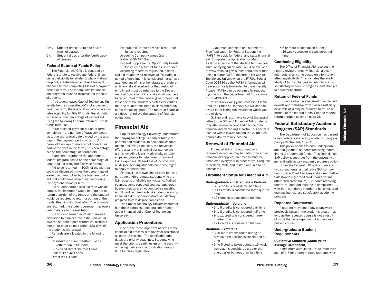- 25% Student drops during the fourth week of classes
- 0% Student drops after the fourth week of classes

#### Federal Return of Funds Policy

The Financial Aid Office is required by federal statute to recalculate federal financial aid eligibility for students who withdraw, drop out, are dismissed or take a leave of absence before completing 60% of a payment period or term. The federal Title IV financial aid programs must be recalculated in these situations.

If a student leaves Capitol Technology University before completing 60% of a payment period or term, the financial aid office recalculates eligibility for Title IV funds. Recalculation is based on the percentage of earned aid using the following Federal Return of Title IV funds formula:

Percentage of payment period or term completed = the number of days completed up to the withdrawal date divided by the total days in the payment period or term. (Any break of five days or more is not counted as part of the days in the term.) This percentage is also the percentage of earned aid.

Funds are returned to the appropriate federal program based on the percentage of unearned aid using the following formula:

Aid to be returned  $=$  (100% of the aid that could be disbursed minus the percentage of earned aid) multiplied by the total amount of aid that could have been disbursed during the payment period or term.

If a student earned less aid than was disbursed, the institution would be required to return a portion of the funds and the student would be required to return a portion of the funds. Keep in mind that when Title IV funds are returned, the student borrower may owe a debit balance to the institution.

If a student earned more aid than was disbursed to him/her, the institution would owe the student a post-withdrawal disbursement that must be paid within 120 days of the student's withdrawal.

Refunds are allocated in the following order:

Unsubsidized Direct Stafford Loans (other than PLUS loans) Subsidized Direct Stafford Loans Federal Perkins Loans Direct PLUS Loans

Federal Pell Grants for which a return of funds is required Academic Competitiveness Grant

National SMART Grant Federal Supplemental Opportunity Grants

for which a return of funds is required According to federal regulation, a finan-

cial aid student who receives all Fs during a period of enrollment is considered not to have attended any of his or her classes; therefore, all financial aid received for that period of enrollment must be returned to the Department of Education. Financial aid will not have to be returned to the federal government if at least one of the student's professors verifies that the student has been in class and really earns the failing grade. The return of financial aid does not relieve the student of financial obligations.

## Financial Aid

Capitol Technology University understands that paying for college is a major hurdle for parents and students. To help families meet tuition and living expenses, the university offers a variety of financial assistance programs including loans, work-study, scholarships and grants to help cover tuition and living expenses. Regardless of income level, all degree-seeking students are encouraged to apply for assistance.

Financial aid is available to both full- and part-time undergraduate students who are U.S. citizens or eligible non-citizens. Audited courses, some repeated courses, and credit by examination are not counted as meeting enrollment requirements. A student receiving financial aid must demonstrate satisfactory progress toward degree completion.

The Capitol Technology University student handbook contains additional information about financial aid at Capitol Technology University.

#### Application Procedures

One of the most important aspects of the financial aid process is to apply for assistance as early as possible. The application due dates are priority deadlines. Students who meet the priority deadlines enjoy the security of having their award authorization ready in time for class registration.

1. You must complete and submit the Free Application for Federal Student Aid (FAFSA) to apply for federal and state financial aid. Complete the application by March 1 or as far in advance of the starting term as possible. Applying online with FAFSA on the web at www.fafsa.ed.gov is faster and easier than using a paper FAFSA. Be sure to list Capitol Technology University on the FAFSA, School Code 001436 so the FAFSA information will be electronically forwarded to the university. A paper FAFSA can be obtained by requesting one from the Department of Education at 1-800-433-3243.

2. After reviewing your processed FAFSA data, the Office of Financial Aid will send an award letter listing the awards for which you are eligible.

3. Sign and return one copy of the award letter to the Office of Financial Aid. Students may also review, accept and decline their financial aid on the myFA portal. This portal is located within myCapitol and is available 24 hours a day from any location.

#### Renewal of Financial Aid

Financial aid is not automatically renewed, except as may be noted. The entire financial aid application process must be completed every year in order for your request for federal, state and institutional aid to be considered.

#### Enrollment Status for Financial Aid

#### Undergraduate and Graduate – Federal

- •6-8 credits is considered half time •9-11 credits is considered three-quarter time
- •12+ credits is considered full time

#### Undergraduate – Veterans

- •3 to 5 credits is considered part time
- •6 to 8 credits is considered half time
- •9 to 11 credits is considered three-
- quarter time •12+ credits is considered full time

- Graduate Veterans
	- •3 or more credits taken during an 8-week term session is considered full time
	- •3 to 5 credits taken during a 16-week semester is considered greater than one-quarter but less than half time

•6 or more credits taken during a 16-week semester is considered full time

#### Continuing Eligibility

The Office of Financial Aid reserves the right to review or modify financial aid commitments at any time based on information affecting eligibility. This includes the availability of funds, changes in financial status, satisfactory academic progress, and changes in enrollment status.

#### Return of Federal Funds

Students who have received financial aid awards and withdraw from classes (officially or unofficially) may be required to return a portion of the federal funds. See the federal return of funds policy on page 26.

## Federal Satisfactory Academic Progress (SAP) Standards

The Department of Education has passed a new federal satisfactory academic progress policy effective July 1, 2011.

This policy applies to both undergraduate and graduate students receiving federal financial student aid funds. This financial aid SAP policy is separate from the university's general satisfactory academic progress policy.

Under the Federal SAP policy there are two components: a qualitative SAP component (Grade Point Average) and a quantitative SAP standard (earned credit hours versus attempted credit hours). Students receiving federal student aid must be in compliance with both standards in order to be considered making financial aid satisfactory academic progress.

#### Repeated Coursework

A student may repeat any coursework previously taken in the student's program as long as the repeated course is not a result of more than one repetition of a previously passed course.

#### Undergraduate Student Requirements

#### Qualitative Standard (Grade Point Average Component)

A minimum cumulative Grade Point Average of 1.7 for undergraduate students who

Tuition/Financial Aid

Tuition/Financial

Aid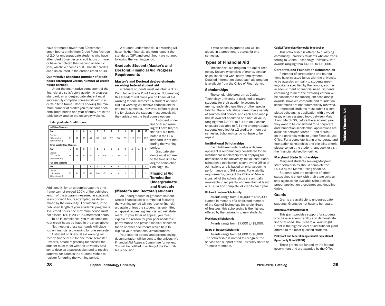have attempted fewer than 30 semester credit hours; a minimum Grade Point Average of 2.0 for undergraduate students who have attempted 30 semester credit hours or more or have completed their second academic year, whichever comes first. Transfer credits are also counted in the earned credit hours.

#### Quantitative Standard (number of credit hours attempted versus number of credit hours earned)

Under the quantitative component of the financial aid satisfactory academic progress standard, an undergraduate student must successfully complete coursework within a certain time frame. Charts showing the minimum number of credits you must earn each enrollment period and year of study are in the table below and on the university website.

#### Undergraduate Credit Hours

| <b>Half-time Students</b>                |    |                |    |    |     |     |     |     |     |     |     |     |
|------------------------------------------|----|----------------|----|----|-----|-----|-----|-----|-----|-----|-----|-----|
| Year                                     | 1  | $\overline{2}$ | 3  | 4  | 5   | 6   | 7   | 8   | 9   | 10  | 11  | 12  |
| Credits<br>(5.5 credits<br>per semester) | 11 | 12             | 33 | 44 | 55  | 66  | 77  | 88  | 99  | 110 | 121 | 132 |
| <b>Three-quarter-time Students</b>       |    |                |    |    |     |     |     |     |     |     |     |     |
| Year                                     | 1  | $\overline{2}$ | 3  | 4  | 5   | 6   | 7   | 8   | 9   | x   | X   | x   |
| Credits<br>(7.5 credits<br>per semester) | 15 | 28             | 44 | 59 | 73  | 88  | 103 | 117 | 132 | X   | X   | X   |
| <b>Full-time Students</b>                |    |                |    |    |     |     |     |     |     |     |     |     |
| Year                                     | 1  | $\overline{2}$ | 3  | 4  | 5   | 6   | X   | X   | X   | X   | X   | x   |
| Credits<br>(11 credits<br>per semester)  | 22 | 44             | 66 | 88 | 110 | 132 | X   | X   | X   | X   | X   | X   |

Additionally, for an undergraduate the time frame cannot exceed 150% of the published length of the program measured in academic years or credit hours attempted, as determined by the university. For instance, if the published length of your academic program is 120 credit hours, the maximum period must not exceed 180 (120 x 1.5) attempted hours.

To be in compliance, you must complete your credit hours as listed in the chart above. Not meeting these standards will place

you on financial aid warning for one semester. A student on financial aid warning will

receive financial aid for one more semester. However, before registering for classes the student must meet with the university advisor to develop a success plan and to receive approval for courses the student wishes to register for during the warning period.

A student under financial aid warning will have his/her financial aid terminated if the standards (GPA and credit hour) are not met following the warning period.

#### Graduate Student (Master's and Doctoral) Financial Aid Progress Requirements

#### Master's and Doctoral degree students receiving federal student aid

Graduate students must maintain a 3.00 Cumulative Grade Point Average. Not meeting this standard will place you on financial aid warning for one semester. A student on financial aid warning will receive financial aid for one more semester. However, before registering for classes the student must consult with their advisor on the best course options.

A student under financial aid warning will have his/her financial aid terminated if the GPA standard is not met during the warning

> period. Graduate students must adhere to the time limit for degree completion. See page 19.

Financial Aid Termination– Undergraduate and Graduate

#### (Master's and Doctoral) students

An undergraduate or graduate student whose financial aid is terminated following the warning period will not receive financial aid again unless the student has submitted an appeal requesting financial aid reinstatement. In your letter of appeal, you must explain the reason for your poor academic performance and provide medical documentation or other documents which help to explain your exceptional circumstances.

Your letter of appeal and accompanying documentation will be sent to the university's Financial Aid Appeals Committee for review. You will be notified in writing of the Committee's decision.

If your appeal is granted you will be placed in a probationary status for one semester.

#### Types of Financial Aid

The financial aid program at Capitol Technology University consists of grants, scholarships, loans and work-study employment. Detailed information about each aid program is available from the Office of Financial Aid.

#### **Scholarships**

The scholarship program at Capitol Technology University is designed to reward students for their academic accomplishments, leadership qualities or other special talents. The scholarships come from a variety of sources and donors, and each scholarship has its own set of criteria and annual value, ranging from \$2,000 to full tuition. Scholarships are available to full-time undergraduate students enrolled for 12 credits or more per semester. Scholarships do not have to be repaid.

#### Institutional Scholarships

Each full-time undergraduate degree applicant is automatically considered for an institutional scholarship when applying for admission to the university. Initial institutional scholarship notification is sent by the Office of Admissions and is based on prior academic performance and SAT scores. For eligibility requirements, contact the Office of Admissions. All of the scholarships are annually renewable to recipients who maintain at least a 3.0 GPA and complete 24 credits each year.

#### Richard J. Heiman Scholarship

Awards range from \$10,000 to \$12,000. Named in memory of a dedicated member of the Capitol Technology University Board of Trustees, this scholarship is the highest offered by the university to new students.

#### Presidential Scholarship

#### Awards range from \$7,000 to \$9,000.

#### Board of Trustee Scholarship

Awards range from \$4,000 to \$6,000. The scholarship is named to recognize the service and support of the university Board of Trustees members.

#### Capitol Technology University Scholarship

This scholarship is offered to qualifying community university students who are transferring to Capitol Technology University, with awards ranging from \$4,000 to \$10,000.

#### Corporate and Foundation Scholarships

A number of corporations and foundations have invested funds with the university to be awarded annually to students meeting criteria specified by the donors, such as academic merit or financial need. Students continuing to meet the awarding criteria will be considered for subsequent scholarship awards. However, corporate and foundation scholarships are not automatically renewed.

Interested students must submit a completed scholarship application with a typed essay on an assigned topic between March 1 and March 30, before the academic year they want to be considered for a corporate and foundation scholarship. Applications are available between March 1 and March 30 on the university website under Financial Aid Office. For a complete listing of corporate and foundation scholarships and eligibility criteria, please consult the student handbook or visit the financial aid section online.

#### Maryland State Scholarships

Maryland students seeking Maryland state scholarships should complete the FAFSA by the March 1 filing deadline.

Students who are residents of other states should check with their state scholarship agencies for available scholarships, proper application procedures and deadline dates.

#### Grants

Grants are available to undergraduate students. Grants do not have to be repaid.

#### Richard A. Wainwright Grant

This grant provides support for students who have academic ability and demonstrate financial need. The Richard A. Wainwright Grant is the highest level of institutional grant offered to the most qualified students.

#### Pell Grant and Federal Supplemental Educational Opportunity Grant (SEOG)

These grants are funded by the federal government and are awarded by the Office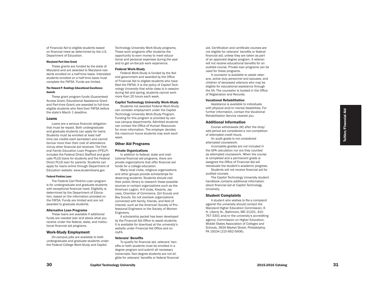of Financial Aid to eligible students based on financial need as determined by the U.S. Department of Education.

#### Maryland Part-time Grant

These grants are funded by the state of Maryland and are awarded to Maryland resi dents enrolled on a half-time basis. Interested students enrolled on a half-time basis must complete the FAFSA. Funds are limited.

#### The Howard P. Rawlings Educational Excellence Awards

These grant program funds (Guaranteed Access Grant, Educational Assistance Grant and Part-time Grant) are awarded to full-time eligible students who filed their FAFSA before the state's March 1 deadline.

#### Loans

Loans are a serious financial obligation that must be repaid. Both undergraduate and graduate students can apply for loans. Students must be enrolled at least half time (six credits each semester) and cannot borrow more than their cost of attendance minus other financial aid received. The Fed eral Family Education Loan Program (FFELP) includes the Federal Direct Stafford and grad uate PLUS loans for students and the Federal Direct PLUS loan for parents. Students can apply for loans online through Department of Education website: www.studentloans.gov

#### Federal Perkins Loan

The Federal Carl Perkins Loan program is for undergraduate and graduate students with exceptional financial need. Eligibility is determined by the Department of Educa tion, based on the information provided on the FAFSA. Funds are limited and are not awarded to graduate students.

#### Alternative Loan Programs

These loans are available if additional funds are needed over and above what you receive under the federal, state, and institu tional financial aid programs.

#### Work-Study Employment

On-campus jobs are available to both undergraduate and graduate students under the Federal College Work-Study and Capitol

Technology University Work-Study programs. These work programs offer students the opportunity to earn money to meet educa tional and personal expenses during the year and to get on-the-job work experience.

#### Federal Work-Study

Federal Work-Study is funded by the fed eral government and awarded by the Office of Financial Aid to eligible students who have filed the FAFSA. It is the policy of Capitol Tech nology University that while class is in session during fall and spring, students cannot work more than 20 hours each week.

#### Capitol Technology University Work-Study

Students not awarded Federal Work-Study can consider employment under the Capitol Technology University Work-Study Program. Funding for this program is provided by vari ous campus departments. Admitted students can contact the Office of Human Resources for more information. The employer decides the maximum hours students may work each week.

#### Other Aid Programs

#### Private Organizations

In addition to federal, state and insti tutional financial aid programs, there are private organizations that offer financial aid funds for a college education.

Many local clubs, religious organizations and other groups provide scholarships for deserving students. Students should visit their public library to research these possible sources or contact organizations such as the American Legion, 4-H clubs, Kiwanis, Jay cees, Chamber of Commerce, Girl Scouts and Boy Scouts. Do not overlook organizations connected with family, friends, and field of interest, such as the American Society of Pro fessional Engineers or the Society of Women Engineers .

A scholarship packet has been developed by the Financial Aid Office to assist students. It is available for download at the university's website under Financial Aid Office and on myFA.

#### Veterans' Benefits

To qualify for financial aid, veterans' ben efits or both students must be enrolled in a degree program and submit all necessary transcripts. Non-degree students are not eli gible for veterans' benefits or federal financial aid. Certification and certificate courses are not eligible for veterans' benefits or federal financial aid, unless they are taken as part of an approved degree program. A veteran will not receive educational benefits for an audited course. Private loan programs can be used for these programs.

A counselor is available to assist veter ans, active duty personnel and spouses, and children of deceased veterans who may be eligible for educational assistance through the VA. The counselor is located in the Office of Registration and Records.

#### Vocational Rehabilitation

Assistance is available to individuals with physical and/or mental disabilities. For further information, contact the Vocational Rehabilitation Service nearest you.

#### Additional Information

Course withdrawals (W) after the drop/ add period are considered a non-completion of attempted credit hours. An audit grade is not considered

attempted coursework.

Incomplete grades are not included in the GPA calculation nor are they counted as attempted coursework. When the course is completed and a permanent grade is assigned the Office of Financial Aid will reevaluate the student's academic progress.

Students will not receive financial aid for audited courses.

The Capitol Technology University student handbook contains additional information about financial aid at Capitol Technology University.

#### Student Complaints

A student who wishes to file a complaint against the university should contact the Maryland Higher Education Commission, 6 N. Liberty St., Baltimore, MD 21201, 410- 767-3301 and/or the university's accrediting agency: Commission on Higher Education, Middle States Association of Colleges and Schools, 3624 Market Street, Philadelphia, PA 19104 (215-662-5606).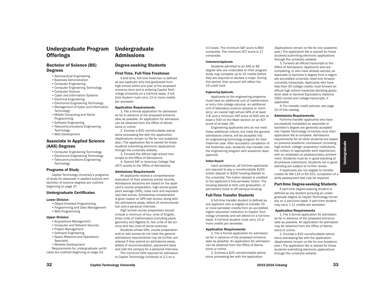## Undergraduate Program **Offerings**

### Bachelor of Science (BS) Degrees

- •Astronautical Engineering
- •Business Administration
- •Computer Engineering
- •Computer Engineering Technology
- •Computer Science
- •Cyber and Information Systems
- •Electrical Engineering
- •Electronics Engineering Technology
- •Management of Cyber and Information Technology
- •Mobile Computing and Game Programming
- •Software Engineering
- •Telecommunications Engineering
- Technology
- •Web Development

#### Associate in Applied Science (AAS) Degrees

- •Computer Engineering Technology
- •Electronics Engineering Technology •Telecommunications Engineering
- **Technology**

#### Programs of Study

Capitol Technology University's programs of study for associate in applied science and bachelor of science degrees are outlined beginning on page 37.

#### Undergraduate Certificates

#### Lower Division

- •Object-Oriented Programming
- •Programming and Data Management •Web Programming

#### Upper Division

- •Acquisitions Management
- •Computer and Network Security
- •Project Management
- •Software Engineering
- •Space Missions and Operations Specialist
- •Website Development

Requirements for undergraduate certificates are outlined beginning on page 53.

## Undergraduate Admissions

#### Degree-seeking Students

#### First-Time, Full-Time Freshman

A first-time, full-time freshman is defined as any applicant who has graduated from high school within one year of the proposed entrance term and is entering Capitol Technology University on a full-time basis. A fulltime student must carry 12 or more credits per semester.

#### Application Requirements

1. File a formal application for admission as far in advance of the proposed entrance date as possible. An application for admission can be obtained from the Office of Admissions or online.

2. Enclose a \$25 nonrefundable admissions processing fee with the application. (Applications remain on file for one academic year.) The application fee is waived for those students submitting electronic applications through the university website.

3. Forward the official high school transcripts to the Office of Admissions.

4. Submit SAT or American College Test (ACT) scores to the Office of Admissions.

#### Admissions Requirements

All applicants receive a comprehensive evaluation of their previous school records. Admissions decisions are based on the applicant's course preparation, high school grade point average (GPA), class rank and standardized test scores. Scholarship consideration is given based on GPA test scores, along with the admissions essay, letters of recommendation and a personal interview.

High school course preparation should include a minimum of four units of English, three units of mathematics (including plane geometry and Algebra II), two units of lab science and two units of social sciences.

Students whose GPA, course preparation and/or test scores do not meet the general admissions requirements may be further considered if they submit an admissions essay, letters of recommendation, placement tests and visit the campus for a personal interview.

The minimum GPA required for admission to Capitol Technology University is 2.2 on a

4.0 scale. The minimum SAT score is 800 composite. The minimum ACT score is 17 composite.

#### Undeclared Applicants

Students admitted to an AAS or BS degree who are undecided on their program study may complete up to 15 credits before they are required to declare a major. During this period, their account will reflect the 15-credit hold.

#### Engineering Applicants

Applicants to the engineering programs must have an additional unit of mathematics or entry into college calculus, an additional unit of laboratory science (physics or chemistry), an overall high school GPA of at least 2.8, and a minimum SAT score of 900 with at least a 500 on the Math section (or an ACT score of at least 19).

Engineering applicants who do not meet these additional criteria, but meet the general admissions criteria, will be accepted into an engineering technology program for their freshman year. After successful completion of the freshman year, students may transfer into the engineering program with academic dean approval.

#### Tuition Deposit

Upon acceptance, all full-time applicants are required to pay a nonrefundable \$200 tuition deposit or \$200 housing deposit to the university. The tuition deposit is credited to the applicant's first-semester tuition. The housing deposit is held until graduation, or permanent move to off-campus housing.

#### Full-Time Transfer Students

A full-time transfer student is defined as any applicant who is eligible to transfer 15 or more semester credits from an accredited higher education institution to Capitol Technology University and will attend on a full-time basis. A full-time student must carry 12 or more credits per semester.

#### Application Requirements

1. File a formal application for admission as far in advance of the proposed entrance date as possible. An application for admission can be obtained from the Office of Admissions or online.

2. Enclose a \$25 nonrefundable admissions processing fee with the application.

(Applications remain on file for one academic year.) The application fee is waived for those students submitting electronic applications through the university website.

3. Forward all official transcripts to the Office of Admissions. Applicants who are completing, or who have already earned, an associate or bachelor's degree from a regionally accredited university need only forward university transcripts. Applicants who have less than 30 college credits must forward an official high school transcript denoting graduation date or General Equivalency Diploma (GED) record and college transcripts, if applicable.

4. For transfer credit policies, see page 20 of this catalog.

#### Admissions Requirements

Full-time transfer applicants who have successfully completed an associate or bachelor's degree are generally accepted into Capitol Technology University once their application file is complete. Admissions requirements for all other students are based on previous academic coursework (including high school, college, proprietary institutions, the military or appropriate work experience), with an emphasis on postsecondary achievement. Students must be in good standing at all previous institutions. Students not in good standing are subject to further review.

If applicants are not eligible to transfer credits for MA-114 or EN-101, completion of a skills assessment test may be required.

#### Part-time Degree-seeking Students

A part-time degree-seeking student is defined as any student pursuing an undergraduate degree at Capitol Technology University on a part-time basis. A part-time student may carry 1-11 credits per semester.

#### Application Requirements

1. File a formal application for admission as far in advance of the proposed entrance date as possible. An application for admission may be obtained from the Office of Admissions or online.

2. Enclose a \$25 nonrefundable admissions processing fee with the application. (Applications remain on file for one academic year.) The application fee is waived for those students submitting electronic applications through the university website.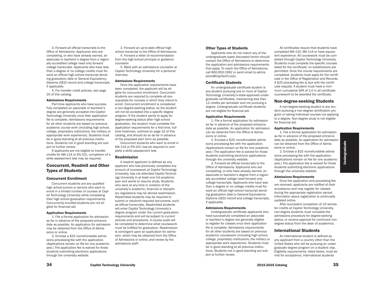3. Forward all official transcripts to the Office of Admissions. Applicants who are completing, or who have already earned, an associate or bachelor's degree from a regionally accredited college need only forward college transcripts. Applicants who have less than a degree or no college credits must forward an official high school transcript denoting graduation date or General Equivalency Diploma (GED) record and college transcripts, if applicable.

4. For transfer credit policies, see page 20 of this catalog.

#### Admissions Requirements

Part-time applicants who have successfully completed an associate or bachelor's degree are generally accepted into Capitol Technology University once their application file is complete. Admissions requirements for all other students are based on previous academic course work (including high school, college, proprietary institutions, the military or appropriate work experience). Students must be in good standing at all previous institutions. Students not in good standing are subject to further review.

If applicants are not eligible to transfer credits for MA-114 or EN-101, completion of a skills assessment test may be required.

### Concurrent, Readmit and Other Types of Students

#### Concurrent Enrollment

Concurrent students are any qualified high school juniors or seniors who want to enroll in a limited number of courses at Capitol Technology University while completing their high school graduation requirements. Concurrently enrolled students are not eligible for financial aid.

#### Application Requirements

1. File a formal application for admission as far in advance of the proposed entrance date as possible. An application for admission may be obtained from the Office of Admissions or online.

2. Enclose a \$25 nonrefundable admissions processing fee with the application. (Applications remain on file for one academic year.) The application fee is waived for those students submitting electronic applications through the university website.

3. Forward an up-to-date official high school transcript to the Office of Admissions.

4. Forward a letter of recommendation from the high school principal or guidance counselor.

5. Meet with an admissions counselor at Capitol Technology University for a personal interview.

#### Admissions Requirements

Once the application requirements have been completed, the applicant will be eligible for concurrent enrollment. Concurrent students are required to complete all prerequisites for courses in which they intend to enroll. Concurrent enrollment is considered a non-degree-seeking status, so the student will not be accepted into a specific degree program. If the student wants to apply for degree-seeking status after high school graduation, the student must complete the application requirements for a first-time, fulltime freshman, outlined on page 32 of this catalog, and should do so as far in advance of the proposed start term as possible.

Concurrent students who want to enroll in MA-114 or EN-101 may be required to complete a skills assessment test.

#### Readmission

A readmit applicant is defined as any applicant who has previously completed any amount of coursework at Capitol Technology University, has not attended Capitol Technology University in at least one full academic year and wants to resume study. Students who were at any time in violation of the university's academic, financial or disciplinary regulations may be denied readmission. Readmitted students may be required to submit or resubmit required documents, such as official transcripts. Readmitted students will enter Capitol Technology University's degree program under the current graduation requirements and will be subject to current policies and procedures. A course audit will be completed to determine what coursework must be fulfilled for graduation. Readmission is contingent upon an application for admission, which may be obtained from the Office of Admissions or online, and review by the admissions staff.

#### Other Types of Students

Applicants who do not match any of the undergraduate types discussed herein should contact the Office of Admissions to determine the application and admissions requirements that apply. To reach the Office of Admissions, call 800-950-1992 or send email to admissions@CapTechU.edu.

#### Certificate Students

An undergraduate certificate student is any student pursuing one or more of Capitol Technology University's state-approved undergraduate certificates, maintaining less than 12 credits per semester and not pursuing a degree. Undergraduate certificate students are not eligible for financial aid.

#### Application Requirements

1. File a formal application for admission as far in advance of the proposed entrance date as possible. An application for admission can be obtained from the Office of Admissions or online.

2. Enclose a \$25 nonrefundable admissions processing fee with the application. (Applications remain on file for one academic year.) The application fee is waived for those students submitting electronic applications through the university website.

3. Forward all official transcripts to the Office of Admissions. Applicants who are completing, or who have already earned, an associate or bachelor's degree from a regionally accredited college need forward only college transcripts. Applicants who have less than a degree or no college credits must forward an official high school transcript denoting graduation date or General Equivalency Diploma (GED) record and college transcripts, if applicable.

#### Admissions Requirements

Undergraduate certificate applicants who have successfully completed an associate or bachelor's degree are generally eligible to register for classes once their application file is complete. Admissions requirements for all other students are based on previous academic coursework (including high school, college, proprietary institutions, the military or appropriate work experience). Students must be in good standing at all previous institutions. Students not in good standing are subject to further review.

All certificates require that students have completed MA-110, MA-114 or have equivalent experience. All coursework must be completed through Capitol Technology University. Students must complete the specific courses listed for the certificate; no substitutions are permitted. Once the course requirements are completed, students must apply for the certificate in the Office of Registration and Records. A \$25 processing fee is due with the certificate request. A student must have a minimum cumulative GPA of 2.0 in all certificate coursework to be awarded the certificate.

#### Non-degree-seeking Students

A non-degree-seeking student is any student pursuing a non-degree certification program or taking individual courses not applying to a degree. Non-degree study is not eligible for financial aid.

#### Application Requirements

1. File a formal application for admission as far in advance of the proposed entrance date as possible. An application for admission can be obtained from the Office of Admissions or online.

2. Enclose a \$25 nonrefundable admissions processing fee with the application. (Applications remain on file for one academic year.) The application fee is waived for those students submitting electronic applications through the university website.

#### Admissions Requirements

Once the application and processing fee are received, applicants are notified of their acceptance and may register for classes during the appropriate registration period. Information about registration is continually updated online.

After successful completion of 15 semester credits at Capitol Technology University, non-degree students must complete the admissions procedure for degree-seeking status, or receive approval for continued nondegree status from the dean of academics.

#### International Students

An international student is defined as any applicant from a country other than the United States who will be pursuing an undergraduate degree program on a student visa. Eligibility requirements, listed below, must be met for acceptance. International students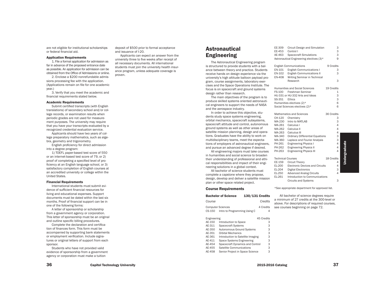are not eligible for institutional scholarships or federal financial aid.

#### Application Requirements

1. File a formal application for admission as far in advance of the proposed entrance date as possible. An application for admission can be obtained from the Office of Admissions or online.

2. Enclose a \$200 nonrefundable admissions processing fee with the application. (Applications remain on file for one academic year.)

3. Verify that you meet the academic and financial requirements stated below.

#### Academic Requirements

Submit certified transcripts (with English translations) of secondary school and/or college records, or examination results when periodic grades are not used for measurement purposes. The university may require that you have your transcripts evaluated by a recognized credential evaluation service.

Applicants should have two years of college preparatory mathematics, such as algebra, geometry and trigonometry.

English proficiency for direct admission into a degree program:

1) TOEFL paper-based test score of 550 or an internet-based test score of 79, or 2) proof of completing a specified level of proficiency at an English language school, or 3) satisfactory completion of English courses at an accredited university or college within the United States.

#### Financial Requirements

International students must submit evidence of sufficient financial resources for living and educational expenses. Support documents must be dated within the last six months. Proof of financial support can be in one of the following forms:

A letter of sponsorship or scholarship from a government agency or corporation. This letter of sponsorship must be an original and outline specific billing procedures.

Complete the declaration and certification of finances form. This form must be accompanied by supporting bank statements or employment verification. Include signatures or original letters of support from each sponsor.

Students who have not provided valid evidence of sponsorship from a government agency or corporation must make a tuition

deposit of \$500 prior to formal acceptance and issuance of I-20.

Applicants can expect an answer from the university three to five weeks after receipt of all necessary documents. All international students must join the university health insurance program, unless adequate coverage is proven.

## Astronautical Engineering

The Astronautical Engineering program is structured to provide students with a balance between theory and practice. Students receive hands on design experience via the university's high altitude balloon payload program, course assignments, laboratory exercises and the Space Operations Institute. The focus is on spacecraft and ground systems design rather than research.

The main objectives of the program is to produce skilled systems oriented astronautical engineers to support the needs of NASA and the aerospace industry.

In order to achieve this objective, students study space systems engineering, orbital mechanics, spacecraft subsystems, spacecraft attitude and control, autonomous ground systems as well as other areas of satellite mission planning, design and operations. Graduates have the ability to work on multidisciplinary teams, meet the expectations of employers of astronautical engineers, and pursue an advanced degree if desired.

All engineering majors must take courses in humanities and social science to broaden their understanding of professional and ethical responsibilities and impact of their engineering solutions in a global context.

All bachelor of science students must complete a capstone where they propose, design, develop and deliver a satellite mission plan or other space related project.

#### Course Requirements

| <b>Bachelor of Science</b> | $130/131$ Credits |
|----------------------------|-------------------|
| Course                     | Credits           |

Computer Sciences 4 Credits CS-150 Intro to Programming Using C 4

#### Engineering 45 Credits AE-150 Introduction to Space 3 AE-311 Spacecraft Systems 3 AE-350 Autonomous Ground Systems 3 AE-351 Orbital Mechanics 3 AE-361 Introduction to Satellite Imaging 3<br>AE-411 Space Systems Engineering 3 Space Systems Engineering 3 AE-454 Spacecraft Dynamics and Control 3 AE-455 Satellite Communications 3 AE-458 Senior Project in Space Science 3

| EE-309                   | Circuit Design and Simulation            | З              |
|--------------------------|------------------------------------------|----------------|
| EE-453                   | Control I                                | 3              |
| AE-463                   | <b>Spacecraft Simulations</b>            | 3              |
|                          | Astronautical Engineering electives (3)* | 9              |
|                          | <b>English Communications</b>            | 9 Credits      |
| EN-101                   | <b>English Communications I</b>          | 3              |
| EN-102                   | <b>English Communications II</b>         | 3              |
| EN-408                   | Writing Seminar in Technical             |                |
|                          | Research                                 | 3              |
|                          | <b>Humanities and Social Sciences</b>    | 19 Credits     |
| <b>FS-100</b>            | Freshman Seminar                         | 1              |
|                          | HU-331 or HU-332 Arts and Ideas          | 3              |
| SS-351                   | Ethics                                   | 3              |
|                          | Humanities electives (2)*                | 6              |
|                          | Social Sciences electives (2)*           | 6              |
|                          | Mathematics and Sciences                 | 36 Credits     |
| CH-120                   | Chemistry                                | 3              |
| MA-230                   | Intro to MATLAB                          | 3              |
| MA-261                   | Calculus I                               | $\overline{4}$ |
| MA-262                   | Calculus II                              | 4              |
| MA-263                   | Calculus III                             | 4              |
| MA-340                   | <b>Ordinary Differential Equations</b>   | 3              |
| MA-360                   | Laplace and Fourier Analysis             | 3              |
| PH-261                   | <b>Engineering Physics I</b>             | 4              |
| PH-262                   | <b>Engineering Physics II</b>            | 4              |
| PH-263                   | <b>Engineering Physics III</b>           | 4              |
| <b>Technical Courses</b> |                                          | 18 Credits     |
| EE-159                   | <b>Circuit Theory</b>                    | 4              |
| EL-200                   | <b>Electronic Devices and Circuits</b>   | 4              |

- EL-204 Digital Electronics 3
- EL-250 Advanced Analog Circuits

- EL-261 Introduction to Communications
	- Circuits and Systems 3

Undergraduate

Undergraduate

\*See appropriate department for approved list.

All bachelor of science degrees require a minimum of 27 credits at the 300-level or above. For descriptions of required courses, see courses beginning on page 72.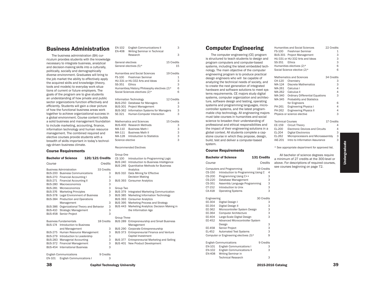## Business Administration

The business administration (BA) curriculum provides students with the knowledge necessary to integrate business, analytical and decision-making skills into a culturally, politically, socially and demographically diverse environment. Graduates will bring to the job market the ability to effectively apply the acquired skills and knowledge (theory, tools and models) to everyday work situations of current or future employers. The goals of the program are to give students an understanding of how private and public sector organizations function effectively and efficiently. Students will gain a clear picture of how the functional business areas work together to achieve organizational success in a global environment. Course content builds a solid business and management foundation to include marketing, accounting, finance, information technology and human resource management. The combined required and elective courses provide students with a breadth of skills important in today's technology-driven business climate.

#### Course Requirements

|                | <b>Bachelor of Science</b>             | 120/121 Credits |   | CS 100                           |
|----------------|----------------------------------------|-----------------|---|----------------------------------|
| Course         |                                        | Credits         |   | <b>BUS 240</b><br><b>BUS 246</b> |
|                | <b>Business Administration</b>         | 33 Credits      |   |                                  |
|                | <b>BUS-200</b> Business Communications |                 | 3 | <b>BUS 310</b>                   |
|                | BUS-270 Financial Accounting I         |                 | 3 |                                  |
| <b>BUS-271</b> | <b>Financial Accounting II</b>         |                 | 3 | <b>BUS 393</b>                   |
| <b>BUS-280</b> | Macroeconomics                         |                 | 3 |                                  |
| <b>BUS-281</b> | Microeconomics                         |                 | 3 | Group Two                        |
| <b>BUS-376</b> | <b>Marketing Principles</b>            |                 | 3 | <b>BUS 379</b>                   |
| <b>BUS-378</b> | <b>Legal Environment of Business</b>   |                 | 3 | <b>BUS 385</b>                   |
| <b>BUS-384</b> | Production and Operations              |                 |   | <b>BUS 393</b>                   |
|                | Management                             |                 | 3 | <b>BUS 395</b>                   |
| <b>BUS-386</b> | Organizational Theory and Behavior     |                 | 3 | <b>BUS 443</b>                   |
| <b>BUS-410</b> | Strategic Management                   |                 | 3 |                                  |
| <b>BUS-458</b> | Senior Project                         |                 | 3 |                                  |
|                |                                        |                 |   | <b>Group Thre</b>                |
|                | <b>Business Fundamentals</b>           | 18 Credits      |   | <b>BUS 289</b>                   |
| <b>BUS-174</b> | Introduction to Business               |                 |   |                                  |
|                | and Management                         |                 | 3 | <b>BUS 290</b>                   |
| <b>BUS-275</b> | Human Resource Management              |                 | 3 | <b>BUS 373</b>                   |
| <b>BUS-279</b> | Introduction to Leadership             |                 | 3 |                                  |
| <b>BUS-283</b> | <b>Managerial Accounting</b>           |                 | 3 | <b>BUS 377</b>                   |
| <b>BUS-372</b> | <b>Financial Management</b>            |                 | 3 | <b>BUS 401</b>                   |
| <b>BUS-454</b> | <b>International Business</b>          |                 | 3 |                                  |
|                | <b>English Communications</b>          | 9 Credits       |   |                                  |
|                | $\blacksquare$                         |                 |   |                                  |

| EN-102<br><b>EN-408</b>                    | <b>English Communications II</b><br>Writing Seminar in Technical                                                                                                                         | 3                                   |
|--------------------------------------------|------------------------------------------------------------------------------------------------------------------------------------------------------------------------------------------|-------------------------------------|
|                                            | Research                                                                                                                                                                                 | 3                                   |
| General electives                          | General electives (5)*                                                                                                                                                                   | 15 Credits<br>15                    |
| FS-100<br>SS-351                           | <b>Humanities and Social Sciences</b><br>Freshman Seminar<br>HU-331 or HU-332 Arts and Ideas<br>Ethics<br>Humanities/History/Philosophy electives (2)*<br>Social Sciences electives (2)* | 19 Credits<br>1<br>3<br>3<br>6<br>6 |
| <b>BUS-250</b><br><b>BUS-362</b><br>SE-321 | Information Technology<br>Database for Managers<br>BUS-301 Project Management<br><b>Information Systems for Managers</b><br>Human-Computer Interaction                                   | 12 Credits<br>3<br>3<br>3<br>3      |
| MA-111<br>Science elective                 | <b>Mathematics and Sciences</b><br>BUS-400 Research Methods<br>MA-110 Business Math I<br><b>Business Math II</b><br>MA-128 Introduction to Statistics                                    | 15 Credits<br>3<br>3<br>3<br>3<br>3 |
|                                            | <b>Recommended Electives</b>                                                                                                                                                             |                                     |
| Group One<br>CS 100                        | Introduction to Programming Logic                                                                                                                                                        |                                     |
| <b>BUS 246</b>                             | BUS 240 Introduction to Business Intelligence<br>Quantitative Methods for Business<br>Analytics                                                                                          |                                     |
| <b>BUS 310</b>                             | Data Mining for Effective<br><b>Decision Making</b>                                                                                                                                      |                                     |
| <b>BUS 393</b>                             | <b>Consumer Analytics</b>                                                                                                                                                                |                                     |

| Group Two      |                                            |
|----------------|--------------------------------------------|
| <b>BUS 379</b> | Integrated Marketing Communication         |
| <b>BUS 385</b> | Marketing Information Technology           |
| <b>BUS 393</b> | <b>Consumer Analytics</b>                  |
| <b>BUS 395</b> | Marketing Process and Strategy             |
| <b>BUS 443</b> | Marketing Analytics: Decision Making in    |
|                | the Information Age                        |
|                |                                            |
| Group Three    |                                            |
| <b>BUS 289</b> | <b>Entrepreneurship and Small Business</b> |
|                | Management                                 |
| <b>BUS 290</b> | Corporate Entrepreneurship                 |
| <b>BUS 373</b> | Entrepreneurial Finance and Venture        |
|                | Capital Investment                         |
| <b>BUS 377</b> | Entrepreneurial Marketing and Selling      |
| <b>BUS 401</b> | New Product Development                    |
|                |                                            |
|                |                                            |

## EN-101 English Communications I 3

38 Capitol Technology University 39 Capitol Technology University

# Computer Engineering

The computer engineering (CE) program is structured to teach students to design and program computers and computer-based systems, including the latest embedded technology. The main objective of the computer engineering program is to produce practical design engineers who will be capable of analyzing the technical needs of society, and to create the next generation of integrated hardware and software solutions to meet systems requirements. CE majors study digital systems, computer organization and architecture, software design and testing, operating systems and programming languages, microcontroller systems, and the latest programmable chip technology. All engineering majors must take courses in humanities and social science to broaden their understanding of professional and ethical responsibilities and the impact of their engineering solutions in a global context. All students complete a capstone course in which they propose, design, build, test and deliver a computer-based system.

#### Course Requirements

|                                                          | <b>Bachelor of Science</b>                                                                                                                                                                                   | 131 Credits                              | All bachelor of science degrees require<br>a minimum of 27 credits at the 300-level or |
|----------------------------------------------------------|--------------------------------------------------------------------------------------------------------------------------------------------------------------------------------------------------------------|------------------------------------------|----------------------------------------------------------------------------------------|
| Course                                                   |                                                                                                                                                                                                              | Credits                                  | above. For descriptions of required courses,                                           |
| CS-150<br>CS-200<br>CS-220<br>CS-351<br>CT-152<br>CA-418 | <b>Computers and Programming</b><br>Introduction to Programming Using C<br>Programming Using C++<br>Database Management<br>Assembly Language Programming<br>Introduction to Unix<br><b>Operating Systems</b> | 19 Credits<br>4<br>3<br>3<br>3<br>3<br>3 | see courses beginning on page 72.                                                      |
| Engineering                                              |                                                                                                                                                                                                              | 30 Credits                               |                                                                                        |
| EE-304                                                   | Digital Design I                                                                                                                                                                                             | 3                                        |                                                                                        |
| EE-354                                                   | Digital Design II                                                                                                                                                                                            | 3                                        |                                                                                        |
| EE-362                                                   | Microcontroller System Design                                                                                                                                                                                | 3                                        |                                                                                        |
| EE-364                                                   | <b>Computer Architecture</b>                                                                                                                                                                                 | 3                                        |                                                                                        |
| EE-404                                                   | Large-Scale Digital Design                                                                                                                                                                                   | 3                                        |                                                                                        |
| EE-452                                                   | Advanced Microcontroller System                                                                                                                                                                              |                                          |                                                                                        |
|                                                          | Design                                                                                                                                                                                                       | 3                                        |                                                                                        |
| EE-458                                                   | Senior Project                                                                                                                                                                                               | 3                                        |                                                                                        |
| EL-452                                                   | <b>Automated Test Systems</b>                                                                                                                                                                                | 3                                        |                                                                                        |
|                                                          | Computer or Engineering electives (3)*                                                                                                                                                                       | 9                                        |                                                                                        |
|                                                          | <b>English Communications</b>                                                                                                                                                                                | 9 Credits                                |                                                                                        |
| EN-101                                                   | <b>English Communications I</b>                                                                                                                                                                              | 3                                        |                                                                                        |
| EN-102<br>EN-408                                         | <b>English Communications II</b><br>Writing Seminar in                                                                                                                                                       | 3                                        |                                                                                        |
|                                                          | <b>Technical Research</b>                                                                                                                                                                                    | 3                                        |                                                                                        |

| FS-100<br>SS-351         | Humanities and Social Sciences<br>Freshman Seminar<br>BUS-301 Project Management<br>HU-331 or HU-332 Arts and Ideas<br>Ethics<br>Humanities electives (2)*<br>Social Science elective (2)* | 22 Credits<br>1<br>3<br>3<br>3<br>6<br>6 |
|--------------------------|--------------------------------------------------------------------------------------------------------------------------------------------------------------------------------------------|------------------------------------------|
|                          | <b>Mathematics and Sciences</b>                                                                                                                                                            | 34 Credits                               |
| CH-120                   | Chemistry                                                                                                                                                                                  | 3                                        |
| MA-124                   | Discrete Mathematics                                                                                                                                                                       | 3                                        |
| MA-261                   | Calculus I                                                                                                                                                                                 | 4                                        |
| MA-262                   | Calculus II                                                                                                                                                                                | 4                                        |
| MA-340                   | <b>Ordinary Differential Equations</b>                                                                                                                                                     | 3                                        |
| MA-345                   | <b>Probability and Statistics</b>                                                                                                                                                          |                                          |
|                          | for Engineers                                                                                                                                                                              | 6                                        |
| PH-261                   | <b>Engineering Physics I</b>                                                                                                                                                               | 4                                        |
| PH-262                   | <b>Engineering Physics II</b>                                                                                                                                                              | 4                                        |
|                          | Physics or science elective                                                                                                                                                                | 3                                        |
| <b>Technical Courses</b> |                                                                                                                                                                                            | 17 Credits                               |

EE-159 Circuit Theory 14<br>EL-200 Electronic Devices and Circuits 4 EL-200 Electronic Devices and Circuits 4<br>EL-204 Digital Electronics 3

EL-262 Microprocessors and Microassembly 3<br>IAE-201 Intro to Information Assurance 3 Intro to Information Assurance 3

All bachelor of science degrees require

\* See appropriate department for approved list.

Digital Electronics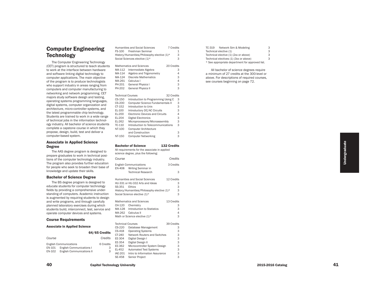## Computer Engineering **Technology**

The Computer Engineering Technology (CET) program is structured to teach students to work at the interface between hardware and software linking digital technology to computer applications. The main objective of the program is to produce technologists who support industry in areas ranging from computers and computer manufacturing to networking and network programming. CET majors study software design and testing, operating systems programming languages, digital systems, computer organization and architecture, micro-controller systems, and the latest programmable chip technology. Students are trained to work in a wide range of technical jobs in the information technol ogy industry. All bachelor of science students complete a capstone course in which they propose, design, build, test and deliver a computer-based system.

#### Associate in Applied Science Degree

The AAS degree program is designed to prepare graduates to work in technical posi tions of the computer technology industry. The program also provides further education for people who seek to broaden their base of knowledge and update their skills.

#### Bachelor of Science Degree

The BS degree program is designed to educate students for computer technology fields by providing a comprehensive understanding of computers. Academic instruction is augmented by requiring students to design and write programs, and through carefully planned laboratory exercises during which students build, interconnect, test, service and operate computer devices and systems.

#### Course Requirements

#### Associate in Applied Science

|        |                                                                  | 64/65 Credits  |
|--------|------------------------------------------------------------------|----------------|
| Course |                                                                  | Credits        |
| EN-101 | <b>English Communications</b><br><b>English Communications I</b> | 6 Credits<br>З |
| EN-102 | <b>English Communications II</b>                                 | З              |

|                |                          | $\frac{1}{2}$ . The mean of $\frac{1}{2}$ is the state of $\frac{1}{2}$<br>Social Sciences elective (1)* | 3          |
|----------------|--------------------------|----------------------------------------------------------------------------------------------------------|------------|
| logy           |                          |                                                                                                          |            |
| tudents        |                          | <b>Mathematics and Sciences</b>                                                                          | 20 Credits |
| ware           | MA-112                   | Intermediate Algebra                                                                                     | 3          |
| ' to           | MA-114                   | Algebra and Trigonometry                                                                                 | 4          |
| ctive          | MA-124                   | <b>Discrete Mathematics</b>                                                                              | 3          |
| {ists          | MA-261                   | Calculus I                                                                                               | 4          |
| from           | PH-201                   | <b>General Physics I</b>                                                                                 | 3          |
| ng to          | PH-202                   | <b>General Physics II</b>                                                                                | 3          |
|                |                          |                                                                                                          |            |
| . CET          | <b>Technical Courses</b> |                                                                                                          | 32 Credits |
| ing,           | CS-150                   | Introduction to Programming Using C                                                                      | З          |
| ages,          | CS-200                   | Computer Science Fundamentals II                                                                         | 3          |
| ı and          | CT-152                   | Introduction to Unix                                                                                     | 3          |
| and            | EL-100                   | Introductory DC/AC Circuits                                                                              | 3          |
| )gy.           | EL-200                   | <b>Electronic Devices and Circuits</b>                                                                   | 4          |
| range          | EL-204                   | <b>Digital Electronics</b>                                                                               | 3          |
| :hnol-         | EL-262                   | Microprocessors/Microassembly                                                                            | 3          |
| udents         | TC-110                   | Introduction to Telecommunications                                                                       | 3          |
| :hey           | NT-100                   | <b>Computer Architecture</b>                                                                             |            |
| r a            |                          | and Construction                                                                                         | 3          |
|                | NT-150                   | <b>Computer Networking</b>                                                                               | 3          |
|                |                          |                                                                                                          |            |
|                |                          | <b>Bachelor of Science</b><br><b>132 Credits</b>                                                         |            |
|                |                          | All requirements for the associate in applied                                                            |            |
|                |                          |                                                                                                          |            |
| ed to          |                          |                                                                                                          |            |
| l posi-        |                          | science degree, plus the following:                                                                      |            |
| stry.          | Course                   |                                                                                                          | Credits    |
| cation         |                          | <b>English Communications</b>                                                                            | 3 Credits  |
| ase of         | <b>EN-408</b>            | Writing Seminar in                                                                                       |            |
|                |                          | <b>Technical Research</b>                                                                                | 3          |
|                |                          |                                                                                                          |            |
|                |                          | <b>Humanities and Social Sciences</b>                                                                    | 12 Credits |
| d to           |                          | HU-331 or HU-332 Arts and Ideas                                                                          | 3          |
| logy           | SS-351                   | Ethics                                                                                                   | 3          |
| -nder          |                          | History/Humanities/Philosophy elective (1)*                                                              | 3          |
| uction         |                          | Social Science elective (1)*                                                                             | 3          |
| design         |                          |                                                                                                          |            |
| fully          |                          | <b>Mathematics and Sciences</b>                                                                          | 13 Credits |
| hich           | CH-120                   | Chemistry                                                                                                | 3          |
| ice and        | MA-128                   | <b>Introduction to Statistics</b>                                                                        | 3          |
| s.             | MA-262                   | Calculus II                                                                                              | 4          |
|                |                          | Math or Science elective (1)*                                                                            | 3          |
|                |                          |                                                                                                          |            |
|                | <b>Technical Courses</b> |                                                                                                          | 39 Credits |
|                | CS-220                   | Database Management                                                                                      | 3          |
| <b>Credits</b> | CS-418                   | <b>Operating Systems</b>                                                                                 | 3          |
|                | CT-240                   | Network Routers and Switches                                                                             | 3          |
| Credits        | EE-304                   | Digital Design I                                                                                         | 3          |
| 6 Credits      | EE-354<br>EE-362         | Digital Design II<br>Microcontroller System Design                                                       | 3<br>3     |

Humanities and Social Sciences 7 Credits

History/Humanities/Philosophy elective (1)\*

1

 $\overline{a}$ 

3

3

3

FS-100 Freshman Seminar

| TC-319                 | Network Sim & Modeling                          | З |
|------------------------|-------------------------------------------------|---|
| Technical elective (1) |                                                 | 3 |
|                        | Technical elective (1) (2xx or above)           | 3 |
|                        | Technical electives (1) (3xx or above)          | 3 |
|                        | * See appropriate department for approved list. |   |

All bachelor of science degrees require a minimum of 27 credits at the 300-level or above. For descriptions of required courses, see courses beginning on page 72.

3

EL-452 Automated Test Systems

Senior Project

IAE-201 Intro to Information Assurance<br>SE-458 Senior Project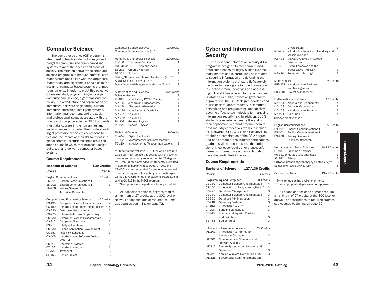## Computer Science

The computer science (CS) program is structured to teach students to design and program computers and computer-based systems to meet the needs of all areas of society. The main objective of the computer science program is to produce practical computer system specialists who can apply computer theory and algorithmic principles to the design of computer-based systems that meet requirements. In order to meet this objective, CS majors study programming languages, computational science, algorithms and complexity, the architecture and organization of computers, software engineering, humancomputer interaction, intelligent systems, information management, and the social and professional issues associated with the practice of computer science. All CS students must take courses in the humanities and social sciences to broaden their understanding of professional and ethical responsibilities and the impact of their CS solutions in a global context. All students complete a capstone course in which they propose, design, build, test and deliver a computer-based system.

#### Course Requirements

| <b>Bachelor of Science</b> |                                                        | <b>129 Credits</b> |   |  |
|----------------------------|--------------------------------------------------------|--------------------|---|--|
| Course                     |                                                        | Credits            |   |  |
|                            | <b>English Communications</b>                          | 9 Credits          |   |  |
| EN-101                     | <b>English Communications I</b>                        |                    | 3 |  |
| EN-102<br><b>EN-408</b>    | <b>English Communications II</b><br>Writing Seminar in |                    | 3 |  |
|                            | <b>Technical Research</b>                              |                    | 3 |  |
|                            |                                                        |                    |   |  |
|                            | <b>Computers and Engineering Science</b>               | 47 Credits         |   |  |
| CS-130                     | Computer Science Fundamentals I                        |                    | 4 |  |
| CS-150                     | Introduction to Programming Using C*                   |                    | 4 |  |
|                            |                                                        |                    |   |  |
| CS-220                     | Database Management                                    |                    | 3 |  |
| CS-225                     | Intermediate Java Programming                          |                    | 3 |  |
| CS-230                     | Computer Science Fundamentals II                       |                    | 3 |  |
| CS-310                     | <b>Computer Algorithms</b>                             |                    | 3 |  |
| CS-316                     | <b>Intelligent Systems</b>                             |                    | 3 |  |
| CS-330                     | iPhone Application Development                         |                    | 3 |  |
| CS-351                     | Assembly Language                                      |                    | 3 |  |
| CS-405                     | Introduction to Software Design                        |                    |   |  |
|                            | with UML                                               |                    | 3 |  |
| CS-418                     | <b>Operating Systems</b>                               |                    | 3 |  |
| CT-152                     | Introduction to Unix                                   |                    | 3 |  |
| CT-376                     | Javascript                                             |                    | 3 |  |
| SE-458                     | Senior Project                                         |                    | 3 |  |

|                          | <b>Computer Science Electives</b>                                                                                                                            | 12 Credits     |  |
|--------------------------|--------------------------------------------------------------------------------------------------------------------------------------------------------------|----------------|--|
|                          | Computer Science electives (3)**                                                                                                                             | 9              |  |
|                          | Humanities and Social Sciences                                                                                                                               | 22 Credits     |  |
| FS-100                   | Freshman Seminar                                                                                                                                             | 1              |  |
|                          | HU-331 or HU-332 Arts and Ideas                                                                                                                              | 3              |  |
| SS-272                   | <b>Group Dynamics</b>                                                                                                                                        | 3              |  |
| SS-351                   | <b>Fthics</b>                                                                                                                                                | 3              |  |
|                          | History/Humanities/Philosophy elective (2)***                                                                                                                | 6              |  |
|                          | Social Science elective (1)***                                                                                                                               | 3              |  |
|                          | Social Science/Management elective (1)***                                                                                                                    | 3              |  |
|                          | Mathematics and Sciences                                                                                                                                     | 30 Credits     |  |
| Science elective         |                                                                                                                                                              | З              |  |
| EL-100                   | Introductory DC/AC Circuits                                                                                                                                  | 3              |  |
| MA-114                   | Algebra and Trigonometry                                                                                                                                     | 4              |  |
| MA-124                   | <b>Discrete Mathematics</b>                                                                                                                                  | 3              |  |
| MA-128                   | Introduction to Statistics                                                                                                                                   | 3              |  |
| MA-261                   | Calculus I                                                                                                                                                   | $\overline{4}$ |  |
| MA-262                   | Calculus II                                                                                                                                                  | $\overline{4}$ |  |
| PH-201                   | <b>General Physics I</b>                                                                                                                                     | 3              |  |
| PH-202                   | <b>General Physics II</b>                                                                                                                                    | 3              |  |
| <b>Technical Courses</b> |                                                                                                                                                              | 9 Credits      |  |
| EL-204                   | <b>Digital Electronics</b>                                                                                                                                   | 3              |  |
| EL-262                   | Microprocessors/Microassembly                                                                                                                                | 3              |  |
| TC-110                   | Introduction to Telecommunications                                                                                                                           | 3              |  |
|                          | * Students who validate CS-150 or who place into<br>Calculus I may replace this course with any techni-<br>cal course not already required for the CS degree |                |  |

cal course not already required for the CS degree. \*\*CT-240 is recommended for students interested in additional networking courses. CT-201 and CS-406 are recommended for students interested in constructing websites with dynamic webpages. CS-432 is recommended for students interested in taking CS-513 in the MSCS program.

\*\*\*See appropriate department for approved list.

All bachelor of science degrees require a minimum of 27 credits at the 300-level or above. For descriptions of required courses, see courses beginning on page 72.

## Cyber and Information **Security**

The cyber and information security (CIS) program is designed to meet current and anticipated needs for highly-skilled cybersecurity professionals, particularly as it relates to securing information and defending the information systems that store it. As society becomes increasingly reliant on information in electronic form, identifying and addressing vulnerabilities where information resides is vital to any public, private or government organization. The BSCIS degree develops and builds upon students' mastery in computer networking and programming, so that they become effective technologists for managing information security risk. In addition, BSCIS students complete courses by the end of their sophomore year that prepare them to pass industry certification exams to include A+, Network+, CEH, CISSP and Security+. By attaining a combination of the BSIA degree and one or more of the industry certifications, graduates will not only possess the professional knowledge required for a successful career in information assurance, but also have the credentials to prove it.

#### Course Requirements

|                | <b>Bachelor of Science</b>               | 127/130 Credits                     |   | ⊽ບ        |
|----------------|------------------------------------------|-------------------------------------|---|-----------|
| Course         |                                          | Credits                             |   | Ge        |
|                | Programming and Computer                 | 31 Credits                          |   | $*S$      |
| CS-130         | <b>Computer Science Fundamentals I</b>   |                                     | 4 | $***$     |
| CS-150         |                                          | Introduction to Programming Using C | 3 |           |
| CS-220         | Database Management                      |                                     | 3 |           |
| CS-230         | Computer Science Fundamentals II         |                                     | 3 | a r       |
| CS-320         | Database Administration                  |                                     | 3 | ab        |
| CS-418         | <b>Operating Systems</b>                 |                                     | 3 | <b>se</b> |
| CT-152         | Introduction to Unix                     |                                     | 3 |           |
| CT-206         | <b>Scripting Languages</b>               |                                     | 3 |           |
| CT-240         | Internetworking with Routers             |                                     |   |           |
|                | and Switches                             |                                     | 3 |           |
| SE-458         | Senior Project                           |                                     | 3 |           |
|                | Information Assurance Courses            | 27 Credits                          |   |           |
| <b>IAE-201</b> | Introduction to Information              |                                     |   |           |
|                | <b>Assurance Concepts</b>                |                                     | 3 |           |
| IAE-301        | Comprehensive Computer and               |                                     |   |           |
|                | <b>Network Security</b>                  |                                     | 3 |           |
| IAE-315        | Secure System Administration and         |                                     |   |           |
|                | Operation*                               |                                     | 3 |           |
| IAE-321        | <b>Applied Wireless Network Security</b> |                                     | 3 |           |

IAE-325 Secure Data Communications and

| <b>IAE-405</b> | Malware Analysis / Reverse<br>Engineering*    | 3             |
|----------------|-----------------------------------------------|---------------|
| <b>IAE-406</b> | Digital Forensics and the                     |               |
|                | Investigative Process*                        | 3             |
| IAE-410        | Penetration Testing*                          | 3             |
| Management     |                                               | 6 Credits     |
| <b>BUS-174</b> | Introduction to Business                      |               |
|                | and Management                                | З             |
| BUS-301        | <b>Project Management</b>                     | 3             |
|                | <b>Mathematics and Sciences</b>               | 17 Credits    |
| MA-114         | Algebra and Trigonometry                      | 4             |
| MA-124         | Discrete Mathematics                          | 3             |
| MA-128         | Introduction to Statistics                    | 3             |
| MA-261         | Calculus I                                    | 4             |
|                | Science elective (1)**                        | 3             |
|                | <b>English Communications</b>                 | 9 Credits     |
| EN-101         | <b>English Communications I</b>               | З             |
| EN-102         | <b>English Communications II</b>              | 3             |
| <b>EN-408</b>  | Writing Seminar in                            |               |
|                | <b>Technical Research</b>                     | 3             |
|                | Humanities and Social Sciences                | 18-19 Credits |
| <b>FS-100</b>  | Freshman Seminar                              | 1             |
|                | HU-331 or HU-332 Arts and Ideas               | 3             |
| SS-351         | Ethics                                        | 3             |
|                | History/Humanities/Philosophy electives (2)** | 6             |
|                | Social Sciences electives (2)**               | 6             |

Cryptography 3

Malicious Code\* 3

IAE-402 Introduction to Incident Handling and

Undergraduate Undergraduate

neral Electives 19-21 Credits

Synchronous online environment only. See appropriate department for approved list.

All bachelor of science degrees require minimum of 27 credits at the 300-level or ove. For descriptions of required courses, ee courses beginning on page 72.

42 Capitol Technology University **2015-2016** Catalog 2015-2016 Catalog 2015-2016 Catalog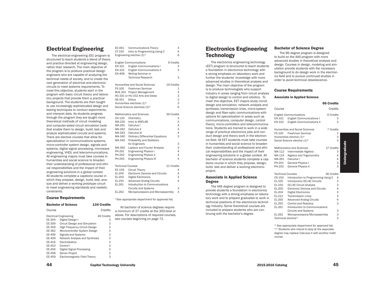## Electrical Engineering

The electrical engineering (EE) program is structured to teach students a blend of theory and practice directed at engineering design, rather than research. The main objective of the program is to produce practical design engineers who are capable of analyzing the technical needs of society, and to create the next generation of electrical and electronic circuits to meet systems requirements. To meet this objective, students start in the program with basic circuit theory and laboratory projects that provide them a practical background. The students are then taught to use increasingly sophisticated design and testing techniques to conduct experiments, and interpret data. As students progress through the program they are taught more theoretical methods of circuit modeling and computer-aided circuit simulation tools that enable them to design, build, test and analyze sophisticated circuits and systems. There are elective courses that allow for specialization in communications systems, micro-controller system design, signals and systems, digital signal processing, microwave engineering, VHDL and telecommunications. All engineering majors must take courses in humanities and social science to broaden their understanding of professional and ethical responsibilities and the impact of their engineering solutions in a global context. All students complete a capstone course in which they propose, design, build, test, analyze and deliver a working prototype circuit to meet engineering standards and realistic constraints.

| CT-150                   | Intro to Programming Using C                   | 4          |
|--------------------------|------------------------------------------------|------------|
|                          | Engineering elective (2)*                      | 6          |
|                          | <b>English Communications</b>                  | 9 Credits  |
| EN-101                   | <b>English Communications I</b>                | 3          |
| EN-102                   | <b>English Communications II</b>               | 3          |
| EN-408                   | Writing Seminar in                             |            |
|                          | <b>Technical Research</b>                      | 3          |
|                          | <b>Humanities and Social Sciences</b>          | 19 Credits |
| FS-100                   | Freshman Seminar                               | 1          |
|                          | <b>BUS 301 Project Management</b>              | 3          |
|                          | HU-331 or HU-332 Arts and Ideas                | 3          |
| SS-351                   | <b>Ethics</b>                                  | 3          |
|                          | Humanities electives (1)*                      | 3          |
|                          | Social Science electives (2)*                  | 6          |
|                          | Mathematics and Sciences                       | 39 Credits |
| CH-120                   | Chemistry                                      | 3          |
| MA-230                   | Intro to MATLAB                                | 3          |
| MA-261                   | Calculus I                                     | 4          |
| MA-262                   | Calculus II                                    | 4          |
| MA-263                   | Calculus III                                   | 4          |
| MA-340                   | <b>Ordinary Differential Equations</b>         | 3          |
| MA-345                   | <b>Probability and Statistics</b>              |            |
|                          | for Engineers                                  | 3          |
| MA-360                   | Laplace and Fourier Analysis                   | 3          |
| PH-261                   | <b>Engineering Physics I</b>                   | 4          |
| PH-262                   | <b>Engineering Physics II</b>                  | 4          |
| PH-263                   | <b>Engineering Physics III</b>                 | 4          |
| <b>Technical Courses</b> |                                                | 21 Credits |
| EE-159                   | <b>Circuit Theory</b>                          | 4          |
| EL-200                   | <b>Electronic Devices and Circuits</b>         | 4          |
| EL-204                   | <b>Digital Electronics</b>                     | 3          |
| EL-250                   | <b>Advanced Analog Circuits</b>                | 4          |
| EL-261                   | Introduction to Communications                 |            |
|                          | <b>Circuits and Systems</b>                    | 3          |
| EL-262                   | Microprocessors and Microassembly              | 3          |
|                          | *See appropriate department for approved list. |            |

EE-461 Communications Theory 3

## Course Requirements

| Course |                                | Credits    |
|--------|--------------------------------|------------|
|        | <b>Electrical Engineering</b>  | 46 Credits |
| EE-304 | Digital Design I               | 3          |
| EE-309 | Circuit Design and Simulation  | 3          |
| EE-359 | High Frequency Circuit Design  | 3          |
| EE-362 | Microcontroller System Design  | 3          |
| EE-406 | Signals and Systems            | 3          |
| EE-409 | Network Analysis and Synthesis | 3          |
| EE-419 | Electrostatics                 | 3          |
| EE-453 | Control I                      | 3          |
| EE-456 | Digital Signal Processing      | 3          |
| EE-458 | Senior Project                 | 3          |
| EE-459 | Electromagnetic Field Theory   | 3          |

Bachelor of Science 134 Credits

| All bachelor of science degrees require      |
|----------------------------------------------|
| a minimum of 27 credits at the 300-level or  |
| above. For descriptions of required courses, |
| see courses beginning on page 72.            |

## Electronics Engineering **Technology**

The electronics engineering technology (EET) program is structured to teach students a foundation in electronics technology with a strong emphasis on laboratory work and further the students' knowledge with more advanced studies in theoretical analysis and design. The main objective of the program is to produce technologists who support industry in areas ranging from circuit analysis to digital design to control and robotics. To meet this objective, EET majors study circuit design and simulation, network analysis and synthesis, transmission lines, micro-system design and fiber-optic communications with options for specialization in areas such as communications, computer design, control theory, micro-controllers and telecommunications. Students are trained to work in a wide range of practical electronics jobs and conduct design and theory work in the electronics field. All EET students must take courses in humanities and social science to broaden their understanding of professional and ethical responsibilities and the impact of their engineering solutions in a global context. All bachelor of science students complete a capstone course in which they propose, design, build, test and deliver a working electronic project.

#### Associate in Applied Science Degree

The AAS degree program is designed to provide students a foundation in electronics technology with a strong emphasis on laboratory work and to prepare graduates to work in technical positions of the electronics technology industry. Some theoretical courses are included to prepare students who are continuing with the bachelor's degree.

#### Bachelor of Science Degree

The BS degree program is designed to build on the AAS program with more advanced studies in theoretical analysis and design. Courses in design, modeling and simulation provide students with the necessary background to do design work in the electronics field and to pursue continued studies in order to avoid technical obsolescence.

#### Course Requirements

#### Associate in Applied Science

|                                                |                                                                                                                                                     | <b>66 Credits</b> |                       |
|------------------------------------------------|-----------------------------------------------------------------------------------------------------------------------------------------------------|-------------------|-----------------------|
| Course                                         |                                                                                                                                                     | Credits           |                       |
| EN-101<br>EN-102                               | <b>English Communications</b><br><b>English Communications I</b><br><b>English Communications II</b>                                                | 6 Credits         | З<br>3                |
| FS-100                                         | <b>Humanities and Social Sciences</b><br>Freshman Seminar<br>Humanities elective (1)*<br>Social Science elective (1)*                               | 7 Credits         | 1<br>3<br>3           |
| MA-112<br>MA-114<br>MA-261<br>PH-201<br>PH-202 | Mathematics and Sciences<br>Intermediate Algebra<br>Algebra and Trigonometry<br>Calculus I<br><b>General Physics I</b><br><b>General Physics II</b> | 17 Credits        | 3<br>4<br>4<br>3<br>3 |
| <b>Technical Courses</b>                       |                                                                                                                                                     | 36 Credits        |                       |
| CS-150                                         | Introduction to Programming Using C                                                                                                                 |                   | 4                     |
| EL-100                                         | Introductory DC/AC Circuits                                                                                                                         |                   | 3                     |
| EL-150                                         | DC/AC Circuit Analysis                                                                                                                              |                   | 3                     |
| EL-200                                         | <b>Electronic Devices and Circuits</b>                                                                                                              |                   | 4                     |
| EL-204                                         | <b>Digital Electronics</b>                                                                                                                          |                   | 3                     |
| EL-212                                         | <b>Transmission Lines</b>                                                                                                                           |                   | 3                     |
| EL-250                                         | <b>Advanced Analog Circuits</b>                                                                                                                     |                   | 4                     |
| EL-255                                         | <b>Control and Robotics</b>                                                                                                                         |                   | 3                     |
| EL-261                                         | Introduction to Communications                                                                                                                      |                   |                       |
| EL OGO                                         | <b>Circuits and Systems</b><br>Miaranroaccore/Miarazcombly                                                                                          |                   | 3<br>C                |

ors/ Micro Technical elective\* 3 \* See appropriate department for approved list.

\*\* Students who intend to stop at the associate degree may replace Calculus II with another math course.

# **Undergraduate** Undergraduate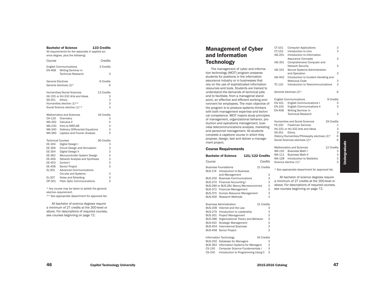|                                                                                                                    | טטוטוטו טו טעוטווע<br>All requirements for the associate in applied sci-<br>ence degree, plus the following:                                                                                                                                                     |                                                              |
|--------------------------------------------------------------------------------------------------------------------|------------------------------------------------------------------------------------------------------------------------------------------------------------------------------------------------------------------------------------------------------------------|--------------------------------------------------------------|
| Course                                                                                                             |                                                                                                                                                                                                                                                                  | Credits                                                      |
| <b>EN-408</b>                                                                                                      | <b>English Communications</b><br>Writing Seminar in<br><b>Technical Research</b>                                                                                                                                                                                 | 3 Credits<br>3                                               |
| <b>General Electives</b>                                                                                           | General electives (2)*                                                                                                                                                                                                                                           | 6 Credits<br>6                                               |
| SS-351                                                                                                             | Humanities/Social Sciences<br>HU-331 or HU-332 Arts and Ideas<br>Ethics<br>Humanities elective (1)**<br>Social Science elective (1)**                                                                                                                            | 12 Credits<br>3<br>3<br>3<br>3                               |
| CH-120<br>MA-262<br>MA-230<br>MA-340<br>MA-360                                                                     | <b>Mathematics and Sciences</b><br>Chemistry<br>Calculus II<br>Intro to MATLAB<br><b>Ordinary Differential Equations</b><br>Laplace and Fourier Analysis                                                                                                         | 16 Credits<br>3<br>4<br>3<br>3<br>3                          |
| <b>Technical Courses</b><br>EE-304<br>EE-309<br>EE-354<br>EE-362<br>EE-409<br>EE-453<br>EE-458<br>EL-301<br>EL-307 | Digital Design I<br>Circuit Design and Simulation<br>Digital Design II<br>Microcontroller System Design<br>Network Analysis and Synthesis<br>Control I<br>Senior Project<br><b>Advanced Communications</b><br><b>Circuits and Systems</b><br>Noise and Shielding | 36 Credits<br>3<br>3<br>3<br>3<br>3<br>3<br>3<br>3<br>3<br>3 |
| OP-301                                                                                                             | <b>Fiber Optic Communications</b><br>* Any course may be taken to satisfy the general<br>elective requirement.<br>** See appropriate department for approved list.                                                                                               |                                                              |

Bachelor of Science 133 Credits

All bachelor of science degrees require a minimum of 27 credits at the 300-level or above. For descriptions of required courses, see courses beginning on page 72.

## Management of Cyber and Information **Technology**

The management of cyber and informa tion technology (MCIT) program prepares students for positions in the information assurance industry or in businesses that rely on the use of sophisticated information resources and tools. Students are trained to understand the demands of technical jobs and to facilitate, from a managerial stand point, an effective and efficient working envi ronment for employees. The main objective of the program is to produce systems thinkers with both management expertise and techni cal competence. MCIT majors study principles of management, organizational behavior, pro duction and operations management, busi ness telecommunications analysis, marketing and personnel management. All students complete a capstone course in which they propose, design, test and deliver a manage ment project.

|  | <b>Course Requirements</b> |  |
|--|----------------------------|--|
|--|----------------------------|--|

|                | <b>Bachelor of Science</b>                 | <b>121/122 Credits</b> |         |
|----------------|--------------------------------------------|------------------------|---------|
| Course         |                                            |                        | Credits |
|                | <b>Business Foundations</b>                | 21 Credits             |         |
| BUS-174        | Introduction to Business<br>and Management |                        | 3       |
| <b>BUS-200</b> | <b>Business Communications</b>             |                        | 3       |
| BUS-270        | <b>Financial Accounting I</b>              |                        | 3       |
|                | BUS-280 or BUS-281 Macro/Microeconomics    |                        | 3       |
| BUS-372        | <b>Financial Management</b>                |                        | 3       |
| <b>BUS-375</b> | Human Resource Management                  |                        | 3       |
| BUS-400        | Research Methods                           |                        | 3       |
|                | <b>Business Administration</b>             | 21 Credits             |         |
| <b>BUS-208</b> | Internet and the Law                       |                        | 3       |
| BUS-279        | Introduction to Leadership                 |                        | 3       |
| <b>BUS-301</b> | <b>Project Management</b>                  |                        | 3       |
| <b>BUS-386</b> | Organizational Theory and Behavior         |                        | 3       |
| <b>BUS-410</b> | Strategic Management                       |                        | 3       |
| <b>BUS-454</b> | International Business                     |                        | 3       |
| <b>BUS-458</b> | Senior Project                             |                        | 3       |

Information Technology 34 Credits

CS-150 Introduction to Programming Using C 3

BUS-362 Information Systems for Managers

CS-130 Computer Science Fundamentals I

BUS-250 Database for Managers

CT-101 Computer Applications<br>CT-152 Introduction to Unix 3 Introduction to Unix 3 IAE-201 Introduction to Information Assurance Concepts 3 IAE-301 Comprehensive Computer and Network Security 3 IAE-315 Secure Systems Administration and Operation 3 IAE-402 Introduction to Incident Handling and Malicious Code 3 TC-110 Introduction to Telecommunications 3 General electives (2)\* 6 English Communications 9 Credits EN-101 English Communications I 3 EN-102 English Communications II<br>EN-408 Writing Seminar in 3 Writing Seminar in Technical Research 3 Humanities and Social Sciences 19 Credits FS-100 Freshman Seminar 1 HU-331 or HU-332 Arts and Ideas 3 SS-351 Ethics 3 History/Humanities/Philosophy electives (2)\* 6 Social Sciences electives (2)\* 6 Mathematics and Sciences 12 Credits MA-110 Business Math I 3 MA-111 Business Math II 3 MA-128 Introduction to Statistics 3 Science elective (1)\* 3 \* See appropriate department for approved list.

All bachelor of science degrees require a minimum of 27 credits at the 300-level or above. For descriptions of required courses, see courses beginning on page 72.

3

3

3

Undergraduate

**Undergraduate**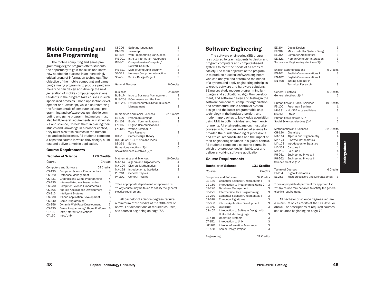## Mobile Computing and Game Programming

The mobile computing and game programming degree program offers students the opportunity to gain the skills and knowhow needed for success in an increasingly critical arena of information technology. The objective of the mobile computing and game programming program is to produce programmers who can design and develop the next generation of mobile computer applications. Students in the program take courses in such specialized areas as iPhone application development and Javascript, while also reinforcing the fundamentals of computer science, programming and software design. Mobile computing and game programming majors must also fulfill general requirements in mathematics and science,. To help them in placing their studies and knowledge in a broader context, they must also take courses in the humanities and social science. All students complete a capstone course in which they design, build, test and deliver a mobile application.

#### Course Requirements

|                                                          | <b>126 Credits</b><br><b>Bachelor of Science</b>                                                                                                                    |                            |                                      | Mathematics and Sciences                                                                                                                          |
|----------------------------------------------------------|---------------------------------------------------------------------------------------------------------------------------------------------------------------------|----------------------------|--------------------------------------|---------------------------------------------------------------------------------------------------------------------------------------------------|
| Course                                                   | Credits                                                                                                                                                             |                            | MA-114                               | Algebra and Trigonometry                                                                                                                          |
| CS-130<br>CS-220<br>CS-431                               | <b>Computers and Software</b><br>64 Credits<br>Computer Science Fundamentals I<br>Database Management<br>Graphics and Game Programming                              | 4<br>3<br>4                | MA-124<br>MA-128<br>PH-201<br>PH-202 | Discrete Mathematics<br>Introduction to Statistics<br>General Physics I<br><b>General Physics II</b>                                              |
| CS-225<br>CS-230<br>CS-305<br>CS-316                     | Intermediate Java Programming<br><b>Computer Science Fundamentals II</b><br><b>Android Applications Development</b><br><b>Intelligent Systems</b>                   | 3<br>3<br>3<br>3           |                                      | * See appropriate department for appro<br>** Any course may be taken to satisfy t<br>elective requirement.                                        |
| CS-330<br>CS-340<br>CS-356<br>CS-430<br>CT-102<br>CT-152 | iPhone Application Development<br>Game Programming<br>Dynamic Web Page Development<br>Game Programming/iPhone Platform<br>Intro/Internet Applications<br>Intro/Unix | 3<br>3<br>3<br>3<br>3<br>3 |                                      | All bachelor of science degrees<br>a minimum of 27 credits at the 300<br>above. For descriptions of required<br>see courses beginning on page 72. |

| CT-206                   | Scripting languages                               | З          |
|--------------------------|---------------------------------------------------|------------|
| CT-376                   | Javascript                                        | 3          |
| CS-406                   | Web Programming Languages                         | 3          |
| <b>IAE-201</b>           | Intro to Information Assurance                    | 3          |
| IAE-301                  | Comprehensive Computer/                           |            |
|                          | Network Security                                  | 3          |
| IAE-311                  | <b>Mobile Computing Security</b>                  | 3          |
| SE-321                   | Hunman Computer Interaction                       | 3          |
| <b>SE-458</b>            | Senior Design Project                             | 3          |
|                          |                                                   |            |
| <b>General Electives</b> |                                                   | 6 Credits  |
| <b>Business</b>          |                                                   | 9 Credits  |
| <b>BUS-174</b>           | Intro to Business Management                      | 3          |
| <b>BUS-208</b>           | E-Commerce and the Law                            | 3          |
| <b>BUS-289</b>           | Entrepreneurship/Small Business                   |            |
|                          | Management                                        | 3          |
|                          |                                                   |            |
|                          | <b>Humanities and Social Sciences</b>             | 31 Credits |
| FS-100                   | Freshman Seminar                                  | 1          |
| EN-101                   | <b>English Communications I</b>                   | 3          |
| EN-102                   | <b>English Communications II</b>                  | 3          |
| <b>EN-408</b>            | Writing Seminar in                                |            |
|                          | <b>Tech Research</b>                              | 3          |
| HU-210                   | <b>Game Design Theory</b>                         | 3          |
|                          | HU-331 or HU-332 Arts and Ideas                   | 3          |
| SS-351                   | <b>Ethics</b>                                     | 3          |
|                          | Humanities electives (2)*                         | 6          |
|                          | Social Sciences electives (2)*                    | 6          |
|                          | <b>Mathematics and Sciences</b>                   | 16 Credits |
| MA-114                   | Algebra and Trigonometry                          | 4          |
| MA-124                   | <b>Discrete Mathematics</b>                       | 3          |
| MA-128                   | Introduction to Statistics                        | 3          |
| PH-201                   | <b>General Physics I</b>                          | 3          |
| PH-202                   | <b>General Physics II</b>                         | 3          |
|                          | * See appropriate department for approved list.   |            |
|                          | ** Any course may be taken to satisfy the general |            |
|                          | elective requirement.                             |            |
|                          | All bachelor of science degrees require           |            |
|                          | a minimum of 27 credits at the 300-level or       |            |
|                          | above. For descriptions of required courses,      |            |
|                          |                                                   |            |

## Software Engineering

The software engineering (SE) program is structured to teach students to design and program computers and computer-based systems to meet the needs of all areas of society. The main objective of the program is to produce practical software engineers who can analyze and determine the needs of a system and apply engineering principles to create software and hardware solutions. SE majors study modern programming languages and applications, algorithm development, and software design and testing in the software component, computer organization and architecture, micro-controller system design and the latest programmable chip technology in the hardware portion, and modern approaches to knowledge acquisition using UML in both individual and team environments. All engineering majors must take courses in humanities and social science to broaden their understanding of professional and ethical responsibilities and the impact of their engineering solutions in a global context. All students complete a capstone course in which they propose, design, build, test and deliver a working software application.

#### Course Requirements

|                | <b>Bachelor of Science</b>             | 131 Credits |   |         |
|----------------|----------------------------------------|-------------|---|---------|
| Course         |                                        | Credits     |   | Τ<br>E  |
|                | <b>Computers and Software</b>          | 37 Credits  |   | E       |
| CS-130         | <b>Computer Science Fundamentals I</b> |             | 4 |         |
| CS-150         | Introduction to Programming Using C    |             | 3 | $\star$ |
| CS-220         | Database Management                    |             | 3 | $\star$ |
| CS-225         | Intermediate Java Programming          |             | 3 | e       |
| CS-230         | Computer Science Fundamentals II       |             | 3 |         |
| CS-310         | <b>Computer Algorithms</b>             |             | 3 |         |
| CS-330         | iPhone Application Development         |             | 3 | a       |
| CS-376         | Javascript                             |             | 3 | a       |
| CS-405         | Introduction to Software Design with   |             |   | S       |
|                | Unified Model Language                 |             | 3 |         |
| CS-418         | <b>Operating Systems</b>               |             | 3 |         |
| CT-152         | Introduction to Unix                   |             | 3 |         |
| <b>IAE-201</b> | Intro to Information Assurance         |             | 3 |         |
| SE-458         | Senior Design Project                  |             | 3 |         |
|                |                                        |             |   |         |

Engineering 21 Credits

| EE-304<br>EE-362<br>EE-364<br>SE-321                                         | Digital Design I<br>Microcontroller System Design<br><b>Computer Architecture</b><br>Human Computer Interaction<br>Software or Engineering electives (2)*                                                                                             | 3<br>3<br>3<br>3<br>6                                                          |
|------------------------------------------------------------------------------|-------------------------------------------------------------------------------------------------------------------------------------------------------------------------------------------------------------------------------------------------------|--------------------------------------------------------------------------------|
| EN-101<br>EN-102<br><b>EN-408</b>                                            | <b>English Communications</b><br><b>English Communications I</b><br><b>English Communications II</b><br>Writing Seminar in<br><b>Technical Research</b>                                                                                               | 9 Credits<br>3<br>3<br>3                                                       |
| <b>General Electives</b>                                                     | General electives (2)**                                                                                                                                                                                                                               | 6 Credits<br>6                                                                 |
| FS-100<br>SS-351                                                             | Humanities and Social Sciences<br>Freshman Seminar<br>HU-331 or HU-332 Arts and Ideas<br>Ethics<br>Humanities electives (2)*<br>Social Sciences electives (2)*                                                                                        | 19 Credits<br>1<br>3<br>3<br>6<br>6                                            |
| CH-120<br>MA-114<br>MA-124<br>MA-128<br>MA-261<br>MA-262<br>PH-261<br>PH-262 | Mathematics and Sciences<br>Chemistry<br>Algebra and Trigonometry<br><b>Discrete Mathematics</b><br>Introduction to Statistics<br>Calculus I<br>Calculus II<br><b>Engineering Physics I</b><br><b>Engineering Physics II</b><br>Science elective (1)* | 32 Credits<br>3<br>4<br>3<br>3<br>$\overline{\mathcal{L}}$<br>4<br>4<br>4<br>3 |
| <b>Technical Courses</b><br>EL-204                                           | <b>Digital Electronics</b>                                                                                                                                                                                                                            | 6 Credits<br>3                                                                 |

|                                            | 3 |
|--------------------------------------------|---|
| cience elective (1)*                       |   |
| 6 Credits<br>echnical Courses              |   |
| L-204<br>Digital Electronics               | 3 |
| Microprocessors and Microassembly<br>L-262 | 3 |
|                                            |   |

Undergraduate

**Undergraduate** 

See appropriate department for approved list. \* Any course may be taken to satisfy the general lective requirement.

All bachelor of science degrees require a minimum of 27 credits at the 300-level or above. For descriptions of required courses, see courses beginning on page 72.

48 Capitol Technology University **2015-2016** Catalog 2015-2016 Catalog 2015-2016 Catalog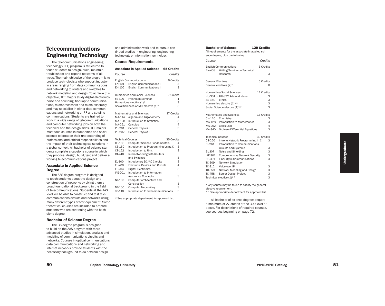## **Telecommunications** Engineering Technology

The telecommunications engineering technology (TET) program is structured to teach students to design, build, maintain, troubleshoot and expand networks of all types. The main objective of the program is to produce technologists who support industry in areas ranging from data communications and networking to routers and switches to network modeling and design. To achieve this objective, TET majors study digital electronics, noise and shielding, fiber-optic communica tions, microprocessors and micro assembly, and may specialize in either data communi cations and networking or RF and satellite communications. Students are trained to work in a wide range of telecommunications and computer networking jobs on both the technical and the design sides. TET majors must take courses in humanities and social science to broaden their understanding of professional and ethical responsibilities and the impact of their technological solutions in a global context. All bachelor of science stu dents complete a capstone course in which they propose, design, build, test and deliver a working telecommunications project.

#### Associate in Applied Science Degree

The AAS degree program is designed to teach students about the design and construction of networks by giving them a broad foundational background in the field of telecommunications. Students at the AAS level will be able to construct and test tele communications circuits and networks using many different types of test equipment. Some theoretical courses are included to prepare students who are continuing with the bach elor's degree .

#### Bachelor of Science Degree

The BS degree program is designed to build on the AAS program with more advanced studies in simulation, analysis and modeling of communications circuits and networks. Courses in optical communications, data communications and networking and Internet networks provide students with the necessary background to do network design

and administration work and to pursue con tinued studies in engineering, engineering technology or information technology.

#### Course Requirements

| <b>Associate in Applied Science</b>                                                                                                                      | <b>65 Credits</b>                                                                                                                        |
|----------------------------------------------------------------------------------------------------------------------------------------------------------|------------------------------------------------------------------------------------------------------------------------------------------|
| Course                                                                                                                                                   | Credits                                                                                                                                  |
| <b>English Communications</b><br>EN-101 English Communications I<br>EN-102                                                                               | 6 Credits<br>3<br>3<br><b>English Communications II</b>                                                                                  |
| <b>Humanities and Social Sciences</b><br>Freshman Seminar<br>FS-100<br>Humanities elective (1)*<br>Social Sciences or MIT elective (1)*                  | 7 Credits<br>1<br>3<br>3                                                                                                                 |
| <b>Mathematics and Sciences</b><br>MA-114<br>MA-128<br>MA-261<br>Calculus I<br>PH-201<br><b>General Physics I</b><br><b>General Physics II</b><br>PH-202 | 17 Credits<br>Algebra and Trigonometry<br>4<br>Introduction to Statistics<br>3<br>4<br>3<br>3                                            |
| <b>Technical Courses</b><br>CS-130<br>CS-150<br>CT-152<br>Introduction to Unix<br>CT-240                                                                 | 35 Credits<br><b>Computer Science Fundamentals</b><br>4<br>3<br>Introduction to Programming Using C<br>3<br>Internetworking with Routers |
| and Switches<br>EL-100<br>EL-200<br>EL-204<br><b>Digital Electronics</b><br><b>IAE-201</b>                                                               | 3<br>3<br>Introductory DC/AC Circuits<br>4<br><b>Electronic Devices and Circuits</b><br>3<br>Introduction to Information                 |
| <b>Assurance Concepts</b><br>NT-100<br>Construction                                                                                                      | 3<br>Computer Architecture and<br>3                                                                                                      |
| NT-150<br><b>Computer Networking</b><br>TC-110                                                                                                           | 3<br>3<br>Introduction to Telecommunications                                                                                             |

\* See appropriate department for approved list.

| <b>Bachelor of Science</b><br><b>129 Credits</b><br>All requirements for the associate in applied sci-<br>ence degree, plus the following: |                                                                                                                                              |                                |  |
|--------------------------------------------------------------------------------------------------------------------------------------------|----------------------------------------------------------------------------------------------------------------------------------------------|--------------------------------|--|
| Course                                                                                                                                     |                                                                                                                                              | Credits                        |  |
| EN-408                                                                                                                                     | <b>English Communications</b><br>Writing Seminar in Technical<br>Research                                                                    | 3 Credits<br>3                 |  |
| General Electives                                                                                                                          | General electives (2)*                                                                                                                       | 6 Credits<br>6                 |  |
| SS-351                                                                                                                                     | <b>Humanities/Social Sciences</b><br>HU-331 or HU-332 Arts and Ideas<br>Ethics<br>Humanities elective (1)**<br>Social Science elective (1)** | 12 Credits<br>3<br>3<br>3<br>3 |  |
| CH-120<br>MA 128<br>MA-262<br>MA-340                                                                                                       | <b>Mathematics and Sciences</b><br>Chemistry<br>Introduction to Mathematics<br>Calculus II<br><b>Ordinary Differential Equations</b>         | 13 Credits<br>3<br>3<br>4<br>3 |  |
| <b>Technical Courses</b><br>CS-250<br>EL-261                                                                                               | Intro to Network Programming in C<br>Introduction to Communications                                                                          | 30 Credits<br>3                |  |
| EL-307<br><b>IAE-301</b><br>OP-301                                                                                                         | <b>Circuits and Systems</b><br>Noise and Shielding<br><b>Comprehensive Network Security</b><br><b>Fiber Optic Communications</b>             | 3<br>3<br>3<br>3               |  |
| TC-309<br>TC-312<br>TC-458                                                                                                                 | <b>Network Simulation</b><br>Voice over IP<br>TC-359 Network Modeling and Design<br>Senior Design Project<br>Technical elective (1)**        | 3<br>3<br>3<br>3               |  |

\* Any course may be taken to satisfy the general elective requirement.

\*\* See appropriate department for approved list.

All bachelor of science degrees require a minimum of 27 credits at the 300-level or above. For descriptions of required courses, see courses beginning on page 72.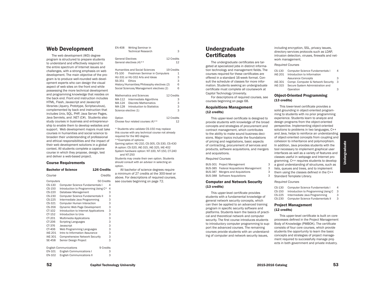## Web Development

The web development (WD) degree program is structured to prepare students to understand and effectively respond to the entire spectrum of Internet issues and challenges, with a strong emphasis on web development. The main objective of the program is to produce well-rounded web development experts who can design the visual aspect of web sites on the front end while possessing the more technical development and programming knowledge that resides on the back end. Front end instruction includes HTML, Flash, Javascript and Javascript libraries (Jquery, Prototype, Scriptaculous), complemented by back end instruction that includes Unix, SQL, PHP, Java Server Pages, Java Servlets, and .NET (C#). Students also study courses in business and entrepreneurship to enable them to develop websites and support. Web development majors must take courses in humanities and social science to broaden their understanding of professional and ethical responsibilities and the impact of their web development solutions in a global context. All students complete a capstone course in which they propose, design, test and deliver a web-based project.

#### Course Requirements

|                | DACIICIUI UI SCIEIICE<br>TZO PIENIIS       |         |
|----------------|--------------------------------------------|---------|
| Course         |                                            | Credits |
| Computers      | 50 Credits                                 |         |
| CS-130         | Computer Science Fundamentals I            | 4       |
| CS-150         | Introduction to Programming Using C*       | 4       |
| CS-220         | Database Management                        | 3       |
| CS-230         | <b>Computer Science Fundamentals II</b>    | 3       |
| CS-225         | Intermediate Java Programming              | 3       |
| CS-321         | <b>Computer Human Interaction</b>          | 3       |
| CS-356         | Dynamic Web Page Development               | 3       |
| CT-102         | Introduction to Internet Applications      | 3       |
| CT-152         | Introduction to Unix                       | 3       |
| CT-201         | Multimedia Applications                    | 3       |
| CT-206         | <b>Scripting Languages</b>                 | 3       |
| CT-376         | Javascript                                 | 3       |
| CT-406         | Web Programming Languages                  | 3       |
| <b>IAE-201</b> | Intro to Information Assurance             | 3       |
| <b>IAE-301</b> | <b>Comprehensive Network Security</b>      | 3       |
| <b>SE-458</b>  | Senior Design Project                      | 3       |
|                |                                            |         |
|                | <b>English Communications</b><br>9 Credits |         |
| EN-101         | <b>English Communications I</b>            | 3       |
| EN-102         | <b>English Communications II</b>           | 3       |
|                |                                            |         |

Bachelor of Science 126 Credits

| <b>EN-408</b>            | Writing Seminar in<br><b>Technical Research</b> |            | 3            |
|--------------------------|-------------------------------------------------|------------|--------------|
| <b>General Electives</b> |                                                 | 12 Credits |              |
|                          | General electives $(4)$ **                      |            | 12           |
|                          | <b>Humanities and Social Sciences</b>           | 19 Credits |              |
| FS-100                   | Freshman Seminar in Computers                   |            | $\mathbf{1}$ |
|                          | HU-331 or HU-332 Arts and Ideas                 |            | 3            |
| SS-351                   | Ethics                                          |            | 3            |
|                          | History/Humanities/Philosophy electives (2)     |            | 6            |
|                          | Social Sciences/Management electives (2)        |            | 6            |
|                          | <b>Mathematics and Sciences</b>                 | 12 Credits |              |
| MA-112                   | Intermediate Algorithms                         |            | 3            |
|                          | MA-124 Discrete Mathematics                     |            | 3            |
| MA-128                   | Introduction to Statistics                      |            | 3            |
| Science elective (1)     |                                                 |            | 3            |
| Option                   |                                                 | 12 Credits |              |
|                          | Choose four related courses $(4)$ **            |            | 12           |
|                          |                                                 |            |              |

\* Students who validate CS-150 may replace this course with any technical course not already required for the WD degree. \*\*Examples of options: Gaming option: HU-210, CS-305, CS-330, CS-430 IA option: CS-320, IAE-315, IAE-325, IAE-402 System hardware option: NT-100, NT-150, CT-240 and NT-250

Students may create their own option. Students should consult with an advisor in selecting an option.

All bachelor of science degrees require a minimum of 27 credits at the 300-level or above. For descriptions of required courses, see courses beginning on page 72.

## Undergraduate **Certificates**

The undergraduate certificates are targeted at specialized jobs in distinct information technology and management fields. The courses required for these certificates are offered in a standard 16-week format. Consult the schedule of classes for more information. Students seeking an undergraduate certificate must complete all coursework at Capitol Technology University.

For descriptions of required courses, see courses beginning on page 68.

#### Acquisitions Management (12 credits)

This upper-level certificate is designed to provide students with knowledge of the broad concepts and strategies of procurement and contract management, which contributes to the ability to make sound business decisions. Major topics include the foundations of pricing and negotiations, basic aspects of contracting, procurement of services and products, software acquisitions, and mergers and acquisitions.

#### *Required Courses*

BUS-301 Project Management 3 BUS-385 Federal Acquisitions Management 3 BUS-387 Mergers and Acquisitions 3 BUS-388 Software Acquisitions

#### Computer and Network Security (13 credits)

This upper-level certificate provides students with a fundamental knowledge of general network security concepts, which can then be applied to an advanced training program in specific security software and platforms. Students learn the basics of practical and theoretical network and computer security. The first course introduces students to introductory computer programming to support the advanced courses. The remaining courses provide students with an understanding of computer and network security issues,

including encryption, SSL, privacy issues, directory services protocols such as LDAP, intrusion detection, viruses, firewalls and network management.

#### *Required Courses*

| CS-130  | Computer Science Fundamentals I    |   |
|---------|------------------------------------|---|
| IAE-201 | Introduction to Information        |   |
|         | <b>Assurance Concepts</b>          | 3 |
| IAE-301 | Compr. Computer & Network Security | 3 |
| IAE-315 | Secure System Administration and   |   |
|         | Operation                          | З |
|         |                                    |   |

#### Object-Oriented Programming (13 credits)

This lower-level certificate provides a solid grounding in object-oriented programming to students with no prior programming experience. Students learn to analyze and design programs from the object-oriented perspective. Implementing object-oriented solutions to problems in two languages, C++ and Java, helps to reinforce an understanding of object-oriented concepts from coupling and cohesion to inheritance and polymorphism. In addition, Java provides students with the tool necessary to implement graphical user interfaces as well as a variety of features and classes useful in webpage and Internet programming. C++ requires students to develop a good understanding of structures, such as lists, queues and trees, and to implement them using the classes defined in the C++ 3 Standard Template Library.

#### *Required Courses*

| CS-130 | Computer Science Fundamentals I     | 4 |
|--------|-------------------------------------|---|
| CS-150 | Introduction to Programming Using C | З |
| CS-225 | Intermediate Java Programming       | 3 |

CS-230 Computer Science Fundamentals II 3

#### Project Management (12 credits)

This upper-level certificate is built on core processes defined in the Project Management Body of Knowledge (PMBOK). The certificate consists of four core courses, which provide students the opportunity to learn the basic concepts and strategies of project management required to successfully manage projects in both government and private industry.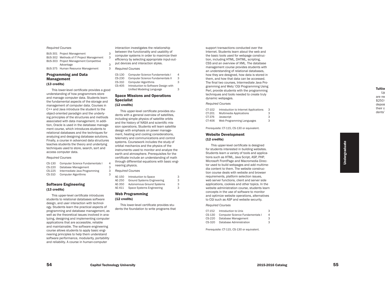#### *Required Courses*

| BUS-301 Project Management               | З |
|------------------------------------------|---|
| BUS-302 Methods of IT Project Management | 3 |
| BUS-303 Project Management Competitive   |   |
| Advantage                                | 3 |
| BUS-375 Human Resource Management        | З |

#### Programming and Data Management (13 credits)

This lower-level certificate provides a good understanding of how programmers store and manage computer data. Students learn the fundamental aspects of the storage and management of computer data. Courses in C++ and Java introduce the student to the object-oriented paradigm and the underly ing principles of the structures and methods associated with data management. In addi tion, Oracle is used in the database manage ment course, which introduces students to relational databases and the techniques for analyzing and designing database solutions. Finally, a course in advanced data structures teaches students the theory and underlying techniques used to store, search, sort and access computer data.

#### *Required Courses*

| $CS-130$ | Computer Science Fundamentals I |
|----------|---------------------------------|
| $CS-220$ | Database Management             |
| $CS-225$ | Intermediate Java Programming   |
| $CS-310$ | <b>Computer Algorithms</b>      |

#### Software Engineering (13 credits)

This upper-level certificate introduces students to relational databases software design, and user interaction with technol ogy. Students learn the practical aspects of programming and database management, as well as the theoretical issues involved in ana lyzing, designing and implementing computer applications that are accessible, reliable and maintainable. The software engineering course allows students to apply basic engi neering principles to help them understand software performance, modularity, portability and reliability. A course in human-computer

interaction investigates the relationship between the functionality and usability of computer systems in order to maximize their

3 efficiency by selecting appropriate input-out put devices and interaction styles.

#### *Required Courses*

4

3

3

3

| CS-130 | Computer Science Fundamentals I      | 4 |
|--------|--------------------------------------|---|
| CS-230 | Computer Science Fundamentals II     | 3 |
| CS-310 | <b>Computer Algorithms</b>           | 3 |
| CS-405 | Introduction to Software Design with |   |
|        | Unified Modeling Language            | 3 |
|        |                                      |   |

## Space Missions and Operations Specialist

#### (12 credits)

This upper-level certificate provides stu dents with a general overview of satellites, including simple physics of satellite orbits and the history of NASA and scientific mis sion operations. Students will learn satellite design with emphasis on power manage ment, heating and cooling considerations, telemetry and communications and control systems. Coursework includes the study of orbital mechanics and the physics of the instruments used to monitor and analyze the earth and atmosphere. Prerequisites for the certificate include an understanding of math through differential equations with basic engi neering physics.

#### *Required Courses*

| AE-150 | Introduction to Space             | З |
|--------|-----------------------------------|---|
| AE-250 | <b>Ground Systems Engineering</b> | З |
| AE-350 | <b>Autonomous Ground Systems</b>  | З |
| AE-411 | Space Systems Engineering         | З |

#### Web Programming (12 credits)

This lower-level certificate provides stu dents the foundation to write programs that support transactions conducted over the Internet. Students learn about the web and the basic tools used for webpage construc tion, including HTML, DHTML, scripting, CSS and an overview of XML. The database management course provides students with an understanding of relational databases, how they are designed, how data is stored in them, and how that data can be accessed. The final two courses, Intermediate Java Pro gramming and Web/ CGI Programming Using Perl, provide students with the programming techniques and tools needed to create truly dynamic webpages.

#### *Required Courses*

| CT-102 | Introduction to Internet Applications | 3 |
|--------|---------------------------------------|---|
| CT-201 | <b>Multimedia Applications</b>        | З |
| CT-376 | Javascript                            | З |
| CT-406 | Web Programming Languages             | 3 |

Prerequisite: CT-115, CS-130 or equivalent.

#### Website Development (12 credits)

This upper-level certificate is designed for students interested in building websites. Students learn a variety of tools and applica tions such as HTML, Java Script, ASP, PHP, Microsoft FrontPage and Macromedia Direc tor used to build webpages and add multime dia content to them. The website construc tion course deals with website and browser requirements, platform selection issues, web server functions, client and server side applications, cookies and other topics. In the website administration course, students learn concepts in the use of software to monitor and optimize website operations, alternatives to CGI such as ASP and website security.

#### *Required Courses*

| CT-152 | Introduction to Unix            | 3 |
|--------|---------------------------------|---|
| CS-130 | Computer Science Fundamentals I | 4 |
| CS-220 | Database Management             | 3 |
| CS-320 | Database Administration         | 3 |
|        |                                 |   |

Prerequisite: CT-115, CS-130 or equivalent.

**Undergraduate** Undergraduate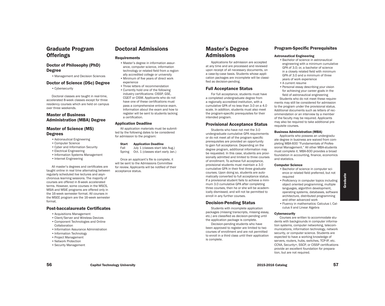## Graduate Program **Offerings**

## Doctor of Philosophy (PhD) Degree

•Management and Decision Sciences

#### Doctor of Science (DSc) Degree

•Cybersecurity

Doctoral classes are taught in real-time, accelerated 8-week classes except for three residency courses which are held on campus over three weekends.

## Master of Business Administration (MBA) Degree

#### Master of Science (MS) **Degrees**

- •Astronautical Engineering
- •Computer Science
- •Cyber and Information Security
- •Electrical Engineering
- •Information Systems Management
- •Internet Engineering

All master's degrees and certificates are taught online in real time alternating between regularly scheduled live lectures and asynchronous learning sessions. The majority of courses are offered in 8-week accelerated terms. However, some courses in the MSCS, MSIA and MSIE programs are offered only in the 16-week semester format. All courses in the MSEE program are the 16-week semester format.

#### Post-baccalaureate Certificates

- •Acquisitions Management
- •Client/Server and Wireless Devices
- •Component Technologies and Online Collaboration
- •Information Assurance Administration
- •Information Technology
- •Project Management
- •Network Protection
- •Security Management

## Doctoral Admissions

#### **Requirements**

•Master's degree in information assurance, computer science, information technology or related field from a regionally accredited college or university

- •Minimum of five years of direct work experience
- •Three letters of recommendation •Currently hold one of the following industry certifications: CISSP, GSE, CGEIT or CISM. Applicants who do not have one of these certifications must pass a comprehensive entrance exam. Information about the exam and how to register will be sent to students lacking a certification.

#### Application Deadline

All application materials must be submitted by the following dates to be considered for admission to the program:

#### Start Application Deadline

Fall July 1 (classes start late Aug.) Spring Oct. 1 (classes start early Jan.)

Once an applicant's file is complete, it will be sent to the Admissions Committee for review. Applicants will be notified of their acceptance status.

## Master's Degree Admissions

Applications for admission are accepted at any time and are processed and reviewed upon receipt of all necessary documents, on a case-by-case basis. Students whose application packages are incomplete will be classified as decision-pending.

#### Full Acceptance Status

For full acceptance, students must have a completed undergraduate degree from a regionally accredited institution, with a cumulative GPA of no less than 3.0 on a 4.0 scale. In addition, students must also meet the program-specific prerequisites for their intended program.

#### Provisional Acceptance Status

Students who have not met the 3.0 undergraduate cumulative GPA requirements or do not meet all of the program specific prerequisites are provided an opportunity to gain full acceptance. Depending on the degree program, additional information may be requested. In this case, students are provisionally admitted and limited to three courses of enrollment. To achieve full acceptance, provisional students must maintain a 3.0 cumulative GPA in their first three graduate courses. Upon doing so, students are automatically converted to full acceptance status. If a provisional student fails to achieve a minimum 3.0 cumulative GPA after completing three courses, then he or she will be academically dismissed, and will not be permitted to enroll in any further courses.

#### Decision-Pending Status

Students with incomplete application packages (missing transcripts, missing essay, etc.) are classified as decision-pending until the application package is complete.

Decision-pending students who have been approved to register are limited to two courses of enrollment and are not permitted to enroll in a third class until their application is complete.

### Program-Specific Prerequisites

#### Astronautical Engineering

- •Bachelor of science in astronautical engineering with a minimum cumulative GPA of 3.0; or, a bachelor of science in a closely related field with minimum GPA of 3.0 and a minimum of three years of work experience
- •A current resume

• Personal essay describing your vision for achieving your career goals in the field of astronautical engineering Students who do not meet these requirements may still be considered for admission to the program under the provisional status. Additional documents such as letters of recommendation or an interview by a member of the faculty may be required. Applicants may also be required to take additional prerequisite courses.

#### Business Administration (MBA)

Applicants who possess an undergraduate degree in business are waived from completing MBA-600 "Fundamentals of Professional Management." All other MBA-students must complete it. MBA-600 provides a broad foundation in accounting, finance, economics and statistics.

#### Computer Science

- •Bachelor of science in computer science or related field preferred, but not required
- •Proficiency in computer topics including object oriented programming, multiple languages, algorithm development, operating systems, databases, software architecture, distributed programming and other advanced work
- •Fluency in mathematics: Calculus I, Calculus II and Linear Algebra

#### **Cybersecurity**

Courses are written to accommodate students with backgrounds in computer information systems, computer networking, telecommunications, information technology, network security, or computer science. Students are expected to have a working knowledge of servers, routers, hubs, switches, TCP-IP, etc. CCNA, Security+, SSCP, or CISSP certifications provide an excellent foundation for preparation, but are not required.

Graduate Graduate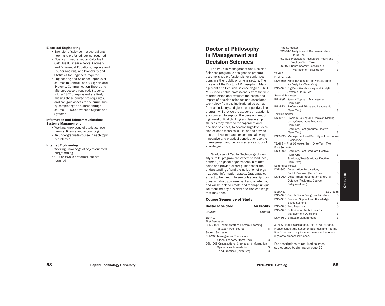#### Electrical Engineering

- •Bachelor of science in electrical engi neering is preferred, but not required •Fluency in mathematics: Calculus I, Calculus II, Linear Algebra, Ordinary and Differential Equations, Laplace and Fourier Analysis, and Probability and
- Statistics for Engineers required •Engineering and Science: upper level courses in Control Theory, Signals and Systems, Communication Theory and Microprocessors required. Students with a BSET or equivalent are likely missing these course pre-requisites, and can gain access to the curriculum by completing the summer bridge course, EE-500 Advanced Signals and Systems

#### Information and Telecommunications Systems Management

- •Working knowledge of statistics, eco nomics, finance and accounting •An undergraduate course in each topic
- is preferred

#### Internet Engineering

- •Working knowledge of object-oriented programming
- •C++ or Java is preferred, but not required

## Doctor of Philosophy in Management and Decision Sciences

The Ph.D. in Management and Decision Sciences program is designed to prepare accomplished professionals for senior posi tions in either public or private sectors. The mission of the Doctor of Philosophy in Man agement and Decision Science degree (Ph.D. MDS) is to enable professionals from the field to understand and evaluate the scope and impact of decision sciences and associated technology from the institutional as well as from an industry and global perspective. The program will provide the student an academic environment to support the development of high-level critical thinking and leadership skills as they relate to management and decision sciences, to develop high-level deci sion science technical skills, and to provide doctoral level research experience allowing innovative and practical contributions to the management and decision sciences body of knowledge.

Graduates of Capitol Technology Univer sity's Ph.D. program can expect to lead local, national, or global organizations in related fields and provide expert guidance for the understanding of and the utilization of orga nizational information assets. Graduates can expect to be hired into senior leadership posi tions in industry, government and academia, and will be able to create and manage unique solutions for any business decision challenge that may arise.

#### Course Sequence of Study

| <b>Doctor of Science</b>                      | <b>54 Credits</b> |   | <b>DSM</b>   |
|-----------------------------------------------|-------------------|---|--------------|
| Course                                        | Credits           |   | <b>DSM</b>   |
| YEAR 1<br><b>First Semester</b>               |                   |   | <b>DSM</b>   |
| DSM-802 Fundamentals of Doctoral Learning     |                   |   | As ne        |
| (Sixteen week course)                         |                   | 6 | <b>Pleas</b> |
| Second Semester                               |                   |   | tion !       |
| PHL-900 Management Theory in a                |                   |   | ings         |
| Global Economy (Term One)                     |                   | 3 |              |
| DSM-905 Organizational Change and Information |                   |   | For o        |
| Systems Implementation                        |                   | 3 | see          |
| and Practice I (Term Two)                     |                   | 3 |              |
|                                               |                   |   |              |

#### Third Semester DSM-910 Analytics and Decision Analysis (Term One) 3 RSC-811 Professional Research Theory and Practice (Term Two) 3 RSC-821 Contemporary Research in Management (Residency) 3 YEAR 2 First Semester DSM-915 Applied Statistics and Visualization for Analytics (Term One) 3 DSM-920 Big Data Warehousing and Analytic Systems (Term Two) 3 Second Semester PHL-880 Special Topics in Management (Term One) 3 PHL-813 Professional Ethics and Leadership (Term Two) 3 Third Semester RSC-815 Problem-Solving and Decision-Making Using Quantitative Methods (Term One) 3 Graduate/Post-graduate Elective (Term Two) 3 DSR-930 Management and Security of Information (Residency) 3 YEAR 3 – First 16 weeks/Term One/Term Two First Semester DSR-900 Graduate/Post-Graduate Elective (Term One) 3 Graduate/Post-Graduate Elective (Term Two) 3 Second Semester DSR-945 Dissertation Preparation, Part II: Proposal (Term One) 3 DSR-960 Dissertation Presentation and Oral Defense (Residency Course, 3-day weekend) 3 Electives 12 Credits DSM-925 Supply Chain Design and Analysis 3 DSM-935 Decision Support and Knowledge Based Systems 3 -940 Web Analytics 3 -945 Optimization Techniques for Management Decisions 3 -950 Strategic Management 3 ew electives are added, this list will expand.

Please consult the School of Business and Informa tion Sciences to inquire about new elective offer or to propose new ones.

descriptions of required courses, courses beginning on page 72.

Graduate

Graduate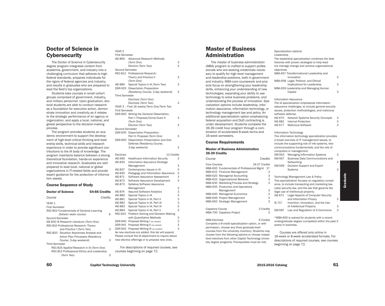## Doctor of Science in **Cybersecurity**

The Doctor of Science in Cybersecurity degree program integrates content from academia, government, and industry into a challenging curriculum that adheres to high federal standards, prepares individuals for the rigors of federal agencies and industry, and results in graduates who are prepared to lead the field's top organizations.

Students take courses in small cohort groups comprised of government, industry, and military personnel. Upon graduation, doctoral students are able to conduct research as a foundation for executive action, demonstrate innovation and creativity as it relates to the strategic performance of an agency or organization, and apply a local, national, and global perspective to the decision-making process.

The program provides students an academic environment to support the development of high-level critical thinking and leadership skills, technical skills and research experience in order to provide significant contributions to the IA body of knowledge. The program maintains balance between a strong theoretical foundation, hands-on experience and innovative research. Graduates are well prepared to lead local, national or global organizations in IT-related fields and provide expert guidance for the protection of information assets.

#### Course Sequence of Study

|                       | <b>Doctor of Science</b>                   | 54-66 Credits |   |  |
|-----------------------|--------------------------------------------|---------------|---|--|
| Course                |                                            | Credits       |   |  |
| YEAR 1                |                                            |               |   |  |
| <b>First Semester</b> |                                            |               |   |  |
|                       | RSC-802 Fundamentals of Doctoral Learning  |               |   |  |
|                       | (Sixteen week course)                      |               | 6 |  |
| Second Semester       |                                            |               |   |  |
|                       | IAE-830 IA Research Literature (Term One)  |               |   |  |
|                       | RSC-810 Professional Research: Theory      |               |   |  |
|                       | and Practice I (Term Two)                  |               | 3 |  |
|                       | RSC-820 Situation Awareness Analysis and   |               |   |  |
|                       | <b>Action Plan Processes (Residency</b>    |               |   |  |
|                       | Course, 3-day weekend)                     |               | 3 |  |
| <b>Third Semester</b> |                                            |               |   |  |
|                       | RSC-825 Applied Research in IA (Term One)  |               |   |  |
|                       | RSC-813 Professional Ethics and Leadership |               |   |  |
|                       | (Term Two)                                 |               | 3 |  |
|                       |                                            |               |   |  |

| <b>YEAR 2</b>                    |                                                                                                         |               |
|----------------------------------|---------------------------------------------------------------------------------------------------------|---------------|
| <b>First Semester</b>            |                                                                                                         |               |
| <b>IAE-860</b>                   | Advanced Research Methods                                                                               |               |
|                                  | (Term One)                                                                                              | 3             |
|                                  | Elective (Term Two)                                                                                     | 3             |
| Second Semester                  |                                                                                                         |               |
|                                  | RSC-812 Professional Research:                                                                          |               |
|                                  | Theory and Practice II                                                                                  | 3             |
|                                  | (Term One)                                                                                              |               |
| IAE-880                          | Special Topics in IA (Term Two)                                                                         | 3             |
| DSR-925                          | <b>Dissertation Preparation</b>                                                                         |               |
|                                  | (Residency Course, 3-day weekend)                                                                       | 3             |
| <b>Third Semester</b>            |                                                                                                         |               |
|                                  | Electives (Term One)                                                                                    |               |
|                                  | Electives (Term Two)                                                                                    | 3             |
|                                  | YEAR 3 - First 16 weeks/Term One/Term Two                                                               |               |
| <b>First Semester</b>            |                                                                                                         |               |
|                                  | DSR-900 Writing the Doctoral Dissertation,                                                              |               |
|                                  | Part I: Proposal/Comp Exam II                                                                           | 3             |
|                                  | (Term One)                                                                                              |               |
|                                  | Elective (Term Two)                                                                                     | 3             |
| Second Semester                  |                                                                                                         |               |
| DSR-935                          | Dissertation Preparation,                                                                               |               |
|                                  | Part II: Proposal (Term One)                                                                            | 3             |
| DSR-950                          | Dissertation Presentation and Oral                                                                      |               |
|                                  | Defense (Residency Course,                                                                              |               |
|                                  | 3-day weekend)                                                                                          | 3             |
|                                  |                                                                                                         |               |
| Electives                        | 12 Credits                                                                                              |               |
| IAE-690                          | <b>Healthcare Information Security</b>                                                                  | 3             |
| <b>IAE-835</b>                   | Information Assurance Strategic                                                                         |               |
|                                  | Management                                                                                              | З             |
| IAE-837                          | Contemporary Issues in IA                                                                               | 3             |
| IAE-845                          | Pedagogy and Information Assurance                                                                      | 3             |
| IAE-871                          | Software Assurance Assessment                                                                           | 3             |
| IAE-872                          | Software Assurance Development                                                                          | 3             |
| IAE-873                          | Syllabus Software Assurance                                                                             |               |
|                                  | Management                                                                                              | З             |
| IAE-874                          | <b>Assured Software Analytics</b>                                                                       | 3             |
| IAE-880                          | Special Topics in IA                                                                                    | $\frac{3}{3}$ |
| IAE-881                          | Special Topics in IA, Part II                                                                           |               |
| <b>IAE-882</b>                   | Special Topics in IA, Part III                                                                          | 3<br>3<br>3   |
| <b>IAE-883</b>                   | Special Topics in IA, Part IV                                                                           |               |
| <b>IAE-884</b><br><b>RSC-815</b> | Special Topics in IA, Part V                                                                            |               |
|                                  | Problem Solving and Decision Making                                                                     |               |
|                                  | with Quantitative Methods                                                                               | $\frac{3}{3}$ |
| DSR-940                          | Proposal Writing I (as needed)                                                                          | 3             |
|                                  | DSR-941 Proposal Writing II (as needed)                                                                 | 3             |
|                                  | DSR-942 Proposal Writing III (as needed)                                                                |               |
|                                  | As new electives are added, this list will expand.<br>Please consult the IA department to inquire about |               |
|                                  | new elective offerings or to propose new ones.                                                          |               |
|                                  |                                                                                                         |               |
|                                  |                                                                                                         |               |

For descriptions of required courses, see courses beginning on page 72.

## Master of Business Administration

The master of business administration (MBA) program is crafted to support professionals who are seeking credentials necessary to qualify for high level management and leadership positions, both in government and industry. MBA-core coursework and projects focus on strengthening your leadership skills, enhancing your understanding of new technologies, expanding your ability to use technology to solve business problems, and understanding the process of innovation. Specialization options include leadership, information assurance, information technology, or technology management law and policy. An additional specialization option emphasizing federal acquisition and DoD contracting is under development. Students complete the 36-39 credit hour program through a combination of accelerated 8-week terms and 16-week semesters.

#### Course Requirements

#### Master of Business Administration 36-39 Credits

| Course               |                                           |               | Credits |
|----------------------|-------------------------------------------|---------------|---------|
| Core Courses         |                                           | 24-27 Credits |         |
|                      | MBA-600 Fundamentals of Professional Mgmt |               | $3*$    |
|                      | MBA-615 Financial Management              |               | 3       |
|                      | MBA-620 Managerial Accounting             |               | 3       |
|                      | MBA-625 Organizational Behavior           |               | 3       |
|                      | MBA-630 Marketing Process and Strategy    |               | 3       |
|                      | MBA-635 Production and Operations         |               |         |
|                      | Management                                |               | 3       |
|                      | MBA-640 Managerial Economics              |               | 3       |
|                      | MBA-646 Project Management                |               | 3       |
|                      | MBA-650 Strategic Management              |               | 3       |
| Capstone Course      |                                           | 3 Credits     |         |
|                      | MBA-700 Capstone Project                  |               | З       |
| <b>MBA-Electives</b> |                                           | 9 Credits     |         |

Complete a 9-credit specialization option, or with permission, choose any three graduate-level courses from the university inventory. Students may choose from the following options or choose master level electives from other Capitol Technology University degree programs. Prerequisites must be met.

#### Specialization options: Leadership The leadership specialization combines the best theories with proven strategies to help leaders manage change and achieve organizational objectives. MBA-657 Transformational Leadership and Innovation 3

| MBA-658 Legal, Political, and Ethical |   |
|---------------------------------------|---|
| Implications for Leadership           | 3 |
| MBA-659 Leadership and Managing Human |   |
| Capital                               | 3 |

Information Assurance The IA specialization emphasizes information assurance challenges, to include general security issues, protection methodologies, and malicious software defense. IAE-670 Network Systems Security Concepts 3 IAE-682 Internal Protection 3 IAE-677 Malicious Software 3

Information Technology The information technology specialization provides a broad overview of IT management issues, to include the supporting role of info systems, telecommunications fundamentals, and the role of computers in management. SM-563 Managing Information Systems 3 SM-567 Business Data Communications and Networking 3 SM-569 Decision Support and Expert Systems 3 Technology Management Law & Policy This specialization focuses on regulatory compliance, to include transacting and marketing law, cyber security law, and the law that governs the legal use of intellectual property. IAE-671 Legal Aspects of Computer Security and Information Privacy 3 IE-717 Invention, Innovation, and the Use of Intellectual Property 3 SM-587 Law and Regulation of E-Commerce 3

\*MBA-600 is waived for students with a recent undergraduate degree (completed within the past 5 years) in business.

Courses are offered only online in 16-week or 8-week accelerated formats. For descriptions of required courses, see courses beginning on page 72.

60 Capitol Technology University 61 Capitol Technology University

Graduate

Graduate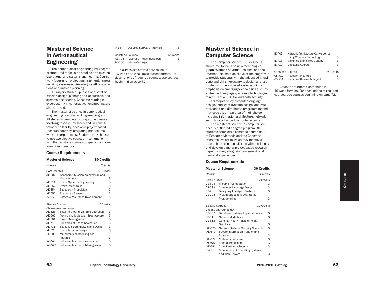## Master of Science in Astronautical Engineering

The astronautical engineering (AE) degree is structured to focus on satellite and mission operations, and systems engineering. Coursework focuses on project management, remote sensing, systems engineering, satellite operations and mission planning.

AE majors study all phases of a satellite mission design, planning and operations, and systems engineering. Concepts relating to cybersecurity in Astronautical engineering are also stressed.

The master of science in astronautical engineering is a 30-credit degree program. All students complete two capstone classes involving research methods and, in consultation with faculty, develop a project-based research paper by integrating prior coursework and experiences. Students may choose to use two elective courses in conjunction with the capstone courses to specialize in one area of astronautics.

#### Course Requirements

|                         | <b>Master of Science</b>            | <b>30 Credits</b> |   |
|-------------------------|-------------------------------------|-------------------|---|
| Course                  |                                     | Credits           |   |
| Core Courses            |                                     | 18 Credits        |   |
| AE-602                  | Spacecraft Mission Architecture and |                   |   |
|                         | Management                          |                   | 3 |
| AE-611                  | Space Systems Engineering           |                   | 3 |
| AE-652                  | <b>Orbital Mechanics II</b>         |                   | 3 |
| AE-654                  | <b>Spacecraft Propulsion</b>        |                   | 3 |
| AE-655                  | <b>Spacecraft Sensors</b>           |                   | 3 |
| IA-572                  | Software Assurance Development      |                   | 3 |
| <b>Elective Courses</b> |                                     | 6 Credits         |   |
|                         | Choose any two below.               |                   |   |
| AE-621                  | Satellite Ground Systems Operation  |                   | 3 |
| AE-662                  | Atomic and Molecular Spectroscopy   |                   | 3 |
| AE-701                  | <b>Project Management</b>           |                   | 3 |
| AE-712                  | Principles of Space Navigation      |                   | 3 |
| AE-711                  | Space Mission Analysis and Design   |                   | 3 |
| AE-720                  | Space Mission Design                |                   | 3 |
| EE-600                  | Mathematical Modeling and           |                   |   |
|                         | Analysis                            |                   | 3 |
| IAE-571                 | Software Assurance Assessment       |                   | 3 |
|                         |                                     |                   |   |

| <b>IAE-573</b> | Software Assurance Management |  |
|----------------|-------------------------------|--|
|----------------|-------------------------------|--|

| <b>IAE-574</b> | <b>Assured Software Analytics</b> |           |
|----------------|-----------------------------------|-----------|
|                | Capstone Courses                  | 6 Credits |
|                |                                   |           |

| AE-708 | Master's Project Research | 3 |
|--------|---------------------------|---|
| AE-758 | Master's Project          |   |

Courses are offered only online in 16-week or 8-week accelerated formats. For descriptions of required courses, see courses beginning on page 72.

## Master of Science in Computer Science

The computer science (CS) degree is structured to focus on new technologies, graphics aimed at virtual realities, and the Internet. The main objective of the program is to provide students with the advanced knowledge and skills necessary to design and use modern computer-based systems, with an emphasis on emerging technologies such as embedded languages, wireless technologies, miniaturization (PDAs), and data security.

CS majors study computer language design, intelligent systems design, and Multithreaded and distributed programming and may specialize in an area of their choice, including information architecture, network security or advanced computer science.

The master of science in computer science is a 30-credit degree program. All students complete a capstone course pair of Research Methods and the Capstone Research Project in which they identify a research topic in consultation with the faculty and develop a major project-based research paper by integrating prior coursework and personal experiences.

#### Course Requirements

|                         | <b>Master of Science</b>                 | <b>30 Credits</b> |  |
|-------------------------|------------------------------------------|-------------------|--|
| Course                  |                                          | Credits           |  |
| Core Courses            |                                          | 12 Credits        |  |
| CS-504                  | Theory of Computation                    | 3                 |  |
| CS-512                  | Computer Language Design                 | 3                 |  |
| CS-701                  | Designing Intelligent Systems            | 3                 |  |
| CS-705                  | Multithreaded and Distributed            |                   |  |
|                         | Programming                              | 3                 |  |
| <b>Elective Courses</b> |                                          | 12 Credits        |  |
|                         | Choose any four below.                   |                   |  |
| CS-507                  | Database Systems Implementation          | 3                 |  |
| CS-511                  | <b>Numerical Methods</b>                 | 3                 |  |
| CS-513                  | Gaming Theory - Real-time 3D             |                   |  |
|                         | Graphics                                 | 3                 |  |
| <b>IAE-670</b>          | <b>Network Systems Security Concepts</b> | 3                 |  |
| <b>IAE-673</b>          | Secure Information Transfer and          |                   |  |
|                         | Storage                                  | 3                 |  |
| <b>IAE-677</b>          | <b>Malicious Software</b>                | 3                 |  |
| IAE-682                 | Internal Protection                      | 3                 |  |
| <b>IAE-684</b>          | <b>Complimentary Security</b>            | 3                 |  |
| IE-705                  | <b>Comparison of Operating Systems</b>   |                   |  |
|                         | and Web Servers                          | 3                 |  |
|                         |                                          |                   |  |

| IE-707                  | Network Architecture Convergence |           |
|-------------------------|----------------------------------|-----------|
|                         | Using Wireless Technology        | 3         |
| IE-713                  | Multimedia and Web Casting       | 3         |
| IE-719                  | Capstone Course                  | 3         |
|                         |                                  |           |
| <b>Capstone Courses</b> |                                  | 6 Credits |
| CS-712                  | Research Methods                 | 3         |
| CS-714                  | Capstone Research Project        | 3         |
|                         |                                  |           |

Courses are offered only online in 16-week formats. For descriptions of required courses, see courses beginning on page 72.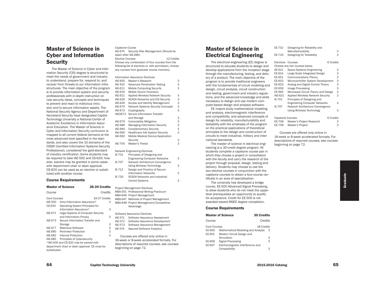## Master of Science in Cyber and Information **Security**

The Master of Science in Cyber and Information Security (CIS) degree is structured to meet the needs of government and industry to understand, prepare for, respond to, and recover from threats to our information infrastructures. The main objective of the program is to provide information system and security professionals with in-depth instruction on new security ideas, concepts and techniques to prevent and react to malicious intrusion and to secure information assets. The National Security Agency and Department of Homeland Security have designated Capitol Technology University a National Center of Academic Excellence in Information Assurance Education. The Master of Science in Cyber and Information Security curriculum is mapped to all current federal domains at the most advanced level specified in the standards, and also covers the 10 domains of the CISSP (Certified Information Systems Security Professional), considered the gold-standard of industry certification. Some students may be required to take IAE-500 and CS-620; however, waivers may be granted in some cases with department chair or dean approval. CS-620 can be used as an elective or substituted with another course.

#### Course Requirements

|                                          | <b>Master of Science</b>                                               | 36-39 Credits      |
|------------------------------------------|------------------------------------------------------------------------|--------------------|
| Course                                   |                                                                        | Credits            |
| Core Courses<br><b>IAE-500</b><br>CS-620 | Intro/Information Assurance*<br><b>Operating System Principles for</b> | 24-27 Credits<br>З |
|                                          | Information Assurance*                                                 | З                  |
| IAF-671                                  | Legal Aspects of Computer Security                                     |                    |
|                                          | and Information Privacy                                                | 3                  |
| IAF-673                                  | Secure Information Transfer and                                        |                    |
|                                          | Storage                                                                | 3                  |
| IAE-677                                  | <b>Malicious Software</b>                                              | 3                  |
| IAE-680                                  | <b>Perimeter Protection</b>                                            | 3                  |
| IAE-682                                  | Internal Protection                                                    | 3                  |
| IAE-685                                  | Principles of Cybersecurity                                            |                    |
|                                          | *IAE-500 and CS 620 may be waived with                                 |                    |
|                                          | department chair or dean approval. CS must be                          |                    |
| substituted.                             |                                                                        |                    |

Capstone Course IAE-674 Security Risk Management (Should be taken after IAE-680) Elective Courses 12 Credits Choose any combination of four courses from the following list of electives or, with permission, choose any courses from graduate course inventory:

|                | <b>Information Assurance Electives</b>   |   |
|----------------|------------------------------------------|---|
| <b>IAE-605</b> | Master's Research                        | 3 |
| <b>IAE 610</b> | <b>Advanced Penetration Testing</b>      | 3 |
| IAE-611        | <b>Mobile Computing Security</b>         | 3 |
| IAE-620        | Mobile Device Forensics                  |   |
| IAE-621        | <b>Applied Wireless Network Security</b> | 3 |
| IAE-630        | <b>SCADA Networks and ICS Security</b>   | 3 |
| <b>IAE-640</b> | <b>Access and Identity Management</b>    | 3 |
| <b>IAE-670</b> | <b>Network Systems Security Concepts</b> | 3 |
| IAE-672        | Cryptography                             | 3 |
| <b>IAE0673</b> | Secure Information Transfer              |   |
|                | and Storage                              | 3 |
| <b>IAE-679</b> | <b>Vulnerability Mitigation</b>          | 3 |
| <b>IAE-686</b> | <b>Managing Information Security</b>     | 3 |
| <b>IAE-684</b> | <b>Complementary Security</b>            | 3 |
| <b>IAE-690</b> | <b>Healthcare Info System Security</b>   | 3 |
| <b>IAE-692</b> | Mobile Medical Device/Application        |   |
|                | Security                                 | 3 |
| <b>IAE-705</b> | Master's Thesis                          | 3 |
|                | Network Engineering Electives            |   |
| IE-701         | Principles of Designing and              |   |
|                | <b>Engineering Computer Networks</b>     | 3 |
| IF-707         | Network Architecture Convergence         |   |

| IE-707 | Network Architecture Convergence     |   |
|--------|--------------------------------------|---|
|        | Using Wireless Technology            | 3 |
| IE-712 | Design and Practice of Secure        |   |
|        | <b>Information Networks</b>          | 3 |
| IE-730 | <b>SCADA Networks and Industrial</b> |   |
|        | <b>Control Systems</b>               | З |

Project Management Electives MBA-501 Professional Writing Practicum MBA-646 Project Management MBA-647 Methods of Project Management MBA-648 Project Management/Competitive Advantage

#### Software Assurance Electives IAE-571 Software Assurance Assessment IAE-572 Software Assurance Development

- IAE-573 Software Assurance Management
- IAE-574 Assured Software Analytics

Courses are offered only online in 16-week or 8-week accelerated formats. For descriptions of required courses, see courses beginning on page 72.

## Master of Science in Electrical Engineering

The electrical engineering (EE) degree is structured to educate students to design and develop applications from the inception stage through the manufacturing, testing, and delivery of a product. The main objective of the program is to provide traditional engineers with the fundamentals of circuit modeling and design, circuit analysis, circuit construction and testing, government and industry regulations, and the advanced knowledge and skills necessary to design and use modern computer-based design and analysis software.

EE majors study mathematical modeling and analysis, electromagnetic interference and compatibility, and advanced concepts of design for reliability, manufacturability and testability with the emphasis of the program on the practical applications of theoretical principles to the design and construction of circuits to meet industrial, military and international standards.

The master of science in electrical engineering is a 30-credit degree program. All students complete a capstone course pair in which they choose a project in consultation with the faculty and carry the research of the project through proposal, design, testing and delivery. Students may choose to use the two elective courses in conjunction with the capstone courses to obtain a four-course certificate in an area of specialization.

The university has developed a bridge course, EE-500 Advanced Signal Processing, to allow students who do not meet the upperlevel prerequisites an opportunity to qualify for acceptance. Credit for EE-500 is not awarded toward MSEE degree completion.

#### Course Requirements

|                        | <b>Master of Science</b><br><b>30 Credits</b>                |                 |
|------------------------|--------------------------------------------------------------|-----------------|
| Course                 |                                                              | Credits         |
| Core Courses<br>EE-600 | Mathematical Modeling and Analysis                           | 18 Credits<br>3 |
| EE-601                 | Modern Circuit Design and<br>Simulation                      | 3               |
| EE-606<br>EE-607       | <b>Signal Processing</b><br>Electromagnetic Interference and | 3               |
|                        | Compatibility                                                | 3               |

| EE-710           | Designing for Reliability and            |           |
|------------------|------------------------------------------|-----------|
|                  | Manufacturability                        | З         |
| EE-720           | Designing for Testability                | 3         |
| <b>Electives</b> | Courses                                  | 6 Credits |
|                  | Choose any two courses below.            |           |
| AE-611           | Space Systems Engineering                | З         |
| EE-614           | Large Scale Integrated Design            | 3         |
| EE-651           | <b>Communications Theory</b>             | 3         |
| EE-652           | Microcontroller System Development       | 3         |
| EE-653           | Analog and Digital Control Theory        | 3         |
| EE-656           | Image Processing                         | 3         |
| EE-665           | Microwave Circuit Theory and Design      | 3         |
| IAE-621          | <b>Applied Wireless Network Security</b> | 3         |
| IE-701           | Principles of Designing and              |           |
|                  | <b>Engineering Computer Networks</b>     | 3         |
| IE-707           | Network Architecture Convergence         |           |
|                  | Using Wireless Technology                | 3         |
| Constano Courses |                                          | G Crodito |

| <b>Capstone Courses</b> |                           | 6 Credits |
|-------------------------|---------------------------|-----------|
| EE-708                  | Master's Project Research | 3         |
|                         | EE-758 Master's Project   | 3         |

Courses are offered only online in 16-week or 8-week accelerated formats. For descriptions of required courses, see courses beginning on page 72.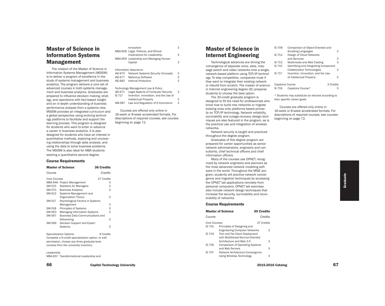## Master of Science in Information Systems Management

The mission of the Master of Science in Information Systems Management (MSISM) is to deliver a program of excellence in the study of systems management and business analytics. The program delivers a core set of advanced courses in both systems management and business analytics. Graduates are prepared to influence decision making, strategy, and operations with fact-based insight and an in-depth understanding of business performance analysis from a systems view. MSISM provides an integrated curriculum and a global perspective using evolving technology platforms to facilitate and support the learning process. This program is designed for students who want to enter or advance a career in business analytics. It is also designed for students who have an interest in quantitative methods, exploring and uncovering relationships through data analysis, and using the data to solve business problems. The MSISM is also ideal for MBA students seeking a quantitative second degree.

#### Course Requirements

|                                                    | <b>Master of Science</b>                                                       | <b>36 Credits</b> |
|----------------------------------------------------|--------------------------------------------------------------------------------|-------------------|
| Course                                             |                                                                                | Credits           |
| <b>Core Courses</b>                                |                                                                                | 27 Credits        |
| MBA-646                                            | <b>Project Management</b>                                                      | 3                 |
| SM-525                                             | <b>Statistics for Managers</b>                                                 | 3                 |
| SM-570                                             | <b>Business Analytics</b>                                                      | 3                 |
| SM-513                                             | Systems Management and                                                         |                   |
|                                                    | Organization Theory                                                            | 3                 |
| SM-517                                             | Psychological Factors in Systems                                               |                   |
|                                                    | Management                                                                     | 3                 |
| SM-518                                             | Principles of Systems                                                          | 3                 |
| SM-563                                             | <b>Managing Information Systems</b>                                            | 3                 |
| SM-567                                             | <b>Business Data Communications and</b>                                        |                   |
|                                                    | Networking                                                                     | 3                 |
| SM-569                                             | Decision Support and Expert                                                    |                   |
|                                                    | Systems                                                                        | 3                 |
|                                                    | <b>Specialization Options</b><br>9 Credits                                     |                   |
| Complete a 9-credit specialization option, or with |                                                                                |                   |
|                                                    | والمتناط والمستعمل والمستحدث والمستنفذ والمستحدث والمستعمل والمستنفي والمستنفي |                   |

permission, choose any three graduate-level courses from the university inventory.

Leadership MBA-657 Transformational Leadership and

|                | Innovation                                       | 3 |
|----------------|--------------------------------------------------|---|
|                | MBA-658 Legal. Political, and Ethical            |   |
|                | Implications for Leadership                      | 3 |
|                | MBA-659 Leadership and Managing Human            |   |
|                | Capital                                          | 3 |
|                | <b>Information Assurance</b>                     |   |
| <b>IAE-670</b> | <b>Network Systems Security Concepts</b>         | 3 |
| IAE-677        | <b>Malicious Software</b>                        | 3 |
| IAE-682        | Internal Protection                              | 3 |
|                | Technology Management Law & Policy               |   |
|                | $IAE$ $C74$ $I.050$ Appeato of Computer Coqurity |   |

| IAE-671 | Legal Aspects of Computer Security    | 3 |
|---------|---------------------------------------|---|
| IF-717  | Invention, Innovation, and the Use of |   |
|         | Intellectual Property                 | 3 |
| SM-587  | Law and Regulation of E-Commerce      | 3 |

Courses are offered only online in 16-week or 8-week accelerated formats. For descriptions of required courses, see courses beginning on page 72.

## Master of Science in Internet Engineering

Technological advances are driving the convergence of separate voice, data, message switch and video networks onto a single, network-based platform using TCP/IP technology. To stay competitive, companies must if they want to integrate their existing network or rebuild from scratch. The master of science in Internet engineering degree (IE) prepares students to choose the best option.

The 30-credit graduate program is designed to fill the need for professionals who know how to build new networks or migrate existing ones onto platforms based primarily on TCP/IP technology. Network reliability, survivability and outage-recovery design techniques are also featured in the program, as is the practical use and integration of wireless networks.

Network security is taught and practiced throughout the degree program.

Graduates of this degree program are prepared for career opportunities as senior network administrators, engineers and consultants, chief technical officers and chief information officers.

Many of the courses use OPNET, recognized by network engineers and planners as the most advanced network modeling software in the world. Throughout the MSIE program, students will practice network convergence and migration techniques by accessing the OPNET lab applications remotely from personal computers. OPNET lab exercises also include network design techniques that increase the security, survivability and recoverability of networks.

#### Course Requirements

|                        | <b>Master of Science</b>                                                                        | <b>30 Credits</b> |   |
|------------------------|-------------------------------------------------------------------------------------------------|-------------------|---|
| Course                 |                                                                                                 | Credits           |   |
| Core Courses<br>IE-701 | Principles of Designing and<br><b>Engineering Computer Networks</b>                             | 27 Credits        | 3 |
| IF-703                 | Thin and Fat Client Deployment<br>with Multitiered/Service-Oriented<br>Architecture and Web 2.0 |                   | 3 |
| IF-705<br>IF-707       | <b>Comparison of Operating Systems</b><br>and Web Servers                                       |                   | 3 |
|                        | Network Architecture Convergence<br>Using Wireless Technology                                   |                   | З |

| IE-709                    | Comparison of Object-Oriented and<br><b>Scripting Languages</b> |           | 3 |
|---------------------------|-----------------------------------------------------------------|-----------|---|
| IF-712                    | Design of Cloud Networks<br>and Services                        |           | 3 |
|                           |                                                                 |           | 3 |
| IE-715                    | Identifying and Integrating Component                           |           |   |
|                           | <b>Collaboration Technologies</b>                               |           | 3 |
| IE-717                    | Invention, Innovation, and the Use                              |           |   |
|                           |                                                                 |           | 3 |
| Capstone Course<br>IE-719 | Capstone Course*                                                | 3 Credits | З |
| IE-713                    | Multimedia and Web Casting<br>of Intellectual Property          |           |   |

\* Students may substitute an elective according to their specific career goals.

Courses are offered only online in 16-week or 8-week accelerated formats. For descriptions of required courses, see courses beginning on page 72.

66 Capitol Technology University 67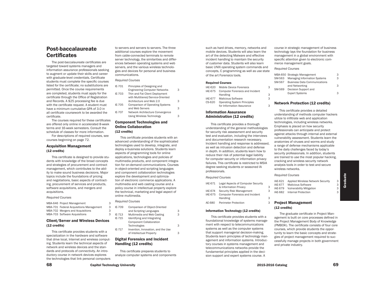# Post-baccalaureate **Certificates**

The post-baccalaureate certificates are targeted toward systems managers and information assurance professionals seeking to augment or update their skills and career with graduate-level credentials. Certificate students must complete the specific courses listed for the certificate; no substitutions are permitted. Once the course requirements are completed, students must apply for the certificate through the Office of Registration and Records. A \$25 processing fee is due with the certificate request. A student must have a minimum cumulative GPA of 3.0 in all certificate coursework to be awarded the certificate.

The courses required for these certificates are offered only online in accelerated 8-week terms and 16-week semesters. Consult the schedule of classes for more information. For descriptions of required courses, see

courses beginning on page 72.

# Acquisition Management (12 credits)

This certificate is designed to provide students with knowledge of the broad concepts and strategies of procurement and contract management, which contributes to the ability to make sound business decisions. Major topics include the foundations of pricing and negotiations, basic aspects of contracting, procurement of services and products, software acquisitions, and mergers and acquisitions.

#### *Required Courses*

| MBA-646 Project Management              | З |
|-----------------------------------------|---|
| MBA-701 Federal Acquisitions Management | 3 |
| MBA-702 Mergers and Acquisitions        | З |
| MBA-703 Software Acquisitions           | З |

# Client/Server and Wireless Devices (12 credits)

This certificate provides students with a specialization in the hardware and software that drive local, Internet and wireless computing. Students learn the technical aspects of network and wireless devices and the standards and protocols of connectivity. An introductory course in network devices explores the technologies that link personal computers

to servers and servers to servers. The three additional courses explore the movement from cable-connected terminals to remote server technology, the similarities and differences between operating systems and web servers, and the various wireless technologies and devices for personal and business communications.

# *Required Courses*

| IE-701 | Principles of Designing and            |   |
|--------|----------------------------------------|---|
|        | <b>Engineering Computer Networks</b>   | 3 |
| IE-703 | Thin and Fat Client Deployment         |   |
|        | with Multitiered/Service-Oriented      |   |
|        | Architecture and Web 2.0               | 3 |
| IE-705 | <b>Comparison of Operating Systems</b> |   |
|        | and Web Servers                        | 3 |
| IE-707 | Network Architecture Convergence       |   |
|        | <b>Using Wireless Technology</b>       | З |

# Component Technologies and Online Collaboration

(12 credits)

This certificate provides students with an advanced understanding of the sophisticated technologies used to develop, integrate, and deploy e-business solutions. Students learn aspects of programming tools for online applications, technologies and policies of multimedia products, and component integration for on-demand communications. Courses in object-oriented and scripting languages and component collaboration technologies explore the development and optimization of electronic commerce applications. A multimedia and web casting course and a policy course in intellectual property explore the technical, marketing and legal aspect of online multimedia.

# *Required Courses*

| IE-709 | Comparison of Object-Oriented      |   |
|--------|------------------------------------|---|
|        | and Scripting Languages            | 3 |
| IE-713 | Multimedia and Web Casting         | 3 |
| IE-715 | Identifying and Integrating        |   |
|        | <b>Component Collaboration</b>     |   |
|        | Technologies                       | 3 |
| IE-717 | Invention, Innovation, and the Use |   |
|        | of Intellectual Property           | З |

# Digital Forensics and Incident Handling (12 credits)

This certificate prepares students to analyze computer systems and components such as hard drives, memory, networks and mobile devices. Students will also learn the art of the detecting Malware and effective incident handling to maintain the security of customer data. Students will also learn basic UNIX operating system commands and concepts, C programming as well as use state of the art Forensics tools.

# Required Courses

| IAE-620 Mobile Device Forensics         | 3 |
|-----------------------------------------|---|
| IAE-675 Computer Forensics and Incident |   |
| Handling                                | з |
| <b>Malicious Software</b>               | З |
|                                         |   |

CS-620 Operating System Principles for Information Assurance 3

# Information Assurance Administration (12 credits)

This certificate provides a thorough understanding of the general methodologies for security risk assessment and security test and evaluation, including the interviews and documentation research necessary. Incident handling and response is addressed, as well as intrusion detection and defense in depth. In addition, students learn how to reduce their risk of potential legal liability for computer security or information privacy failures. This certificate is restricted to MSIA degree seeking students or seasoned IA professionals.

# *Required Courses*

- IAE-671 Legal Aspects of Computer Security & Information Privacy 3
- IAE-674 Security Risk Management 3
- IAE-675 Computer Forensics and Incident Handling 3
- AE-680 Perimeter Protection

# Information Technology (12 credits)

This certificate provides students with a foundational knowledge of systems management with respect to telecommunications systems as well as the computer systems that support managerial decision-making. Students learn principles of technology management and information systems. Introductory courses in systems management and telecommunications networks provide the fundamental principles applied in the decision support and expert systems course. A

course in strategic management of business technology lays the foundation for business management in a global environment with specific attention given to electronic commerce management goals.

#### *Required Courses*

|        | MBA-650 Strategic Management        | 3 |
|--------|-------------------------------------|---|
| SM-563 | <b>Managing Information Systems</b> | 3 |
| SM-567 | <b>Business Data Communications</b> |   |
|        | and Networking                      | 3 |
| SM-569 | Decision Support and                |   |
|        | <b>Expert Systems</b>               | 3 |
|        |                                     |   |

# Network Protection (12 credits)

This certificate provides a detailed understanding of methods computer hackers utilize to infiltrate web and application technologies, including wireless networks. Emphasis is placed on how security professionals can anticipate and protect against attacks through internal and external vulnerability assessment. Students learn the anatomies of viruses and worms and study a range of defense mechanisms applicable to the daily challenges faced by today's security professionals. In addition, students are trained to use the most popular hacking, cracking and wireless security network analysis tools in order to test and secure wireless networks.

#### *Required Courses*

IAE-621 Applied Wireless Network Security 3 IAE-677 Malicious Software 33<br>IAE-679 Vulnerability Mitigation 3 IAE-679 Vulnerability Mitigation 3<br>IAE-682 Internal Protection 3 IAE-682 Internal Protection

# Project Management (12 credits)

The graduate certificate in Project Management is built on core processes defined in the Project Management Body of Knowledge (PMBOK). The certificate consists of four core courses, which provide students the opportunity to learn the basic concepts and strategies of project management required to successfully manage projects in both government and private industry.

68 Capitol Technology University 69

Graduate Graduate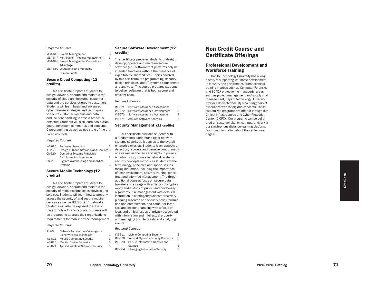# *Required Courses*

MBA-646 Project Management MBA-647 Methods of IT Project Management MBA-648 Project Management Competitive Advantage MBA-659 Leadership and Managing Human Capital

# Secure Cloud Computing (12 credits)

This certificate prepares students to design, develop, operate and maintain the security of cloud architectures, customer data and the services offered to customers. Students will learn basic and advanced cyber defense strategies and techniques to secure customer systems and data and incident handling in case a breach is detected. Students will also learn basic UNIX operating system commands and concepts, C programming as well as use state of the art Forensics tools

#### *Required Courses*

| IAE-680  | <b>Perimeter Protection</b>             | З |
|----------|-----------------------------------------|---|
| IE-712   | Design of Cloud Networks and Services 3 |   |
| $CS-620$ | <b>Operating Systems Principles</b>     |   |
|          | for Information Assurance               | З |
| CS-710   | Bigdata Warehousing and Analytics       |   |
|          | <b>Systems</b>                          | 3 |

# Secure Mobile Technology (12 credits)

This certificate prepares students to design, develop, operate and maintain the security of mobile technologies, devices and services. Students will learn how to properly assess the security of and secure mobile devices as well as IEES 802.11 networks. Students will also be exposed to state of the art mobile forensics tools. Students will be prepared to address their organizations requirements for mobile device management.

# *Required Courses*

| IE-707  | Network Architecture Convergence  |  |  |  |  |
|---------|-----------------------------------|--|--|--|--|
|         | Using Wireless Technology         |  |  |  |  |
| IAE-611 | <b>Mobile Computing Security</b>  |  |  |  |  |
| IAE-620 | Mobile Device Forensics           |  |  |  |  |
| IAE-621 | Applied Wireless Network Security |  |  |  |  |
|         |                                   |  |  |  |  |

# Secure Software Development (12 credits)

- This certificate prepares students to design,
- 3 develop, operate and maintain secure software (i.e., software that performs only its
- 3 intended functions without the presence of exploitable vulnerabilities). Topics covered by this certificate are programming, security design principles, and IT systems components and analytics. This course prepares students to deliver software that is both secure and efficient code.

## *Required Courses*

3

3

| IAE-571 | Software Assurance Assessment     | 3 |
|---------|-----------------------------------|---|
| IAE-572 | Software Assurance Development    | 3 |
| IAE-573 | Software Assurance Management     | 3 |
| IAE-574 | <b>Assured Software Analytics</b> | З |

# Security Management (12 credits)

This certificate provides students with a fundamental understanding of network systems security as it applies to the overall enterprise mission. Students learn aspects of detection, recovery and damage control meth ods as well as the laws and rights to privacy. An introductory course in network systems security concepts introduces students to the terminology, principles and special issues facing industries, including the importance of user involvement, security training, ethics, trust and informed management. The three additional courses focus on secure data transfer and storage with a history of cryptog raphy and a study of public- and private-key algorithms, risk management with detailed instruction in contingency/disaster recovery planning research and security policy formula tion and enforcement, and computer foren sics and incident handling with a focus on legal and ethical issues of privacy associated with information and intellectual property and managing trouble tickets and analyzing events.

# *Required Courses*

| IAE-611        | <b>Mobile Computing Security</b>         | З |
|----------------|------------------------------------------|---|
| <b>IAE-670</b> | <b>Network Systems Security Concepts</b> | 3 |
| IAF-673        | Secure Information Transfer and          |   |
|                | Storage                                  | 3 |
| IAE-684        | <b>Managing Information Security</b>     | 3 |

# Non Credit Course and Certificate Offerings

# Professional Development and Workforce Training

Capitol Technology University has a long history of supporting workforce development in industry and government. From technical training in areas such as Computer Forensics and SCADA protection to managerial areas such as project management and supply chain management, Capitol Technology University provides dedicated faculty who bring years of experience with theory and concepts. These customized programs are offered through our Critical Infrastructures and Cyber Protection Center (CICPC). Our programs can be deliv ered on customer site, on campus, and/or via our synchronous distance-learning platform. For more information about the center, see page 8.

To a capitol Technology University **2015-2016** Catalog 2015-2016 Catalog 2015-2016 Catalog 2015-2016 Catalog 2015-2016 Catalog 2015-2016 Catalog 2015-2016 Catalog 2015-2016 Catalog 2015-2016 Catalog 2015-2016 Catalog 2015-

3

3

3

3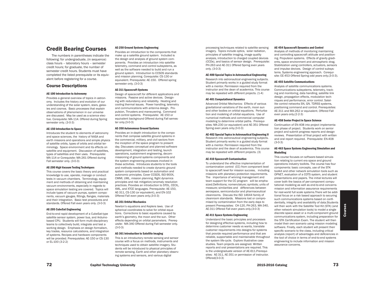# Credit Bearing Courses

The numbers in parentheses indicate the following: for undergraduate, (in sequence) class hours – laboratory hours – semester credit hours; for graduate, the number of semester credit hours. Students must have completed the listed prerequisite or its equivalent before registering for a course.

# Course Descriptions

# AE-100 Introduction to Astronomy

Provides a general overview of topics in astronomy. Includes the history and evolution of our understanding of the solar system, stars, galaxies and cosmos. Basic processes that explain observations of phenomenon in our universe are discussed. May be used as a science elective. Corequisite: MA-114. Offered during Spring semester only. (3-0-3)

# AE-150 Introduction to Space

Introduces the student to elements of astronomy and space sciences, the history of NASA and earth missions and operations and simple physics of satellite orbits, types of orbits and orbital terminology. Space environment and its effects on satellite and equipment. Discussion of satellites, types of satellites and their uses. Prerequisite: MA-114 or Corequisite: MA-261 Offered during Fall semester only. (3-0-3)

# AE-200 High Vacuum Testing Techniques

This course covers the basic theory and practical knowledge to use, operate, manage or conduct tests in vacuum chambers. Terminology, equipment and methods of obtaining and maintaining vacuum environments, especially in regards to space simulation testing are covered. Topics will include types of vacuum pumps, system components, vacuum gauges, fittings, flanges, materials and their integration. Basic test procedures and standards. Offered Fall even years only. (3-0-3)

# AE-205 CubeSat Engineering

End-to-end rapid development of a CubeSat-type satellite sensor system, power bus, and Arduinobased CPU. Students will form multi-disciplinary teams to collectively build, integrate and test a working design. Emphasis on design formalism, key trades, resource calculations, and integration of systems. Recipes and hardware components will be provided. Prerequisites: AE-150 or CS-130 or EL-100 (3-2-2)

# AE-250 Ground Systems Engineering

Provides an introduction to the components that make up a satellite ground system. Included is the design and analysis of ground system components. Provides an introduction into satellite telemetry, command and control subsystems, as well as the software needed to build and run a ground system. Introduction to CCSDS standards and mission planning. Corequisite: CS-130 or equivalent. Prerequisite: AE-150. Offered spring semester only. (3-0-3)

### AE-311 Spacecraft Systems

Design of spacecraft for different applications and missions. Passive and active devices. Designing with redundancy and reliability. Heating and cooling thermal issues. Power handling, telemetry and communications with antenna design. Propulsion, Thrusters and maneuvering. Command and control systems. Prerequisite: AE-150 or equivalent background Offered during Fall semester only.(3-0-3)

# AE-350 Autonomous Ground Systems

Provides an in-depth introduction to the components that compose satellite ground systems in the commercial, military, and civil sectors from the inception of the space program to present day. Discusses conceptual and planned software development, integration and testing, launch operations, sustainment engineering, decommissioning of ground systems components and the system engineering processes involved in these activities. Introduces students to the tools and methods needed to create dynamic ground system components based on automation and autonomic principles. Cover CCSDS, ISO-900X, CMMI, UML, mission planning, flight dynamics principles and risk mitigation/anomaly resolution practices. Provides an introduction to STOL, CECIL, XML, and XTCE languages. Prerequisite: AE-150, AE-311, CS-130 (or equivalent), and EN-102 Offered Fall even years only.(3-0-3)

#### AE-351 Orbital Mechanics

Newton's equations and Keplers laws. Use of spherical coordinates to solve for orbital equations. Corrections to basic equations caused by earth's geometry, the moon and the sun. Other effects depending on orbital parameters. Prerequisite: MA-340 Offered during Fall semester only. (3-0-3)

# AE-361 Introduction to Satellite Imaging

This is an introductory remote sensing and sensor course with a focus on methods, instruments and techniques used to obtain satellite imagery. Students will be introduced to physical principles of remote sensing, Earth and other planetary observing systems and sensors, and various digital

processing techniques related to satellite sensing imagery. Topics include optics, solar radiation, principles of satellite imaging, image quality analysis, introduction to charged coupled devices (CCDs), and basics of sensor design. Prerequisite: PH-263 and AE-311 Offered Spring even years only. (3-0-3)

# AE-400 Special Topics in Astronautical Engineering

Research into astronautical engineering subjects. Student primarily works in a guided study format with a mentor. Permission required from the instructor and the dean of academics. This course may be repeated with different projects. (1-4)

### AE-401 Computational Dynamics

Advanced Orbital Mechanics: Effects of various gravitational variations of the earth, moon sun and other bodies on orbital equations. Perturbation and modeling of orbital equations. Use of numerical methods and commercial computer modeling to determine orbital paths. Prerequisites: MA-230 (or equivalent) and AE-351 Offered Spring even years only.(3-0-3)

# AE-402 Special Topics in Astronautical Engineering II

Research into astronautical engineering subjects. Student primarily works in a guided study format with a mentor. Permission required from the instructor and the dean of academics. This course may be repeated with different projects. (3)

# AE-410 Spacecraft Contamination

To understand the effective implementation of contamination control (CC) from component level to spacecraft level for mission success, including missions with planetary protection requirements. The importance of winning management and team support for the CC program will be emphasized.Definitions; nomenclature; symbols; units of measure; similarities and differences between aerospace, semiconductor and pharmaceutical cleanrooms. Discuss the ISO 14644 family of cleanroom standards. Missions lost or compromised by contamination from the early days to present Prerequisites: CH-120, PH-263, MA-340, AE-311 Offered Fall even years only.(3-0-3)

# AE-411 Space Systems Engineering

Understand the basic principles and processes for designing effective systems, including how to determine customer needs vs wants, translate customer requirements into designs for systems that provide required performance and that are reliable, supportable and maintainable throughout the system life-cycle. Explore illustrative case studies. Team projects are assigned. Written reports and oral presentations are required. This is the undergraduate version of AE-611. Prerequisites: AE-311, AE-351 or permission of instructor. Offered(3-0-3)

# AE-454 Spacecraft Dynamics and Control

Analysis of methods of monitoring maintaining and controlling spacecraft attitude and positioning. Propulsion systems. Effects of gravity gradients, space environment and atmospheric drag. Stabilization using controllers, actuators, sensors and impulse devices. Design of control subsystems. Systems engineering approach. Corequisite: EE-453 Offered Spring odd years only.(3-0-3).

# AE-455 Satellite Communications

Analysis of satellite communications systems. Communications subsystems, telemetry, tracking and monitoring, data handling, satellite link design, propagation effects, modulation techniques and performance, error control. Satellite control networks SN, GN. TDRSS systems, positioning command and control. Prerequisites: AE-311 and MA-262 or equivalent. Offered Fall even years only.(2-2-3)

# AE-458 Senior Project in Space Science

Continuation of EN-408 into project implementation phase of project. Students work on senior project and submit progress reports and design reviews. Presentation of final project with written and oral report required. Prerequisite: EN-408 (3-0-3)

# AE-463 Space Systems Engineering Simulation and Modelling

This course focuses on software-based simulation relating to current era space and ground operations industry toolkits. The course has four components: basic concepts, use of the STK toolkit and other network simulation tools such as OPNET, evaluation of a COTS system, and student presentations and papers. The initial lectures will cover both the basics of per-component computational modeling as well as end-to-end concerns mission and information assurance requirements for real-world full scale systems.There will be additional focus on a risk based approach to securing such communications systems based on confidentially, integrity and availability of data.Students will then work with the Satellite Tool Kit (STK) (and other network simulation tools) to model a single discrete space asset or a multi-component ground communications system, including preparation for the STK Certification Exam. The student will then model their own scenario using mission modeling software. Finally, each student will present their specific scenario to the class, including critical analysis (report) of advantages and deficiencies in the tool of choice in terms of end-to-end systems engineering to include information and mission assurance concerns.

**Cour**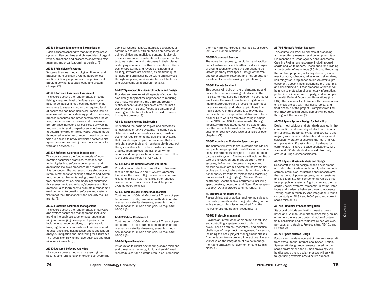## AE-513 Systems Management & Organization

Basic concepts applied to managing large-scale systems. Perspectives and philosophies of organization, functions and processes of systems management and organizational leadership. (3)

#### AE-518 Principles of Systems

Systems theories, methodologies, thinking and practice; hard and soft systems approaches; multidisciplinary approaches to organizational problem solving, feedback loops and system change. (3)

# AE-571 Software Assurance Assessment

This course covers the fundamentals of establishing a required level of software and system assurance, applying methods and determining measures to assess whether the required level of assurance has been achieved. Topics include assessment methods; defining product measures, process measures and other performance indicators; measurement processes and frameworks; performance indicators for business survivability and continuity; and comparing selected measures to determine whether the software/system meets its required level of assurance. These fundamentals are applied to newly developed software and systems as well as during the acquisition of software and services. (3)

# AE-572 Software Assurance Development

This course covers the fundamentals of incorporating assurance practices, methods, and technologies into software development and acquisition life-cycle processes and models. With this foundation, the course provides students with rigorous methods for eliciting software and system assurance requirements, using threat identification, characterization, and modeling; assurance risk assessment, and misuse/abuse cases. Students will also learn how to evaluate methods and environments for creating software and systems that meet their functionality and security requirements. (3)

#### AE-573 Software Assurance Management

This course covers the fundamentals of software and system assurance management, including making the business case for assurance; planning and managing development projects that include assurance practices; compliance with laws, regulations, standards and policies related to assurance; and risk assessment, identification, analysis, mitigation and monitoring for assurance. The focus is on how to manage business and technical requirements. (3)

AE-574 Assured Software Analytics

This course covers methods for assuring the security and functionality of existing software and

services, whether legacy, internally developed, or externally acquired, with emphasis on detection of vulnerabilities and malicious content. It also discusses assurance considerations for system architectures, networks and databases in their role as underlying enablers of software operations. Methods for structuring and reverse engineering of existing software are covered, as are techniques for acquiring and assuring software and services through suppliers, service-oriented architectures and cloud computing environments. (3)

### AE-602 Spacecraft Mission Architecture and Design

Provides an overview of all aspects of space mission design for practical approaches to reducing cost. Also, will examine the different programmatic/conceptual design/choice creation methods for space missions. Aerospace system engineering/architecture tools will be used to create innovative projects (3)

#### AE-611 Space Systems Engineering

Understand the basic principles and processes for designing effective systems, including how to determine customer needs vs wants, translate customer requirements into designs for systems that provide required performance and that are reliable, supportable and maintainable throughout the system life-cycle. Explore illustrative case studies. Team projects are assigned. Written reports and oral presentations are required. This is the graduate version of AE-411. (3)

# AE-621 Satellite Ground Systems Operation

Provides an introduction to satellite control centers in both the NASA and NOAA environments. Examines the roles of flight operations, communications, mission planners, and other entities needed to perform successful satellite ground systems operations. (3)

# AE-647 Methods of IT Project Management

Continuation of Orbital Mechanics I. Theory of perturbations of orbits; numerical methods in orbital mechanics; satellite dynamics; averaging methods; resonance; mission analysis.Pre-requisite: AE-351 (3)

#### AE-652 Orbital Mechanics II

Continuation of Orbital Mechanics I. Theory of perturbations of orbits; numerical methods in orbital mechanics; satellite dynamics; averaging methods; resonance; mission analysis.Pre-requisite: AE-351 (3)

#### AE-654 Space Propulsion

Introduction to rocket engineering, space missions and thrust requirements, liquid and solid-fueled rockets,nuclear and electric propulsion, propellant

thermodynamics. Prerequisites: AE-351 or equivalent, AE311 or equivalent (3)

# AE-655 Spacecraft Sensors

The operation, accuracy, resolution, and application of instruments which either produce images of ground scenes or probe the atmosphere as viewed primarily from space. Design of thermal and other satellite detectors and instrumentation as related to remote sensing applications. (3)

### AE-661 Remote Sensing II

This course will build on the understanding and concepts of remote sensing introduced in the AE-361, Remote Sensing I, course. The course will emphasize the use of remote sensing data and image interpretation and processing techniques for environmental and urban applications.The main objective of this course is to provide students with the conceptual foundations and technical skills to work on remote sensing missions in the NASA and NOAA environments. Through laboratory projects students will be able to practice the concepts learned in lecture. Weekly discussion of peer reviewed journal articles or book chapters. (3)

# AE-662 Atomic and Molecular Spectroscopy

The course will cover topics in Atomic and Molecular Spectroscopy applied to satellite-borne remote sensing instruments designed to study and monitor the earth system. The topics will include: Structure of one-electron and many electron atomic systems; Influence of external magnetic and electric fields on atomic systems; Spectra of molecules and the signatures for rotational and vibrational energy transitions; Atmospheric scattering processes including Rayleigh, Mie and Raman scattering; Spectroscopic instruments including spectrometers, detectors, and filters; Fourier spectroscopy; Optical properties of materials. (3)

# AE-700 Research Topics in AE

Research into astronautical engineering subjects. Students primarily works in a guided study format with a mentor. Permission required from the instructor and the dean of academics. (3)

# AE-701 Project Management

Provides an introduction of planning, scheduling, and controlling a system project during its life cycle. Focus on ethical, theoretical, and practical challenges of the project management framework, including the basic project management phases from initiation to closure and interactions. Projects will focus on the integration of project management and strategic management of satellite missions. (3)

#### AE-708 Master's Project Research

This course will cover all aspects of proposing and executing a research and development task. Pin response to Broad Agency Announcements. Creating Preliminary response, including quad charts and white papers. Techniques for providing a rough order of magnitude (ROM) cost. Preparing the full final proposal, including abstract, statement of work, schedule, milestones, deliverables, risk mitigation, preplanned follow-on efforts, procurement, subcontracts, describing the labor mix, and developing a full cost proposal. Attention will be given to protection of proprietary information, protection of intellectual property, and to compliance with Federal Acquisition Regulations (the FAR). The course will culminate with the execution of a mock project, with final deliverables, and final closeout of the project. Examples from Federal R&D projects in public domain will be used throughout the course. (3)

# AE-710 Space Systems Design for Reliability

Design methodology and standards applied in the construction and assembly of electronic circuits for reliability. Redundancy, parallel structure and majority rule circuits. Materials and component selection. Vibrational analysis, thermal analysis and packaging. Classification of hardware for commercial, military or space applications. MILspec and IPC standards discussed. Normally offered during summer semester. (3)

## AE-711 Space Mission Analysis and Design

Spacecraft mission design, space environment, attitude determination and control, telecommunications, propulsion, structures and mechanisms, thermal control, power systems, launch systems and facilities. System components; vehicle structure, propulsion systems, flight dynamics, thermal control, power systems, telecommunication. Interfaces and tradeoffs between these components. Testing, system reliability, and integration. Emphasis on studying NASA and NOAA past and current space mission. (3)

# AE-712 Principles of Space Navigation

Statistical orbit determination: least squares, batch and Kalman (sequential) processing, online ephemeris generation, determination of potentially hazardous bodies/objects; launch vehicles, payloads, and staging. Prerequisites: AE-401 and EE-600 (3)

#### AE-720 Space Mission Design

Focus is on the development of human spacecraft from Vostok to the International Space Station. Spacecraft design requirements based on the space environment and human physiology will be discussed and a design process will be with taught using systems providing life support.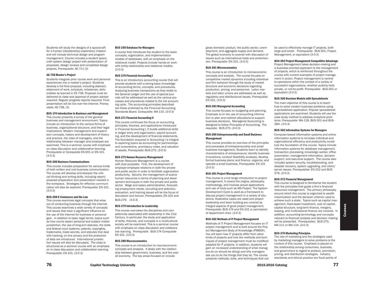Students will study the designs of a spacecraft for a human interplanetary exploratory mission and will include technical design and program management. Course includes a student spacecraft system design project with presentation of proposals, design reviews and completed design projects. Prerequisite: AE-711 (3)

# AE-758 Master's Project

Students integrate prior course work and personal experiences into a master's project. Students develop a full final proposal, including abstract, statement of work, schedule, milestones, deliverables as learned in EE-708. Proposal must be delivered to class and approval of project advisor required. Regular progress reports required. Final presentation will be live over the Internet. Prerequisite: AE-708. (3)

# BUS-174 Introduction to Business and Management

This course presents a survey of the general business and management environment. Topics include an introduction to the various forms of business, organizational structure, and their legal implications. Modern management and supervision concepts, history and development of theory and practice, the roles of managers, and the relationship between manager and employee are examined. This is a seminar course with emphasis on class discussion and collaborative learning. Prerequisite or Corequisite EN-001 or EN-101. (3-0-3)

#### BUS-200 Business Communications

This course includes preparation for various kinds of both written and oral business communication. The course will develop and sharpen the critical thinking and writing skills, including report/ proposal preparation and presentation needed in the workplace. Strategies for effective communication will also be explored. Prerequisite: EN-101. (3-0-3)

# BUS-208 E-Commerce and the Law

This course examines legal concepts that arise out of conducting business through the Internet. This course examines a wide variety of concepts and issues that have a significant influence on the use of the Internet for business or personal gain. In addition to basic legal terms, topics such as how courts assert personal and subject matter jurisdiction, the use of long-arm statutes, the state and federal court systems, patents, copyrights, trademarks, trade secrets, and statutes that deal with hacking, on-line privacy and the protection of data are introduced. International jurisdiction issues will also be discussed. The class is structured as a seminar course with an emphasis on in-class discussion and collaborative learning. Prerequisite: EN-101. (3-0-3)

#### BUS-250 Database for Managers

A course that introduces the student to the basic concepts, organization, and implementation models of databases, with an emphasis on the relational model. Projects include hands-on work with entity-relationship and relational models. (3-0-3)

# BUS-270 Financial Accounting I

This is an introductory accounting course that will provide students with a strong basic knowledge of accounting terms, concepts, and procedures. Analyzing business transactions as they relate to the General Ledger and the use of special journals will be addressed as well as the various processes and procedures related to the full accounting cycle. The accounting principles described are those endorsed by the Financial Accounting Standards Board. Corequisite: MA-110. (3-0-3)

### BUS-271 Financial Accounting II

This course continues the focus on accounting principles, theories, and applications introduced in Financial Accounting I. It builds additional skills in ledger entry and organization, payroll accounting, and the development of financial statements. The foundation acquired in Accounting I is integral to exploring topics as accounting for partnerships and corporations, promissory notes, and valuation of assets. Prerequisite: BUS-270. (3-0-3)

## BUS-275 Human Resource Management

Human Resource Management is a course with dual purposes. First, the development of employer-employee relations in both the private and public sector in order to facilitate organization productivity. Second, the management of scarce human resources in terms of planning and development techniques in both the private and public sector. Wage and salary administration, forecasting employment needs, recruiting and selection, evaluation, and training issues will be the focus of discussion and lecture. Prerequisites: EN-102 and BUS-279. (3-0-3)

#### BUS-279 Introduction to Leadership

This course overviews the disciplines and competencies associated with leadership in the 21st Century. In particular, the study and application of skills, theories, and concepts in a multicultural society will be examined. This is a seminar course with emphasis on class discussion and collaborative learning. Prerequisite: BUS-174 Corequisite EN-101. (3-0-3)

### BUS-280 Macroeconomics

This course is an introduction to macroeconomic concepts and analysis. It deals with the relationship between government, business, and the overall economy. The key areas focused on include

gross domestic product, the public sector, unemployment, and aggregate supply and demand. The global economy is covered with discussion of issues such as international trade and protectionism. Prerequisite: EN-101. (3-0-3)

# BUS-281 Microeconomics

This course is an introduction to microeconomic concepts and analysis. The course focuses on competitive market dynamics including individual and firm behavior through the study of market structure and economic decisions regarding production, pricing, and personnel. Labor markets and labor unions are addressed as well as regulatory and distributional issues. Prerequisite: EN-101. (3-0-3)

## BUS-283 Managerial Accounting

This course focuses on budgeting and planning. Emphasis is on the use of accounting information to plan and redirect allocations to support business decisions. Managerial Accounting is designed to follow Principles of Accounting. Prerequisite: BUS-270. (3-0-3)

### BUS-289 Entrepreneurship and Small Business Management

This course provides an overview of the principles and processes of entrepreneurship and small business management. Students learn to identify characteristics of entrepreneurs; identify business innovations; conduct feasibility analyses; develop formal business plans; and finance, organize, and operate a small business. Prerequisite: EN-101  $(3-0-3)$ 

#### BUS-301 Project Management

This course is a full range introduction to project management. It covers the origins, philosophy, methodology, and involves actual applications and use of tools such as MS Project. The System Development Cycle is used as a framework to discuss project management in a variety of situations. Illustrative cases are used and project leadership and team building are covered as integral aspects of good project management. Prerequisite: BUS-174 and EN-101 or permission of department chair. (3-0-3)

# BUS-302 Methods of IT Project Management

Methods of IT Project Management focuses on IT project management and is built around the Project Management Body of Knowledge (PMBOK). You will learn how IT projects differ from other kinds of projects and how the methods and techniques of project management must be modified/ adapted for IT projects. In addition, students will gain an increased understanding of what managers do (or should be doing) and why managers ask you to do the things that they do. The course presents methods, tools, and techniques that can

be used to effectively manage IT projects, both large and small. Prerequisite: BUS-301, Project Management, or equivalent (3-0-3)

### BUS-303 Project Management Competitive Advantage

Project Management takes decision-making and a business-oriented approach to the management of projects, which is reinforced throughout the course with current examples of project management in action. Project management is central to operations within the context of a variety of successful organizations, whether publicly held, private, or not-for-profit. Prerequisite: BUS-301 or equivalent (3-0-3)

#### BUS-350 Decision Models with Spreadsheets

The main objective of this course is to teach how to solve modern business problems using a spreadsheet application. Popular spreadsheet applications are examined. Students will use the case study method to address analytical problems. Prerequisite: MA-128, BUS-301 and BUS-384. (3-0-3)

# BUS-362 Information Systems for Managers

Computer-based information systems and online information systems to increase individual and organizational efficiency and productivity constitute the foundation of this course. Topics include information systems for database management, transaction processing, knowledge worker, office automation, management information, decision support, and executive support. The course also includes system security, troubleshooting, and disaster recovery, system upgrading, and client/ server issues. Prerequisites: EN-102 and BUS-279. (3-0-3)

# BUS-372 Financial Management

This course is designed to familiarize the student with the principles that guide a firm's financial resources management. The primary philosophy around which this course is organized is wealth maximization and the decision criterion used to achieve such a state. Topics such as capital management, fixed-asset investment, cost of capital, capital structure, long-term finance, mergers, leasing, and multinational finance are covered. In addition, accounting terminology and concepts relevant to financial analysis and decision making will be presented. Prerequisites: BUS-270, MA-111 or MA-114. (3-0-3)

# BUS-376 Marketing Principles

The role of marketing and the strategies used by marketing managers to solve problems is the content of this course. Emphasis is placed on the relationship among consumers, business, and government is regard to product, promotion, pricing, and distribution strategies. Industry standards and ethical practice are focal points of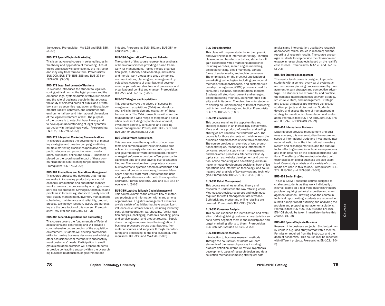the course. Prerequisite: MA-128 and BUS-386. (3-0-3)

# BUS-377 Special Topics in Marketing

This is an advanced course in selected issues in the theory and application of marketing. Actual topics and cases will be chosen by the instructor and may vary from term to term. Prerequisites: BUS-200, BUS-375, BUS-386 and BUS-378 or BUS-208. (3-0-3)

# BUS-378 Legal Environment of Business

This course introduces the student to legal reasoning; ethical norms; the legal process and the American legal system; administrative law process and the role of business people in that process; the study of selected areas of public and private law, such as securities regulation, antitrust, labor, product liability, contracts, and consumer and environmental law; and international dimensions of the legal environment of law. The purpose of the course is to establish legal literacy and to develop an understanding of legal dynamics, particularly in the business world. Prerequisites: EN-102, BUS-279. (3-0-3)

# BUS-379 Integrated Marketing Communications

This course examines the development of marketing strategies and creative campaigns utilizing multiple marketing disciplines (paid advertising, public relations and promotions) and media (print, broadcast, online and social). Emphasis is placed on the coordinated impact of these communication tools in reaching target audiences. Prerequsite: BUS-376 (3-0-3)

# BUS-384 Productions and Operations Management

This course stresses the decisions that managers make in increasing productivity in a world economy, productions and operations management examines the processes by which goods and services are produced. Strategies, techniques and problems in forecasting, statistical quality control, total quality management, inventory management, scheduling, maintenance and reliability, product, process, technology, location, layout, and purchasing are the core topics of this course. Prerequisites: MA-128 and BUS-386. (3-0-3)

# BUS-385 Federal Acquisitions and Contracting

This course covers the fundamentals of Federal acquisitions and contracting and will provide a comprehensive understanding of the acquisition environment. Students will develop professional skills for making business decisions and advising other acquisition team members to successfully meet customers' needs. Participation in small group simulation exercises will prepare students to provide contracting support within the overarching business relationships of government and

industry. Prerequisite: BUS- 301 and BUS-384 or equivalent. (3-0-3)

# BUS-386 Organizational Theory and Behavior

The content of this course represents a synthesis of behavioral sciences providing a broad framework for management. Topics include organization goals, authority and leadership, motivation and morale, work groups and group dynamics, communications, planning and management by objectives, concepts of organizational development, organizational structure and processes, and organizational conflict and change. Prerequisites: BUS-279 and EN-102. (3-0-3)

#### BUS-387 Mergers and Acquisitions

This course surveys the drivers of success in mergers and acquisitions (M&A) and develops your skills in the design and evaluation of these transactions. The M&A transactions will cover the foundation for a wide range of mergers and acquisition fields including corporate development, investment banking, consulting, and advising senior management. Prerequisite: BUS- 301 and BUS-384 or equivalent. (3-0-3)

# BUS-388 Software Acquisitions

This course covers the acquisition of open systems and commercial off-the-shelf (COTS) products an increasingly vital element of corporate and government software development. Properly managed software acquisition offers potential for significant time and cost savings over a system's lifetime. The transition from proprietary, custombuilt systems to systems based on standards and commercial products is not easy, however. Managers and their staff must understand the risks and opportunities associated with this acquisition approach. Prerequisite: BUS- 301 and BUS-384 or equivalent. (3-0-3)

#### BUS-389 Logistics & Supply Chain Management

This course examines the efficient flow of materials, products and information within and among organizations. Logistics management examines a wide variety of activities that have a significant influence on customer service, including inventory control, transportation, warehousing, facility location analysis, packaging, materials handling, parts and service support and product returns. Supply chain management examines the integration of business processes across organizations, from material sources and suppliers through manufacturing and processing, to the final customer. Prerequisites: BUS-386 and MA-128. (3-0-3)

#### BUS-390 eMarketing

This class will prepare students for the dynamic and evolving field of Internet Marketing. Through classroom and hands-on activities, students will gain experience with e-marketing approaches including websites, search engine marketing, online advertising, email marketing, various forms of social media, and mobile commerce. The emphasis is on the practical application of e-marketing technologies, including promotional methods, web analytics tools, and customer relationship management (CRM) processes used for consumer, business, and institutional markets. Students will study both current and emerging online marketing methods, along with their benefits and limitations. The objective is for students to develop an understanding of Internet marketing both in terms of strategy and tactics. Prerequisite: BUS-174, BUS-376. (3-0-3)

#### BUS-391 eCommerce

This course examines the opportunities and challenges faced in an increasingly digital world. More and more product information and selling strategies are linked to the worldwide web. The course is for those students who wish to learn the principles and processes of electronic commerce. The course provides an overview of web promotional strategies, technology and infrastructure concerns, security, supply chain management, and back-office processes. Students will study topics such as: website development and promotion, online marketing and advertising, outsourcing or in-house development decisions, back office operations and information technology, and sourcing and cost analysis of key services and technologies. Prerequisite: BUS-376, BUS-384. (3-0-3)

#### BUS-392 Retail Management

This course examines retailing theory and research to understand the way retailing works. Methods, strategies, resources and techniques required for retail management are stressed. Both brick and mortar and online retailing are covered. Prerequisite:BUS-386. (3-0-3)

#### BUS-393 Consumer Analysis

This course examines the identification and evaluation of distinguishing customer characteristics so as to better segment them in the marketplace and target marketing efforts to them. Prerequisites: BUS-376, MA-128 and SS-171. (3-0-3)

# BUS-400 Research Methods

Introduction to business research methods. Through the coursework students will learn elements of the research process including problem definition, literature review, hypothesis development, types of research design and data collection methods; sampling strategies; data

analysis and interpretation; qualitative research approaches; ethical issues in research; and the reporting of research results. The course encourages students to step outside the classroom and engage in research projects based on the real life case studies. Prerequisites: MA-128 and EN-102. (3-0-3)

#### BUS-410 Strategic Management

This senior level course is designed to provide students with a general overview of systematic and continuous planning processes used by management to gain strategic and competitive advantage. The students are exposed to, and practice, the complex interrelationships between strategy, structure, culture, and management. Strategic and tactical strategies are explored using case studies, projects and discussions. Students develop and assess the role of management in strategy formulation, implementation and evaluation. Prerequisites: BUS-372, BUS-384,BUS-375 and BUS-378 or BUS-208. (3-0-3)

## BUS-454 International Business

Drawing upon previous management and business courses, this course studies the nature and scope of international trade and investment, international institutions, the international monetary system and exchange markets, and the cultural factor affecting international business operations and their influence on the principal business functions. The effects of the revolution in electronic technologies on global business are also examined. Case study analysis and a variety of current media are used in this course. Prerequisites: BUS-372, BUS-376 and BUS-386. (3-0-3)

#### BUS-458 Senior Project

This is a BA/MIT capstone course designed to challenge students as they work individually or in small teams on a real-world business/industry problem requiring technical expertise and management acumen. Drawing upon the course in technical report writing, students are required to submit a major report outlining and analyzing the problem and proposing management solutions. Prerequisites: BUS-400, BUS-410 and EN-408. EN-408 should be taken immediately before this course. (3-0-3)

# BUS-460 Special Topics in Business

Research into business subjects. Student primarily works in a guided study format with a mentor. Permission required from the instructor and the dean of academics. This course may be repeated with different projects. Prerequisite: EN-102. (3-0- 3)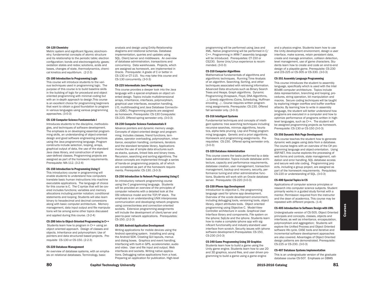#### CH-120 Chemistry

Metric system and significant figures; stoichiometry; fundamental concepts of atomic structure and its relationship to the periodic table; electron configuration; bonds and electronegativity; gases; oxidation states and redox; solutions, acids and bases, changes of state, thermodynamics, chemical kinetics and equilibrium. (2-2-3)

# CS-100 Introduction to Programming Logic

This course will introduce students to the various techniques used in programming logic. The purpose of this course is to build baseline skills in the building of logic for procedural and object oriented programming with minimal coding but with an in-depth approach to design.This course is an excellent choice for programming beginners that want to obtain a good foundation to program in various languages using various programming approaches. (3-0-3)

# CS-130 Computer Science Fundamentals I

Introduces students to the discipline, methodologies, and techniques of software development. The emphasis is on developing essential programming skills, an understanding of object-oriented design and good software engineering practices using the Java programming language. Program constructs include selection, looping, arrays, graphical output of data, the use of the standard Java class library, and construction of simple user-defined classes. Programming projects are assigned as part of the homework requirements. Prerequisite: MA-112. (3-2-4)

#### CS-150 Introduction to Programming Using C

This introductory course in programming will enable students to understand how computers translate basic human instructions into machine executable applications. The language of choice for this course is C. The C syntax that will be covered includes functions; variables and memory allocations including pointer notation; conditional statements and looping. Students will also learn binary to hexadecimal and decimal conversions along with basic computer architecture. Memory management, data input output and file manipulations will be among some other topics discussed and applied during this course. (3-2-4)

#### CS-200 Intro to Object-Oriented Programming in C++

Students learn how to program in C++ using an object oriented approach. Design of classes and objects. Inheritance and polymorphism: Use of pointers and data structured based projects. Prerequisite CS-130 or CS-150. (2-2-3)

### CS-220 Database Management

An overview of database systems, with an emphasis on relational databases. Terminology, basic

analysis and design using Entity-Relationship diagrams and relational schemas. Database implementation, queries and updates using SQL. Client/server and middleware. An overview of database administration, transactions and concurrency. Data warehouses. Projects, which are assigned as homework, are implemented in Oracle. Prerequisite: A grade of C or better in CS-130 or CT-115. You may take this course and CS-130 concurrently. (3-0-3)

#### CS-225 Intermediate Java Programming

This course provides a deeper look into the Java language with a special emphasis on object oriented design. Topics include multidimensional arrays, inheritance, interfaces, polymorphism, graphical user interfaces, exception handling, I/O, multithreading and Java Database Connectivity (JDBC). Programming projects are assigned as homework. Prerequisite: CS-130 Corequisite: CS-220. Offered spring semester only. (3-0-3)

#### CS-230 Computer Science Fundamentals II

Advance pointers and dynamic memory usage. Concepts of object-oriented design and programming. Includes classes, friend functions, templates, operator overloading, polymorphism, inheritance, exception handling, containers, iterators and the standard template library. Applications involve the use of simple data structures such as stacks, queues, linked lists and binary trees. Recursion, searching and sorting algorithms. The above concepts are implemented through a series of hands-on programming projects, all of which are completed as part of the homework requirements. Prerequisite: CS-130. (3-0-3)

# CS-250 Introduction to Network Programming Using C

An introductory network programming course using the C programming language. Students will be provided an overview of the principles of computer networks with a detailed look at the OSI reference model and the TCP/IP stack. The emphasis is on understanding UNIX interprocess communication and developing network programs using connectionless and connection-oriented sockets. Extensive programming assignments will include the development of client/server and peer-to-peer network applications. Prerequisites: CS-150. (2-2-3)

# CS-305 Android Application Development

Writing applications for mobile devices using the Android operating system. Installing and using the Android SDK. Creating GUI layouts, menus and dialog boxes. Graphics and event handling. Interfacing with built-in GPS, accelerometer, audio and video. User and file input and output. Web interfaces and sockets. Writing native applications. Debugging native applications from a host. Preparing an application for publication. High-level

80 Capitol Technology University 2015-2016 Catalog 2015-2016 Catalog 2015-2016 Catalog 81

programming will be performed using Java and XML. Native programming will be performed in C/ C++. Programming in ARM-7 assembly language will be introduced. Prerequisites: CT-150 or CS230. Some Unix/Linux experience is recommended. (3-0-3)

# CS-310 Computer Algorithms

Mathematical fundamentals of algorithms and algorithmic techniques. Running Time Analysis of an algorithm. Searching, Sorting, and other techniques associated with retrieving information. Advanced Data structures such as Binary Search Trees and Heaps. Graph algorithms. Dynamic Programming (Knapsack, Floyd, DNA Algorithms, ..). Greedy algorithms (Coins, Scheduling, Huffman encoding, ..) . Course requires written programming assignments. Prerequisite: CS-230. Offered fall semester only. (3-0-3)

## CS-316 Intelligent Systems

Fundamental techniques and concepts of intelligent systems: tree searching techniques including recursive searches, minmax algorithms, heuristics, alpha beta pruning. Lisp and Prolog programming languages. Genetic and a priori algorithms. Homework and programming assignments. Prerequisites: CS-230. Offered spring semester only. (3-0-3)

# CS-320 Database Administration

This course covers the tasks performed by a database administrator. Topics include database architecture, capacity and performance requirements, database creation, user management, transaction management, backup and recovery, security, performance tuning and other administrative functions. Students will work with an Oracle database server. Prerequisite: CS-220 (3-0-3)

# CS-330 iPhone App Development

Introduction to objective C, the programming language used for iphone app development. Overview of the xcode development environment. including debugging tools, versioning tools, object library, object attributes tools. Object oriented programming using Objective C. Model-View-Controller architecture in xcode. Graphical User Interface library and components. File system on the iphone; SqlLite and the iphone. Students learn how to make a complete iphone app with significant functionality and industry-standard user interface from scratch. Security issues with iphone software development.Prerequisites: CS-150, CS-230 (3-0-3)

# CS-340 Game Programming Using 3D Graphics

Students learn how to build a game using the Unity game engine. Students learn how to use 2D and 3D graphics, sound files, and user driven programming to build a game using a game engine

and a physics engine. Students learn how to use the Unity development environment, design a user interface, make scenes, retain persistent data, create and manage animation, collision detection, level management, use of game characters. Students learn how to create and code an end-to-end design of a playable game. Prerequisite: CS-230 and (CS-225 or CS-305 or CS-330. (3-0-3)

#### CS-351 Assembly Language Programming

This course introduces the student to assembly language, specifically which is used with the Intel 80x86 computer architecture. Topics include data representation, branching and looping, procedures, string operation, bit manipulation and macros. Secure coding techniques will be taught by exploring integer overflow and buffer overflow attacks. By learning how to write in assembly language, the student will better understand how programs are executed in a computer and how to optimize performance of programs written in highlevel languages, such as C++. The student will be assigned programming projects as homework. Prerequisite: CS-130 or CS-150 (3-0-3)

#### CS-356 Dynamic Web Page Development

This course teaches the student how to generate dynamic web pages using data from a database. The course begins with an overview of the C# programming language and object-orientation. Using ASP.NET, this course explores the processing of web forms and controls, state management, validation and error handling, SQL database access and secure web site coding. Programming projects, including a group project, are assigned as part of the homework requirements. Perquisites: CS-220 or understanding of SQL. (3-0-3)

#### CS-400 Special Topics in CS

Applications of computer science principles or research into computer science subjects. Student primarily works in a guided study format with a mentor. Permission required from the instructor and the dean of academics. This course may be repeated with different projects. (1-4)

#### CS-405 Introduction to Software Design with UML

Undergraduate version of CS-505. Object Oriented principals and concepts, classes, objects and interfaces; as well as inheritance, encapsulation, polymorphism and aggregation; Students will explore the Unified Process and Object Oriented software life cycle. CASE tools and iterative and incremental software development approaches are also covered. Advantages of Object Oriented design patterns are demonstrated. Prerequisite: CS-225 or CS-230. (3-0-3)

# CS-407 Database Systems Implementation

This is an undergraduate version of the graduate database course CS-507. Emphasis on DBMS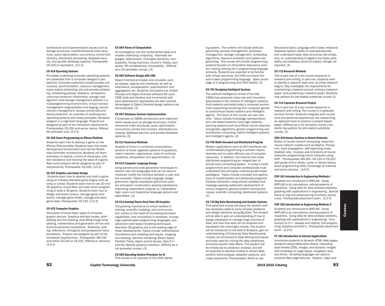architecture and implementation issues such as storage structures, multidimensional index structures, query optimization, concurrency control and recovery, distributed processing, database security, and parallel database systems. Prerequisite: CS-220 or equivalent. (3-0-3)

# CS-418 Operating Systems

Principles underlying computer operating systems are presented from a computer designer's perspective. Concepts explained include process concurrency, synchronization, resource management, input/output scheduling, job and process scheduling, scheduling policies, deadlock, semaphore, consumer/producer relationship, storage management (real storage management policies in a multiprogramming environment), virtual memory management (segmentation and paging), secure memory management, access control lists and kernal protection. An overview of contemporary operating systems with these principles. Students program in a high-level language. Projects are assigned as part of the homework requirements. Prerequisites: CS-150 and senior status. Offered fall semester only. (3-0-3)

#### CS-430 Game Programming on iPhone Platform

Students learn how to develop a game on the iPhone/iPad portable. Students learn the xcode development environment and use the Model-View-Controller architecture. Students will learn animation of objects, control of characters, collision avoidance and tracking the state of a game. Real world projects will be assigned as part of requirements. Prerequisite: CS-330. (3-0-3)

#### CS-431 Graphics and Game Design

 Students learn how to develop and build a game using an industry-standard game engine such as Unity or Unreal. Students learn how to use 2D and 3D graphics, sound files, and user driven programming to build a 3D game. Students learn how to design and build a scene, manage game characters, manage game levels, manage and store game data. Prerequisite: CS-230. (2-2-3)

#### CS-432 Computer Graphics

Discussion of some basic types of computer graphic devices. Graphics and text modes, point plotting and line drawing, area filling image array plotting, mathematics and generation off two and three-dimensional translations. Rotations, scaling, reflections, orthogonal and perspective transformations. Projects are assigned as part of the homework requirements. Prerequisite: MA-330 and either CS-230 or CS-225. Offered on demand. (3-0-3)

#### CS-504 Theory of Computation

An investigation into the fundamental ideas and models underlying computing. Automata languages, determinism, Chompsky hierarchy, computability, Turing machines, Church's Thesis, complexity, NP-completeness, intractability. (Offered as a full semester course.) (3)

# CS-505 Software Design with UML

Object Oriented principles and concepts, such as classes, objects and interfaces; as well as inheritance, encapsulation, polymorphism and aggregation; etc. Students will explore the Unified Process and Object Oriented software life cycle. CASE tools and iterative and incremental software development approaches are also covered. Advantages of Object Oriented design patterns are demonstrated. (3)

# CS-507 Database Systems Implementation

E Emphasis on DBMS architecture and implementation issues such as storage structures, multidimensional index structures, query optimization, concurrency control and recovery, distributed processing, database security, and parallel database systems. (3)

### CS-511 Numerical Methods

Analysis of errors in numerical computations, solution of linear algebraic systems of equations, matrix inversion, eigenvalues, roots of nonlinear equations, interpolation and approximation. (3)

#### CS-512 Computer Language Design

Using parsers and code generation techniques to fashion new mini-languages that can be used to creatively modify the interface between a user and the computer. Topics include language design; grammars; regular expression grammers; parsers and parser construction; parsing expressions; tokenizing; assemblers; engines vs. interpreters; logic, query and imperative language parsers and assemblers. (3)

# CS-513 Gaming Theory-Real-Time 3D Graphics

The growing importance of virtual realities in training, scientific modeling, and communication comes on the heels of increasing processor capabilities, new innovations in hardware, increasingly sophisticated programming languages, and advanced math-based modeling techniques. Real-time 3D graphics are at the leading edge of these developments. Topics include mathematical foundations and modeling techniques, mapping, anti-aliasing, real-time rendering, Binary Space Partition Trees, object control issues. Uses C++ and the OpenGL graphics interface. (Offered as a full semester course.) (3)

CS-620 Operating System Principles for IA This course is an overview of the UNIX operating system. The content will include shell programming, process management, processor management, storage management, scheduling algorithms, resource protection and system programming. The course will include programming projects focused on Information Assurance problem solving utilizing the C programming language primarily. Students are expected to be familiar with virtual machines, the UNIX command line and a basic programming language. Basic knowledge of C programming and UNIX helpful. (3)

# CS-701 Designing Intelligent Systems

The artificial intelligence revival of the late 1980s has produced many new and innovative approaches to the creation of intelligent systems. Such systems permeate today's computer environment supporting everything from computer games to autonomous robotic systems and intelligent agents. The focus of this course will vary over time. Topics include knowledge representation and rule-based systems, fuzzy-logic systems, learning systems such as artificial neural networks and genetic algorithms, genetic programming and evolutionary computing, hybrid intelligent systems, and intelligent agents. (3)

# CS-705 Multi-threaded and Distributed Program

Modern applications such as GUI interfaces use multithreaded programming to achieve responsiveness and to make efficient use of computer resources. In addition, the Internet has made distributed programming an integral part of almost every computing system. In today's world programmers and computer professionals must understand the principles underlying both these paradigms. Topics include concepts and applications of multithreaded and distributed programs. Process interaction using shared variables and message passing; systematic development of correct programs; general problem solving techniques; scientific computing; distributed systems. (3)

#### CS-710 Big Data Warehousing and Analytic Systems

This advanced course will equip the student with the necessary skills to solve complex problems and design solutions using Big Data. The student will be able to gain an understanding of how to design databases to manage large volumes of data, and how that data can be analyzed and translated into meaningful results. The student will be introduced to the field of Analytics, gain an understanding of Enterprise Data Warehousing models, be introduced to Data Mining techniques and tools used for mining the data warehouse, and build specific Data Marts. The student will be introduced to predictive analysis, and will be expected to develop models to extract data, perform trend analysis, establish patterns, and make projections. Prerequisites: Ability to use

Structured Query Language with a basic relational database system; ability to read pseudocode, and understand basic data structures like arrays; and, an understanding of algebra and basic probability and statistics would be helpful, though not required. (3)

#### CS-712 Research Methods

This is part one of a two course sequence in research and writing. In part one, students work to identify a research topic and, as initial research begins, they investigate the requirements for maintaining a research journal, writing a research paper, and presenting a research paper. Students may petition for job-related substitute course.(3)

#### CS-714 Capstone Research Project

This is part two of a two course sequence in research and writing. The course is in graduate seminar format. Students integrate prior course work and personal experiences into researching an approved topic to produce a project-based paper. (Offered as a full semester course.) Students may petition for job-related substitute course. (3)

#### CSH-410 Honors Seminar in Neural Networks

Basics of neural network computing, important neural network models such as Adaline, Perceptron, back propagation, self-organizing maps, Hopfield nets. Analysis and limitations of neural networks; programming neural networks using OOP. Prerequisites: MA-261. CS-130 or CS-225 with grade of B or better; Junior or Senior status; Good programming skills, knowledge of matrices and some calculus. (3-0-3)

#### CSP-101 Introduction to Engineering Methods I

Students are introduced to MATLAB. Using MATLAB to do calculations, solving systems of equations. Using data for data analysis statistics, graphing with applications in engineering. Special focus on trig and advanced trig functions, precalculus. Prerequisite placement exam. (2-2-3)

#### CSP-102 Introduction to Engineering Methods II

Students are introduced to MATLAB. Using MATLAB to do calculations, solving systems of equations. Using data for data analysis statistics, graphing with applications in engineering. Introduction to C++, classes and objects, CGI programming, Graphics and GUI's. Prerequisite placement exam. (2-2-3)

# CT-102 Introduction to Internet Applications

Introduces students to dynamic HTML Web pages, designed using tables,style sheets, cascading style sheets (CSS), images, and dynamic images, with emphasis on page layout, navigation bars and forms. Scripting languages are used to enhance Web page features. Graphic, video and

82 Capitol Technology University 83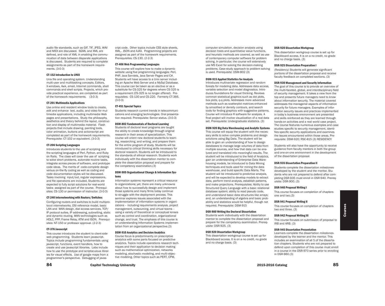audio file standards, such as GIF, TIF, JPEG, WAV and MIDI are discussed. SGML and XML are defined, and role of XML in enabling the communication of data between disparate applications is discussed. Students are required to complete assignments as part of the homework requirements. (3-0-3)

# CT-152 Introduction to UNIX

Unix file and operating system. Understanding multi-user and multitasking concepts. Editors, X-windows, Awk, email, Internet commands, shell commands and shell scripts. Projects, which provide practical experience, are completed as part of the homework requirements. (3-0-3)

### CT-201 Multimedia Applications

Use online and resident window tools to create, edit and enhance text, audio, and video for multimedia applications, including multimedia Web pages and presentations. Study the philosophy, aesthetics and theory behind the layout, construction and display of multimedia material. Flash projects that include drawing, painting tools, color animation, buttons and actionscript are completed as part of the homework requirements. Prerequisite: CT-102 or equivalent. (3-0-3)

# CT-206 Scripting Languages

Introduces students to the use of scripting and the scripting languages of Perl, Python, and Ruby on Rails. The class will cover the use of scripting to solve short problems, automate routine tasks, integrate across pieces of software, and prototype code ideas. The merits of code-complete design versus on-the-fly coding as well as coding and code documentation styles will be discussed. Tasks involving input/out, regular expressions, and file operations are included. Students are expected to fully script solutions for real-world tasks assigned as part of the course. Prerequisites: CS-130 or permission of instructor. (3-0-3)

# CT-240 Internetworking with Routers/Switches

Configuring routers and switches to build multiprotocol internetworks. OSI reference model, basic LAN and WAN design, dial access services, TCP/ IP protocol suites, IP addressing, subnetting, static and dynamic routing, WAN technologies such as HDLC, PPP, Frame Relay, ATM and ISDN. Prerequisites: NT-150 or professor approval. (2-2-3)

# CT-376 Javascript

This course introduces the student to client-side web programming. Students learn javascript. Topics include programming fundamentals using javascript, functions, event handlers, how to create and use javascript libraries. Labs include how to use the prototype and scriptaculous libraries for visual effects. Use of google maps from a programmer's perspective. Debugging of javascript code. Other topics include CSS style sheets, XML,. JSON and AJAX. Programming projects are assigned as part of the homework requirements. Prerequisites: CS-130. (2-2-3)

#### CT-406 Web Programming Languages

This course will explore how to make a dynamic website using five programming languages: Perl, PHP, Java Servlets, Java Server Pages and C#. Students will have access to a Unix server including an Apache Web Server and a MySql Database. This course can be taken as an elective or as a substitute for CS-325 for degrees where CS-325 is a requirement (CS-325 is no longer offered). Prerequisites: CS-130 and CS-220. Formerly CT-366. (3-0-3)

#### CT-451 Special Topics

Students research current trends in telecommunications and emerging technologies. Oral presentation required. Prerequisite: Senior status. (3-0-3)

## DSM-802 Fundamentals of Doctoral Learning

Students of doctoral level programs are taught the ability to create knowledge through original research in their areas of specialization. This course will orient new doctoral students to learning, researching, and writing, and prepare them for the entire program of study. Students will be introduced to critical thinking skills necessary for doctoral research. Students will be introduced to the standards of ethical research. Students work individually with the dissertation mentor to complete the dissertation proposal and prepare for the competency examination.(3)

#### DSM-905 Organizational Change & Information Systems

Information systems represent a critical resource to organizations; yet, there are many unknowns about how to successfully design and implement those systems and many firms today continue to struggle with the deployment process. This seminar explores issues associated with the implementation of information systems in organizations – including requirements analysis, project management, outsourcing, and virtual teams – using a variety of theoretical or conceptual lenses such as control and coordination, organizational change, and trust. The emphasis of this course is on understanding Information Systems implementation from an organizational perspective.(3)

# DSM-910 Analytics and Decision Analytics

Course focus is predominantly on prescriptive analytics with some parts focused on predictive analytics. Topics include operations research techniques and their application to decision making such as mathematical optimization, networks modeling, stochastic modeling, and multi-objective modeling. Other topics such as PERT, CPM,

computer simulation, decision analysis using decision trees and quantitative value functions, and heuristic methods are covered, as well as use of contemporary computer software for problem solving. In particular, the course will extensively use MS Excel for solving the decision-making problems. Case-study approach to problem solving is used. Prerequisite: DSM-802 (3)

# DSM-915 Applied Statistics for Analysis

Introduces multivariate regression and random forests for modeling data. Addresses data access, variable selection and model diagnostics. Introduces foundations for visual thinking. Reviews common statistical graphics such as dot plots, box plots, q-q plots. Addresses more advanced methods such as scatterplot matrices enhanced by smoothed or density contours, and search tools for finding graphics with suggestive patterns. Course will introduce R software for analysis. A final project will involve visualization of a real data set. Prerequisite: Undergraduate statistics. (3)

# DSM-920 Big Data Warehousing and Analytic Systems

This course will equip the student with the necessary skills to solve complex problems and design solutions using Big Data. The student will be able to gain an understanding of how to design databases to manage large volumes of data from multiple sources, and how that data can be analyzed and translated into meaningful results. The student will be introduced to the field of Analytics, gain an understanding of Enterprise Data Warehousing models, be introduced to Data Mining techniques and tools used for mining the data warehouse, and build specific Data Marts. The student will be introduced to predictive analysis, and will be expected to develop models to extract data, perform trend analysis, establish patterns, and make projections. Prerequisites: Ability to use Structured Query Language with a basic relational database system; ability to read pseudo code, and understand basic data structures like arrays; and, an understanding of algebra and basic probability and statistics would be helpful, though not required. Prerequisite: DSM-915

# DSR-900 Writing the Doctoral Dissertation

Students work individually with the dissertation mentor to complete the dissertation proposal and prepare for the competency examination. Prerequisite: DSR-925. (3)

# DSR-920 Dissertation Workgroup

This dissertation workgroup course is set up for Blackboard access. It is on a no credit, no grade and no charge basis. (3)

#### DSR-920 Dissertation Workgroup

This dissertation workgroup course is set up for Blackboard access. It is on a no credit, no grade and no charge basis. (3)

# DSR-925 Dissertation Preparation I

(Residency) Students will generate significant portions of the dissertation proposal and receive faculty feedback on completed sections. (3)

# DSR-930 Management and Security Information

The goal of this course is to provide an overview of the multi-faceted, global, and interdisciplinary field of security management. It takes a view from the top and presents future managers need to know about information security. The material covered addresses the managerial aspects of information security for future managers. Examples of information security issues and practices implemented in today's business environment are presented and skills reinforced as they are learned through hands-on activities and a real world case project. The course features numerous examples and case studies specific to security management, identifies specific security applications and examines the issues encountered within those areas. Prerequisite: DSM-920; RSC-815 (3) RESIDENCY

Students will also have the opportunity to receive guidance from faculty mentors in both the group and one-on-one environment in the development of the dissertation proposal.

#### DSR-935 Dissertation Preparation II

Students complete the dissertation milestones developed by the student and the mentor. Students who are not prepared to defend after completing DSR-935 must enroll in DSR-940. Prerequisite: DSR-900. (3)

# DSR-940 Proposal Writing I

This course focuses on completion of chapters one and two.(3)

#### DSR-941 Proposal Writing II

This course focuses on completion of chapters two and three. (3)

# DSR-942 Proposal Writing III

This course focuses on submission of proposal to IRB and ARB. (3)

# DSR-945 Dissertation Presentation

Learners complete the dissertation milestones developed by the learner and the mentor. This includes an examination of all 5 of the dissertation chapters. Students who are not prepared to defend upon completion of this course must enroll in a course in the DSR-970 series prior to enrolling in DSR-960.(3)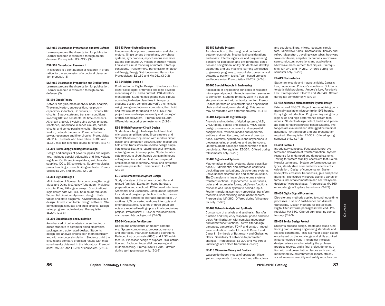#### DSR-950 Dissertation Presentation and Oral Defense

Learners prepare the dissertation for publication. Learner research is examined through an oral defense. Prerequisite: DSR-935. (3)

# DSR-951 Dissertation Research I

This course is a continuation of research in preparation for the submission of a doctoral dissertation proposal. (3)

# DSR-960 Dissertation Preparation and Oral Defemse

Learners prepare the dissertation for publication. Learner research is examined through an oral defense. (3)

#### EE-159 Circuit Theory

Network analysis, mesh analysis, nodal analysis, Thevenin, Norton, superposition, reciprocity, capacitors, inductors, RC circuits, RL circuits, RLC circuits. Steady state and transient conditions involving RC time constants, RL time constants. AC circuit analysis involving sine waves, phasors, reactance, impedance in series circuits, parallel circuits, and series-parallel circuits. Thevenin, Norton, network theorems. Power, effective power, resonance and filter circuits. Prerequisite: MA-114. Students who have taken EL-100 and EL-150 may not take this course for credit. (3-2-4)

#### EE-300 Power Supply and Regulator Design

Design and analysis of power supplies and regulators. Includes special adjustable and fixed voltage regulator ICs, three-pin regulators, switch-mode supplies. DC to DC convertors. Supply topologies, power handling, current limiting methods. Prerequisites: EL-250 and MA-261. (2-2-3)

#### EE-304 Digital Design I

Minimization of Boolean functions using Kamaugh Maps and Quine-McCluskey Tabulation. Multilevel circuits: PLAs, PALs, gate arrays. Combinational logic design with MSI LSI. Chip count reduction. Sequential circuit analysis and design. State tables and state diagrams. Asynchronous circuit design. Introduction to PAL design software. Students design, simulate and build circuits. Design using programmable devices. Prerequisite: EL-204. (2-2-3)

# EE-309 Circuit Design and Simulation

An advanced circuit analysis course that introduces students to computer-aided electronics packages and automated design. Students design and analyze circuits both mathematically and with computer simulation. Students build the circuits and compare predicted results with measured results obtained in the laboratory. Prerequisites: MA-261 and EL-250 or equivalent. (2-2-3)

#### EE-353 Power System Engineering

Fundamentals of power transmission and electric motors. Single versus three-phase, poly-phase systems, synchronous, asynchronous machines. DC and compound DC motors, induction motors. Equivalent circuit modeling of motors. Start-up conditions. Transformers, Transmission of Electrical Energy, Energy Distribution and Harmonics. Prerequisites: EE-159 and MA-261. (3-0-3)

#### EE-354 Digital Design II

Continuation of Digital Design I. Students explore larger-scale digital arithmetic and logic development using VHDL and a current FPGA development board. Students design and build circuits according to design objectives in two parts: students design, compile and verify their circuits using timing simulation on computers; then build and test circuits for upload to an FPGA. Final project involves design, assembly and testing of a VHDL-based system. Prerequisite: EE-304. Offered during spring semester only. (2-2-3)

## EE-359 High Frequency Circuit Design

Students are taught to design, build and test microwave amplifiers using S-parameters and Smith Charts in conjunction with modern circuit design and simulation software. Both bipolar and field effect transistors are used to design amplifiers to specifications regarding signal flow gain, noise figure and intercept point. Students fabricate microstrip circuit boards using an in-house milling machine and then test the completed amplifiers in the laboratory. Actual and simulated results are presented. Prerequisite: EE-309. (2-2-3)

#### EE-362 Microcontroller System Design

Study of a state of the art microcontroller and related families. Evaluation board hardware preparation and checkout. PC to board interfaces. Assembler and C-compiler. Configuration registers for code and program protection. On-chip memories. Seerial peripheral interface and parallel I/O routines. A/D converter, real-time interrupts and timer applications. A series of three group projects are required leading up to a final stand-alone project. Prerequisite: EL-262 or microcomputer, micro-assembly background. (2-2-3)

# EE-364 Computer Architecture

Design and architecture of modern computers. System components: processor, memory and interfaces. Instruction sets and operations. Reduced instruction sets (RISC) and RISC architecture. Processor design to support RISC instruction set. Evolution to parallel processing and multiprocessing. Prerequisite: EE-304. Offered during spring semester only. (2-2-3)

#### EE-382 Robotic Systems

An introduction to the design and control of autonomous robots. Mechanical considerations and review. Interfacing issues and programming. Sensors for perception and environmental detection and navigational ability. Students will develop algorithms and use machine learning techniques to generate programs to control electromechanical systems to perform tasks. Team based projects and laboratories. Prerequisites: EL-262. (2-2-3)

# EE-400 Special Projects in Engineering

Application of engineering principles of research into a special project. Projects vary from semester to semester. Students primarily work in a guided study environment with a faculty mentor. Prerequisites: permission of instructor and department chair and at least junior standing. This course may be repeated with different projects. (1-4-3)

# EE-404 Large-Scale Digital Design

Analysis and modeling of digital systems, VLSI, VHDL timing, objects and classes. VHDL-based design processes, concurrent and sequential assignments. Variable modes and operators, entities and architectures, behavioral descriptions. Dataflow, synchronous and asynchronous processes using procedures and sub-functions. Library support packages and generation of testbench data. Prerequisite: EE-354. Offered during fall semester only. (2-2-3)

### EE-406 Signals and Systems

Mathematical models, systems, signal classifications, I/O differential and difference equations, block diagram realizations, discrete-time systems. Convolutions: discrete-time and continuous-time. The Z-transform in linear discrete-time systems, transfer functions. Trigonometric Fourier series, polar and rectangular forms, odd/even functions, response of a linear system to periodic input. Fourier transform, symmetry properties, transform theorems, linear filtering, modulation theorem. Prerequisite: MA-360. Offered during fall semester only. (3-0-3)

# EE-409 Network Analysis and Synthesis

Comparison of analysis and synthesis. Transfer function and frequency response: phase and time delay. Familiarization with complex impedance and admittance functions. Active filter design: bandpass, bandreject, FDNR and gyrator. Impedance evaluation: Foster I, Foster II, Cauer I and Cauer II. Synthesis of Butterwork and Chebyshev filters. Sensitivity of networks to parameter changes. Prerequisites: EE-309 and MA-360 or knowledge of Laplace transforms. (2-2-3)

### EE-415 Microwave Theory and Devices

Waveguide theory: modes of operation. Waveguide components: tuners, windows, sifters, tees

and couplers, filters, mixers, isolators, circulators. Microwave tubes. Klystrons: multicavity and reflex. Magnetron, traveling wave tubes, backward wave oscillators, amplifier techniques, microwave semiconductors: operations and applications. Microwave measurement techniques. Prerequisite: MA-340 and PH-262. Offered during fall semester only. (2-2-3)

# EE-419 Electrostatics

Stationary electric and magnetic fields. Gauss's Law, Laplace and Poisson's equations. Solutions to static field problems. Ampere's Law, Faraday's Law. Prerequisites: PH-263 and MA-340. Offered during fall semester only. (3-0-3)

## EE-452 Advanced Microcontroller System Design

Extension of EE-362. Project course utilizing commercially available microcontroller EVB boards. Fuzzy logic introduction. Programming using fuzzy logic rules and high performance design techniques. Students design, select, build, and generate code for microcontroller-based systems. Prototypes are evaluated and debugged before final assembly. Written report and oral presentation required. Prerequisite: EE-362. Offered spring semester only.  $(1-4-3)$ 

#### EE-453 Control I

Introductory concepts. Feedback control systems and derivation of transfer function. System response for undamped and damped systems. Testing for system stability, coefficient test, Routh-Hurwitz technique. System performance, system types, steady state error and error coefficients calculation. Design of compensator. System bode plots, crossover frequencies, gain and phase margins. The course will stress use of a variety of famous industrial computer-aided control system design software packages. Prerequisite: MA-360 or knowledge of Laplace transforms. (2-2-3)

#### EE-456 Digital Signal Processing

Discrete-time methods applied to continuous-time processes. Use of Z, fast-Fourier and discrete transforms. Design methods for digital filters. Digital filter software packages introduced. Prerequisite: MA-360. Offered during spring semester only. (2-2-3)

#### EE-458 Senior Design Project

Students propose design, create and test a functioning product using engineering standards and realistic constraints. This is a major design experience based on the knowledge and skills acquired in earlier course work. The project includes design reviews as scheduled by the professor, progress reports, and a final project demonstration with oral presentation. Issues such as cost, maintainability, environmental impact, ethical, social, manufacturability and safety must be con-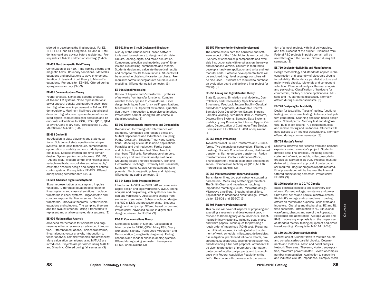sidered in developing the final product. For EE, TET, EET, CE and CET programs. CE and CET students should see advisor before registering. Prerequisites: EN-408 and Senior standing. (1-4-3)

# EE-459 Electromagnetic Field Theory

Continuation of EE-419. Time-varying electric and magnetic fields. Boundary conditions. Maxwell's equations and applications to wave phenomena. Relation of classical circuit theory to Maxwell's equations. Prerequisite: EE-419. Offered during spring semester only. (3-0-3)

#### EE-461 Communications Theory

Fourier analysis. Signal and spectral analysis of AM and FM systems. Noise representations; power spectral density and quadrate decomposition. Signal-to-noise improvement in AM and FM demodulators. Maximum likelihood digital signal detection. Signal space representation of modulated signals. Modulated signal detection and biterror rate calculations for OOK, BPSK, QPSK, QAM, M-ary PSK and M-ary FSK. Prerequisites: EL-261, MA-360 and MA-345. (3-0-3)

#### EE-463 Control II

Introduction to state diagrams and state equations. Solutions of state equations for simple systems. Root-locus techniques, compensation, optimization of stability and error. Multiparameter root locus. Nyquist criterion and time domain design. System performance indexes: ISE, IAE, ITAE and ITSE. Modern control engineering: state variable methods, controllable and observable/ estimator, observer design and design of optimal control system. Prerequisites: EE-453. Offered during spring semester only. (3-0-3)

## EE-500 Advanced Signals and Systems

Signal representation using step and impulse functions. Differential equation description of linear systems and classical solutions. Laplace transforms in linear systems. Trigonometric and complex exponential Fourier series. Fourier transforms. Parseval's theorems. State-variable equations and solutions. The sampling theorem and the Nyquist criterion. Using Z-transforms to represent and analyze sampled data systems. (3)

# EE-600 Mathematical Analysis

Advanced mathematics for scientists and engineers as either a review or an advanced introduction. Differential equations, Laplace transforms, linear algebra, vector analysis, introduction to tensor analysis, complex variables and probability. Many calculation techniques using MATLAB are introduced. Projects are performed using MATLAB and Simulink. Offered during fall semester. (3)

#### EE-601 Modern Circuit Design and Simulation

A study of the various SPICE based software tools used by engineers to design and simulate circuits. Analog, digital and mixed simulation. Component selection and modeling use of libraries and customizing components and models. Students design and calculate theoretical results and compare results to simulations. Students will be required to obtain software for purchase. Prerequisite: normal undergraduate course in circuit modeling. Offered during fall semester. (3)

#### EE-606 Signal Processing

Review of Laplace and Z-transforms. Synthesis of networks from transfer functions. Complex variable theory applied to Z-transforms. Filter design techniques from "brick wall" specifications. Mixed-radix FFT's. Spectral estimation. Quantization theory. Introduction to recursive estimation. Prerequisite: normal undergraduate course in signal processing. (3)

# EE-607 Electromagnetic Interference and Compatibility

Overview of Electromagnetic Interference with examples. Conducted and radiated emission. Mutual Capacitance and Inductance. Coupling Paths. Crosstalk. Shielding Theory and Applications. Modeling of circuits in noise applications. Parasitics and their reduction. Ferrite beads and chokes. Open Area Test Sites. Anechoic chambers. TEM cells. Reverberation chambers. Frequency and time domain analysis of noise. Grounding issues and their reduction. Bonding Electrostatic Discharge. Extremely Fast Transients, Surge EMI filteres Cables, Connectors and Components. Electromagnetic pulses and Lightning. Offered during spring semester. (3)

# EE-614 Large-Scale Integrated Design

Introduction to VLSI and VLSI CAD software tools. Digital design and logic verification, layout, timing analysis and programing, with synthesis, simulation and verification. Applications change from semester to semester. Subjects included designing ASIC's, DSP, and processor chips. Students design and verify chip. Offered based on demand. Prerequisite: Advanced course in digital chip design equivalent to EE-354. (3)

#### EE-651 Communications Theory

State-Space Model of Signals. Calculation of bit-error-rate for BPSK, QPSK, M-ary PSK, M-ary Orthogonal Signals. Trellis-Code Modulation and Demodulation (using trellis diagrams). Fading channels and random phase in analog systems. Offered during spring semester. Prerequisite: EE-600 or equivalent. (3)

#### EE-652 Microcontroller System Development

The course covers both the hardware and software aspect of the 16-bit Motorola microcontroller. Overview of onboard chip components and available instruction sets with emphasis on the newer and enhanced version. Student is required to develop a hardware application and write and test modular code. Software developmental tools will be employed. High level language compliers will be discussed. Students are required to purchase an evaluation board and deliver a final project for testing. (3)

#### EE-653 Analog and Digital Control Theory

State Equations, Simulation and Modeling, Controllability and Observability, Specification and Structures, Feedback System Stability Classical and Modern Approach, Multivariable Control, Sampled-Data Digital Control System, Impulse Samples, Aliasing, Zero-Order Hold, Z-Transform, Discrete-Time Systems, Sampled-Data Systems, Stability by Jury Criterion, Root Locus, Nyquist Criterion, Discretization of Continuous-Time Design. Prerequisite: EE-600 and EE-601 or equivalent. (3)

# EE-656 Image Processing

Two-dimensional Fourier Transforms and Z-Transforms. Two-dimensional convolution. Filtering and masking. Discrete Cosine transforms, Haddamard transforms, Karhunen-Loeve transforms. Radon transformations. Contour estimation (Sobel, Snake algorithm). Motion estimation and compensation. Compression techniques (JPEG,MPEG). Prerequisite: EE-606. (3)

### EE-665 Microwave Circuit Theory and Design

Transmission lines, two port networks scattering parameters. Measuring scattering parameters. The Smith Chart and impedance matching. Impedance matching circuits. Microstrip design. Microwave amplifiers. Broadband amplifiers. Applications to broadband circuit design. Prerequisite: EE-601 and EE-607. (3)

### EE-708 Master's Project Research

This course will cover all aspects of proposing and executing a research and development task, in respond to Broad Agency Announcements. Creating preliminary response, including quad charts and white papers. Techniques for providing a rough order of magnitude (ROM) cost. Preparing the full final proposal, including abstract, statement of work, schedule, milestones, deliverables, risk mitigation, preplanned follow-on efforts, procurement, subcontracts, describing the labor mix, and developing a full cost proposal. Attention will be given to protection of proprietary information, protection of intellectual property, and to compliance with Federal Acquisition Regulations (the FAR). The course will culminate with the execu-

tion of a mock project, with final deliverables, and final closeout of the project. Examples from Federal R&D projects in public domain will be used throughout the course. Offered during fall semester. (3)

#### EE-710 Design for Reliability and Manufacturing

Design methodology and standards applied in the construction and assembly of electronic circuits for reliability. Redundancy, parallel structure and majority rule circuits. Materials and component selection. Vibrational analysis, thermal analysis and packaging. Classification of hardware for commercial, military or space applications. MILspec and IPC standards discussed. Normally offered during summer semester. (3)

#### EE-720 Designing for Testability

Design for testability. Types of testing, functional testing, and structural testing. Automatic test pattern generation. Scanning and scan based design rules. Critical paths. Memory test and diagnostics. Built-in self-testing. ATE equipment, local and remote testing and limitations. Students will have access to on-line test workstations. Normally offered during summer semester. (3)

# EE-758 Master's Project

Students integrate prior course work and personal experiences into a master's project. Students develop a full final proposal, including abstract, statement of work, schedule, milestones, deliverables as learned in EE-708. Proposal must be delivered to class and approval of project advisor required. Regular progress reports required. Final presentation will be live over the Internet. Offered during spring semester. Prerequisite: EE-708. (3)

#### EL-100 Introduction to DC/AC Circuits

Basic electrical concepts and laboratory techniques. Current, voltage, resistance and power. Ohm's law, series and parallel resistive circuits. Kirchhoff's voltage and current laws. Loading effects on meters and supplies. Capacitors and Inductors. Charging and discharging. RC and RL time constants. Introduction to AC. Sinusional waveforms, phasors and use of the J operator. Reactance and admittance. Average values and RMS. Laboratory emphasis is on the proper use of standard meters, testing equipment and circuit breadboarding. Corequisite: MA-114. (2-2-3)

# EL-150 DC/AC Circuits and Analysis

Applications of Kirchhoff laws to multiple source and complex series-parallel circuits. Determinants and matrices. Mesh and nodal analysis. Network Theorems: Thevenin, Norton, superposition, maximum power transfer. Review of complex number manipulation. Application to capacitive and inductive circuits, impedance. Complex Mesh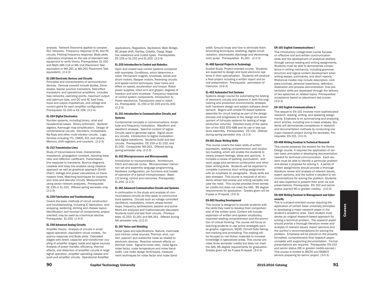analysis. Network theorems applied to complex RLC networks. Frequency response of RL and RC circuits. Plotting frequency response. Bode plots. Laboratory emphasis on the use of standard test equipment to verify theory. Prerequisites: EL-100 and Math (MA-114 or MA-114 Placement Test equivalent or MA-261 or MA-261 Placement Test equivalent). (2-2-3)

# EL-200 Electronic Devices and Circuits

Principles and characteristics of semiconductor devices. Devices covered include diodes, Zener diodes, bipolar junction transistors, field-effect transistors, and operational amplifiers. Includes bias networks, operating points, maximum output and optimum bias, and DC and AC load lines. Input and output impedances, and voltage and current gains for each amplifier configuration. Prerequisite: EL-100 or EE-159. (3-2-4)

#### EL-204 Digital Electronics

Number systems, including binary, octal and hexadecimal bases. Binary arithmetic. Boolean algebra, Karnaugh map simplification. Design of combinational circuits. Decoders, multiplexers, flip-flops and other multi-vibrator circuits. Logic families including TTL, CMOS, ECL and others. Memory, shift registers and counters. (2-2-3)

# EL-212 Transmission Lines

Study of transmissions lines: characteristic impedance, propagation constant, standing wave ratio and reflection coefficient. Transmission line response to transients. Bounce diagrams. Lossless and lossy line analysis using classical approach as well as graphical approach (Smith Chart). Voltage and power calculations on transmission lines. Matching techniques for transmission lines and discrete circuits. Measurements using vector network analyzers. Prerequisite: EE-159 or EL-150. Offered spring semester only.  $(2-2-3)$ 

# EL-220 Fabrication and Troubleshooting

Covers the basic methods of circuit construction and troubleshooting, including IC fabrication, wire wrapping, soldering, etching and chassis layout. Identification and removal of components; project oriented; may be used as a technical elective. Prerequisite: EL-100. (1-4-3)

# EL-250 Advanced Analog Circuits

Amplifier theory. Analysis of circuits in small signal operation, equivalent circuit models, frequency response and Bode plots. Cascaded stages with direct, capacitor and transformer coupling of amplifier stages, loads and signal sources. Analysis of power transfer, efficiency, thermal effects, and distortion of amplifier circuits in large signal operation, amplifier operating classes and push-pull amplifier circuits. Operational Amplifier

applications. Regulators. Oscillators: Wein Bridge, RC phase shift, Hartley, Colpitts, Clapp, Negative resistance and crystal types. Prerequisites: EE-159 or EL-150 and EL-200. (3-2-4)

#### EL-255 Introduction to Control and Robotics

Open and closed loop control systems compared with examples. Conditions, which determine a robot. Permanent magnet, brushless, series and shunt motors. Stepper motors. Reversing circuits and speed control techniques. Gear trains and effect on speed, acceleration and torque. Robot power supplies, robot arm and gripper, degrees of freedom and work envelope. Frequency response of control system components. Introduction to Power electronics. Transducers used in robotics. Prerequisite: EL-150 or EE-159 and EL-200. (2-2-3)

# EL-261 Introduction to Communication Circuits and Systems

Fundamental concepts in communications. Amplitude and frequency modulation. Waveform and waveform analysis. Spectral content of signal. Circuits used to generate signal. Signal recovery circuits. Introduction to digital modulation and digital waveforms. Students build and test circuits. Prerequisites: EE-159 or EL-150, and EL-200. Corequisite: MA-261. Offered during spring semester only. (2-2-3)

# EL-262 Microprocessors and Microassembly

Introduction to microprocessors. Architecture. Fetch and execute cycles. Microprocessor instruction set and assembly language programming. Hardware configuration, pin functions and modes of operation of a typical microprocessor. Basic I/O timing, control and memories. Prerequisite: EL-204. (2-2-3)

# EL-301 Advanced Communication Circuits and Systems

A continuation in the study and analysis of communications circuits as they apply to communications systems. Circuits such as voltage controlled oscillators, modulators, mixers, phase-locked loops, frequency synthesizers, passive and active filters are analyzed and mathematically discussed. Students build and test their circuits. Prerequisites: EL-250, EL-261 and MA-261. Offered during fall semester only. (2-2-3)

# EL-307 Noise and Shielding

Noise types and specifications. Natural, manmade and intrinsic noise sources. Thermal, shot, contact, popcorn and avalanche noise as related to electronic devices. Reactive network effects on thermal noise. Signal-to-noise ratio, noise figure, noise factor, noise temperature and noise bandwidth. Low noise design techniques, measurement techniques for noise factor and noise bandwidth. Ground loops and how to eliminate them. Grounding techniques, shielding, digital circuit radiation, electrostatic discharge and electromagnetic pulse. Prerequisites: EL-261. (2-2-3)

# EL-400 Special Projects in Technology

Guided Study. Project-oriented course. Students are expected to design and build electronic systems in their specialization. Students will produce a final project including a written report and an oral presentation. Prerequisite: permission of instructor. (0-6-3)

#### EL-452 Automated Test Systems

Systems design course for automating the testing of electronic circuits and systems in both the engineering and production environments; stresses both hardware design and system software development. Begins with simple PC-based systems assembly for circuit testing as part of the design process and progresses to the design and development of full-scale systems for testing of large production volumes. Detailed study of the operation of the IEEE STD-488 and its use in test systems assembly. Prerequisites: CS-130. Offered during spring semester only. (2-2-3)

#### EN-001 Basic Writing Skills

This course covers the basic skills of written expression, reading comprehension and vocabulary building, which will enable the students to clearly present feelings, ideas and opinions. It includes a review of spelling, punctuation, and word usage plus sentence construction and other basic writing skills. Students will be expected to complete numerous short writing assignments with an emphasis on paragraphs. Study skills are also stressed. This course is required of all students whose test scores and writing samples indicate the need. This course provides three semester credits but does not meet the AAS, BS degree requirements for graduation. Grades given will be P-pass or R-repeat. (3-0-3)

#### EN-002 Reading Development

This course is designed to provide students with the skills they need to develop their comprehension of the written word. Content will include: expansion of written and spoken vocabulary, improved reading comprehension and the promotion of critical thinking. The course will focus on teaching students to use active strategies such as graphic organizers, SQ3R, Cornell Note-Taking, text-marking and annotating. The reading will be focused on non-fiction materials to increase knowledge in specialized areas. This course provides three semester credits but does not meet the AAS, BS degree requirements for graduation. Grades given will be P-pass R-repeat. (3-0-3)

#### EN-101 English Communications I

This introductory college-level course focuses on effective oral and written communication skills and the development of analytical abilities through various reading and writing assignments. Students must be able to demonstrate competence in writing mechanics, including grammar, structure and logical content development when writing essays, summaries, and short reports. Rhetorical modes may include description, compare/contrast, personal experience, definition, illustration and process demonstration. Oral presentation skills are developed through the delivery of two speeches on related topics. Prerequisites: acceptance based on placement test scores. (3-0-3)

# EN-102 English Communications II

This sequel to EN-101 involves more sophisticated research, reading, writing, and speaking assignments. Emphasis is on summarizing and analyzing short articles, including one in-class analysis. Students will demonstrate competence in research and documentation methods by conducting one major research project during the semester. Prerequisite: EN-101. (3-0-3)

#### EN-408 Writing Seminar in Technical Research

This course prepares the student for the Senior Design course. It requires the application of certain basic principles in developing documentation needed for technical communication. Each student must be able to identify a particular problem and devise a proposal for solving it. A series of written assignments should provide a thorough literature review and analysis of relevant issues, expert opinions, and the author's (student's) recommendations for solving the problem. Students are also expected to present their work via oral presentations. Prerequisite: EN 102 and senior status (earned 96 or greater credits). (3-0-3)

### EN-409 Writing Seminar in Management and Cybersecurity

This is a project-oriented course requiring the application of certain basic university principles in developing a major research paper in the student's academic area. Each student must devise an original research-based approach for solving a technical problem. The research paper should provide a thorough literature review and analysis of relevant issues, expert opinions and the aurthor's recommendations for solving the problem. Emphasis will be placed on the properly formatted, comprehensive final research paper, complete with supporting documentation. Formal presentations are required. Prerequisite: EN-102 and senior status (96 or greater credits earned.) This course is limited to BSCIS and BSMCIT seniors preparing for senior project. (3-0-3)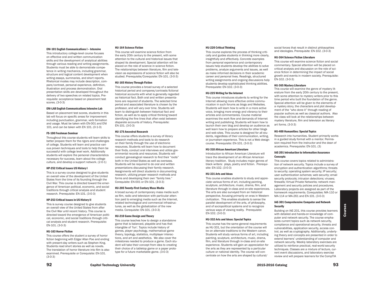#### ENI-101 English Communications I – Intensive

This introductory college-level course focuses on effective oral and written communication skills and the development of analytical abilities through various reading and writing assignments. Students must be able to demonstrate competence in writing mechanics, including grammar, structure and logical content development when writing essays, summaries, and short reports. Rhetorical modes may include description, compare/contrast, personal experience, definition, illustration and process demonstration. Oral presentation skills are developed throughout the delivery of two speeches on related topics. Prerequisite: acceptance based on placement test scores. (3-0-3)

# ENI-LAB English Communications Intensive Lab

Based on placement test scores, students in this lab will focus on specific areas for improvement including punctuation, grammar, verb formation and usage. Must be taken with EN-001 and ENI 101, and can be taken with EN 101. (0-1-0)

#### FS-100 Freshman Seminar

Throughout this course students will learn skills to better prepare them for the rigors and challenges of college. Students will learn and practice various proven techniques and tools to help them be successful with college level work. Additionally students will explore the personal characteristics necessary for success, learn about the college culture, and develop a support network. (2-0-1)

#### HP-252 Critical Issues US History I

This is a survey course designed to give students an overall view of the development of the United States from the time of its founding through the Civil War. This course is directed toward the emergence of American political, economic, and social traditions through critical analysis and student research. Prerequisite: EN-101. (3-0-3)

# HP-253 Critical Issues in US History II

This is survey course designed to give students an overall view of the United States from after the Civil War until recent history. This course is directed toward the emergence of American political, economic, and social traditions through critical analysis and student research. Prerequisite: EN-101. (3-0-3)

# HU-163 Horror Fiction

This course offers the student a survey of horror fiction beginning with Edgar Allan Poe and ending with present-day writers such as Stephen King. Students read short stories as well as novels. The translation of horror literature into film is also examined. Prerequisite or Corequisite: EN-101. (3-0-3)

#### HU-164 Science Fiction

This course will examine science fiction from the early 20th century to the present, with some attention to the cultural and historical issues that shaped its development. Special attention will be placed on the role of science in science fiction. The relationships between literature, film and television as expressions of science fiction will also be studied. Prerequisite/Corequisite: EN-101. (3-0-3)

#### HU-165 History Through Fiction

This course provides a broad survey of a selected historical period and compares/contrasts fictional historical accounts with what is generally regarded as historical fact. Both oral and written presentations are required of students. The selected time period and associated literature is chosen by the professor, and will vary over time. Students will learn to distinguish between historical fact and fiction, as well as to apply critical thinking toward identifying the fine lines that often exist between disparate accounts of history. Prerequisite: EN-101. (3-0-3)

# HU-175 Ancestral Research

This course offers students a survey of library research methods and tools to do research on their family through the use of electronic resources. Students will learn how to document their finds, conduct oral interviews and utilize governmental records and resources. Students will conduct genealogical research to find their "roots" both in the United States as well as overseas. Students will be required to do oral and written presentations discussing their family research. Assignments will direct students in documenting research, utilizing proper research methods and forms and developing their own "family tree." Corequisite: EN-001 or EN-101. (3-0-3)

### HU-205 Twenty-First Century Mass Media

A broad survey of contemporary mass media such as film, radio and television with particular attention paid to emerging media such as the Internet, related technological and commercial infrastructures, as well as the globalization of the new media. Corequisite: EN-101. (3-0-3)

# HU-210 Game Design and Theory

This course teaches how to design a standalone game that is balanced, playable and has that intangible of 'fun'. Topics include history of games, player psychology, mathematical game theory, topology, statistics, multiplayer interactions, and art and aesthetics. We also cover the milestones needed to produce a game. Each student will take their concept from idea to creating their choice of a tabletop game or a paper prototype for a future marketable game. (3-0-3)

#### HU-220 Critical Thinking

This course explores the process of thinking critically and guides students in thinking more clearly, insightfully and effectively. Concrete examples from personal experience and contemporary issues help students develop the abilities to solve problems, analyze arguments and issues, as well as make informed decisions in their academic career and personal lives. Readings, structured writing assignments and ongoing discussions help students develop sophisticated thinking abilities. Prerequisite: EN-102. (3-0-3)

### HU-225 Writing for the Internet

This course introduces students to writing for the Internet allowing more effective online communication in such forums as blogs and Websites. Students will learn how to write in a more active voice, bringing more energy and vibrancy to their articles and commentaries. Course material examines the work flow and demands of Internet writing and publishing. Students will learn how to launch their own blog and develop an audience as well learn how to prepare articles for other blogs and web sites. This course is designed for all students, regardless of their communication, writing, or journalism experience. This is not a Web design course. Prerequisite: EN-101. (3-0-3)

### HU-310 African American Literature

Introduction to African American Literature will trace the development of an African American literary tradition. Study includes major genres of black writers: plays, poetry and fiction. Prerequisite: EN-102. (3-0-3)

### HU-331 Arts and Ideas

This course enables students to study and appreciate various forms of art, including painting, sculpture, architecture, music, drama, film, and literature through in-class and on-site experiences. The arts are also surveyed from an historical perspective, focusing primarily on eras in Western civilization. This enables students to sense the parallel development of the arts, of philosophy, and of sociopolitical systems and to recognize various ways of viewing reality. Prerequisite: EN-102. (3-0-3)

# HU-332 Arts and Ideas: Special Topics

This course has the same general requirements as HU-331, but the orientation of the course will be on alternate traditions to the Western canon. Students will study various forms of art, including painting, sculpture, architecture, music, drama, film, and literature through in-class and on-site experience. Students will gain an appreciation for the arts as they are represented by a particular culture or national identity. The course will concentrate on how the arts are shaped by cultural/

social forces that result in distinct philosophies and ideologies. Prerequisite: EN-102. (3-0-3)

#### HU-364 Science Fiction Literature

This course will examine science fiction and social commentary. Special attention will be placed on critical analysis and discussion on the role of science fiction in determining the impact of social growth and events in modern society. Prerequisite: EN-102. (3-0-3)

#### HU-365 Mystery Literature

This course will examine the genre of mystery literature from the early 20th century to the present, with some attention to mystery writers prior to this time period who built the foundation of the genre. Special attention will be given to the elements of a mystery story, the characters and plot development of the "who done it" through reading of popular authors as well as classical authors. Also the class will look at the relationships between mystery literature, film and television as literary art forms. (3-0-3)

#### HU-400 Humanities: Special Topics

Research into humanities. Student primarily works in a guided study format with a mentor. Permission required from the instructor and the dean of academics. Prerequisite: EN-101. (3)

## IAE-201 Introduction to Information Assurance **Concepts**

This course covers topics related to administration of network security. Topics include a survey of encryption and authentication algorithms; threats to security; operating system security; IP security; user authentication schemes; web security; email security protocols; intrusion detections; viruses; firewalls; Virtual Private Networks; network management and security policies and procedures. Laboratory projects are assigned as part of the homework requirements. Corequisites: MA-110 or MA-114 or MA-261 and EN-101. (3-0-3)

## IAE-301 Comprehensive Computer and Network **Security**

Building on IAE-201, this course provides learners with detailed and hands-on knowledge of computer and network security. The course emphasizes current topics such as network security, compliance and operational security, threats and vulnerabilities, application security, access control, as well as cryptography. Additionally, underlying theory and concepts are presented in order to extend learners' understanding of computer and network security. Weekly laboratory exercises are utilized to reinforce practical, real-world security techniques. Classes are a mixture of lecture, current event discussions, and laboratory exercise review and will prepare learners for the CompTIA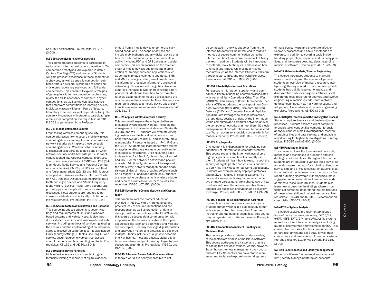Security+ certification. Pre-requisite: IAE-201 (3-0-3)

# IAE-310 Strategies for Cyber Competition

This course prepares students to participate in national and international cyber competitions. Two competition archetypes, are explored in detail: Capture The Flag (CTF) and Jeopardy. Students will gain practical experience in these competition archetypes, as well as specific competition subtypes, through a rigorous schedule of hands-on challenges, laboratory exercises, and full scale competitions. This course will explore strategies of game play within the competition archetypes, review the skills necessary to compete in cyber competitions, as well as the cognitive science that empowers competitions as learning devices. Individual classes will be a mixture of lecture, laboratory exercises, as well as puzzle solving. The course will conclude with students participating in a real cyber competition. Prerequisites: IAE 201, IAE 301 or permission from Professor.

# IAE-311 Mobile Computing Security

Emphasizing wireless computing security, this course addresses how to secure mobile wireless computing devices and applications and wireless network security as it impacts those portable computing devices. Wireless network security is discussed as it pertains to decisions on which network security works best with particular applications loaded into wireless computing devices. The course covers security of CMRS and PCS (Cellular Mobile Radio Service and Personal Communications Service), CMRS and PCS second, third and fourth generations (2G, 3G and 4G) , laptops equipped with Wireless Network Interface Cards (WNICs), Personal Digital Assistants (PDAs), Bluetooth and Zigbe devices and "Radio Frequency Identity (RFID) devices. Retail store security and proximity payment application security are also discussed. Note: students are required to purchase a mobile device specifically to fulfill course lab requirements. Prerequisite: IAE-301 (2-2-3)

# IAE-315 Secure System Administration and Operation

This course introduces students to security settings and requirements of Linux and Windowsbased systems and web services. It also introduces students to Linux and Windows-based web services, including methods of configuring, testing the security and the implementing of countermeasures to discovered vulnerabilities. Topics include Linux security settings, IP tables, securing IIS web service, securing Apache web service, access control methods and host auditing and tools. Prerequisites: CT-152 and IAE-301 (3-0-3)

## IAE-320 Mobile Device Forensics

Mobile device forensics is a branch of digital forensics relating to recovery of digital evidence or data from a mobile device under forensically sound conditions. The scope of devices can include mobile phones and any digital device that has both internal memory and communication ability, including PDA and GPS devices and tablet computers. This course focuses on the forensic study of mobile devices due to the rapid proliferation of smartphones and applications such as contacts, photos, calendars and notes, SMS and MMS messages, video, email, web browsing information, location information, and social networking. This increased usage has also seen a marked increase in cybercrime involving smartphones. Students will learn how to perform the forensic examination of mobile devices using the most advanced tools available. Note: Students are required to purchase a mobile device specifically to fulfill course lab requirements. Prerequisite: IAE 301, 311 (3)

# IAE-321 Applied Wireless Network Security

This course will explore the unique challenges presented by wireless networking, including the management of dual network devices (Bluetooth, 3G, 4G, and WiFi). Students will evaluate emerging business and technical initiatives, such as bring your own device (BYOD) and securely implement mobile IP networks based on IPv4, IPv6 and the 3GPP. Students will learn penetration testing strategies to effectively evaluate currently implemented security controls, utilizing cutting edge tools such as BackTrack 5, Vistumbler, Wireshark, and inSIDDer for network discovery and packet analysis. Additionally, students will be exposed to the site survey, network management and analysis capabilities of industry leading software such as Air Magnet, Ekahau and OmniPeek. Students are required to purchase an Alfa wireless adapter and acquire a wireless router for this class. Prerequisites: IAE-301, CT-152. (3-0-3)

# IAE-325 Secure Data Communications and Cryptography

This course follows the protocol education provided in IAE-301 with a more detailed and practical look at secure transactions and correspondence, as well as protection of data in storage. Within the confines of the ISO-OSI model, this course discusses data communication with emphasis on the security available at the layers, secure sockets layer, and both wired and wireless security topics. One-way message digests/hashes and encryption history and protocols are explored in-depth. Topics include virtual private networks, one-way hashes/message digests, digital signatures, secret-key and public key cryptography processes and algorithms. Prerequisite: IAE-301 and CT-152 (3-0-3)

# IAE-335 Advanced Secure Data Communications

In today's world it is nearly impossible to not

be connected in one way shape or from to the Internet. Students will be introduced to multiple methods of secure communication using the Internet and how to minimize the impact of being tracked. In addition, Students will be introduced to methods, tools, techniques, and tricks on how to remain anonymous while using untrusted mediums such as the Internet. Students will learn through lecture, labs, and real-world exercises. Prerequisite: IAE-301 and IAE-325 (3-0-3)

#### IAE-351 Intro to Cyber Network Operations

Full spectrum information superiority and dominance is key to influencing operations associated with war or Military Operations Other Than War (MOOTW). This survey of Computer Network Operations (CNO) introduces the concept of how Computer Network Attack (CNA), Computer Network Defense (CND) and Computer Network Exploitation (CNE) are leveraged to collect information, disrupt, deny, degrade or destroy the information within computers and computer networks and/or the computers/networks that host them. Strategic and operational considerations will be considered to affect an adversary's decision cycles with information superiority. Prerequisite: IAE-301. (3-0-3)

# IAE-372 Cryptography

Cryptography is indispensable for providing confidentiality of information in computer systems. This course explains the inner workings of cryptographic primitives and how to correctly use them. Students will learn how to reason about the security of cryptographic constructions and how to apply this knowledge to real-world applications. Students will examine many deployed protocols and analyze mistakes in existing systems. The course discusses public-key techniques that let two or more parties generate a shared secret key. Students will cover the relevant number theory and discuss public-key encryption and basic keyexchange. Prerequisite: IAE-301, MA-114 (3-0-3)

# IAE-400 Special Topics in Information Assurance

Research into information assurance subjects. Student primarily works in a guided study format with a mentor. Permission required from the instructor and the dean of academics. This course may be repeated with different projects. Prerequisite varies. (1-4)

## IAE-402 Introduction to Incident Handling and Malicious Code

This course provides a detailed understanding of incidents from attacks of malicious software. This course addresses the history and practice of coding that occurs in viruses, worms, spyware, Trojan horses, remote management back doors and root kits. Students learn preventative measures and tools, and explore how to rid systems

of malicious software and prevent re-infection. Recovery processes and backup methods are explored. In addition to covering basic incident handling preparation, response and recovery practices, and the course goes into detail regarding malicious software. Prerequisite: IAE-315 (3-0-3)

## IAE-405 Malware Analysis/Reverse Engineering

This course introduces students to malware research and analysis. The course will provide students an overview of malware research, intelligence gathering related to malware, and provide students basic skills required to analyze and dis-assemble malicious programs. Students will explore the tools required for analysis and reverse engineering of malicious code, learn malware defense techniques, how malware functions, and will perform live analysis and reverse engineering exercises. Prerequisite: IAE-402 (3-0-3)

#### IAE-406 Digital Forensics and the Investigative Process

Students explore forensics and the investigation processes. Students explore current computer forensics tools, conduct live computer forensic analysis, conduct e-mail investigations, recovery of graphics files and data carving, and engage in report writing for high-tech investigations. Prerequisites: IAE-315 and IAE-402. (3-0-3)

#### IAE-410 Penetration Testing

This course explores the foundational concepts, methods and techniques in preparing and conducting penetration tests. Throughout the course students are introduced to various tools as well as unravel complex methods for exploiting client-side, service side and privilege escalation attacks. Most importantly students learn how to construct a final report outlining discovered vulnerabilities, make suggested recommendations to remediate and/ or mitigate those vulnerabilities. Students also learn how to describe the findings wherein nontechnical personnel understand the ramifications of these vulnerabilities in a business sense. Prerequisites: CT-240 and IAE-315. Recommended corequisite: IAE-402. (3-0-3)

#### IAE-412 File System Analysis

This course explores the rudimentary foundations of data structures, encoding, FAT16/32, exFAT, NTFS, EXT2/3/4, and UFS1/2 file systems as well as a look into volume analysis, including multiple disk volumes and volume spanning. This course also discusses the basic fundamentals of hard disk drives and solid state drives, their components and their role in information systems. Prerequisites: MA-111 or MA-114 and IAE-315. (3-0-3)

#### IAE-440 Secure Access and Identity Management

Students will learn fundamental and advanced IdM (Identity Management) topics, concepts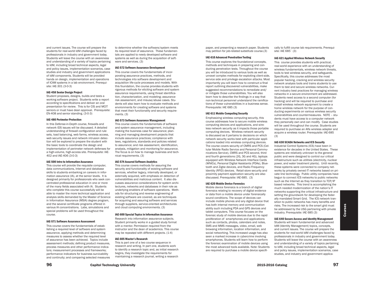and current issues. The course will prepare the students for real-world IdM challenges faced by professionals in industry and government today. Students will leave the course with an awareness and understanding of a variety of topics pertaining to IdM, including broad technical aspects, legal and policy issues, implementation scenarios, case studies and industry and government applications of IdM components. Students will be provided hands on design, implementation and operations of ICAM systems in a lab environment. Prerequisite: IAE-301 (3-0-3)

### IAE-458 Senior Design Project

Student proposes, designs, builds and tests a working software project. Students write a report according to specifications and deliver an oral presentation for review. This is for CIS and MCIT seniors or must have dean approval. Prerequisite: EN-408 and senior standing. (3-0-3)

#### IAE-480 Perimeter Protection

In this Defense-in-Depth course, firewalls and network IDS issues will be discussed. A detailed understanding of firewall configuration and rule sets, load balancing, web farms, wireless access, web security issues and network intrusion detection will be explored to prepare the student with the basic tools to coordinate the design and implementation of perimeter network defenses for a high-volume, high-access site. Prerequisite: IAE-402 and IAE-406 (3-0-3)

#### IAE-500 Intro to Information Assurance

This course will provide the requisite computer, data communications, Internet and database skills to students embarking on careers in information assurance (IA), at the senior levels. It is designed primarily for professionals who seek concentrated professional education in one or more of the many fields associated with IA. Students who complete this course successfully will be able to master the more technical application and analysis skills demanded by the Master of Science in Information Assurance (MSIA) degree program, and the several certificate programs offered in various IA concentrations. Labs, simulations and special problems will be used throughout the course.

#### IAE-571 Software Assurance Assessment

This course covers the fundamentals of establishing a required level of software and system assurance, applying methods and determining measures to assess whether the required level of assurance has been achieved. Topics include assessment methods; defining product measures, process measures and other performance indicators; measurement processes and frameworks; performance indicators for business survivability and continuity; and comparing selected measures to determine whether the software/system meets its required level of assurance. These fundamentals are applied to newly developed software and systems as well as during the acquisition of software and services. (3)

#### IAE-572 Software Assurance Development

This course covers the fundamentals of incorporating assurance practices, methods, and technologies into software development and acquisition life-cycle processes and models. With this foundation, the course provides students with rigorous methods for eliciting software and system assurance requirements, using threat identification, characterization, and modeling; assurance risk assessment, and misuse/abuse cases. Students will also learn how to evaluate methods and environments for creating software and systems that meet their functionality and security requirements. (3)

# IAE-573 Software Assurance Management

This course covers the fundamentals of software and system assurance management, including making the business case for assurance; planning and managing development projects that include assurance practices; compliance with laws, regulations, standards and policies related to assurance; and risk assessment, identification, analysis, mitigation and monitoring for assurance. The focus is on how to manage business and technical requirements. (3)

#### IAE-574 Assured Software Analytics

This course covers methods for assuring the security and functionality of existing software and services, whether legacy, internally developed, or externally acquired, with emphasis on detection of vulnerabilities and malicious content. It also discusses assurance considerations for system architectures, networks and databases in their role as underlying enablers of software operations. Methods for structuring and reverse engineering of existing software are covered, as are techniques for acquiring and assuring software and services through suppliers, service-oriented architectures and cloud computing environments. (3)

#### IAE-600 Special Topics in Information Assurance

Research into information assurance subjects. Student primarily works in a guided study format with a mentor. Permission required from the instructor and the dean of academics. This course may be repeated with different projects. (1-4)

### IAE-605 Master's Research

This is part one of a two course sequence in research and writing. In part one, students work to identify a research topic and, as initial research begins, they investigate the requirements for maintaining a research journal, writing a research

paper, and presenting a research paper. Students may petition for job-related substitute course.(3)

#### IAE-610 Advanced Penetration Testing

This course explores the foundational concepts, methods and techniques in preparing and conducting penetration tests. Throughout the course you will be introduced to various tools as well as unravel complex methods for exploiting client-side, service side and privilege escalation attacks. Most importantly you will learn how to construct a final report outlining discovered vulnerabilities, make suggested recommendations to remediate and/ or mitigate those vulnerabilities. You will also learn how to describe the findings in a way that non-technical personnel understand the ramifications of these vulnerabilities in a business sense. Prerequisite: IAE 685 (3)

# IAE-611 Mobile Computing Security

Emphasizing wireless computing security, this course addresses how to secure mobile wireless computing devices and applications, and wireless network security as it impacts those portable computing devices. Wireless network security is discussed as it pertains to decisions on which network security works best with particular applications loaded into wireless computing devices. The course covers security of CMRS and PCS (Cellular Mobile Radio Service and Personal Communications Service), CMRS and PCS second, third and fourth generations (2G, 3G and 4G), laptops equipped with Wireless Network Interface Cards (WNICs), Personal Digital Assistants (PDAs), Bluetooth and Zigbe devices, and Radio Frequency Identity (RFID) devices. Retail store security and proximity payment application security are also discussed. Prerequisite: IAE-685. (3)

#### IAE-620 Mobile Device Forensics

Mobile device forensics is a branch of digital forensics relating to recovery of digital evidence or data from a mobile device under forensically sound conditions. The scope of devices can include mobile phones and any digital device that has both internal memory and communication ability such including PDA and GPS devices and tablet computers. This course focuses on the forensic study of mobile devices due to the rapid proliferation of smartphones and applications such as contacts, photos, calendars and notes, SMS and MMS messages, video, email, web browsing information, location information, and social networking. This increased usage has also seen a marked increase in cybercrime involving smartphones. Students will learn how to perform the forensic examination of mobile devices using the most advanced tools available. Note: Students are required to purchase a mobile device specifically to fulfill course lab requirements. Prerequisite: IAE 685` (3)

#### IAE-621 Applied Wireless Network Security

This course provides students with practical, real-world experience with an understanding of wireless fundamentals, wireless network threats, tools to test wireless security, and safeguards. Specifically, this course addresses the most popular hacking, cracking and wireless security network analysis tools and trains students to use them to test and secure wireless networks. Current industry best practices for managing wireless networks in a secure environment are addressed. Students need access to a second computer (for hacking) and will be required to purchase and install wireless network equipment to create a home wireless network for the purpose of conducting experiments on various wireless security vulnerabilities and countermeasures. NOTE – students must have access to a computer network they personally own and can modify. Case studies will be used throughout the course. Students are required to purchase an Alfa wireless adapter and acquire a wireless router. Prerequisite: IAE-685 (3)

#### IAE-630 SCADA Networks and ICS Security

Industrial Control Systems (ICS) have been in existence for decades in the United States. These systems are relatively unknown to the general public and were designed to control our critical infrastructure such as utilities (electricity, nuclear power, and water treatment plants). Until recently, these systems were connected to company networks by privately owned IT networks based on private line technology. Public utility companies have begun to connect ICS networks to public networks such as the Internet as they transition to TCP/IP based networks. This trend is accomplishing the much needed modernization of the nation's IT networks supporting the critical infrastructure and setting the groundwork for developing the federally mandated Smart Grid. The ICS network transition to public networks has many benefits and risks. The increased risk to the smart grid must be addressed by the USG partnering with private industry. Prerequisite: IAE 685 (3)

# IAE-640 Secure Access and Identity Management

Students will learn fundamental and advanced IdM (Identity Management) topics, concepts, and current issues. The course will prepare the students for real-world IdM challenges faced by professionals in industry and government today. Students will leave the course with an awareness and understanding of a variety of topics pertaining to IdM, including broad technical aspects, legal and policy issues, implementation scenarios, case studies, and industry and government applica-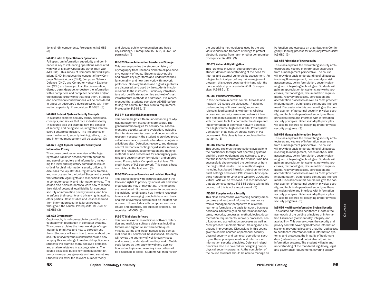tions of IdM components. Prerequisite: IAE 685 (3)

#### IAE-651 Intro to Cyber Network Operations

Full spectrum information superiority and dominance is key to influencing operations associated with war or Military Operations Other Than War (MOOTW). This survey of Computer Network Operations (CNO) introduces the concept of how Computer Network Attack (CNA), Computer Network Defense (CND), and Computer Network Exploitation (CNE) are leveraged to collect information, disrupt, deny, degrade, or destroy the information within computers and computer networks and/or the computers/networks that host them. Strategic and operational considerations will be considered to affect an adversary's decision cycles with information superiority. Prerequisites: IAE-685. (3)

# IAE-670 Network Systems Security Concepts

This course explores security terms, definitions, concepts, and issues that face industries today. This course also will examine how the concept of security, and being secure, integrates into the overall enterprise mission. The importance of user involvement, security training, ethics, trust, and informed management will be explored. (3)

# IAE-671 Legal Aspects Computer Security and Information Privacy

This course provides an overview of the legal rights and liabilities associated with operation and use of computers and information, including the legal and regulatory compliance issues critical for chief information security officers. It discusses the key statutes, regulations, treaties, and court cases (in the United States and abroad) that establish legal rights and responsibilities as to computer security and information privacy. The course also helps students to learn how to reduce their risk of potential legal liability for computer security or information privacy failures, and how to enforce their security and privacy rights against other parties. Case studies and lessons learned from information security failures are used throughout the course. Prerequisite: IAE-670 or IAE-685 (3)

# IAE-672 Cryptography

Cryptography is indispensable for providing confidentiality of information in computer systems. This course explains the inner workings of cryptographic primitives and how to correctly use them. Students will learn how to reason about the security of cryptographic constructions and how to apply this knowledge to real-world applications. Students will examine many deployed protocols and analyze mistakes in existing systems. The course discusses public-key techniques that let two or more parties generate a shared secret key. Students will cover the relevant number theory

and discuss public-key encryption and basic key-exchange. Prerequisite: IAE 685, CS-620 or permission (3)

# IAE-673 Secure Information Transfer and Storage

This course provides the student a history of cryptography from Caesar's cipher to elliptic-curve cryptography of today. Students study public and private key algorithms and understand their functionality, and how they work with network protocols. One-way hashes and digital signatures are discussed, and used by the students in submissions to the instructor. Public-key infrastructure with certificate authorities and web-of-trust infrastructure methods is addressed. It is recommended that students complete IAE-685 before taking this course, but this is not a requirement. Prerequsite: IAE-685. (3)

# IAE-674 Security Risk Management

This course begins with an understanding of why risk management evaluations are useful. The general methodologies for security risk assessment and security test and evaluation, including the interviews are discussed and documentation research necessary, the student is provided practical lab exercises to provide a hands-on analysis of a fictitious site. Detection, recovery, and damage control methods in contingency/disaster recovery planning research, documentation and training; methods of and procedures for contingency planning and security policy formulation and enforcement. Prerequisites: Completion of at least 24 credit hours of IAE coursework. This class is best completed in the last term. (3)

### IAE-675 Computer Forensics and Incident Handling

This course begins with lectures discussing the laws and rights to privacy by individuals and what organizations may or may not do. Online ethics are considered. It then moves on to understanding incident handling and how incident response teams work, managing trouble tickets, and basic analysis of events to determine if an incident has occurred. It concludes with computer forensics issues and practices, and rules of evidence. Prerequisite: IAE-685. (3)

# IAE-677 Malicious Software

This course examines malicious software detection and malicious software defenses including tripwire and signature software techniques. Viruses, worms and Trojan horses, logic bombs, malicious CGI scripts will be discussed. Students will review the anatomy of well-known viruses and worms to understand how they work. Mobile code issues as they apply to web and application technologies and resulting insecurities will be discussed in detail. Students will then review

the underlying methodologies used by the antivirus vendors and freeware offerings to protect electronic assets from harm or other compromise. Co-requisite: IAE-685 (3)

# IAE-679 Vulnerability Mitigation

This "Defense-in-Depth" course provides the student detailed understanding of the need for internal and external vulnerability assessment. An integral technical part of any risk management program, this course goes hand-in-hand with the more analytical practices in IAE-674. Co-requisites: IAE-685 . (3)

#### IAE-680 Perimeter Protection

In this "defense-in-depth" course, firewalls and network IDS issues are discussed. A detailed understanding of firewall configuration and rule sets, load balancing, web farms, wireless access, web security issues and network intrusion detection is explored to prepare the student with the basic tools to coordinate the design and implementation of perimeter network defenses for a high volume, high access site. Prerequisite: Completion of at least 24 credits hours in IAE coursework. This class is best completed in the last term. (3)

# IAE-682 Internal Protection

This course explores the protections available to the practitioner through host operating systems and third party equipment and software, to protect the inner network from the attacker who has successfully circumvented the perimeter or from the disgruntled insider. Use of methodologies including host-based intrusion detection methods, audit settings and review PC Firewalls, host operating hardening for Linux and Windows 2000, and Virtual LANs will be reviewed. It is recommended that students complete IAE-685 before taking this course, but this is not a requirement. (3)

#### IAE-684 Complementary Security

This class explores the overarching security architectures and vectors of information assurance from a management perspective to allow the learner to formulate the basis for sound business decisions. Students gain an appreciation for systems, networks, processes, methodologies, documentation requirements, recovery processes, certification and accreditation processes as well as "best practice" implementation, training and continuous improvement. Discussions in this course give the correct acumen of personnel security, physical security, and technical operational security as these principles relate and interface with information security principles. Defense-in-depth principles also are covered for designing proper physical security programs. At the completion of the course students should be able to manage an

IA function and evaluate an organization's Contingency Planning process for adequacy.Prerequisite: IAE-682. (3)

#### IAE-685 Principles of Cybersecurity

This class explores the overarching security architectures and vectors of information assurance from a management perspective. The course will provide a basic understanding of all aspects involving IA management, needs analysis, risk assessments, policy formulation, security planning, and integrating technologies. Students will gain an appreciation for systems, networks, processes, methodologies, documentation requirements, recovery processes, certification and accreditation processes as well as "best practice" implementation, training and continuous improvement. Discussions in this course will give the correct acumen of personnel security, physical security, and technical operational security as these principles relate and interface with information security principles. Defense-in-depth principles will also be covered for designing proper physical security programs. (3)

# IAE-686 Managing Information Security

This class explores the overarching security architectures and vectors of information assurance from a management perspective. The course will provide a basic understanding of all aspects involving IA management, needs analysis, risk assessments, policy formulation, security planning, and integrating technologies. Students will gain an appreciation for systems, networks, processes, methodologies, documentation requirements, recovery processes, certification and accreditation processes as well as "best practice" implementation, training and continuous improvement. Discussions in this course will give the correct acumen of personnel security, physical security, and technical operational security as these principles relate and interface with information security principles. Defense-in-depth principles will also be covered for designing proper physical security programs. (3)

#### IAE-690 Healthcare Information System Security

This course addresses healthcare IS within the framework of the guiding principles of Information Assurance (confidentiality, integrity, and availability). This course covers the security and privacy controls covering healthcare information systems, preventing loss and unauthorized access to healthcare information within information systems, and protecting the integrity of healthcare data (data-at-rest, and data-in-transit) within information systems. The student will gain and understanding of the mandated regulatory, legal, and governance requirements covering privacy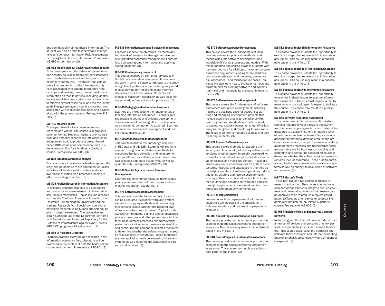and confidentiality of healthcare information. The student will also be able to identify and manage risks and conduct Information Risk Assessments pertaining to healthcare information. Prerequisite: IAE 685 or permission. (3)

#### IAE-692 Mobile Medical Device/Application Security

This course goes into the details of the information security risks accompanying the widespread use of mobile devices and mobile apps in the healthcare community. The student will gain an overall understanding of the inherent security risks associated with patient information medical apps and devices, how to protect healthcare information on mobile devices, including identifying vulnerabilities, associated threats, risks, how to mitigate against those risks; and the regulatory guidelines governing and health and safety risks associated with mobile medical apps and devices, along with the privacy impacts. Prerequisite: IAE 685 (3)

#### IAE-705 Master's Thesis

This is part two of a two course sequence in research and writing. The course is in graduate seminar format. Students integrate prior course work and personal experiences into researching an approved topic to produce a project-based paper. (Offered as a full semester course.) Students may petition for job-related substitute course. Prerequisite: (AE-605. (3)

# IAE-820 Situation Awareness Analysis

This is a course in operational leadership from the long-term perspective to crisis intervention. Class activities will be designed to enhance student awareness of action plan processes leading to effective strategy execution. (3)

# IAE-825 Applied Research in Information Assurance

This course prepares students to select topics and conduct successful research in information assurance's many fields. Topics include research such as the Computer Fraud and Abuse Act, the Electronic Communication Privacy Act and the National Research Act. Special considerations governing research using human subjects will be given in-depth treatment. The productive and legally sufficient use of the Department of Homeland Security's new Protected Repository for the Defense of Infrastructure against Cyber Threats (PREDICT) program will be discussed. (3)

#### IAE-830 IA Research Literature

Learners examine literature and research in the information assurance field. Literature will be examined in the context of both the historical and current environment. Prerequisite: RSC-801.(3)

#### IAE-835 Information Assurance Strategic Management

Learners examine the objectives, elements and framework of analysis for strategic management of information assurance management. Learners focus on synthesizing information and applying sound judgment. (3)

#### IAE-837 Contemporary Issues in IA

This course focuses on contemporary issues in the field of information assurance. It examines the ways in which science contributes to the study of significant problems in the contemporary world to help individuals and society make informed decisions about these issues. Students will engage in classroom discussion as well as generate scholarly writing suitable for publication. (3)

# IAE-845 Pedagogy and Information Assurance

Learners are introduced to the fundamentals of teaching information assurance. Learners gain experience in course and syllabus development. The development and integration of online labs as an academic component is explored. Learners examine the professional development and training that supports IA. (3)

# IAE-860 Advanced Mixed Methods Research

This course builds on the knowledge acquired in RSC-810 and IAE-825. Students will examine research designs in detail, devise methods to conceptualize data collection and measurement instrumentation, as well as examine how to analyze collected data both qualitatively as well as quantitatively. Prerequisite: RSC-825. (3)

# IAE-865 Special Topics in Human Resource Management

Learners examine human resource theories and practices in the context of the complex environment of information assurance. (3)

#### IAE-871 Software Assurance Assessment

This course covers the fundamentals of establishing a required level of software and system assurance, applying methods and determining measures to assess whether the required level of assurance has been achieved. Topics include assessment methods; defining product measures, process measures and other performance indicators; measurement processes and frameworks; performance indicators for business survivability and continuity; and comparing selected measures to determine whether the software/system meets its required level of assurance. These fundamentals are applied to newly developed software and systems as well as during the acquisition of software and services. (3)

#### IAE-872 Software Assurance Development

This course covers the fundamentals of incorporating assurance practices, methods, and technologies into software development and acquisition life-cycle processes and models. With this foundation, the course provides students with rigorous methods for eliciting software and system assurance requirements, using threat identification, characterization, and modeling; assurance risk assessment, and misuse/abuse cases. Students will also learn how to evaluate methods and environments for creating software and systems that meet their functionality and security requirements. (3)

#### IAE-873 Software Assurance Management

This course covers the fundamentals of software and system assurance management, including making the business case for assurance; planning and managing development projects that include assurance practices; compliance with laws, regulations, standards and policies related to assurance; and risk assessment, identification, analysis, mitigation and monitoring for assurance. The focus is on how to manage business and technical requirements. (3)

# IAE-874 Assured Software Analytics

This course covers methods for assuring the security and functionality of existing software and services, whether legacy, internally developed, or externally acquired, with emphasis on detection of vulnerabilities and malicious content. It also discusses assurance considerations for system architectures, networks and databases in their role as underlying enablers of software operations. Methods for structuring and reverse engineering of existing software are covered, as are techniques for acquiring and assuring software and services through suppliers, service-oriented architectures and cloud computing environments. (3)

### IAE-875 IA Implementation

Learner focus is on deployment of information assurance technologies in the organization. Relevant literature and real world deployment is examined. (3)

# IAE-880 Special Topics in Information Assurance

This course provides students the opportunity to examine in-depth issues relevant to information assurance.This course may result in a publishable paper in the IA field. (3)

# IAE-881 Special Topics II in Information Assurance

This course provides students the opportunity to examine in-depth issues relevant to information assurance. This course may result in a publishable paper in the IA field. (3)

#### IAE-882 Special Topics III in Information Assurance

This course provides students the opportunity to examine in-depth issues relevant to information assurance. This course may result in a publishable paper in the IA field. (3)

#### IAE-883 Special Topics IV in Information Assurance

This course provides students the opportunity to examine in-depth issues relevant to information assurance. This course may result in a publishable paper in the IA field. (3)

# IAE-884 Special Topics V in Information Assurance

This course provides students the opportunity to examine in-depth issues relevant to information assurance. Students must request a faculty member who is a topic specific expert to facilitate the course. This course may result in a publishable paper in the IA field. (3)

#### IAE-885 Software Assurance Assessment

This course covers the fundamentals of establishing a required level of software and system assurance and applying methods and determining measures to assess whether the required level of assurance has been achieved. Topics include assessment methods; defining product and process measures and other performance indicators; measurement processes and frameworks; performance indicators for business survivability and continuity; and comparing selected measures to determine whether the software/system meets its required level of assurance. These fundamentals are applied to newly developed software and systems as well as during the acquisition of software and services. (3)

# IAE-705 Master's Thesis

This is part two of a two course sequence in research and writing. The course is in graduate seminar format. Students integrate prior course work and personal experiences into researching an approved topic to produce a project-based paper. (Offered as a full semester course.) Students may petition for job-related substitute course. Prerequisite: IAE-605. (3)

## IE-701 Principles of Design Engineering Computer Networks

Networking and the Internet have introduced us to a new set of devices and protocols that link personal computers to servers, and servers to servers. This course explores all the hardware and software that drives local and Internet computing. Special emphasis on connectivity and throughput is explored. (3)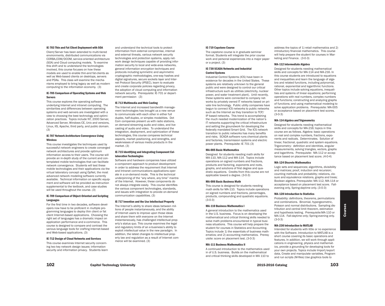#### IE-703 Thin and Fat Client Deployment with SOA

Client/Server has been extended to multi-tiered environments, distributed communications via CORBA,COM/DCOM, service-oriented architecture (SOA) and Cloud computing models. To examine this shift and to understand the technologies involved, this course focuses on how these models are used to enable thin-and fat-clients as well as Web-based clients on desktops, servers and PDAs. This class will examine the mechanisms employed to bring legacy as well as modern computing to the information economy. (3)

# IE-705 Comparison of Operating Systems and Web **Servers**

This course explores the operating software underlying Internet and intranet computing. The similarities and differences between operating systems and web servers are investigated with a view to choosing the best technology and optimization practices. Topics include NT, 2000 Server, Advanced Server, Windows CE, Unix and versions, Linux, IIS, Apache, third party, and public domain. (3)

# IE-707 Network Architecture Convergence Using **Wireless**

This course investigates the techniques used by successful network engineers to create converged network architectures and provide optimum information access to their users. The course will provide an in-depth study of the current and contemplated mobile technologies that can facilitate network convergence. Students will test these mobile technologies and their applications via the virtual laboratory concept using OpNet, the most advanced network modeling software currently available. Technical information on specific equipment and software will be provided as instruction supplemental to the textbook, and case studies will be used throughout the course. (3)

# IE-709 Comparison of Object-Oriented and Scripting Languages

For the first time in two decades, software developers now have to be proficient in multiple programming languages to deploy thin client or fat client Internet-based applications. Choosing the right set of languages has a dramatic impact on application performance and e-commerce. This course is designed to compare and contrast the various language tools for crafting Internet-based and Web-based applications. (3)

# IE-712 Design of Cloud Networks and Services

This course examines Internet security concerning two key network design issues: information security and information privacy. Students learn

and understand the technical tools to protect information from external compromise, internal and external threats, various network security technologies and protection systems, apply network design techniques capable of providing information security to local and wide-area networks, general information encryption techniques and protocols including symmetric and asymmetric cryptographic methodologies, one-way hashes and digital signatures, secure sockets layer and Internet Protocol Security (IPSEC), learn to evaluate and create corporate policies regarding privacy, the adoption of cloud computing and information network security. Prerequisite: IE-701 or department permission (3)

# IE-713 Multimedia and Web Casting

The Internet and increased bandwidth management technologies has brought us a new venue to communicate with each other in either full duplex, half-duplex, or simplex modalities. Dot Com companies present us with radio stations, on demand streaming audio and video, and live casting of audio and video. To understand the integration, deployment, and optimization of these technologies, this course compares technical aspects, market positioning, and strengths, and weaknesses of various media products in the market. (3)

# IE-715 Identifying and Integrating Component Collaboration Technologies

Software and hardware companies have utilized a component approach to product development in order to address the requirement that Internet and Intranet communications applications operate in a on-demand mode. This is the technical underpinning of the "any where, any time" mantra of the Internet. However, these components do not always integrate easily. This course identifies the various component technologies, standards, and issues with integration to provide on-demand communication capabilities. (3)

#### IE-717 Invention and the Use Intellectual Property

The Internet's ability to share ideas between millions of people instantaneously, and the ability of Internet users to improve upon those ideas and share them with everyone on the Internet instantaneously, has challenged intellectual property's status quo. This course examines the legal and regulatory limits of an e-business's ability to exploit intellectual value in the new paradigm. In addition, the latest changes to intellectual property law and regulation as a result of Internet commerce will be examined. (3)

#### IE-719 Capstone Course

The capstone course is in graduate seminar format. Students will integrate the prior course work and personal experiences into a major paper or a project. (3)

# IE-730 SCADA Networks and Industrial Control Systems

Industrial Control Systems (ICS) have been in existence for decades in the United States. These systems are relatively unknown to the general public and were designed to control our critical infrastructure such as utilities (electricity, nuclear power, and water treatment plant). Until recently, these systems were connected to company networks by privately owned IT networks based on private line technology. Public utility companies have begun to connect ICS networks to public networks such as the Internet as they transition to TCP/ IP based networks. This trend is accomplishing the much needed modernization of the nation's IT networks supporting the critical infrastructure and setting the groundwork for developing the federally mandated Smart Grid. The ICS network transition to public networks has many benefits and risks. SCADA software runs chemical plants and factories, transmission systems and electric power plants. Prerequisite: IE 701 (3)

# MA-005 Basic Mathematics

Designed for students needing math skills for MA-110, MA-112 and MA-114. Topics include operations on signed numbers and fractions, products and factoring, exponents and roots, graphs, and solutions of first degree and quadratic equations. Credits from this course are not applicable toward a degree. (3-0-3)

### MA-006 Basic Business Math

This course is designed for students needing math skills for MA-110. Topics include operations on signed numbers and fractions, percentages, products, compounding and quadratic equations. (3-0-3)

# MA-110 Business Mathematics I

A general introduction to the mathematics used in the U.S. business. Focus is on developing the mathematical and critical thinking skills needed to solve math problems encountered in typical business situations. This course will help prepare the student for courses in Statistics and Accounting. Topics include 1) the essentials of business mathematics; and 2) accounting mathematics. Prerequisite: score on placement test. (3-0-3)

# MA-111 Business Mathematics II

A continued introduction to the mathematics used in of U.S. business. Builds on the mathematical and critical thinking skills developed in MA 110 to

address the topics of 1) retail mathematics and 2) introductory financial mathematics. This course will help prepare the student for courses in Marketing and Finance. (3-0-3)

### MA-112 Intermediate Algebra

Designed for students needing mathematical skills and concepts for MA-114 and MA-216. In this course students are introduced to equations and inequalities and learn the language of algebra and related functions, including polynomial, rational, exponential and logarithmic functions. Other topics include solving equations, inequalities and systems of linear equations; performing operations with real numbers, complex numbers and functions; constructing and analyzing graphs of functions; and using mathematical modeling to solve application problems. Prerequisite: MA-005 or acceptance based on placement test scores. (3-0-3)

# MA-114 Algebra and Trigonometry

Designed for students needing mathematical skills and concepts for MA-216; topics in this course are as follows. Algebra: basic operations on real and complex numbers, fractions, exponents and radicals. Determinates. Solution of linear, fractional, quadratic and system equations. Trigonometry: definition and identities, angular measurements, solving triangles, vectors, graphs and logarithms. Prerequisite: MA-112 or acceptance based on placement test score. (4-0-4)

#### MA-124 Discrete Mathematics

Logic sets and sequences; algorithms, divisibility and matrices; proof, induction and recursion; counting methods and probability; relations, closure and equivalence relations, graphs and trees; Boolean algebra. Prerequisite: MA-112, MA-114 or acceptance based on placement test score. Fallevening only, Spring-daytime only. (3-0-3)

#### MA-128 Introduction to Statistics

Probability: definitions, theorems, permutations and combinations. Binomial, hypergeometric, Poisson and normal distributions. Sampling distribution and central limit theorem, estimation and hypothesis testing. Prerequisite:MA-110 or MA-114. Fall-daytime only; Spring-evening only. (3-0-3)

# MA-230 Introduction to MATLAB

Intended for students with little or no experience with the Software. Introduction to MATLAB is a short course covering its basic operations and features. In addition, we will work through applications in engineering, physics and mathematics, provide a grounding for developing tools for your own projects. Topics include Import/export data, Create and manipulate variables, Program and run scripts (M-files) Use graphics tools to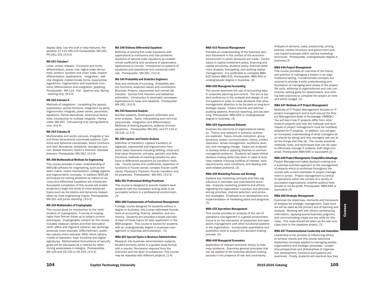display data. Use the built in help features. Perquisites: CT-115. MA-114 Corequisites: MA-261, PH-261/201 (3-0-3)

#### MA-261 Calculus I

Lines, circles, ellipses. Functions and limits, differentiation, power rule, higher-order derivatives, product, quotient and chain rules, implicit differentiation, applications. Integration: definite integrals; indeterminate forms; exponential, logarithmic, trigonometric and hyperbolic functions; differentiation and integration, graphing. Prerequisite: MA-114. Fall - daytime only; Spring - evening only. (4-0-4)

# MA-262 Calculus II

Methods of integration: completing the square, substitution, partial fractions, integration by parts, trigonometric integrals, power series, parametric equations. Partial derivatives. Directional derivatives. Introduction to multiple integrals. Prerequisite: MA-261. Fall-evening only; spring-daytime only. (4-0-4)

### MA-263 Calculus III

Multivariable and vector calculus. Integrals in two and three dimensional coordinate systems. Cylindrical and spherical coordinates. Vector functions and their derivatives. Gradients, divergence and curl. Stokes theorem, Green's theorem, Gausses theorem. Prerequisite: MA-262. (4-0-4)

#### MA-300 Mathematical Methods for Engineering

This course provides a basic understanding of MATLAB software for engineering, such as the basic matrix, matrix manipulation, college algebra and trigonometric concepts. In addition MATLAB techniques for solving problems by means of calculus and differential equations are introduced. Successful completion of this course will enable students to begin the study of more advanced topics such as the statics and dynamics classes taken by most engineering majors. Prerequisites: MA-261 and junior standing. (3-0-3)

#### MA-325 Mathematics of Cryptography

This course gives an introduction to the mathematics of cryptography. A survey of cryptography from Roman times up to today's current techniques. Cryptographic content for the course includes classical ciphers and their decryption (shift, affine and Vigenere ciphers), key exchange protocols (main example: Diffie-Hellman), public key ciphers (main example: RSA), block ciphers, modes of operation, hash functions and digital signatures. Mathematical formulations of security goals will be discussed as a method for determining weaknesses in designs. Prerequisites: MA-124 and CS-130 or CS-150. (3-0-3)

#### MA-340 Ordinary Differential Equations

Methods of solving first order equations with applications to mechanics and rate problems. Solutions of second order equations by undetermined coefficients and variations of parameters. Applications to circuits. Introduction to systems of equations and operational and numerical methods. Prerequisite: MA-262. (3-0-3)

# MA-345 Probability and Statistics Engineers

Sets and methods of counting. Probability density functions, expected values and correlations. Binomial, Poisson, exponential and normal distribution. Central limit theorem and statistical estimation. Introduction to stochastic processes. Applications to noise and reliability. Prerequisite: MA-262. (3-0-3)

#### MA-355 Numerical Analysis

Number systems, floating-point arithmetic and error analysis. Taylor, interpolating and mini-max polynomials. Integration and differentiation. Methods of solving equations, systems of linear equations. Prerequisite: MA-262, and CT-115 or CS-130. (2-2-3)

# MA-360 Laplace and Fourier Analysis

Definition of transform: Laplace transform of algebraic, exponential and trigonometric functions; basic theorems including shifting, initial and final-value theorems; unit-step, periodic and delta functions; methods of inverting transforms; solutions of differential equations by transform methods. Fourier series and coefficients; expansion of functions in Fourier series; complex Fourier coefficients; Parseval's Theorem; Fourier transform and its properties. Prerequisite: MA-340. (3-0-3)

#### MBA-501 Professional Writing Practicum

This course is designed to provide masters level students with the necessary writing skills to be successful writers in a professional environment. (3)

# MBA-600 Fundamentals of Professional Management

A bridge course designed for students without a degree in business, this course addresses foundations of accounting, finance, statistics, and economics. Students are provided a broad overview of each of these topics for later application in the MBA program. This course is waived for students with an undergraduate degree in business management or business administration. (3)

### MBA-601 Special Topics in Business Administration

Research into business administration subjects. Student primarily works in a guided study format with a mentor. Permission required from the instructor and the dean of academics. This course may be repeated with different projects. (1-4)

#### MBA-615 Financial Management

Provides an understanding of the business decision framework in the context of the economic environment in which decisions are made. Covers topics in capital investment policy, financing and capital structures, dividend policy, financial statement analysis, forecasting, and working capital management. It is preferable to complete MBA 620 before MBA 615. Prerequisite: MBA 600 or undergraduate degree in business. (3)

# MBA-620 Managerial Accounting

The course examines the use of accounting data in corporate planning and control. The aim is student proficiency in the analysis and design of control systems in order to make decisions that allow management attention to be focused on long-term strategic issues. Covers internal and external auditing systems, financial reporting, and tax planning. Prerequisite: MBA-600 or undergraduate degree in business. (3)

#### MBA-625 Organizational Behavior

Analyzes the elements of organizational behavior. Theory and research in behavior science are explored. Topics include motivation, group dynamics, power, communication, ethics, conflict resolution, stress management, workforce diversity, and managing change. Cases are analyzed to develop skills in applying theories to common managerial problems. Students will apply ethical decision-making skills they learn in class to business matters involving conflicts of interest, work requirements, work conditions, and dealing with work-related problems. (3)

#### MBA-630 Marketing Process and Strategy

Explains key marketing concepts and their significance in domestic and international activities. Analyzes marketing problems and efforts regarding the organization's product and services, pricing activities, channel selection, and promotion strategies. Emphasis is on development and implementation of marketing plans and programs. (3)

### MBA-635 Operations Management

This course provides an analysis of the role of operations management in a global environment. Focus is on the interaction of production and operations management with other functional systems in the organization. Incorporates quantitative and qualitative tools to support the decision-making process. (3)

# MBA-640 Managerial Economics

Application of relevant economic theory to business problems. Examines general principles that can be applied to the business decision-making process in the presence of risk and uncertainty.

Analysis of demand, costs, productivity, pricing policies, market structure, and government policies toward business within various marketing structures. Prerequisite: undergraduate degree in business (3)

#### MBA-646 Project Management

This course provides an overview of the theory and practice of managing a project in an organizational setting. Fundamentals concepts are covered to provide a solid understanding and foundation of managing each phase of the project life cycle, adhering to organizational and cost constraints, setting goals for stakeholders, and utilizing best practices to complete the project on time and within budget. (3)

#### MBA-647 Methods of IT Project Management

Methods of IT Project Management focuses on IT project management and is built around the Project Management Body of Knowledge (PMBOK). You will learn how IT projects differ from other kinds of projects and how the methods and techniques of project management must be modified/ adapted for IT projects. In addition, you will gain an increased understanding of what managers do (or should be doing) and why managers ask you to do the things that they do. The course presents methods, tools, and techniques that can be used to effectively manage IT projects, both large and small. Prerequisite MBA-646 or equivalent (3)

# MBA-648 Project Management/Competitive Advantage

Project Management takes decision-making and a business-oriented approach to the management of projects which is reinforced throughout the course with current examples of project management in action. Project management is central to operations within the context of a variety of successful organizations, whether publicly held, private or not-for-profit. Prerequisite: MBA-646 or equivalent (3)

#### MBA-650 Strategic Management

Examines the objectives, elements and framework of analysis for strategic management. Case studies will be used as the primary tool of learning and analysis. Working well with others, synthesizing information, applying sound business judgment, and communicating crisply are key skills for this class. This class should be taken as the last core class prior to the capstone project. (3)

#### MBA-657 Transformational Leadership and Innovation

Leadership is the process of influencing others to achieve results and this course examines leadership concepts applied to managing people, organizations and strategic processes. Leadership perspectives and philosophies of organization development, functions and systems are examined. Finally, students will examine how they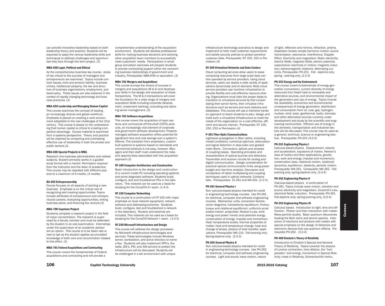can provide innovative leadership based on both leadership theory and practice. Students will be expected to apply the various leadership skills and techniques to address challenges and opportunities they face through the term project. (3)

#### MBA-658 Legal, Political and Ethical

As the comprehensive business law course, areas of law critical to the success of managers and entrepreneurs are examined. Topics include contract issues, torts and product liability, business crimes, intellectual property, the law and structure of business organizations, employment, and bankruptcy. These issues are also explored in the context of rapidly changing technology and business practices. (3)

#### MBA-659 Leadership and Managing Human Capital

This course examines the concept of leading an increasingly diverse and global workforce. Emphasis is placed on creating a work environment adaptable to the new challenges of the 21st century. This course is based on the understanding that human capital is critical to creating competitive advantage. Course material is examined from a systems perspective. Theory and practice will be explored by comparing and contrasting effective use of leadership in both the private and public sectors.(3)

# MBA-660 Special Projects in MBA

Research into business administration and related subjects. Student primarily works in a guided study format with a mentor. Permission required from the instructor and the dean of academics. This course may be repeated with different projects to a maximum of 9 credits. (3 credits)

# BA-665 Entrepreneurship

Course focuses on all aspects of starting a new business. Emphasis is on the critical role of recognizing and creating opportunities. Topics include attributes of entrepreneurs and entrepreneurial careers, evaluating opportunities, writing business plans, and financing the venture.(3)

#### MBA-700 Capstone Project

Students complete a research project in the field of major concentration. The research is supervised by a faculty member and must be defended by the student in an oral examination. Internships under the supervision of an academic advisor are an option. This course is to be taken last or next to last as the student applies accumulated knowledge of both core and concentration classes to this effort. (3)

MBA-701 Federal Acquisitions and Contracting

This course covers the fundamentals of Federal acquisitions and contracting and will provide a

comprehensive understanding of the acquisition environment. Students will develop professional skills for making business decisions and advising other acquisition team members to successfully meet customers' needs. Participation in small group simulation exercises will prepare students to provide contracting support within the overarching business relationships of government and industry. Prerequisite: MBA-646 or equivalent. (3)

# MBA-702 Mergers and Acquisitions

This course surveys the drivers of success in mergers and acquisitions (M & A) and develops your skills in the design and evaluation of these transactions. The M & A transactions will cover the foundation for a wide range of mergers and acquisition fields including corporate development, investment banking, consulting and advising senior management. (3)

#### MBA-703 Software Acquisitions

This course covers the acquisition of open systems and commercial off-the-shelf (COTS) products, an increasingly vital element of corporate and government software development. Properly managed software acquisition offers potential for significant time and cost savings over a system's lifetime. The transition from proprietary, custombuilt systems to systems based on standards and commercial products is not easy, however. Managers and their staff must understand the risks and opportunities associated with this acquisition approach.(3)

# NT-100 Computer Architecture and Construction

Basic introduction to the design and construction of a current model PC including operating systems and some diagnostic software. Students build, configure, test and troubleshoot PCs in the laboratory. This material can be used as a basis for studying for the CompTIA A+ exam. (1-4-3)

#### NT-150 Computer Networking

This course is a continuation of NT-100 with major emphasis on local network equipment, network software and addressing schemes. Students build, configure, test and troubleshoot a network in the laboratory. Routers and switches are included. This material can be used as a basis for studying for the CompTIA Network + exam. (1-4-3)

# NT-250 Microsoft Infrastructure and Design

This course will address the design processes for Microsoft infrastructure technologies and services. These technologies include Windows server, workstation, and active directory to name a few. Students will also implement VPN's, firewalls, IDS's, PKI, and AAA servers to protect the infrastructure will be discussed. Students will be challenged in a lab environment with unique

infrastructure technology scenarios to design and implement to both meet customer requirements and satisfy security policies to protect sensitive customer data. Prerequisite: NT 100, 150 or Permission (4)

#### NT-350 Virtualized Networks and Data Centers

Cloud computing services allow users to lease computing resources from large scale data centers operated by service providers. Using cloud services, users can deploy a wide variety of applications dynamically and on-demand. Most cloud service providers use machine virtualization to provide flexible and cost-effective resource sharing. Organizations must take the proper steps to transition to virtualized services by first consolidating their server farms, then virtualize infrastructure such as servers and work stations and databases. This course will use a intensive hands on approach to teach students to plan, design and build such a virtualized infrastructure to meet the needs of the organization on a cost effective, efficient and secure manner. Prerequisite: NT 100, 150, 250 or Permission (4)

#### P-301 Fiber-Optic Communications

Lightwave propagation in fiber optics, including modal conditions, numerical aperture, attenuation and signal distortion in step-index and gradedindex fibers. Connectors, splices and analysis of coupling losses. Operating principles and characteristics of optical sources and detectors. Transmitter and receiver circuits for analog and digital communication. Design consideration for practical optical communication links using power budget and rise-time analysis. Discussion and comparison of latest multiplexing and coupling techniques used in optical networks. Contains labs. Prerequisites: EL-261 and MA-261. (2-2-3)

# PH-201 General Physics I

Non calculus-based physics intended for credit in engineering technology courses. Use PH-261 for electrical, computer and software engineering courses. Mechanics: units, conversion factors: vector diagrams, translational equilibrium, friction, torque and rotational equilibrium: uniformly accelerated motion, projectiles: Newton's Law, work energy and power: kinetic and potential energy, conservation of energy: impulse and momentum. Heat: temperature scales, thermal properties of matter, heat and temperature change, heat and change of phase, physics of heat transfer; applications. Prerequisite: MA-114. Fall-evening only; Spring-daytime only. (2-2-3)

#### PH-202 General Physics II

Non calculus-based physics intended for credit in engineering technology courses. Use PH-262 for electrical, computer and software engineering courses. Light and sound: wave motion, nature

of light, reflection and mirrors, refraction, prisms, dispersion lenses; simple harmonic motion; sound transmission, resonance, interference. Doppler Effect. Electricity and magnetism: Static electricity, electric fields, magnetic fields, electric potential, capacitance; electricity in motion; magnetic induction; electromagnetic relations. Alternating currents. Prerequisite: PH-201. Fall - daytime only; spring - evening only. (2-2-3)

# PH-253 Energy and the Environment

This course covers fundamentals of energy generation (conversion), current diversity of energy resources from fossil fuels to renewable and alternative sources, and environmental impact of the generation and use of energy. Topics include the availability, economics and environmental consequences of energy generation, distribution and consumption from oil, coal, gas, hydrogen, nuclear, wind, solar, geothermal, hydro, biomass and other alternative sources currently under development and study by the scientific and engineering communities. Efficient use of energy in the domestic, transportation and industrial sectors will be discussed. This course may be used as a general, technical, science or engineering elective. Prerequisite: PH-201 (3-0-3)

### PH-261 Engineering Physics I

Calculus-based physics. Displacement, velocity and acceleration, equations of motion, Newton's laws of motion and their applications, gravitation, work and energy, impulse and momentum, conservation laws, rotational motion, rotational dynamics, equilibrium, elasticity, periodic motion. Prerequisite: MA-261. Corequisite: MA-262. Fallevening only; spring-daytime only. (3-2-4)

# PH-262 Engineering Physics II

Calculus-based physics. A continuation of PH-261. Topics include wave motion, vibration and sound, electricity and magnetism, Coulomb's Law, electrical fields, induction. Prerequisite: PH-261. Fall-daytime only; spring-evening only. (3-2-4)

# PH-263 Engineering Physics III

Calculus based. Introduction to light, lens and diffraction. Photon and their interaction with matter. Wave-particle duality. Basic quantum discoveries leading the Bohr atom and atomic spectra. Interaction of electrons and photons with matter with special emphasis on the design of detectors and electronic devices that use quantum effects. Prerequisite PH-262. (3-2-4)

# PH-400 Einstein's Theory of Relativity

Introduction to Einstein's Special and General Theory of Relativity. Topics covered: the physics of Lorentz contraction, time dilation, the "twin paradox" and energy, momentum in Special Relativity; mass in Relativity, Schwarzschild metric,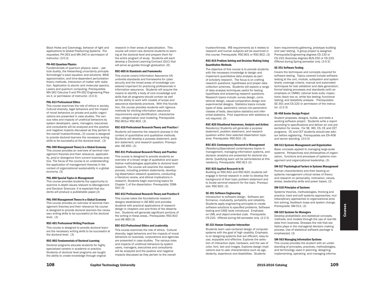Black Holes and Cosmology, behavior of light and applications to Global Positioning Systems. Prerequisites: PH-263 and MA-340 or permission of instructor. (3-0-3)

#### PH-463 Quantum Physics

Fundamentals of quantum physics: wave – particle duality, the Heisenberg uncertainty principle. Schrodinger's wave equation and solutions. WKB approximation, and time-dependent perturbation theory methods. Interaction of matter with radiation. Application to atomic and molecular spectra. Lasers and quantum computing. Prerequisites: MA-262 Calculus II and PH-262 Engineering Physics II, or permission of instructor. (3-0-3)

#### PHL-813 Professional Ethics

This course examines the role of ethics in society. Cultural diversity, legal behaviors and the impact of moral behaviors on private and public organizations are presented in case studies. The various roles and impacts of unethical behaviors by system developers, users, managers, executives and consultants will be analyzed and the positive and negative impacts discussed as they pertain to the overall trustworthiness. (3) course is designed to provide doctoral learners the necessary writing skills to be successful at the doctoral level. (3)

# PHL-900 Management Theory in a Global Economy

This course provides an overview of seminal management theories and their relevance, applicability, and/or divergence from current business practice. The focus of the course is on understanding the application of management theories in the context of organizational sustainability in a global economy. (3)

# PHL-880 Special Topics in Management

This course provides students the opportunity to examine in-depth issues relevant to Management and Decision Sciences. It is expected that students will produce a publishable paper.(3)

#### PHL-990 Management Theory in a Global Economy

This course provides an overview of seminal management theories and their relevance his course is designed to provide doctoral learners the necessary writing skills to be successful at the doctoral level. (3)

#### RSC-601 Professional Writing Practicum

This course is designed to provide doctoral learners the necessary writing skills to be successful at the doctoral level. (3)

#### RSC-802 Fundamentals of Doctoral Learning

Doctoral programs educate students for highly specialized careers in academe or practice. Students of doctoral level programs are taught the ability to create knowledge through original research in their areas of specialization. This course will orient new doctoral students to learning at the doctoral level and prepare them for the entire program of study. Students will each develop a Doctoral Learning Contract (DLC) that will serve as guides through graduation. (6)

#### RSC-805 IA Standards and Frameworks

This course covers Information Assurance (IA) umbrella standards and frameworks for cyber security and the broad areas of knowledge considered important for practicing professionals in information assurance. Students will acquire the means to identify a body of core knowledge and skills that all programs should contain as well as the ability to work with models of scope and assurance standards practices. With this foundation, the course provides students with rigorous methods for eliciting information assurance requirements using identification, characterization, categorization and modeling. Prerequisite: RSC-801or RSC-802. (3)

# RSC-810 Professional Research Theory and Practice I

Students will examine the research process in the context of quantitative and qualitative methods. Students will develop a purpose statement, problem statement, and research question. Prerequisite: IAE-830. (3)

## RSC-811 Professional Research Theory and Practice

This course is designed to provide students an overview of a broad range of qualitative and quantitative methodologies applicable to doctoral level research. The course will examine the research process, including problem statements, developing dissertation research questions, conducting a literature review, and ethical implications in research. Students begin examining topics for Chapter 1 of the dissertation. Prerequisite: DSM-910 (3)

# RSC-812 Professional Research Theory and Practice II

This course takes the foundational research designs established in IAE-860 and provides students with practical applications of research design in chapters one and three of the dissertation. Students will generate significant portions of the writing in these areas.. Prerequisite: RSC-810 and IAE-860 (3)

### RSC-813 Professional Ethics and Leadership

This course examines the role of ethics. Cultural diversity, legal behaviors and the impacts of moral behaviors on business, corporations and agencies are presented in case studies. The various roles and impacts of unethical behaviors by system users, managers, executives and consultants will be analyzed and the positive and negative impacts discussed as they pertain to the overall

trustworthiness. IRB requirements as it relates to research and human subjects will be examined in this course. Prerequisite: RSC-801 or RSC-802. (3)

# RSC-815 Problem Solving and Decision Making Using Quantitative Methods

The objective of this course is to provide students with the necessary knowledge to design and implement quantitative data analysis as part of scholarly research. The focus is on crafting research questions, hypotheses and proper data collection schemes. Students will explore a range of data analysis techniques useful for testing hypothesis and answering research questions. Research topics include: survey design, correlational design, casual-comparative design and experimental designs. Statistics topics include: types of data, parametric versus non-parametric classes of tests, descriptive statistics and inferential statistics. Prior experience with statistics is not required. (3)

# RSC-820 Situational Awareness, Analysis and Action(

Residency) Students will generate a purpose statement, problem statement, and research question within their selected dissertation topic area. Prerequisite: RSC-810. (3)

# RSC-821 Contemporary Research in Management

(Residency)Specialized contemporary topics in management, managing information systems, and decision analytics are presented for doctoral students. Qualifying exam will be administered at this residency. Prerequisite: RSC-811 (3)

#### RSC-825 Applied Research in IA

Building on RSC-810 and RSC-820, students will engage in formal research in order to develop the background of their topic problem statement and to locate seminal research for the topic. Prerequisite: RSC-820. (3)

### SE-301 Software Engineering

Introduction to software design. Software performance, modularity, portability and reliability. Students apply engineering principles to create software solutions to specified problems. Software testing and CASE tools introduced. Emphasis on UML and object-oriented code. Prerequisite: CS-220. Offered during fall semester only. (2-2-3)

# SE-321 Human Computer Interaction

Students learn user-centered design of computer systems with the goal of high usability. Emphasis is on designing systems that are efficient, easy-touse, enjoyable and effective. Explores the selection of interaction style, hardware, and the use of color, font, text and images. Explores design implications due to user characteristics such as age, dexterity, experience and disabilities. Students

learn requirements gathering, prototype building and user testing. A group project is assigned. Prerequisite:Engineering degrees CS-130 or CS-150; Business degrees BUS-250 or CS-220. Offered during Spring semester only. (3-0-3)

#### SE-351 Software Testing

Covers the techniques and concepts required for software testing. Topics covered include software testing at the unit, module, subsystem and system levels; coverage criteria, manual and automated techniques for test validation and data generation; formal testing processes and standards (with an emphasis on CMMI); rational tools suite; inspections; black box vs. white box testing; functional testing; and testability analysis. Prerequisites: SE-301 and CS-220 or permission of the instructor. (2-2-3)

### SE-458 Senior Design Project

Student proposes, designs, builds, and tests a working software project. Students write a report according to specifications and deliver an oral presentation for review. For SE, WD, CS, CE and CET programs. CE and CET students should see advisor before registering. Prerequisites are EN-408 and senior standing. (3-0-3)

# SM-513 Systems Management and Organization

Basic concepts applied to managing large-scale systems. Perspectives and philosophies of organization, functions and processes of systems management and organizational leadership. (3)

#### SM-517 Psychological Factors in Systems Management

Human characteristics and their bearing on systems management critical review of theory and research on personality, motivation, values, stress, leadership skills and power bases. (3)

#### SM-518 Principles of Systems

Systems theories, methodologies, thinking and practice; hard and soft systems approaches; multidisciplinary approaches to organizational problem solving, feedback loops and system change. Prerequisite: SM-513. (3)

# SM-525 Systems for Managers

Develop probabilistic and statistical concepts, methods, and models through the use of real-life data from business. Stresses the role that statistics plays in the managerial decision making process. Use of statistical software package is emphasized. (3)

#### SM-563 Managing Information Systems

This course provides the student with an understanding of principles, practices, methodologies, and terminology used in planning, designing, implementing, operating, and managing informa-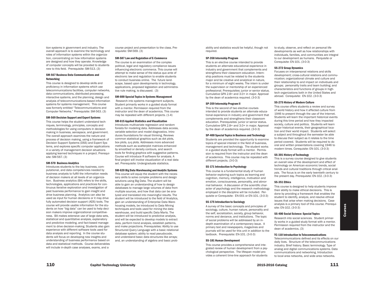tion systems in government and industry. The overall approach is to examine the technology and roles of information systems within the organization, concentrating on how information systems are designed and how they operate. Knowledge of computer concepts will be provided to students new to this field. Prerequisite: SM-513. (3)

# SM-567 Business Data Communications and Networking

This course is designed to develop skills and proficiency in information systems which use telecommunications facilities, computer networks, data communications, distributed processing, interactive systems, and the planning, design and analysis of telecommunications-based information systems for systems management. This course was formerly entitled "Telecommunications and Computer Networks." Prerequisite: SM-563. (3)

# SM-569 Decision Support and Expert Systems

This course helps the student understand techniques, terminology, principles, concepts and methodologies for using computers in decision making in business, aerospace, and government. The overall approach examines the nature and process of decision making, using a framework of Decision Support Systems (DSS) and Expert Systems, and explores specific computer applications in a variety of management decision situations applying learned techniques in a project. Prerequisite: SM-567. (3)

#### SM-570 Business Analytics

Introduces students to the key business, computational, and data competencies needed by business analysts to fulfill the information needs of decision makers at all levels of an organization. Business analytics (BA) refers to the skills, technologies, applications and practices for continuous iterative exploration and investigation of past business performance to gain insight and drive business planning. Analytics can also be used as input for human decisions or it may drive fully automated decision support (ADS) tools. The course will provide usable information for the students on how "big data" can be used to help decision makers improve organizational competitiveness. BA makes extensive use of large data sets, statistical and quantitative analysis, explanatory and predictive modeling, and fact-based management to drive decision-making. Students also gain experience with different software tools used for data analysis and reporting. In the course students will focus on developing new insights and understanding of business performance based on data and statistical methods. Course deliverables will include in-depth case analyses, exams, and a

course project and presentation to the class. Prerequisite: SM-569. (3)

### SM-587 Law and Regulation of E-Commerce

The course is an examination of the complex political, legal and regulatory compliance issues influencing electronic commerce. This course will attempt to make sense of the status quo ante of electronic law and regulation to enable students to conduct business online. The future landscape, based upon developments in technology, applications, proposed legislation and administrative rule making, is discussed. (3)

# SM-600 Special Topics in Systems Management

 Research into systems management subjects. Student primarily works in a guided study format with a mentor. Permission required from the instructor and the dean of academics. This course may be repeated with different projects. (1-4)

#### SM-615 Applied Statistics and Visualization

Introduces multivariate regression and random forests for modeling data. Addresses data access, variable selection and model diagnostics. Introduces foundations for visual thinking. Reviews common statistical graphics such as dot plots, box plots, q-q plots. Addresses more advanced methods such as scatterplot matrices enhanced by smoothed or density contours, and search tools for finding graphics with suggestive patterns. Course will introduce R software for analysis. A final project will involve visualization of a real data set. Prerequisite: Undergraduate statistics.

# SM-620 Big Data Warehousing and Analytic Systems

This course will equip the student with the necessary skills to solve complex problems and design solutions using Big Data. The student will be able to gain an understanding of how to design databases to manage large volumes of data from multiple sources, and how that data can be analyzed and translated into meaningful results. The student will be introduced to the field of Analytics, gain an understanding of Enterprise Data Warehousing models, be introduced to Data Mining techniques and tools used for mining the data warehouse, and build specific Data Marts. The student will be introduced to predictive analysis, and will be expected to develop models to extract data, perform trend analysis, establish patterns, and make projections. Prerequisites: Ability to use Structured Query Language with a basic relational database system; ability to read pseudocode, and understand basic data structures like arrays; and, an understanding of algebra and basic probability and statistics would be helpful, though not required.

#### SP-358 Internship Program

This is an elective course intended to provide students an alternate educational experience in industry and government that complements and strengthens their classroom education. Internship positions must be related to the students major and be creative and analytical in nature for a minimum of eight weeks. The intern is under the supervision or mentorship of an experienced professional. Prerequisites: junior or senior status. Cumulative GPA 2.8+ and 3.0+ in major. Approval by the dean of academics required. (3-0-3)

# SP-359 Internship Program II

This is the second of two elective courses intended to provide students an alternate educational experience in industry and government that complements and strengthens their classroom education. Prerequisites: junior or senior status. Cumulative GPA 2.8+ and 3.0+ in major. Approval by the dean of academics required. (3-0-3)

#### SP-400 Special Topics in Business and Technology

Students are provided the opportunity to examine topics of special interest in the field of business, management and technology. The student works in a guided study format with a mentor. Permission is required from the instructor and the dean of academics. This course may be repeated with different projects. (3-0-3)

#### SS-171 Introduction to Psychology

This course is a fundamental study of human behavior exploring such topics as learning and cognition, memory, intelligence, motivation and emotion, consciousness, personality, and abnormal behavior. A discussion of the scientific character of psychology and the research methodology employed in the discipline will be included. Perquisite or Corequisite: EN-001 or EN-101. (3-0-3)

#### SS-175 Introduction to Sociology

A survey of the basic concepts and principles of sociology, culture, human nature, personality and the self, socialization, society, group behavior, norms and deviance, and institutions. The topic of social problems will be addressed by an indepth examination of a contemporary issue. A primary text and newspapers, magazines and journals will be used for this unit in addition to the textbook. Prerequisite: EN-101. (3-0-3)

# SS-181 Human Development

This course provides a comprehensive and integrated review of human development from a psychological perspective. The lifespan model provides a coherent time-line approach for students to study, observe, and reflect on personal life developments as well as how relationships with individuals, families, and communities are integral to our development as humans. Perquisite or Corequisite: EN-101. (3-0-3)

#### SS-272 Group Dynamics

Focuses on interpersonal relations and skills development; cross-cultural relations and communication; organizational climate and culture and their relationship to and impact on individuals and groups; personality traits and team building; and characteristics and functions of groups in hightech organizations both in the United States and abroad. Corequisite: EN-102. (3-0-3)

# SS-275 History of Modern Culture

This course offers students a review and survey of world history and how it affected culture from 1946 to present through the use of the Internet. Students will learn the important historical events during this time period and how they impacted society, culture and politics. Students will learn major historical events, their geographical location and their world impact. Students will select a subject and throughout the semester be able to discuss their subject as it relates to the time period covered. Students will be required to do oral and written presentations covering 1946 to modern times. Corequisite: EN-101. (3-0-3)

### SS-301 History of Technology

This is a survey course designed to give students an overall view of the development and effect of technology on American economic trends, social trends and cultural traditions through critical analysis. The focus is on the early twentieth century to the present day. Prerequisite: EN-102. (3-0-3)

#### SS-351 Ethics

This course is designed to help students improve their ability to make ethical decisions. This is done by providing a framework that enables the student to identify, analyze, and resolve ethical issues that arise when making decisions. Case analysis is a primary tool of this course. Prerequisite: EN-102. (3-0-3)

#### SS-400 Social Science: Special Topics

Research into social sciences. Student primarily works in a guided study format with a mentor. Permission required from the instructor and the dean of academics. (3)

# TC-110 Introduction to Telecommunications

Telecommunications defined and its effects on our daily lives. Structure of the telecommunications industry. Brief history. Basic terminology. Type of analog and digital communications systems. Data communications and networking. Introduction to local area networks, and wide area networks.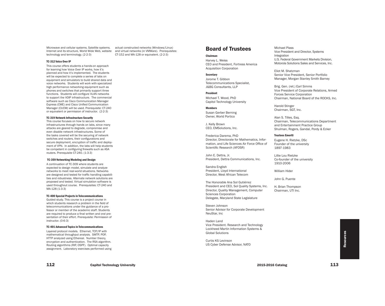Microwave and cellular systems. Satellite systems. Internet and its structure, World Wide Web, website technology and terminology. (2-2-3)

# TC-312 Voice Over IP

This course offers students a hands-on approach for learning how Voice Over IP works, how it's planned and how it's implemented. The students will be expected to complete a series of labs on equipment and simulators to build shared data and voice networks. Students will work with specialized high performance networking equipment such as phones and switches that primarily support three functions. Students will configure VLAN networks to support the VOIP infrastructure. The commercial software such as Cisco Communication Manager Express (CME) and Cisco Unified Communication Manager (CUCM) will be used. Prerequisite: CT-240 or equivalent or permission of instructor. (2-2-3)

# TC-319 Network Infrastructure Security

This course focuses on how to secure network infrastructures through hands on labs, since many attacks are geared to degrade, compromise and even disable network infrastructures. Some of the tasks covered will be the securing of network switches and routers, their configurations and secure deployment, encryption of traffic and deployment of VPN. In addition, the labs will help students be competent in configuring firewalls such as ASA routers. Prerequisite CT-240. (1-3-3)

#### TC-359 Networking Modeling and Design

A continuation of TC-309 where students are expected to design model, simulate and analyze networks to meet real-world situations. Networks are designed and tested for traffic handling capabilities and robustness. Alternate network solutions are proposed and tested. Virtual simulation software is used throughout course. Prerequisites: CT-240 and MA-128 (1-3-3)

# TC-400 Special Projects in Telecommunications

Guided study. This course is a project course in which students research a problem in the field of telecommunications under the guidance of a professor or member of the academic staff. Students are required to produce a final written and oral presentation of their effort. Prerequisite: Permission of instructor. (0-6-3)

#### TC-401 Advanced Topics in Telecommunications

Layered protocol models. Ethernet, TCP/IP with mathematical throughput analysis. SMTP, POP, HTTP analyzed using Ethereal. Number theory, encryption and authentication. The RSA algorithm. Routing algorithms (RIP, OSPF). Optimal capacity assignment. Laboratory exercises performed using actual constructed networks (Windows/Linux) and virtual networks (in VMWare). Prerequisites: CT-152 and MA-128 or equivalent. (2-2-3)

# Board of Trustees

#### Chairman

Harvey L. Weiss CEO and President, Fortress America Acquisition Corporation

## **Secretary**

Jorome T. Gibbon Telecommunications Specialist, J&BG Consultants, LLP

President Michael T. Wood, PhD Capitol Technology University

Members Susan Gerber Berning Owner, World Portico

J. Kelly Brown CEO, EMSolutions, Inc.

Frederica Darema, PhD Director, Directorate for Mathematics, Information, and Life Sciences Air Force Office of Scientific Research (AFOSR)

John E. Dettra, Jr. President, Dettra Communications, Inc.

Sandra English President, Lloyd International Director, West African Telecom

The Honorable Ana Sol Gutiérrez President and CEO, Sol Quality Systems, Inc. Director, Quality Management, Computer Sciences Corporation Delegate, Maryland State Legislature

Steven Johnson Senior Advisor for Corporate Development NeuStar, Inc

Haden Land Vice President. Research and Technology Lockheed Martin Information Systems & Global Solutions

Curtis KS Levinson US Cyber Defense Advisor, NATO

Michael Plass Vice President and Director, Systems Integration

U.S. Federal Government Markets Division, Motorola Solutions Sales and Services, Inc.

Eliot M. Shatzman Senior Vice President, Senior Portfolio Manager, Morgan Stanley Smith Barney

Brig. Gen. (ret.) Earl Simms Vice President of Corporate Relations, Armed Forces Service Corporation Chairman, National Board of the ROCKS, Inc.

Harold Stinger Chairman, SGT, Inc.

Alan S. Tilles, Esq. Chairman, Telecommunications Department and Entertainment Practice Group Shulman, Rogers, Gandal, Pordy & Ecker

# Trustees Emeriti

Eugene H. Rietzke, DSc Founder of the university 1897-1983

Lillie Lou Rietzke Co-founder of the university 1910-2006

William Hider

John G. Puente

H. Brian Thompson Chairman, UTI Inc.

> Resources Resources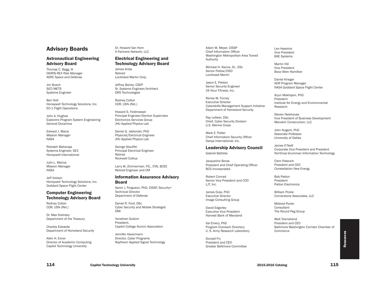# Advisory Boards

# Astronautical Engineering Advisory Board

Thomas C. Bagg, III OSIRIS-REX Risk Manager ASRC Space and Defense

Jim Busch SGT/METS Systems Engineer

Ben Holt Honeywell Technology Solutions, Inc. EO-1 Flight Operations

John A. Hughes Explorers Program System Engineering General Dynamics

Edward J. Macie Mission Manager NASA

Rishabh Maharaja Systems Engineer, SE2 Honeywell International

Julio L. Marius Mission Manager NASA

Jeff Volosin Honeywell Technology Solutions, Inc. Goddard Space Flight Center

# Computer Engineering Technology Advisory Board

Rodney Colton CDR, USN (Ret.)

Dr. Max Dolinsky Department of the Treasury

Charles Edwards Department of Homeland Security

Allen H. Exner Director of Academic Computing Capitol Technology University

Dr. Howard Van Horn It Partners Network, LLC

# Electrical Engineering and Technology Advisory Board

James Arida Retired Lockheed Martin Corp.

Jeffrey Banks, CSEP Sr. Systems Engineer/Architect DRS Technologies

Rodney Colton CDR, USN (Ret.)

Howard S. Feldmesser Principal Engineer/Section Supervisor Electronics Services Group JHU Applied Physics Lab

Daniel G. Jablonski, PhD Physicist/Electrical Engineer JHU Applied Physics Lab

George Stauffer Principal Electrical Engineer Retired Rockwell Collius

Larry W. Zimmerman, P.E., CVS, BCEE Retired Engineer and CM

# Information Assurance Advisory Board

Aaron J. Ferguson, PhD, CISSP, Security+ Technical Director Department of Defense

Daniel R. Ford, DSc Cyber Security and Mobile Strategist DMI

Yonathan Goitom President, Capitol College Alumni Association

Jennifer Havermann Director, Cyber Programs Raytheon Applied Signal Technology Adam M. Meyer, CISSP Chief Information Officer Washington Metropolitan Area Transit Authority

Michael H. Nance, Sr., DSc Senior Fellow/CISO Lockheed Martin

Jason E. Pieters Senior Security Engineer 24 Hour Fitness, Inc.

Renee M. Forney Executive Director Cyberskills Managament Support Initiative Department of Homeland Security

Ray Letteer, DSc Chief, Cyber Security Division U.S. Marine Corps

Mark F. Potter Chief Information Security Officer Danya International, Inc.

# Leadership Advisory Council

Gabriel Battista

Jacqueline Boras President and Chief Operating Officer BCS Incorporated

Robert Conrad Senior Vice President and COO LJT, Inc.

James Dula, PhD Executive Director Image Consulting Group

David Edgerley Executive Vice President Harvest Bank of Maryland

Val Emery, PhD Program Outreach Directory U. S. Army Research Laboratory

Donald Fry President and CEO Greater Baltimore Committee Len Hawkins Vice President BAE Systems

Martin Hill Vice President Booz-Allen Hamilton

Daniel Krieger ADR Program Manager NASA Goddard Space Flight Center

Arjun Makhijani, PhD President Institute for Energy and Environmental Research

Steven Newhouse Vice President of Business Development Manekin Construction, LLC

John Nugent, PhD Associate Professor University of Dallas

James O'Neill Corporate Vice President and President Northrop Grumman Information Technology

Clem Palevich President and CEO Constellation New Energy

Bob Patton President Patton Electronics

William Pickle Cornerstone Associates, LLC

Mildred Porter **Consultant** The Round Peg Group

Walt Townshend President and CEO Baltimore Washington Corridor Chamber of Commerce

Resources Resources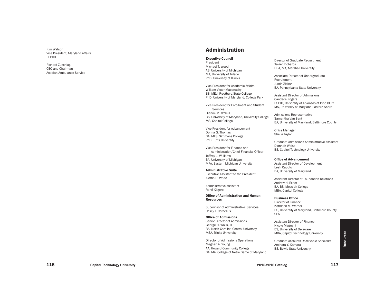Kim Watson Vice President, Maryland Affairs PEPCO

Richard Zuschlag CEO and Chairman Acadian Ambulance Service

# Administration

# Executive Council

President Michael T. Wood AB, University of Michigan MA, University of Toledo PhD, University of Illinois

Vice President for Academic Affairs William Victor Maconachy BS, MEd, Frostburg State College PhD, University of Maryland, College Park

Vice President for Enrollment and Student Services Dianne M. O'Neill BS, University of Maryland, University College MS, Capitol College

Vice President for Advancement Donna G. Thomas BA, MLS, Simmons College PhD, Tufts University

Vice President for Finance and Administration/Chief Financial Officer Jeffrey L. Williams BA, University of Michigan MPA, Eastern Michigan University

Administrative Suite Executive Assistant to the President Aletha R. Wade

Administrative Assistant René Kilgore

Office of Admlnistration and Human **Resources** 

Supervisor of Administrative Services Casey J. Cornelius

Office of Admissions Senior Director of Admissions George H . Walls, III BA, North Carolina Central University MSA, Trinity University

Director of Admissions Operations Meghan A. Young AA, Howard Community College BA, MA, College of Notre Dame of Maryland

Director of Graduate Recruitment Xavier Richards BBA, MA, Marshall University

Associate Director of Undergraduate Recruitment Justin Zickar BA, Pennsylvania State University

Assistant Director of Admissions Candace Rogers BSBIO, University of Arkansas at Pine Bluff MS, University of Maryland Eastern Shore

Admissions Representative Samantha Van Sant BA, University of Maryland, Baltimore County

Office Manager Sheila Taylor

Graduate Admissions Administrative Assistant Dionnah Weiss BS, Capitol Technology University

# Office of Advancement

Assistant Director of Development Leah Caputo BA, University of Maryland

Assistant Director of Foundation Relations Andrew H . Exner BA, BS, Messiah College MBA, Capitol College

# Business Office

Director of Finance Kathleen M. Werner BS, University of Maryland, Baltimore County CPA

Assistant Director of Finance Nicole Magnani BS, University of Delaware MBA, Capitol Technology University

Graduate Accounts Receivable Specialist Aminata Y. Kamara BS, Bowie State University

Resources Resources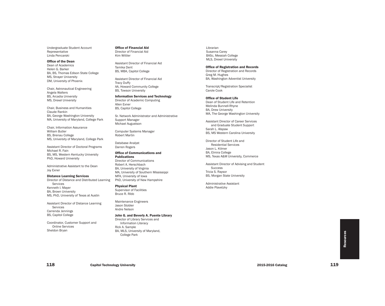Undergraduate Student Account Representative Linda Pencarski

Office of the Dean Dean of Academics Helen G. Barker BA, BS, Thomas Edison State College MS, Strayer University

Chair, Astronautical Engineering Angela Walters BS, Arcadia University MS, Drexel University

DM, University of Phoenix

Chair, Business and Humanities Claude Rankin BA, George Washington University MA, University of Maryland, College Park

Chair, Information Assurance William Butler BS, Brenau College MS, University of Maryland, College Park

Assistant Director of Doctoral Programs Michael R. Fain BS, MS, Western Kentucky University PhD, Howard University

Administrative Assistant to the Dean Joy Exner

Distance Learning Services Director of Distance and Distributed Learning Services Kenneth I. Mayer BA, Brown University MS, PhD, University of Texas at Austin

Assistant Director of Distance Learning Services Carrenda Jennings BS, Capitol College

Coordinator, Customer Support and Online Services Sheldon Bryan

Office of Financial Aid Director of Financial Aid Kim Wittler

Assistant Director of Financial Aid Tamika Dent BS, MBA, Capitol College

Assistant Director of Financial Aid Tracy Duffy AA, Howard Community College BS, Towson University

Information Services and Technology Director of Academic Computing Allen Exner BS, Capitol College

Sr. Network Administrator and Administrative Support Manager Michael Augustson

Computer Systems Manager Robert Martin

Database Analyst Darren Rogers

Office of Communications and Publications Director of Communications Robert A. Herschbach BA, University of Virginia MA, University of Southern Mississippi MFA, University of Iowa PhD, University of New Hampshire

Physical Plant Supervisor of Facilities Bruce R. Ribb

Maintenance Engineers Jason Stobler Andre Nelson

# John G. and Beverly A. Puente Library

Director of Library Services and Information Literacy Rick A. Sample BA, MLS, University of Maryland, College Park

Librarian Susanna Carey BASc, Messiah College MLS, Drexel University

# Office of Registration and Records

Director of Registration and Records Greg M. Hughes BA, Washington Adventist University

Transcript/Registration Specialist Carole Cook

# Office of Student Life

Dean of Student Life and Retention Melinda Bunnell-Rhyne BA, Drew University MA, The George Washington University

Assistant Director of Career Services and Graduate Student Support Sarah L. Alspaw BS, MS Western Carolina University

Director of Student Life and Residential Services Jason L. Kilmer BA, Elmira College MS, Texas A&M University, Commerce

Assistant Director of Advising and Student Success Tricia S. Raysor BS, Morgan State University

Administrative Assistant Addie Plavetzky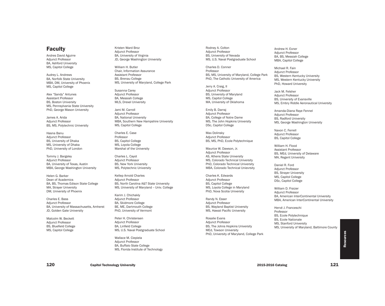# Faculty

Andres David Aguirre Adjunct Professor BA, Ashford University MS, Capitol College

Audrey L. Andrews BA, Norfolk State University MBA, DM, University of Phoenix MS, Capitol College

Alex "Sandy" Antunes Assistant Professor BS, Boston University MS, Pennsylvania State University PhD, George Mason University

James A. Arida Adjunct Professor BS, MS, Polytechnic University

Hasna Banu Adjunct Professor BS, University of Dhaka MS, University of Dhaka PhD, University of London

Tommy J. Bargsley Adjunct Professor BA, University of Texas, Austin MBA, George Washington University

Helen G. Barker Dean of Academics BA, BS, Thomas Edison State College MA, Strayer University DM, University of Phoenix

Charles E. Bass Adjunct Professor BA, University of Massachusetts, Amherst JD, Golden Gate University

Malcolm W. Beckett Adjunct Professor BS, Bluefield College MS, Capitol College

Kristen Ward Broz Adjunct Professor BA, University of Virginia JD, George Washington University

William H. Butler Chair, Information Assurance Assistant Professor BS, Brenau College MS, University of Maryland, College Park

Susanna Carey Adjunct Professor BA, Messiah College MLS, Drexel University

Jami M. Carroll Adjunct Professor BA, National University MBA, Southern New Hampshire University MS, Capitol College

Charles E. Case Professor BS, Capitol College MS, Loyola College Marshal of the University

Charles L. Cayot Adjunct Professor BS, New York University MS, Polytechnic University

Kellep Arnold Charles Adjunct Professor BS, North Carolina A&T State University MS, University of Maryland -- Univ. College

Karim J. Chichakly Adjunct Professor BA, Skidmore College BE, ME, Dartmouth College PhD, University of Vermont

Peter H. Christensen Adjunct Professor BA, Linfield College MS, U.S. Naval Postgraduate School

Wallace M. Ciepiela Adjunct Professor BA, Buffalo State College MS, Florida Institute of Technology Rodney A. Colton Adjunct Professor BS, University of Nevada MS, U.S. Naval Postgraduate School

Charles D. Conner Professor BS, MS, University of Maryland, College Park PhD, The Catholic University of America

Jerry A. Craig, II Adjunct Professor BS, University of Maryland MS, Capitol College MA, University of Oklahoma

Emily B. Darraj Adjunct Professor BA, College of Notre Dame MS, The John Hopkins University DSc, Capitol College

Max Dolinsky Adjunct Professor BS, MS, PhD, Ecole Polytechnique

Maurice W. Dawson, Jr. Adjunct Professor AS, Athens State University MS, Colorado Technical University PhD, Colorado Technical University MBA, Colorado Technical Unievrsity

Charles K. Edwards Adjunct Professor BS, Capitol College MS, Loyola College in Maryland PhD, Nova Scotia University

Randy N. Esser Adjunct Professor BS, Wayland Baptist University MS, Hawaii Pacific University

Rosalie Evans Adjunct Professor BS, The Johns Hopkins University MEd, Towson University PhD, University of Maryland, College Park Andrew H. Exner Adjunct Professor BA, BS, Messiah College MBA, Capitol College

Michael R. Fain Adjunct Professor BS, Western Kentucky University MS, Western Kentucky University PhD, Howard University

Jack M. Felsher Adjunct Professor BS, University of Evansville MS, Embry Riddle Aeronautical University

Amanda-Diana Raye Fennel Adjunct Professor BS, Radford University MS, George Washington University

Navon C. Ferrell Adjunct Professor BS, Capitol College

William H. Flood Assistant Professor BS, MEd, University of Delaware MA, Regent University

Daniel R. Ford Adjunct Professor BS, Strayer University MS, Capitol College DSc, Capitol College

William D. Fraizer Adjunct Professor BA, American InterContinental University MBA, American InterContinental University

Hervé J. Franceschi Professor BS, Ecole Polytechnique BS, Ecole Nationale MS, Stanford University MS, University of Maryland, Baltimore County

120 Capitol Technology University **121** 2015-2016 Catalog 2015-2016 Catalog 2015-2016 Catalog 2015-2016 Catalog 2015-2016 Catalog 2015-2016 Catalog 2015-2016 Catalog 2015-2016 Catalog 2015-2016 Catalog 2015-2016 Catalog 20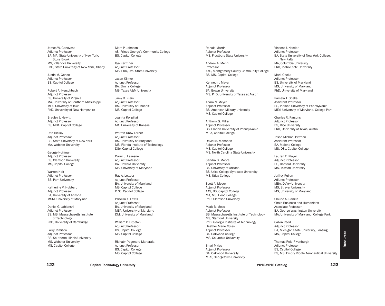James W. Genovese Adjunct Professor BA, MA, State University of New York, Stony Brook MS, Villanova University PhD, State University of New York, Albany

Justin M. Gensel Adjunct Professor BS, Capitol College

Robert A. Herschbach Adjunct Professor BS, University of Virginia MA, University of Southern Mississippi MFA, University of Iowa PhD, University of New Hampshire

Bradley J. Hewitt Adjunct Professor BS, MBA, Capitol College

Dan Hickey Adjunct Professor BS, State University of New York MA, Webster University

George Hoffman Adjunct Professor BS, Clemson University MS, Capitol College

Warren Holt Adjunct Professor BS, Park University

Katherine V. Hubbard Adjunct Professor BA, University of Arizona MSM, University of Maryland

Daniel G. Jablonski Adjunct Professor BS, MS, Massachusetts Institute of Technology PhD, University of Cambridge

Larry Jamison Adjunct Professor BS, Southerm Illinois University MS, Webster University MS, Capitol College

Mark P. Johnson AS, Prince George's Community College BS, Capitol College

Ilya Kerzhner Adjunct Professor MS, PhD, Ural State University

Jason Kilmer Adjunct Professor BA, Elmira College MS. Texas A&M University

Jamy D. Klein Adjunct Professor BS, University of Phoenix MS, Capitol College

Juanita Koilpillai Adjunct Professor MA, University of Kansas

Warren Drew Lerner Adjunct Professor BS, University of Maryland MS, Florida Institute of Technology DSc, Capitol College

Darryl J. Lesesne Adjunct Professor BA, Howard University MS, University of Maryland

Ray A. Letteer Adjunct Professor BA, University of Maryland MS, Capitol College D.Sc, Capitol College

Priscilla A. Lewis Adjunct Professor BA, University of Maryland MBA, University of Maryland DM, University of Maryland

William P. Littleton Adjunct Professor BS, Capitol College MS, Capitol College

Rishabh Yogendra Maharaja Adjunct Professor BS, Capitol College MS, Capitol College

Ronald Martin Adjunct Professor MS, Frostburg State University

Andrew A. Mehri Professor AAS, Montgomery County Community College BS, MS, Capitol College

Kenneth I. Mayer Adjunct Professor BA, Brown University MS, PhD, University of Texas at Austin

Adam N. Meyer Adjunct Professor BS, American Military University MS, Capitol College

Anthony G. Miller Adjunct Professor BS, Clarion University of Pennsylvania MBA, Capitol College

David M. Monahan Adjunct Professor MS, Capitol College MS, North Carolina State University

Sandra D. Moore Adjunct Professor BA, University of Arizona BS, Utica College-Syracuse University MS, Utica College

Scott A. Moser Adjunct Professor AAS, BS, Capitol College MA, MS, Hood College PhD, Clemson University

Mark B. Moss Adjunct Professor BS, Massachusetts Institute of Technology MS, Stanford University PhD, Georgia Institute of Technology Heather Marie Myles Adjunct Professor BA, Oakwood College MS, Columbia University

Shari Myles Adjunct Professor BA, Oakwood University MPS, Georgetown University Vincent J. Nestler Adjunct Professor BA, State University of New York College, New Paltz MA, Columbia University PhD, Idaho State University

Mark Opeka Adjunct Professor BS, University of Maryland MS, University of Maryland PhD, University of Maryland

Pamela J. Opeka Assistant Professor BS, Indiana University of Pennsylvania MEd, University of Maryland, College Park

Charles R. Parsons Adjunct Professor BS, Rice University PhD, University of Texas, Austin

Jason Michael Pittman Assistant Professor BA, Malone College MS, DSc, Capitol College

Lauren E. Player Adjunct Professor BS, Radford University MA, Towson University

Jeffrey Pullen Adjunct Professor MBA, DeVry University MS, Strayer University MS, University of Maryland

Claude A. Rankin Chair, Business and Humanities Associate Professor BA, George Washington University MA, University of Maryland, College Park

Calvin Reed Adjunct Professor BA, Michigan State University, Lansing MS, Capitol College

Thomas Reid Rivenburgh Adjunct Professor BS, Capitol College BS, MS, Embry Riddle Aeronautical University

122 Capitol Technology University 2015-2016 Catalog 2015-2016 Catalog 2015-2016 Catalog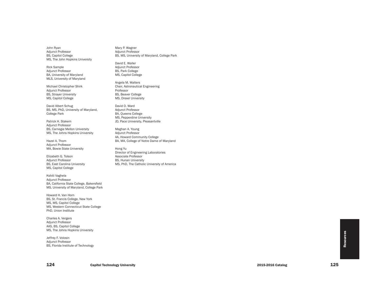John Ryan Adjunct Professor BS, Capitol College MS, The John Hopkins University

Rick Sample Adjunct Professor BA, University of Maryland MLS, University of Maryland

Michael Christopher Shirk Adjunct Professor BS, Strayer University MS, Capitol College

David Albert Schug BS, MS, PhD, University of Maryland, College Park

Patrick H. Stakem Adjunct Professor BS, Carnegie Mellon University MS, The Johns Hopkins University

Hazel A. Thom Adjunct Professor MA, Bowie State University

Elizabeth G. Tolson Adjunct Professor BS, East Carolina University MS, Capitol College

Kshiti Vaghela Adjunct Professor BA, California State College, Bakersfield MS, University of Maryland, College Park

Howard H . Van Horn BS, St. Francis College, New York MS, MS, Capitol College MS, Western Connecticut State College PhD, Union Institute

Charles A. Vergers Adjunct Professor AAS, BS, Capitol College MS, The Johns Hopkins University

Jeffrey F. Volosin Adjunct Professor BS, Florida Institute of Technology Mary P. Wagner Adjunct Professor BS, MS, University of Maryland, College Park

David E. Waller Adjunct Professor BS, Park College MS, Capitol College

Angela M . Walters Chair, Astronautical Engineering Professor BS, Beaver College MS, Drexel University

David O. Ward Adjunct Professor BA, Queens College MS, Pepperdine University JD, Pace University, Pleasantville

Meghan A. Young Adjunct Professor AA, Howard Community College BA, MA, College of Notre Dame of Maryland

Hong Yu Director of Engineering Laboratories Associate Professor BS, Hunan University MS, PhD, The Catholic University of America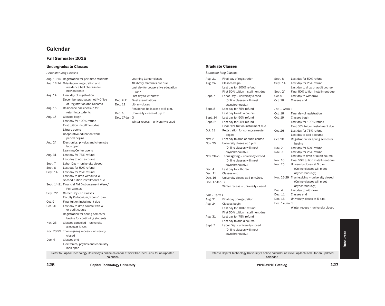# **Calendar**

# Fall Semester 2015

# Undergraduate Classes

# *Semester-long Classes*

| 126      | <b>Capitol Technology University</b>                                                        |                |                                    |                |                                                                                             | 2015-2016 Catalog | 127                                         |
|----------|---------------------------------------------------------------------------------------------|----------------|------------------------------------|----------------|---------------------------------------------------------------------------------------------|-------------------|---------------------------------------------|
|          | Refer to Capitol Technology University's online calendar at www.CapTechU.edu for an updated | calendar.      |                                    |                | Refer to Capitol Technology University's online calendar at www.CapTechU.edu for an updated | calendar.         |                                             |
|          | Electronics, physics and chemistry<br>labs open                                             |                |                                    |                |                                                                                             |                   |                                             |
| Dec. 4   | closed<br>Classes end                                                                       |                |                                    |                |                                                                                             |                   |                                             |
|          | Nov. 26-29 Thanksgiving recess - university                                                 |                |                                    |                | (Online classes will meet<br>asynchronously.)                                               |                   |                                             |
|          | closes at 5 p.m.                                                                            |                |                                    | Sept. 7        | Labor Day - university closed                                                               |                   |                                             |
| Nov. 25  | Classes canceled - university                                                               |                |                                    |                | Last day to add a course                                                                    |                   |                                             |
|          | begins for continuing students                                                              |                |                                    | Aug. 31        | Last day for 75% refund                                                                     |                   |                                             |
|          | Registration for spring semester                                                            |                |                                    |                | First 50% tuition installment due                                                           |                   |                                             |
| Oct. 26  | Last day to drop course with W<br>or audit course                                           |                |                                    |                | Last day for 100% refund                                                                    |                   | Winter recess – university closed           |
| Oct. 9   | Final tuition installment due                                                               |                |                                    | Aug. 24        | Classes begin                                                                               | Dec. 17-Jan. 3    |                                             |
|          | Faculty Colloquium, Noon -1 p.m.                                                            |                |                                    | Aug. 21        | Final day of registration                                                                   | Dec. 16           | University closes at 5 p.m.                 |
| Sept. 22 | Career Day - no classes                                                                     |                |                                    | Fall - Term I  |                                                                                             | Dec. 11           | Classes end                                 |
|          | Pell Census                                                                                 |                |                                    |                |                                                                                             | Dec. 4            | Last day to withdraw                        |
|          | Sept. 14-21 Financial Aid Disbursement Week/                                                |                |                                    |                | Winter recess – university closed                                                           |                   | asynchronously.)                            |
|          | Second tuition installments due                                                             |                |                                    | Dec. 17-Jan. 3 |                                                                                             |                   | (Online classes will meet                   |
|          | Last day to drop without a W                                                                |                |                                    | Dec. 16        | University closes at 5 p.m.Dec.                                                             |                   | Nov. 26-29 Thanksgiving - university closed |
| Sept. 14 | Last day for 25% refund                                                                     |                |                                    | Dec. 11        | Classes end                                                                                 |                   | asynchronously.)                            |
| Sept. 8  | Last day for 50% refund                                                                     |                |                                    | Dec. 4         | Last day to withdraw                                                                        |                   | (Online classes will meet                   |
| Sept. 7  | Labor Day - university closed                                                               |                |                                    |                | asynchronously.)                                                                            | Nov. 25           | University closes at 5 p.m.                 |
|          | Last day to add a course                                                                    |                |                                    |                | (Online classes will meet                                                                   | Nov. 16           | Final 50% tuition installment due           |
| Aug. 31  | Last day for 75% refund                                                                     |                |                                    |                | Nov. 26-29 Thanksgiving - university closed                                                 |                   | Last day to drop or audit course            |
|          | Learning Center opens                                                                       |                |                                    |                | asynchronously.)                                                                            | Nov. 9            | Last day for 25% refund                     |
|          | labs open                                                                                   |                |                                    |                | (Online classes will meet                                                                   | Nov. 2            | Last day for 50% refund                     |
| Aug. 24  | Electronics, physics and chemistry                                                          |                |                                    | Nov. 25        | University closes at 5 p.m.                                                                 | Oct. 28           | Registration for spring semester<br>begins  |
|          | period begins                                                                               |                |                                    | Nov. 2         | Last day to drop or audit course                                                            |                   | Last day to add a course                    |
|          | Cooperative education work                                                                  |                |                                    | Oct. 28        | Registration for spring semester<br>begins                                                  | Oct. 26           | Last day for 75% refund                     |
|          | Library opens                                                                               |                |                                    |                | Final 50% tuition installment due                                                           |                   | First 50% tuition installment due           |
|          | First tuition installment due                                                               |                | Winter recess - university closed  | Sept. 21       | Last day for 25% refund                                                                     |                   | Last day for 100% refund                    |
| Aug. 17  | Last day for 100% refund                                                                    | Dec. 17-Jan. 3 |                                    | Sept. 14       | Last day for 50% refund                                                                     | Oct. 19           | Classes begin                               |
|          | returning students<br>Classes begin                                                         | Dec. 16        | University closes at 5 p.m.        |                | Last day to add a course                                                                    | Oct. 16           | Final day of registration                   |
| Aug. 15  | Residence hall check-in for                                                                 |                | Residence halls close at 5 p.m.    | Sept. 8        | Last day for 75% refund                                                                     | Fall - Term II    |                                             |
|          | of Registration and Records                                                                 | Dec. 11        | Library closes                     |                | asynchronously.)                                                                            |                   |                                             |
|          | December graduates notify Office                                                            | Dec. 7-11      | Final examinations                 |                | (Online classes will meet                                                                   | Oct. 16           | Classes end                                 |
| Aug. 14  | Final day of registration                                                                   |                | Last day to withdraw               | Sept. 7        | Labor Day - university closed                                                               | Oct. 9            | Last day to withdraw                        |
|          | new students                                                                                |                | work                               |                | First 50% tuition installment due                                                           | Sept. 2           | Final 50% tuition installment due           |
|          | residence hall check-in for                                                                 |                | Last day for cooperative education |                | Last day for 100% refund                                                                    |                   | Last day to drop or audit course            |
|          | Aug. 12-14 Orientation, registration and                                                    |                | All library materials are due      | Aug. 24        | Classes begin                                                                               | Sept. 14          | Last day for 25% refund                     |
|          | Aug. 10-14 Registration for part-time students                                              |                | <b>Learning Center closes</b>      | Aug. 21        | Final day of registration                                                                   | Sept. 8           | Last day for 50% refund                     |

| <b>Learning Center closes</b>              |
|--------------------------------------------|
| All library materials are due              |
| Last day for cooperative education<br>work |
| Last day to withdraw                       |
| <b>Final examinations</b>                  |
| Library closes                             |
| Residence halls close at 5 p.m.            |
| University closes at 5 p.m.<br>3           |
| Winter recess - university closed          |
|                                            |
|                                            |
|                                            |
|                                            |
|                                            |
|                                            |
|                                            |
|                                            |
|                                            |
|                                            |
|                                            |
|                                            |
|                                            |

# Graduate Classes

#### *Semester-long Classes* Aug. 21 Final day of registration Aug. 24 Classes begin Last day for 100% refund First 50% tuition installment due Sept. 7 Labor Day – university closed (Online classes will meet asynchronously.) Sept. 8 Last day for 75% refund Last day to add a course Sept. 14 Last day for 50% refund Sept. 21 Last day for 25% refund Final 50% tuition installment due Oct. 28 Registration for spring semester begins Nov. 2 Last day to drop or audit course Nov. 25 University closes at 5 p.m. (Online classes will meet asynchronously.) Nov. 26-29 Thanksgiving – university closed (Online classes will meet asynchronously.) Dec. 4 Last day to withdraw Dec. 11 Classes end Dec. 16 University closes at 5 p.m.Dec. Dec. 17-Jan. 3 Winter recess – university closed *Fall – Term I* Aug. 21 Final day of registration Aug. 24 Classes begin Last day for 100% refund First 50% tuition installment due Aug. 31 Last day for 75% refund Last day to add a course Sept. 7 Labor Day – university closed (Online classes will meet asynchronously.) Sept. 8 Last day for 50% refund Sept. 14 Last day for 25% refund Last day to drop or audit course Sept. 2` Final 50% tuition installment due Oct. 9 Last day to withdraw Oct. 16 Classes end *Fall – Term II* Oct. 16 Final day of registration Oct. 19 Classes begin Last day for 100% refund First 50% tuition installment due Oct. 26 Last day for 75% refund Last day to add a course Oct. 28 Registration for spring semester begins Nov. 2 Last day for 50% refund Nov. 9 Last day for 25% refund Last day to drop or audit course Nov. 16 Final 50% tuition installment due Nov. 25 University closes at 5 p.m. (Online classes will meet asynchronously.) Nov. 26-29 Thanksgiving – university closed (Online classes will meet asynchronously.) Dec. 4 Last day to withdraw Dec. 11 Classes end Dec. 16 University closes at 5 p.m. Dec. 17-Jan. 3 Winter recess – university closed Refer to Capitol Technology University's online calendar at www.CapTechU.edu for an updated calendar.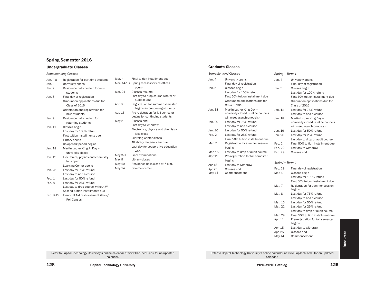# Spring Semester 2016

# Undergraduate Classes

# *Semester-long Classes*

| Jan. 4-8  | Registration for part-time students | Mar. 4         |
|-----------|-------------------------------------|----------------|
| Jan. 4    | University opens                    | Mar. 1         |
| Jan. 7    | Residence hall check-in for new     |                |
|           | students                            | Mar. 2         |
| Jan. 8    | Final day of registration           |                |
|           | Graduation applications due for     |                |
|           | Class of 2016                       | Apr. 6         |
|           | Orientation and registration for    |                |
|           | new students                        | Apr. 1         |
| Jan. 9    | Residence hall check-in for         |                |
|           | returning students                  | May 2          |
| Jan. 11   | Classes begin                       |                |
|           | Last day for 100% refund            |                |
|           | First tuition installments due      |                |
|           | Library opens                       |                |
|           | Co-op work period begins            |                |
| Jan. 18   | Martin Luther King Jr. Day -        |                |
|           | university closed                   |                |
| Jan. 19   | Electronics, physics and chemistry  | May 3<br>May 9 |
|           | labs open                           | May 1          |
|           | Learning Center opens               | May 1          |
| Jan. 25   | Last day for 75% refund             |                |
|           | Last day to add a course            |                |
| Feb. 1    | Last day for 50% refund             |                |
| Feb. 8    | Last day for 25% refund             |                |
|           | Last day to drop course without W   |                |
|           | Second tuition installments due     |                |
| Feb. 8-15 | Financial Aid Disbursement Week/    |                |
|           | Pell Census                         |                |

| Mar. 4  | Final tuition installment due                                        |
|---------|----------------------------------------------------------------------|
|         | Mar. 14-18 Spring recess (service offices<br>open)                   |
| Mar. 21 | Classes resume                                                       |
|         | Last day to drop course with W or<br>audit course                    |
| Apr. 6  | Registration for summer semester<br>begins for continuing students   |
| Apr. 13 | Pre-registration for fall semester<br>begins for continuing students |
| May 2   | Classes end                                                          |
|         | Last day to withdraw                                                 |
|         | Electronics, physics and chemistry                                   |
|         | labs close                                                           |
|         | <b>Learning Center closes</b>                                        |
|         | All library materials are due                                        |
|         | Last day for cooperative education<br>work                           |
| May 3-9 | <b>Final examinations</b>                                            |
| May 9   | Library closes                                                       |
| May 10  | Residence halls close at 7 p.m.                                      |
| May 14  | Commencement                                                         |
|         |                                                                      |
|         |                                                                      |
|         |                                                                      |
|         |                                                                      |

# Graduate Classes

| Semester-long Classes |                                               | Spring - Term 1   |                                                               |  |
|-----------------------|-----------------------------------------------|-------------------|---------------------------------------------------------------|--|
| Jan. $4$              | University opens<br>Final day of registration | Jan. 4            | University opens<br>Final day of registration                 |  |
| Jan. 5                | Classes begin                                 | Jan. 5            | Classes begin                                                 |  |
|                       | Last day for 100% refund                      |                   | Last day for 100% refund                                      |  |
|                       | First 50% tuition installment due             |                   | First 50% tuition installment due                             |  |
|                       | Graduation applications due for               |                   | Graduation applications due for                               |  |
|                       | Class of 2016                                 |                   | Class of 2016                                                 |  |
| Jan. 18               | Martin Luther King Day --                     | Jan. 12           | Last day for 75% refund                                       |  |
|                       | university closed. (Online courses            |                   | Last day to add a course                                      |  |
|                       | will meet asynchronously.)                    | Jan. 18           | Martin Luther King Day --                                     |  |
| Jan. 20               | Last day for 75% refund                       |                   | university closed. (Online courses                            |  |
|                       | Last day to add a course                      |                   | will meet asynchronously.)                                    |  |
| Jan. 26               | Last day for 50% refund                       | Jan. 19           | Last day for 50% refund                                       |  |
| Feb. 2                | Last day for 25% refund                       | Jan. 26           | Last day for 25% refund                                       |  |
|                       | Final 50% tuition installment due             |                   | Last day to drop or audit course                              |  |
| Mar. 7                | Registration for summer session               | Feb. 2            | Final 50% tuition installment due                             |  |
|                       | begins                                        | Feb. 22           | Last day to withdraw                                          |  |
| Mar. 15               | Last day to drop or audit course              | Feb. 29           | Classes end                                                   |  |
| Alpr 11               | Pre-registration for fall semester            |                   |                                                               |  |
|                       | begins                                        | Spring -- Term II |                                                               |  |
| Apr 18                | Last day to withdraw                          | Feb. 29           |                                                               |  |
| Apr 25                | Classes end                                   |                   | Final day of registration                                     |  |
| May 14                | Commencement                                  | Mar. 1            | Classes begin                                                 |  |
|                       |                                               |                   | Last day for 100% refund<br>First 50% tuition installment due |  |
|                       |                                               | Mar. 7            |                                                               |  |
|                       |                                               |                   | Registration for summer session<br>begins                     |  |
|                       |                                               | Mar. 8            | Last day for 75% refund                                       |  |
|                       |                                               |                   | Last day to add a course                                      |  |
|                       |                                               | Mar. 15           | Last day for 50% refund                                       |  |
|                       |                                               | Mar. 22           | Last day for 25% refund                                       |  |
|                       |                                               |                   | Last day to drop or audit course                              |  |
|                       |                                               | Mar. 29           | Final 50% tuition installment due                             |  |
|                       |                                               | Apr. 11           | Pre-registration for fall semester<br>begins                  |  |
|                       |                                               | Apr. 18           | Last day to withdraw                                          |  |
|                       |                                               | Apr. 25           | Classes end                                                   |  |
|                       |                                               | May 14            | Commencement                                                  |  |

**Resources** Resources

Refer to Capitol Technology University's online calendar at www.CapTechU.edu for an updated calendar.

Refer to Capitol Technology University's online calendar at www.CapTechU.edu for an updated calendar.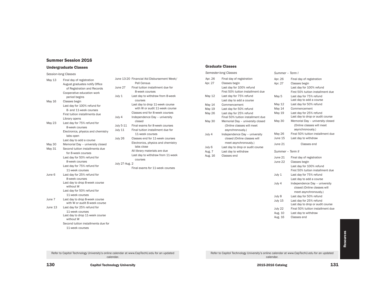# Summer Session 2016

# Undergraduate Classes

| Session-long Classes |                                                                 |                |                                                |
|----------------------|-----------------------------------------------------------------|----------------|------------------------------------------------|
| May 13               | Final day of registration<br>August graduates notify Office     |                | June 13-20 Financial Aid Disbur<br>Pell Census |
|                      | of Registration and Records                                     | June 27        | Final tuition installn<br>8-week courses       |
|                      | Cooperative education work<br>period begins                     | July 1         | Last day to withdray<br>courses                |
| May 16               | Classes begin<br>Last day for 100% refund for                   |                | Last day to drop 11<br>with W or audit 1       |
|                      | 8- and 11-week courses<br>First tuition installments due        |                | Classes end for 8-w                            |
|                      | Library opens                                                   | July 4         | Independence Day<br>closed                     |
| <b>May 23</b>        | Last day for 75% refund for<br>8-week courses                   | July 5-11      | Final exams for 8-w                            |
|                      | Electronics, physics and chemistry<br>labs open                 | July 11        | Final tuition installn<br>11-week courses      |
|                      | Last day to add a course                                        | July 26        | Classes end for 11-                            |
| <b>May 30</b>        | Memorial Day - university closed                                |                | Electronics, physics<br>labs close             |
| May 31               | Second tuition installments due<br>for 8-week courses           |                | All library materials                          |
|                      | Last day for 50% refund for                                     |                | Last day to withdray<br>courses                |
|                      | 8-week courses<br>Last day for 75% refund for                   | July 27-Aug. 2 |                                                |
|                      | 11-week courses                                                 |                | Final exams for 11-                            |
| June 6               | Last day for 25% refund for                                     |                |                                                |
|                      | 8-week courses<br>Last day to drop 8-week course<br>without W   |                |                                                |
|                      | Last day for 50% refund for<br>11-week courses                  |                |                                                |
| June 7               | Last day to drop 8-week course<br>with W or audit 8-week course |                |                                                |
| June 13              | Last day for 25% refund for                                     |                |                                                |
|                      | 11-week courses<br>Last day to drop 11-week course<br>without W |                |                                                |
|                      | Second tuition installments due for<br>11-week courses          |                |                                                |

|                | June 13-20 Financial Aid Disbursement Week/<br>Pell Census |
|----------------|------------------------------------------------------------|
| June 27        | Final tuition installment due for                          |
|                |                                                            |
|                | 8-week courses                                             |
| July 1         | Last day to withdraw from 8-week                           |
|                | courses                                                    |
|                | Last day to drop 11-week course                            |
|                | with W or audit 11-week course                             |
|                | Classes end for 8-week courses                             |
| July 4         | Independence Day - university                              |
|                | closed                                                     |
| July 5-11      | Final exams for 8-week courses                             |
| July 11        | Final tuition installment due for                          |
|                | 11-week courses                                            |
| July 26        | Classes end for 11-week courses                            |
|                | Electronics, physics and chemistry<br>labs close           |
|                | All library materials are due                              |
|                | Last day to withdraw from 11-week                          |
|                | courses                                                    |
| July 27-Aug. 2 |                                                            |
|                | Final exams for 11-week courses                            |
|                |                                                            |
|                |                                                            |
|                |                                                            |
|                |                                                            |
|                |                                                            |
|                |                                                            |
|                |                                                            |
|                |                                                            |
|                |                                                            |
|                |                                                            |
|                |                                                            |

# Graduate Classes

Apr.  $26$ Apr. 27

May  $12$ 

May  $14$ May 19 May 26

May 30

July 4

July 6 Aug. 7 Aug. 16

| Semester-long Classes |                                                                                                             | Summer - Term I    |                                                                                                             |
|-----------------------|-------------------------------------------------------------------------------------------------------------|--------------------|-------------------------------------------------------------------------------------------------------------|
| Apr. 26<br>Apr. 27    | Final day of registration<br>Classes begin<br>Last day for 100% refund<br>First 50% tuition installment due | Apr. 26<br>Apr. 27 | Final day of registration<br>Classes begin<br>Last day for 100% refund<br>First 50% tuition installment due |
| May 12                | Last day for 75% refund<br>Last day to add a course                                                         | May 5              | Last day for 75% refund<br>Last day to add a course                                                         |
| May 14                | Commencement                                                                                                | May 12             | Last day for 50% refund                                                                                     |
| May 19                | Last day for 50% refund                                                                                     | May 14             | Commencement                                                                                                |
| <b>May 26</b>         | Last day for 25% refund<br>Final 50% tuition installment due                                                | May 19             | Last day for 25% refund<br>Last day to drop or audit course                                                 |
| <b>May 30</b>         | Memorial Day - university closed<br>(Online classes will meet<br>asynchronously.)                           | <b>May 30</b>      | Memorial Day - university closed<br>(Online classes will meet<br>asynchronously.)                           |
| July 4                | Independence Day - university<br>closed (Online classes will                                                | May 26<br>June 15  | Final 50% tuition installment due<br>Last day to withdraw                                                   |
| July 6                | meet asynchronously.)<br>Last day to drop or audit course                                                   | June 21            | Classes end                                                                                                 |
| Aug. 7                | Last day to withdraw                                                                                        | Summer - Term II   |                                                                                                             |
| Aug. 16               | Classes end                                                                                                 | June 21<br>June 22 | Final day of registration<br>Classes begin<br>Last day for 100% refund<br>First 50% tuition installment due |
|                       |                                                                                                             | July 1             | Last day for 75% refund<br>Last day to add a course                                                         |
|                       |                                                                                                             | July 4             | Independence Day - university<br>closed (Online classes will<br>meet asynchronously.)                       |
|                       |                                                                                                             | July 8             | Last day for 50% refund                                                                                     |
|                       |                                                                                                             | July 15            | Last day for 25% refund<br>Last day to drop or audit course                                                 |
|                       |                                                                                                             | July 22            | Final 50% tuition installment due                                                                           |
|                       |                                                                                                             | Aug. 10            | Last day to withdraw                                                                                        |
|                       |                                                                                                             | Aug. 16            | Classes end                                                                                                 |

Refer to Capitol Technology University's online calendar at www.CapTechU.edu for an updated calendar.

Refer to Capitol Technology University's online calendar at www.CapTechU.edu for an updated calendar.

130 Capitol Technology University Capitol Technology University Communication Communication Catalog Catalog Catalog 131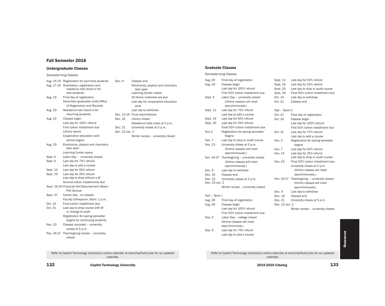# Fall Semester 2016

# Undergraduate Classes

*Semester-long Classes*

|            | Aug. 15-19 Registration for part-time students                          | Dec. 9         | Classes end                                     |
|------------|-------------------------------------------------------------------------|----------------|-------------------------------------------------|
|            | Aug. 17-19 Orientation, registration and<br>residence hall check-in for |                | Electronics, physics and chemistry<br>labs open |
|            | new students                                                            |                | Learning Center closes                          |
| Aug. 19    | Final day of registration                                               |                | All library materials are due                   |
|            | December graduates notify Office<br>of Registration and Records         |                | Last day for cooperative education<br>work      |
| Aug. 20    | Residence hall check-in for                                             |                | Last day to withdraw                            |
|            | returning students                                                      |                | Dec. 12-16 Final examinations                   |
| Aug. 22    | Classes begin                                                           | Dec. 16        | Library closes                                  |
|            | Last day for 100% refund                                                |                | Residence halls close at 5 p.m.                 |
|            | First tuition installment due                                           | Dec. 21        | University closes at 5 p.m.                     |
|            | Library opens                                                           | Dec. 22-Jan. 2 |                                                 |
|            | Cooperative education work<br>period begins                             |                | Winter recess - university closed               |
| Aug. 29    | Electronics, physics and chemistry<br>labs open                         |                |                                                 |
|            | Learning Center opens                                                   |                |                                                 |
| Sept. 5    | Labor Day - university closed                                           |                |                                                 |
| Sept. 6    | Last day for 75% refund                                                 |                |                                                 |
|            | Last day to add a course                                                |                |                                                 |
| Sept. 12   | Last day for 50% refund                                                 |                |                                                 |
| Sept. 19   | Last day for 25% refund                                                 |                |                                                 |
|            | Last day to drop without a W                                            |                |                                                 |
|            | Second tuition installments due                                         |                |                                                 |
|            | Sept. 19-26 Financial Aid Disbursement Week/                            |                |                                                 |
|            | Pell Census                                                             |                |                                                 |
| Sept. 27   | Career Day - no classes                                                 |                |                                                 |
|            | Faculty Colloquium, Noon -1 p.m.                                        |                |                                                 |
| Oct. 14    | Final tuition installment due                                           |                |                                                 |
| Oct. 31    | Last day to drop course with W<br>or change to audit                    |                |                                                 |
|            | Registration for spring semester<br>begins for continuing students      |                |                                                 |
| Nov. 23    | Classes canceled - university<br>closes at 5 p.m.                       |                |                                                 |
| Nov. 24-27 | Thanksgiving recess - university<br>closed                              |                |                                                 |
|            |                                                                         |                |                                                 |

Refer to Capitol Technology University's online calendar at www.CapTechU.edu for an updated calendar.

# Graduate Classes

|                | Semester-long Classes             |                |                                   |
|----------------|-----------------------------------|----------------|-----------------------------------|
| Aug. 26        | Final day of registration         | Sept. 12       | Last day for 50% refund           |
| Aug. 29        | Classes begin                     | Sept. 19       | Last day for 25% refund           |
|                | Last day for 100% refund          | Sept. 20       | Last day to drop or audit course  |
|                | First 50% tuition installment due | Sept. 26       | Final 50% tuition installment due |
| Sept. 5        | Labor Day - university closed     | Oct. 14        | Last day to withdraw              |
|                | (Online classes will meet         | Oct. 21        | Classes end                       |
|                | asynchronously.)                  |                |                                   |
| Sept. 12       | Last day for 75% refund           | Fall - Term II |                                   |
|                | Last day to add a course          | Oct. 21        | Final day of registration         |
| Sept. 19       | Last day for 50% refund           | Oct. 24        | Classes begin                     |
| Sept. 26       | Last day for 25% refund           |                | Last day for 100% refund          |
|                | Final 50% tuition installment due |                | First 50% tuition installment due |
| Nov 2          | Registration for spring semester  | Oct. 31        | Last day for 75% refund           |
|                | begins                            |                | Last day to add a course          |
| Nov. 7         | Last day to drop or audit course  | Nov. 2         | Registration for spring semester  |
| Nov. 23        | University closes at 5 p.m.       |                | begins                            |
|                | (Online classes will meet         | Nov. 7         | Last day for 50% refund           |
|                | asynchronously.)                  | Nov. 14        | Last day for 25% refund           |
| Nov. 24-27     | Thanksgiving - university closed  |                | Last day to drop or audit course  |
|                | (Online classes will meet         | Nov. 23        | Final 50% tuition installment due |
|                | asynchronously.)                  |                | University closes at 5 p.m.       |
| Dec. 9         | Last day to withdraw              |                | (Online classes will meet         |
| Dec. 16        | Classes end                       |                | asynchronously.)                  |
| Dec. 22        | University closes at 5 p.m.       | Nov. 24-27     | Thanksgiving - university closed  |
| Dec. 22-Jan. 2 |                                   |                | (Online classes will meet         |
|                | Winter recess - university closed |                | asynchronously.)                  |
|                |                                   | Dec. 9         | Last day to withdraw              |
| Fall - Term I  |                                   | Dec. 16        | Classes end                       |
| Aug. 26        | Final day of registration         | Dec. 21        | University closes at 5 p.m.       |
| Aug. 29        | Classes begin                     | Dec. 22-Jan. 2 |                                   |
|                | Last day for 100% refund          |                | Winter recess - university closed |
|                | First 50% tuition installment due |                |                                   |
| Sep. 5         | Labor Day -- college closed       |                |                                   |
|                | (Online classes will meet         |                |                                   |
|                | asynchronously.)                  |                |                                   |
| Sep. 6         | Last day for 75% refund           |                |                                   |

Last day to add a course

Refer to Capitol Technology University's online calendar at www.CapTechU.edu for an updated calendar.

132 Capitol Technology University Capitol Technology University Communication Communication Catalog Catalog Catalog 133

Resources

Resources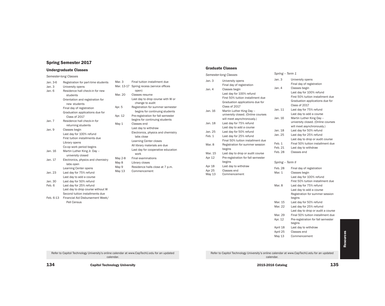# Spring Semester 2017

# Undergraduate Classes

# *Semester-long Classes*

| Jan. 3-6<br>Jan. 3 | Registration for part-time students<br>University opens | Mar. 3<br>Mar. 13 |
|--------------------|---------------------------------------------------------|-------------------|
| Jan. 6             | Residence hall check-in for new<br>students             | Mar. 20           |
|                    | Orientation and registration for<br>new students        |                   |
|                    | Final day of registration                               | Apr. 5            |
|                    | Graduation applications due for<br>Class of 2017        | Apr. 12           |
| Jan. 7             | Residence hall check-in for<br>returning students       | May 1             |
| Jan. 9             | Classes begin                                           |                   |
|                    | Last day for 100% refund                                |                   |
|                    | First tuition installments due                          |                   |
|                    | Library opens                                           |                   |
|                    | Co-op work period begins                                |                   |
| Jan. 16            | Martin Luther King Jr. Day -                            |                   |
|                    | university closed                                       |                   |
| Jan. 17            | Electronics, physics and chemistry<br>labs open         | May 2-8<br>May 8  |
|                    | Learning Center opens                                   | May 9             |
| Jan. 23            | Last day for 75% refund                                 | May 13            |
|                    | Last day to add a course                                |                   |
| Jan. 30            | Last day for 50% refund                                 |                   |
| Feb. 6             | Last day for 25% refund                                 |                   |
|                    | Last day to drop course without W                       |                   |
|                    | Second tuition installments due                         |                   |
| Feb. 6-13          | Financial Aid Disbursement Week/<br>Pell Census         |                   |

| Mar. 3     | Final tuition installment due                        |
|------------|------------------------------------------------------|
| Mar. 13-17 | Spring recess (service offices                       |
|            | open)                                                |
| Mar. 20    | Classes resume                                       |
|            | Last day to drop course with W or<br>change to audit |
| Apr. 5     | Registration for summer semester                     |
|            | begins for continuing students                       |
| Apr. 12    | Pre-registration for fall semester                   |
|            | begins for continuing students                       |
| May 1      | Classes end                                          |
|            | Last day to withdraw                                 |
|            | Electronics, physics and chemistry                   |
|            | labs close                                           |
|            | <b>Learning Center closes</b>                        |
|            | All library materials are due                        |
|            | Last day for cooperative education                   |
|            | work                                                 |
| May 2-8    | <b>Final examinations</b>                            |
| May 8      | Library closes                                       |
| May 9      | Residence halls close at 7 p.m.                      |
| May 13     | Commencement                                         |
|            |                                                      |

# Graduate Classes

| Semester-long Classes      |                                                                                                                                    | Spring - Term 1    |                                                                                                                                    |
|----------------------------|------------------------------------------------------------------------------------------------------------------------------------|--------------------|------------------------------------------------------------------------------------------------------------------------------------|
| Jan. $3$                   | University opens<br>Final day of registration                                                                                      | Jan.3              | University opens<br>Final day of registration                                                                                      |
| Jan. $4$                   | Classes begin<br>Last day for 100% refund<br>First 50% tuition installment due<br>Graduation applications due for<br>Class of 2017 | Jan. $4$           | Classes begin<br>Last day for 100% refund<br>First 50% tuition installment due<br>Graduation applications due for<br>Class of 2017 |
| Jan. 16                    | Martin Luther King Day --<br>university closed. (Online courses                                                                    | Jan. 11<br>Jan. 16 | Last day for 75% refund<br>Last day to add a course<br>Martin Luther King Day --                                                   |
| Jan. 18                    | will meet asynchronously.)<br>Last day for 75% refund<br>Last day to add a course                                                  |                    | university closed. (Online courses<br>will meet asynchronously.)                                                                   |
| Jan. 25                    | Last day for 50% refund                                                                                                            | Jan. 18            | Last day for 50% refund                                                                                                            |
| Feb. 1                     | Last day for 25% refund<br>Final 50% tuition installment due                                                                       | Jan. 25            | Last day for 25% refund<br>Last day to drop or audit course                                                                        |
| Mar. 8                     | Registration for summer session<br>begins                                                                                          | Feb.1<br>Feb. 21   | Final 50% tuition installment due<br>Last day to withdraw                                                                          |
| Mar. 15<br>Apr 12          | Last day to drop or audit course<br>Pre-registration for fall semester                                                             | Feb. 28            | Classes end                                                                                                                        |
|                            | begins                                                                                                                             | Spring -- Term II  |                                                                                                                                    |
| Apr 18<br>Apr 25<br>May 13 | Last day to withdraw<br>Classes end<br>Commencement                                                                                | Feb. 28<br>Mar. 1  | Final day of registration<br>Classes begin<br>Last day for 100% refund<br>First 50% tuition installment due                        |

| Spring -- Term II |                                    |
|-------------------|------------------------------------|
| Feb. 28           | Final day of registration          |
| Mar. 1            | Classes begin                      |
|                   | Last day for 100% refund           |
|                   | First 50% tuition installment due  |
| Mar. 8            | Last day for 75% refund            |
|                   | Last day to add a course           |
|                   | Registration for summer session    |
|                   | begins                             |
| Mar. 15           | Last day for 50% refund            |
| Mar. 22           | Last day for 25% refumd            |
|                   | Last day to drop or audit a course |
| Mar. 29           | Final 50% tuition installment due  |
| Apr. 12           | Pre-registration for fall semester |
|                   | begins                             |
| April 18          | Last day to withdraw               |
| April 25          | Classes end                        |
| May 13            | Commencement                       |

**Resources** Resources

Refer to Capitol Technology University's online calendar at www.CapTechU.edu for an updated calendar.

Refer to Capitol Technology University's online calendar at www.CapTechU.edu for an updated calendar.

134 Capitol Technology University 2015-2016 Catalog 2015-2016 Catalog 2015-2016 Catalog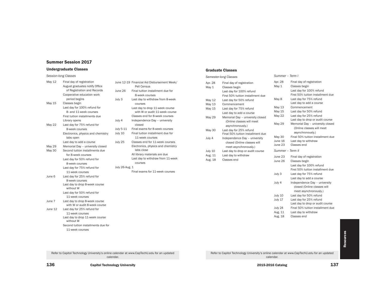# Summer Session 2017

# Undergraduate Classes

# *Session-long Classes*

| May 12        | Final day of registration                                       | June 1   |
|---------------|-----------------------------------------------------------------|----------|
|               | August graduates notify Office<br>of Registration and Records   | June 2   |
|               | Cooperative education work                                      |          |
|               | period begins                                                   | July 3   |
| May 15        | Classes begin                                                   |          |
|               | Last day for 100% refund for                                    |          |
|               | 8- and 11-week courses                                          |          |
|               | First tuition installments due                                  |          |
|               | Library opens                                                   | July 4   |
| <b>May 22</b> | Last day for 75% refund for                                     |          |
|               | 8-week courses                                                  | July 5-1 |
|               | Electronics, physics and chemistry<br>labs open                 | July 10  |
|               | Last day to add a course                                        | July 25  |
| May 29        | Memorial Day - university closed                                |          |
| <b>May 30</b> | Second tuition installments due                                 |          |
|               | for 8-week courses                                              |          |
|               | Last day for 50% refund for                                     |          |
|               | 8-week courses                                                  |          |
|               | Last day for 75% refund for                                     | July 26  |
|               | 11-week courses                                                 |          |
| June 6        | Last day for 25% refund for                                     |          |
|               | 8-week courses                                                  |          |
|               | Last day to drop 8-week course<br>without W                     |          |
|               | Last day for 50% refund for                                     |          |
|               | 11-week courses                                                 |          |
| June 7        | Last day to drop 8-week course<br>with W or audit 8-week course |          |
| June 12       | Last day for 25% refund for                                     |          |
|               | 11-week courses                                                 |          |
|               | Last day to drop 11-week course<br>without W                    |          |
|               | Second tuition installments due for                             |          |
|               | 11-week courses                                                 |          |
|               |                                                                 |          |

|                | June 12-19 Financial Aid Disbursement Week/                       |
|----------------|-------------------------------------------------------------------|
|                | Pell Census                                                       |
| June 26        | Final tuition installment due for                                 |
|                | 8-week courses                                                    |
| July 3         | Last day to withdraw from 8-week<br>courses                       |
|                | Last day to drop 11-week course<br>with W or audit 11-week course |
|                | Classes end for 8-week courses                                    |
| July 4         | Independence Day - university<br>closed                           |
| July 5-11      | Final exams for 8-week courses                                    |
| July 10        | Final tuition installment due for                                 |
|                | 11-week courses                                                   |
| July 25        | Classes end for 11-week courses                                   |
|                | Electronics, physics and chemistry<br>labs close                  |
|                | All library materials are due                                     |
|                | Last day to withdraw from 11-week<br>courses                      |
| July 26-Aug. 1 |                                                                   |
|                | Final exams for 11-week courses                                   |
|                |                                                                   |
|                |                                                                   |
|                |                                                                   |
|                |                                                                   |
|                |                                                                   |
|                |                                                                   |
|                |                                                                   |

# Graduate Classes

| Semester-long Classes      |                                                                                                               | Summer - Term I                     |                                                                                                             |  |
|----------------------------|---------------------------------------------------------------------------------------------------------------|-------------------------------------|-------------------------------------------------------------------------------------------------------------|--|
| Apr. 28<br>May 1           | Final day of registration<br>Classes begin<br>Last day for 100% refund<br>First 50% tuition installment due   | Apr. 28<br>May 1                    | Final day of registration<br>Classes begin<br>Last day for 100% refund<br>First 50% tuition installment due |  |
| May 12<br>May 13<br>May 15 | Last day for 50% refund<br>Commencement<br>Last day for 75% refund                                            | May 8<br>May 13<br>May 15           | Last day for 75% refund<br>Last day to add a course<br>Commencement<br>Last day for 50% refund              |  |
| <b>May 29</b>              | Last day to add a course<br>Memorial Day - university closed<br>(Online classes will meet<br>asynchronously.) | May 22<br><b>May 29</b>             | Last day for 25% refund<br>Last day to drop or audit course<br>Memorial Day - university closed             |  |
| <b>May 30</b>              | Last day for 25% refund<br>Final 50% tuition installment due                                                  |                                     | (Online classes will meet<br>asynchronously.)                                                               |  |
| July 4                     | Independence Day - university<br>closed (Online classes will<br>meet asynchronously.)                         | <b>May 30</b><br>June 16<br>June 23 | Final 50% tuition installment due<br>Last day to withdraw<br>Classes end                                    |  |
| July 10                    | Last day to drop or audit course                                                                              | Summer - Term II                    |                                                                                                             |  |
| Aug. 11<br>Aug. 18         | Last day to withdraw<br>Classes end                                                                           | June 23<br>June 26                  | Final day of registration<br>Classes begin<br>Last day for 100% refund<br>First 50% tuition installment due |  |
|                            |                                                                                                               | July 3                              | Last day for 75% refund<br>Last day to add a course                                                         |  |
|                            |                                                                                                               | July 4                              | Independence Day - university<br>closed (Online classes will<br>meet asynchronously.)                       |  |
|                            |                                                                                                               | July 10                             | Last day for 50% refund                                                                                     |  |
|                            |                                                                                                               | July 17                             | Last day for 25% refund<br>Last day to drop or audit course                                                 |  |

ist day to drop or audit course July 24 Final 50% tuition installment due

Aug. 11 Last day to withdraw

Aug. 18 Classes end

Refer to Capitol Technology University's online calendar at www.CapTechU.edu for an updated calendar.

Refer to Capitol Technology University's online calendar at www.CapTechU.edu for an updated calendar.

136 Capitol Technology University Capitol Technology University Communication Communication Catalog Catalog Catalog 137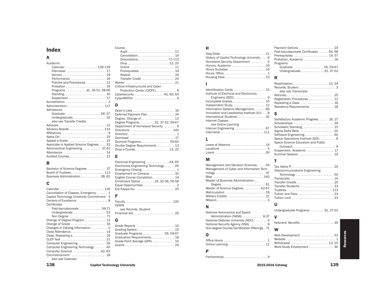# Index

# A

| Academic                                                  |
|-----------------------------------------------------------|
| Calendar126-139                                           |
|                                                           |
| Honors  19                                                |
| Performance  16                                           |
| Policies and Procedures  12                               |
| Probation  16                                             |
| Programs 31, 36-51, 58-66                                 |
| Standing 16                                               |
| Suspension $\ldots \ldots \ldots \ldots \ldots \ldots 17$ |
|                                                           |
| Administration  117                                       |
| Admissions                                                |
| Graduate 56, 57                                           |
| Undergraduate32                                           |
| also see Transfer Credits                                 |
|                                                           |
|                                                           |
|                                                           |
|                                                           |
| Appeal a Grade  15                                        |
| Associate in Applied Science Degrees 32                   |
| Astronautical Engineering  37,61                          |
| Attendance 14                                             |
| Audited Courses 12                                        |

# B

| Bachelor of Science Degrees  37 |  |
|---------------------------------|--|
| Board of Trustees113            |  |
| Business Administration 38, 62  |  |

# C

| Calendar126                                                       |
|-------------------------------------------------------------------|
| Cancellation of Classes, Emergency 1                              |
| Capitol Technology University Commitment 4                        |
| Centers of Excellence  8                                          |
| Certificates                                                      |
| Post-baccalaureate  56.71                                         |
| Undergraduate53                                                   |
|                                                                   |
| Change of Degree Program 12                                       |
| Change of Grade  16                                               |
| Changes in Catalog Information 2                                  |
|                                                                   |
| Class, Repeating $a \ldots \ldots \ldots \ldots \ldots \ldots 16$ |
|                                                                   |
| Computer Engineering39                                            |
| Computer Engineering Technology  40                               |
| Computer Science 42, 63                                           |
| Commencement  18                                                  |
| also see Calendar                                                 |

# Course

| 111.77                             |
|------------------------------------|
|                                    |
| Cancellation 14                    |
| Descriptions 72-112                |
|                                    |
| Online  11                         |
| Prerequisites  14                  |
| Repeat  16                         |
|                                    |
| Waiver  21                         |
| Critical Infrastructures and Cyber |
| Protection Center (CICPC) 8        |
| Cybersecurity  43, 69, 64          |
|                                    |
|                                    |

# D

# E

| Electrical Engineering 44, 65         |  |
|---------------------------------------|--|
| Electronics Engineering Technology 45 |  |
|                                       |  |
| Employment on Campus 30               |  |
| English Course Completion 14          |  |
| Enrollment Status  18, 32-36, 56-58   |  |
|                                       |  |
|                                       |  |
|                                       |  |

# F

Faculty . . . . . . . . . . . . . . . . . . . . . . . . . . . . 120 FERPA *see* Records, Student Financial Aid . . . . . . . . . . . . . . . . . . . . . . . . 26 G

# Grade Reports . . . . . . . . . . . . . . . . . . . . . . . 15 Grading System ....................... 15 Graduate Programs . . . . . . . . . . . . 56, 59-67 Graduation Requirements . . . . . . . . . . . . . . 18 Grade Point Average (GPA) ............. 15 Grants . . . . . . . . . . . . . . . . . . . . . . . . . . . . . 29

# H

| Help Desk  11                              | Pr |
|--------------------------------------------|----|
| History of Capitol Technology University 6 | Pr |
| Homeland Security Department  9            | Pr |
| Honors, Academic  19                       |    |
|                                            |    |
|                                            |    |
|                                            |    |
|                                            |    |

# I

| Identification Cards  15                                |  |
|---------------------------------------------------------|--|
| Institute of Electrical and Electronics                 |  |
| Engineers (IEEE) $\ldots \ldots \ldots \ldots \ldots$ . |  |
|                                                         |  |
|                                                         |  |
| Information Systems Management 66                       |  |
| Innovation and Leadership Institute (ILI) 8             |  |
| International Students35                                |  |
| Internet Classes                                        |  |
| see Online Learning                                     |  |
|                                                         |  |
|                                                         |  |
|                                                         |  |
|                                                         |  |

# L

| Leave of Absence 14 |  |
|---------------------|--|
| Locations  4        |  |
|                     |  |

# M

| Management and Decision Sciences 59       |
|-------------------------------------------|
| Management of Cyber and Information Tech- |
|                                           |
| Map 140                                   |
| Master of Business Administration         |
|                                           |
| Master of Science Degrees 62-67           |
| Matriculation  18                         |
| Military Credits  21                      |
|                                           |

# N

| National Aeronautics and Space                 |  |
|------------------------------------------------|--|
| Administration (NASA)  8,37                    |  |
| National Defense University (NDU) 9            |  |
| National Security Agency (NSA). 9              |  |
| Non-degree Course/Certification Offerings . 71 |  |

# O

| Work-Study Employment 30 |  |
|--------------------------|--|

W

# P Partnerships . . . . . . . . . . . . . . . . . . . . . . . . . 9

| Payment Options  24                    |  |
|----------------------------------------|--|
| Post-baccalaureate Certificates 56, 68 |  |
| Prerequisites  14, 57                  |  |
| Probation, Academic  16                |  |
| Programs                               |  |
| Graduate 56, 59-67                     |  |
| Undergraduate32, 37-52                 |  |

| Readmission13, 34           |
|-----------------------------|
|                             |
| also see Transcripts        |
|                             |
| Registration Procedures  12 |
| Repeating a Class  16       |
| Residency Requirements. 18  |

# S

| Satisfactory Academic Progress  16, 27 |
|----------------------------------------|
|                                        |
| Scholastic Standing 15                 |
|                                        |
| Software Engineering. 60               |
| Space Operations Institute (SOI) 8     |
| Space Science Education and Public     |
|                                        |
| Suspension, Academic  17               |
| Summer Session  14                     |

# T

| <b>Telecommunications Engineering</b> |  |
|---------------------------------------|--|
|                                       |  |
|                                       |  |
|                                       |  |
|                                       |  |
| Trustees 113                          |  |
| Tuition and Fees23                    |  |
|                                       |  |
|                                       |  |

# U

Undergraduate Programs . . . . . . . . 32, 37-52

# V

Veterans' Benefits . . . . . . . . . . . . . . . . . . . 30 Web Development . . . . . . . . . . . . . . . . . . 52

# rces Resources

138 Capitol Technology University Capitol Technology University Communication Communication Catalog Catalog Catalog 139